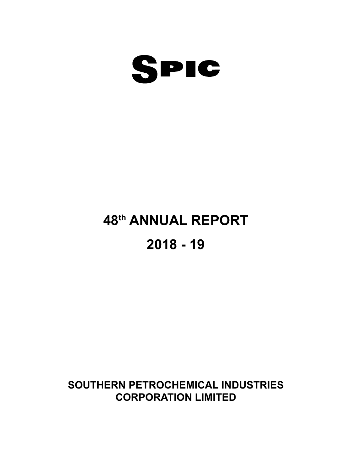

### **48th ANNUAL REPORT**

### **2018 - 19**

### **SOUTHERN PETROCHEMICAL INDUSTRIES CORPORATION LIMITED**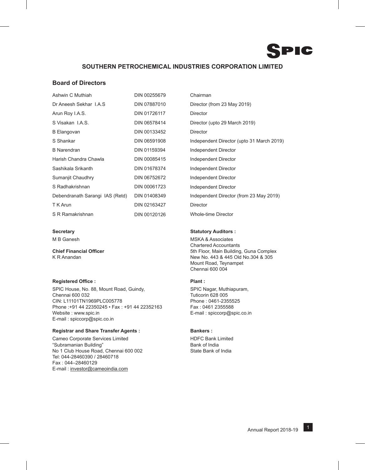### **SOUTHERN PETROCHEMICAL INDUSTRIES CORPORATION LIMITED**

#### **Board of Directors**

| Ashwin C Muthiah                | DIN 00255679 | Chairman        |
|---------------------------------|--------------|-----------------|
| Dr Aneesh Sekhar I.A.S          | DIN 07887010 | Director (1     |
| Arun Roy I.A.S.                 | DIN 01726117 | <b>Director</b> |
| S Visakan I.A.S.                | DIN 06578414 | Director (      |
| <b>B</b> Elangovan              | DIN 00133452 | <b>Director</b> |
| S Shankar                       | DIN 06591908 | Independ        |
| <b>B</b> Narendran              | DIN 01159394 | Independ        |
| Harish Chandra Chawla           | DIN 00085415 | Independ        |
| Sashikala Srikanth              | DIN 01678374 | Independ        |
| Sumanjit Chaudhry               | DIN 06752672 | Independ        |
| S Radhakrishnan                 | DIN 00061723 | Independ        |
| Debendranath Sarangi IAS (Retd) | DIN 01408349 | Independ        |
| T K Arun                        | DIN 02163427 | Director        |
| S R Ramakrishnan                | DIN 00120126 | Whole-tim       |

#### **Registered Office : Plant :**

SPIC House, No. 88, Mount Road, Guindy, Summan SPIC Nagar, Muthiapuram, Chennai 600 032 Tuticorin 628 005 CIN: L11101TN1969PLC005778<br>Phone : +91 44 22350245 • Fax : +91 44 22352163 Fax : 0461 2355588 Phone :+91 44 22350245 • Fax : +91 44 22352163 Website : www.spic.in  $E$ -mail : spiccorp@spic.co.in E-mail : spiccorp@spic.co.in

#### **Registrar and Share Transfer Agents : The Bankers : Bankers : The Bankers : Registrar and Share Transfer Agents :**

Cameo Corporate Services Limited **HDFC Bank Limited** "Subramanian Building"<br>No. 1 Club House Road, Chennai 600,002 State Bank of India No 1 Club House Road, Chennai 600 002 Tel: 044-28460390 / 28460718 Fax : 044–28460129 E-mail : investor@cameoindia.com

Director (from 23 May 2019) Director (upto 29 March 2019) Independent Director (upto 31 March 2019) Independent Director Independent Director Independent Director Independent Director Independent Director Independent Director (from 23 May 2019) Whole-time Director

#### **Secretary Statutory Auditors :**

M B Ganesh MSKA & Associates Chartered Accountants **Chief Financial Officer** 6th Floor, Main Building, Guna Complex K R Anandan New No. 443 & 445 Old No.304 & 305 Mount Road, Teynampet Chennai 600 004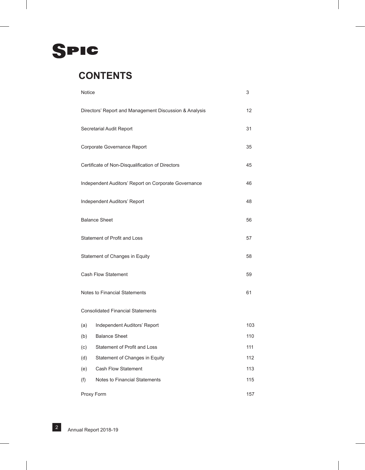

### **CONTENTS**

| Notice                         |                                                        | 3   |  |  |
|--------------------------------|--------------------------------------------------------|-----|--|--|
|                                | Directors' Report and Management Discussion & Analysis | 12  |  |  |
|                                | Secretarial Audit Report                               | 31  |  |  |
|                                | Corporate Governance Report                            | 35  |  |  |
|                                | Certificate of Non-Disqualification of Directors       | 45  |  |  |
|                                | Independent Auditors' Report on Corporate Governance   | 46  |  |  |
|                                | Independent Auditors' Report                           | 48  |  |  |
|                                | <b>Balance Sheet</b>                                   | 56  |  |  |
| Statement of Profit and Loss   |                                                        |     |  |  |
| Statement of Changes in Equity |                                                        |     |  |  |
|                                | <b>Cash Flow Statement</b>                             | 59  |  |  |
|                                | Notes to Financial Statements                          | 61  |  |  |
|                                | <b>Consolidated Financial Statements</b>               |     |  |  |
| (a)                            | Independent Auditors' Report                           | 103 |  |  |
| (b)                            | <b>Balance Sheet</b>                                   | 110 |  |  |
| (c)                            | Statement of Profit and Loss                           | 111 |  |  |
| (d)                            | Statement of Changes in Equity                         | 112 |  |  |
| (e)                            | <b>Cash Flow Statement</b>                             | 113 |  |  |
| (f)                            | Notes to Financial Statements                          | 115 |  |  |
|                                | Proxy Form                                             | 157 |  |  |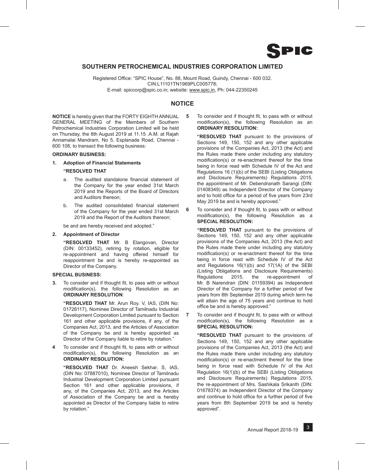

#### **SOUTHERN PETROCHEMICAL INDUSTRIES CORPORATION LIMITED**

Registered Office: "SPIC House", No. 88, Mount Road, Guindy, Chennai - 600 032. CIN:L11101TN1969PLC005778; E-mail: spiccorp@spic.co.in; website: www.spic.in, Ph: 044-22350245

#### **NOTICE**

**NOTICE** is hereby given that the FORTY EIGHTH ANNUAL GENERAL MEETING of the Members of Southern Petrochemical Industries Corporation Limited will be held on Thursday, the 8th August 2019 at 11.15 .A.M. at Rajah Annamalai Mandram, No 5, Esplanade Road, Chennai - 600 108, to transact the following business:

#### **ORDINARY BUSINESS:**

**1. Adoption of Financial Statements**

#### **"RESOLVED THAT**

- a. The audited standalone financial statement of the Company for the year ended 31st March 2019 and the Reports of the Board of Directors and Auditors thereon;
- b. The audited consolidated financial statement of the Company for the year ended 31st March 2019 and the Report of the Auditors thereon;

be and are hereby received and adopted."

#### **2. Appointment of Director**

**"RESOLVED THAT** Mr. B Elangovan, Director (DIN: 00133452), retiring by rotation, eligible for re-appointment and having offered himself for reappointment be and is hereby re-appointed as Director of the Company.

#### **SPECIAL BUSINESS:**

**3.** To consider and if thought fit, to pass with or without modification(s), the following Resolution as an **ORDINARY RESOLUTION**:

**"RESOLVED THAT** Mr. Arun Roy. V, IAS, (DIN No: 01726117), Nominee Director of Tamilnadu Industrial Development Corporation Limited pursuant to Section 161 and other applicable provisions, if any, of the Companies Act, 2013, and the Articles of Association of the Company be and is hereby appointed as Director of the Company liable to retire by rotation."

**4** To consider and if thought fit, to pass with or without modification(s), the following Resolution as an **ORDINARY RESOLUTION:**

**"RESOLVED THAT** Dr. Aneesh Sekhar. S, IAS, (DIN No: 07887010), Nominee Director of Tamilnadu Industrial Development Corporation Limited pursuant Section 161 and other applicable provisions, if any, of the Companies Act, 2013, and the Articles of Association of the Company be and is hereby appointed as Director of the Company liable to retire by rotation."

**5** To consider and if thought fit, to pass with or without modification(s), the following Resolution as an **ORDINARY RESOLUTION:**

**"RESOLVED THAT** pursuant to the provisions of Sections 149, 150, 152 and any other applicable provisions of the Companies Act, 2013 (the Act) and the Rules made there under including any statutory modification(s) or re-enactment thereof for the time being in force read with Schedule IV of the Act and Regulations 16 (1)(b) of the SEBI (Listing Obligations and Disclosure Requirements) Regulations 2015, the appointment of Mr. Debendranath Sarangi (DIN: 01408349) as Independent Director of the Company and to hold office for a period of five years from 23rd May 2019 be and is hereby approved."

**6** To consider and if thought fit, to pass with or without modification(s), the following Resolution as a **SPECIAL RESOLUTION:**

**"RESOLVED THAT** pursuant to the provisions of Sections 149, 150, 152 and any other applicable provisions of the Companies Act, 2013 (the Act) and the Rules made there under including any statutory modification(s) or re-enactment thereof for the time being in force read with Schedule IV of the Act and Regulations 16(1)(b) and 17(1A) of the SEBI (Listing Obligations and Disclosure Requirements) Regulations 2015, the re-appointment of Mr. B Narendran (DIN: 01159394) as Independent Director of the Company for a further period of five years from 8th September 2019 during which term he will attain the age of 75 years and continue to hold office be and is hereby approved."

**7** To consider and if thought fit, to pass with or without modification(s), the following Resolution as a **SPECIAL RESOLUTION:**

**"RESOLVED THAT** pursuant to the provisions of Sections 149, 150, 152 and any other applicable provisions of the Companies Act, 2013 (the Act) and the Rules made there under including any statutory modification(s) or re-enactment thereof for the time being in force read with Schedule IV of the Act Regulation 16(1)(b) of the SEBI (Listing Obligations and Disclosure Requirements) Regulations 2015, the re-appointment of Mrs. Sashikala Srikanth (DIN: 01678374) as Independent Director of the Company and continue to hold office for a further period of five years from 8th September 2019 be and is hereby approved".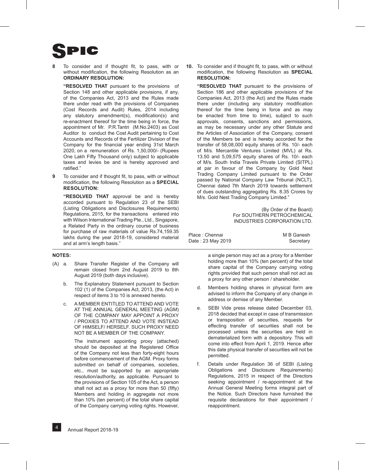**8** To consider and if thought fit, to pass, with or without modification, the following Resolution as an **ORDINARY RESOLUTION:**

**"RESOLVED THAT** pursuant to the provisions of Section 148 and other applicable provisions, if any, of the Companies Act, 2013 and the Rules made there under read with the provisions of Companies (Cost Records and Audit) Rules, 2014 including any statutory amendment(s), modification(s) and re-enactment thereof for the time being in force, the appointment of Mr. P.R.Tantri (M.No.2403) as Cost Auditor to conduct the Cost Audit pertaining to Cost Accounts and Records of the Fertilizer Division of the Company for the financial year ending 31st March 2020, on a remuneration of Rs. 1,50,000/- (Rupees One Lakh Fifty Thousand only) subject to applicable taxes and levies be and is hereby approved and ratified."

**9** To consider and if thought fit, to pass, with or without modification, the following Resolution as a **Special Resolution:**

**"RESOLVED THAT** approval be and is hereby accorded pursuant to Regulation 23 of the SEBI (Listing Obligations and Disclosures Requirements) Regulations, 2015, for the transactions entered into with Wilson International Trading Pte., Ltd., Singapore, a Related Party in the ordinary course of business for purchase of raw materials of value Rs.74,159.35 lakhs during the year 2018-19, considered material and at arm's length basis."

#### **NOTES:**

- (A) a. Share Transfer Register of the Company will remain closed from 2nd August 2019 to 8th August 2019 (both days inclusive).
	- b. The Explanatory Statement pursuant to Section 102 (1) of the Companies Act, 2013, (the Act) in respect of items 3 to 10 is annexed hereto.
	- c. A MEMBER ENTITLED TO ATTEND AND VOTE AT THE ANNUAL GENERAL MEETING (AGM) OF THE COMPANY MAY APPOINT A PROXY / PROXIES TO ATTEND AND VOTE INSTEAD OF HIMSELF/ HERSELF. SUCH PROXY NEED NOT BE A MEMBER OF THE COMPANY.

 The instrument appointing proxy (attached) should be deposited at the Registered Office of the Company not less than forty-eight hours before commencement of the AGM. Proxy forms submitted on behalf of companies, societies, etc., must be supported by an appropriate resolution/authority, as applicable. Pursuant to the provisions of Section 105 of the Act, a person shall not act as a proxy for more than 50 (fifty) Members and holding in aggregate not more than 10% (ten percent) of the total share capital of the Company carrying voting rights. However,

**10.** To consider and if thought fit, to pass, with or without modification, the following Resolution as **SPECIAL RESOLUTION:**

**"RESOLVED THAT** pursuant to the provisions of Section 186 and other applicable provisions of the Companies Act, 2013 (the Act) and the Rules made there under (including any statutory modification thereof for the time being in force and as may be enacted from time to time), subject to such approvals, consents, sanctions and permissions, as may be necessary under any other Statute and the Articles of Association of the Company, consent of the Members be and is hereby accorded for the transfer of 58,08,000 equity shares of Rs. 10/- each of M/s. Mercantile Ventures Limited (MVL) at Rs. 13.50 and 5,09,575 equity shares of Rs. 10/- each of M/s. South India Travels Private Limited (SITPL) at par in favour of the Company by Gold Nest Trading Company Limited pursuant to the Order passed by National Company Law Tribunal (NCLT), Chennai dated 7th March 2019 towards settlement of dues outstanding aggregating Rs. 8.35 Crores by M/s. Gold Nest Trading Company Limited."

> (By Order of the Board) For SOUTHERN PETROCHEMICAL INDUSTRIES CORPORATION LTD.

| Place: Chennai    | M B Ganesh |
|-------------------|------------|
| Date: 23 May 2019 | Secretary  |

a single person may act as a proxy for a Member holding more than 10% (ten percent) of the total share capital of the Company carrying voting rights provided that such person shall not act as a proxy for any other person / shareholder.

- d. Members holding shares in physical form are advised to inform the Company of any change in address or demise of any Member.
- e. SEBI Vide press release dated December 03, 2018 decided that except in case of transmission or transposition of securities, requests for effecting transfer of securities shall not be processed unless the securities are held in dematerialized form with a depository. This will come into effect from April 1, 2019. Hence after this date physical transfer of securities will not be permitted.
- f. Details under Regulation 36 of SEBI (Listing Obligations and Disclosure Requirements) Regulations, 2015 in respect of the Directors seeking appointment / re-appointment at the Annual General Meeting forms integral part of the Notice. Such Directors have furnished the requisite declarations for their appointment / reappointment.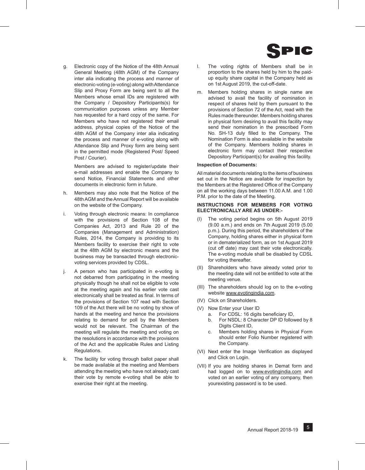

g. Electronic copy of the Notice of the 48th Annual General Meeting (48th AGM) of the Company inter alia indicating the process and manner of electronic-voting (e-voting) along with Attendance Slip and Proxy Form are being sent to all the Members whose email IDs are registered with the Company / Depository Participants(s) for communication purposes unless any Member has requested for a hard copy of the same. For Members who have not registered their email address, physical copies of the Notice of the 48th AGM of the Company inter alia indicating the process and manner of e-voting along with Attendance Slip and Proxy form are being sent in the permitted mode (Registered Post/ Speed Post / Courier).

 Members are advised to register/update their e-mail addresses and enable the Company to send Notice, Financial Statements and other documents in electronic form in future.

- h. Members may also note that the Notice of the 48th AGM and the Annual Report will be available on the website of the Company.
- Voting through electronic means: In compliance with the provisions of Section 108 of the Companies Act, 2013 and Rule 20 of the Companies (Management and Administration) Rules, 2014, the Company is providing to its Members facility to exercise their right to vote at the 48th AGM by electronic means and the business may be transacted through electronicvoting services provided by CDSL.
- j. A person who has participated in e-voting is not debarred from participating in the meeting physically though he shall not be eligible to vote at the meeting again and his earlier vote cast electronically shall be treated as final. In terms of the provisions of Section 107 read with Section 109 of the Act there will be no voting by show of hands at the meeting and hence the provisions relating to demand for poll by the Members would not be relevant. The Chairman of the meeting will regulate the meeting and voting on the resolutions in accordance with the provisions of the Act and the applicable Rules and Listing Regulations.
- k. The facility for voting through ballot paper shall be made available at the meeting and Members attending the meeting who have not already cast their vote by remote e-voting shall be able to exercise their right at the meeting.
- l. The voting rights of Members shall be in proportion to the shares held by him to the paidup equity share capital in the Company held as on 1st August 2019, the cut-off-date.
- m. Members holding shares in single name are advised to avail the facility of nomination in respect of shares held by them pursuant to the provisions of Section 72 of the Act, read with the Rules made thereunder. Members holding shares in physical form desiring to avail this facility may send their nomination in the prescribed Form No. SH-13 duly filled to the Company. The Nomination Form is also available in the website of the Company. Members holding shares in electronic form may contact their respective Depository Participant(s) for availing this facility.

#### **Inspection of Documents:**

All material documents relating to the items of business set out in the Notice are available for inspection by the Members at the Registered Office of the Company on all the working days between 11.00 A.M. and 1.00 P.M. prior to the date of the Meeting.

#### **INSTRUCTIONS FOR MEMBERS FOR VOTING ELECTRONICALLY ARE AS UNDER:-**

- (I) The voting period begins on 5th August 2019 (9.00 a.m.) and ends on 7th August 2019 (5.00 p.m.). During this period, the shareholders of the Company, holding shares either in physical form or in dematerialized form, as on 1st August 2019 (cut off date) may cast their vote electronically. The e-voting module shall be disabled by CDSL for voting thereafter.
- (II) Shareholders who have already voted prior to the meeting date will not be entitled to vote at the meeting venue.
- (III) The shareholders should log on to the e-voting website www.evotingindia.com.
- (IV) Click on Shareholders.
- (V) Now Enter your User ID
	- a. For CDSL: 16 digits beneficiary ID,
	- b. For NSDL: 8 Character DP ID followed by 8 Digits Client ID,
	- c. Members holding shares in Physical Form should enter Folio Number registered with the Company.
- (VI) Next enter the Image Verification as displayed and Click on Login.
- (VII) If you are holding shares in Demat form and had logged on to www.evotingindia.com and voted on an earlier voting of any company, then yourexisting password is to be used.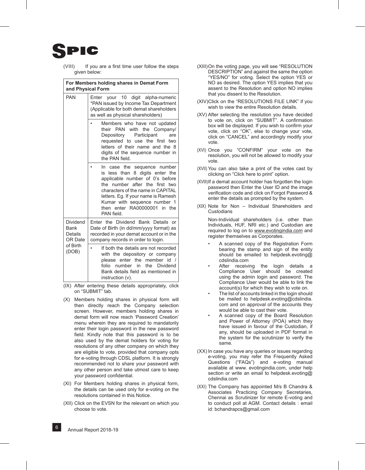## IC

(VIII) If you are a first time user follow the steps given below:

|                                               | For Members holding shares in Demat Form<br>and Physical Form                                                                                                                                                                                                                                    |
|-----------------------------------------------|--------------------------------------------------------------------------------------------------------------------------------------------------------------------------------------------------------------------------------------------------------------------------------------------------|
| <b>PAN</b>                                    | Enter your 10 digit alpha-numeric<br>*PAN issued by Income Tax Department<br>(Applicable for both demat shareholders<br>as well as physical shareholders)                                                                                                                                        |
|                                               | Members who have not updated<br>their PAN with<br>the Company/<br>Depository<br>Participant<br>are<br>requested to use the first two<br>letters of their name and the 8<br>digits of the sequence number in<br>the PAN field.                                                                    |
|                                               | In case the sequence number<br>less than 8 digits enter the<br>is<br>applicable number of 0's before<br>the number after the first two<br>characters of the name in CAPITAL<br>letters. Eg. If your name is Ramesh<br>Kumar with sequence number 1<br>then enter RA00000001 in the<br>PAN field. |
| Dividend<br><b>Bank</b><br>Details<br>OR Date | Enter the Dividend Bank Details<br>$\alpha$ r<br>Date of Birth (in dd/mm/yyyy format) as<br>recorded in your demat account or in the<br>company records in order to login.                                                                                                                       |
| of Birth<br>(DOB)                             | If both the details are not recorded<br>$\bullet$<br>with the depository or company<br>please enter the<br>member id /<br>folio<br>in<br>the<br>number<br>Dividend<br>Bank details field as mentioned in<br>instruction (v).                                                                     |

- (IX) After entering these details appropriately, click on "SUBMIT" tab.
- (X) Members holding shares in physical form will then directly reach the Company selection screen. However, members holding shares in demat form will now reach 'Password Creation' menu wherein they are required to mandatorily enter their login password in the new password field. Kindly note that this password is to be also used by the demat holders for voting for resolutions of any other company on which they are eligible to vote, provided that company opts for e-voting through CDSL platform. It is strongly recommended not to share your password with any other person and take utmost care to keep your password confidential.
- (XI) For Members holding shares in physical form, the details can be used only for e-voting on the resolutions contained in this Notice.
- (XII) Click on the EVSN for the relevant on which you choose to vote.
- (XIII)On the voting page, you will see "RESOLUTION DESCRIPTION" and against the same the option "YES/NO" for voting. Select the option YES or NO as desired. The option YES implies that you assent to the Resolution and option NO implies that you dissent to the Resolution.
- (XIV)Click on the "RESOLUTIONS FILE LINK" if you wish to view the entire Resolution details.
- (XV) After selecting the resolution you have decided to vote on, click on "SUBMIT". A confirmation box will be displayed. If you wish to confirm your vote, click on "OK", else to change your vote, click on "CANCEL" and accordingly modify your vote.
- (XVI) Once you "CONFIRM" your vote on the resolution, you will not be allowed to modify your vote.
- (XVII) You can also take a print of the votes cast by clicking on "Click here to print" option.
- (XVIII)If a demat account holder has forgotten the login password then Enter the User ID and the image verification code and click on Forgot Password & enter the details as prompted by the system.
- (XIX) Note for Non Individual Shareholders and **Custodians**

 Non-Individual shareholders (i.e. other than Individuals, HUF, NRI etc.) and Custodian are required to log on to www.evotingindia.com and register themselves as Corporates.

- A scanned copy of the Registration Form bearing the stamp and sign of the entity should be emailed to helpdesk.evoting@ cdslindia.com
- After receiving the login details a Compliance User should be created using the admin login and password. The Compliance User would be able to link the account(s) for which they wish to vote on.
- The list of accounts linked in the login should be mailed to helpdesk.evoting@cdslindia. com and on approval of the accounts they would be able to cast their vote.
- A scanned copy of the Board Resolution and Power of Attorney (POA) which they have issued in favour of the Custodian, if any, should be uploaded in PDF format in the system for the scrutinizer to verify the same.
- (xx) In case you have any queries or issues regarding e-voting, you may refer the Frequently Asked Questions ("FAQs") and e-voting manual available at www. evotingindia.com, under help section or write an email to helpdesk.evoting@ cdslindia.com
- (xxi) The Company has appointed M/s B Chandra & Associates Practicing Company Secretaries, Chennai as Scrutinizer for remote E-voting and to conduct poll at AGM. Contact details : email id: bchandrapcs@gmail.com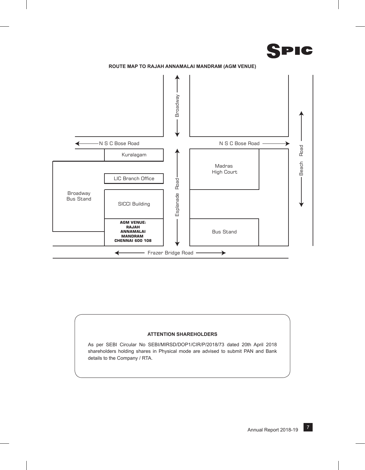





#### **ATTENTION SHAREHOLDERS**

As per SEBI Circular No SEBI/MIRSD/DOP1/CIR/P/2018/73 dated 20th April 2018 shareholders holding shares in Physical mode are advised to submit PAN and Bank details to the Company / RTA.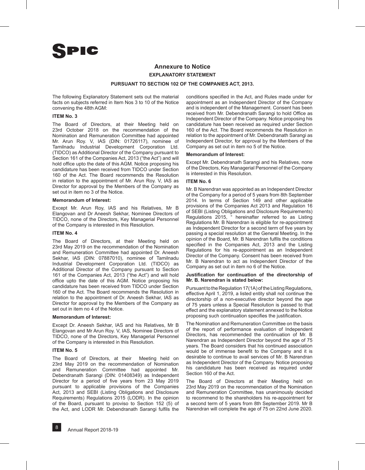### **Annexure to Notice EXPLANATORY STATEMENT**

#### **PURSUANT TO SECTION 102 OF THE COMPANIES ACT, 2013.**

The following Explanatory Statement sets out the material facts on subjects referred in Item Nos 3 to 10 of the Notice convening the 48th AGM:

#### **ITEM No. 3**

The Board of Directors, at their Meeting held on 23rd October 2018 on the recommendation of the Nomination and Remuneration Committee had appointed Mr. Arun Roy. V, IAS (DIN: 01726117), nominee of Tamilnadu Industrial Development Corporation Ltd. (TIDCO) as Additional Director of the Company pursuant to Section 161 of the Companies Act, 2013 ("the Act") and will hold office upto the date of this AGM. Notice proposing his candidature has been received from TIDCO under Section 160 of the Act. The Board recommends the Resolution in relation to the appointment of Mr. Arun Roy. V, IAS as Director for approval by the Members of the Company as set out in item no 3 of the Notice.

#### **Memorandum of Interest:**

Except Mr. Arun Roy, IAS and his Relatives, Mr B Elangovan and Dr Aneesh Sekhar, Nominee Directors of TIDCO, none of the Directors, Key Managerial Personnel of the Company is interested in this Resolution.

#### **ITEM No. 4**

The Board of Directors, at their Meeting held on 23rd May 2019 on the recommendation of the Nomination and Remuneration Committee had appointed Dr. Aneesh Sekhar, IAS (DIN: 07887010), nominee of Tamilnadu Industrial Development Corporation Ltd. (TIDCO) as Additional Director of the Company pursuant to Section 161 of the Companies Act, 2013 ("the Act") and will hold office upto the date of this AGM. Notice proposing his candidature has been received from TIDCO under Section 160 of the Act. The Board recommends the Resolution in relation to the appointment of Dr. Aneesh Sekhar, IAS as Director for approval by the Members of the Company as set out in item no 4 of the Notice.

#### **Memorandum of Interest:**

Except Dr. Aneesh Sekhar, IAS and his Relatives, Mr B Elangovan and Mr Arun Roy. V, IAS, Nominee Directors of TIDCO, none of the Directors, Key Managerial Personnel of the Company is interested in this Resolution.

#### **ITEM No. 5**

The Board of Directors, at their Meeting held on 23rd May 2019 on the recommendation of Nomination and Remuneration Committee had appointed Mr. Debendranath Sarangi (DIN: 01408349) as Independent Director for a period of five years from 23 May 2019 pursuant to applicable provisions of the Companies Act, 2013 and SEBI (Listing Obligations and Disclosure Requirements) Regulations 2015 (LODR). In the opinion of the Board, pursuant to proviso to Section 152 (5) of the Act, and LODR Mr. Debendranath Sarangi fulfils the

conditions specified in the Act, and Rules made under for appointment as an Independent Director of the Company and is independent of the Management. Consent has been received from Mr. Debendranath Sarangi to hold Office as Independent Director of the Company. Notice proposing his candidature has been received as required under Section 160 of the Act. The Board recommends the Resolution in relation to the appointment of Mr. Debendranath Sarangi as Independent Director, for approval by the Members of the Company as set out in item no 5 of the Notice.

#### **Memorandum of Interest:**

Except Mr. Debendranath Sarangi and his Relatives, none of the Directors, Key Managerial Personnel of the Company is interested in this Resolution.

#### **ITEM No. 6**

Mr. B Narendran was appointed as an Independent Director of the Company for a period of 5 years from 8th September 2014. In terms of Section 149 and other applicable provisions of the Companies Act 2013 and Regulation 16 of SEBI (Listing Obligations and Disclosure Requirements)  $"$  hereinafter referred to as Listing Regulations Mr. B Narendran is eligible for re-appointment as Independent Director for a second term of five years by passing a special resolution at the General Meeting. In the opinion of the Board, Mr. B Narendran fulfils the conditions specified in the Companies Act, 2013 and the Listing Regulations for his re-appointment as an Independent Director of the Company. Consent has been received from Mr. B Narendran to act as Independent Director of the Company as set out in item no 6 of the Notice.

#### **Justification for continuation of the directorship of Mr. B. Narendran is stated below:**

Pursuant to the Regulation 17(1A) of the Listing Regulations, effective April 1, 2019, a listed entity shall not continue the directorship of a non-executive director beyond the age of 75 years unless a Special Resolution is passed to that effect and the explanatory statement annexed to the Notice proposing such continuation specifies the justification.

The Nomination and Remuneration Committee on the basis of the report of performance evaluation of Independent Directors, has recommended the continuation of Mr. B Narendran as Independent Director beyond the age of 75 years. The Board considers that his continued association would be of immense benefit to the Company and it is desirable to continue to avail services of Mr. B Narendran as Independent Director of the Company. Notice proposing his candidature has been received as required under Section 160 of the Act.

The Board of Directors at their Meeting held on 23rd May 2019 on the recommendation of the Nomination and Remuneration Committee, has unanimously decided to recommend to the shareholders his re-appointment for a second term of 5 years from 8th September 2019. Mr B Narendran will complete the age of 75 on 22nd June 2020.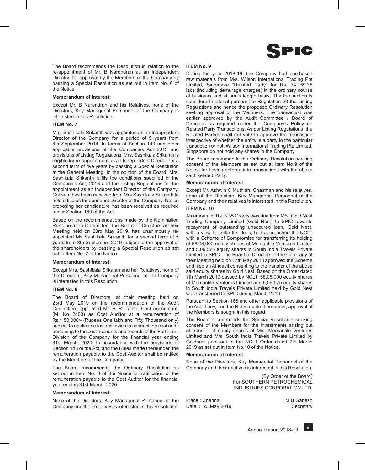

The Board recommends the Resolution in relation to the re-appointment of Mr. B Narendran as an Independent Director, for approval by the Members of the Company by passing a Special Resolution as set out in Item No. 6 of the Notice.

#### **Memorandum of Interest:**

Except Mr. B Narendran and his Relatives, none of the Directors, Key Managerial Personnel of the Company is interested in this Resolution.

#### **ITEM No. 7**

Mrs. Sashikala Srikanth was appointed as an Independent Director of the Company for a period of 5 years from 8th September 2014. In terms of Section 149 and other applicable provisions of the Companies Act 2013 and provisions of Listing Regulations, Mrs. Sashikala Srikanth is eligible for re-appointment as an Independent Director for a second term of five years by passing a Special Resolution at the General Meeting. In the opinion of the Board, Mrs. Sashikala Srikanth fulfils the conditions specified in the Companies Act, 2013 and the Listing Regulations for the appointment as an Independent Director of the Company. Consent has been received from Mrs Sashikala Srikanth to hold office as Independent Director of the Company. Notice proposing her candidature has been received as required under Section 160 of the Act.

Based on the recommendations made by the Nomination Remuneration Committee, the Board of Directors at their Meeting held on 23rd May 2019, has unanimously reappointed Ms Sashikala Srikanth for a second term of 5 years from 8th September 2019 subject to the approval of the shareholders by passing a Special Resolution as set out in Item No. 7 of the Notice.

#### **Memorandum of Interest:**

Except Mrs. Sashikala Srikanth and her Relatives, none of the Directors, Key Managerial Personnel of the Company is interested in this Resolution.

#### **ITEM No. 8**

The Board of Directors, at their meeting held on 23rd May 2019 on the recommendation of the Audit Committee, appointed Mr. P. R. Tantri, Cost Accountant, (M. No 2403) as Cost Auditor at a remuneration of Rs.1,50,000/- (Rupees One lakh and Fifty Thousand only) subject to applicable tax and levies to conduct the cost audit pertaining to the cost accounts and records of the Fertilizers Division of the Company for the financial year ending 31st March, 2020. In accordance with the provisions of Section 148 of the Act, and the Rules made thereunder, the remuneration payable to the Cost Auditor shall be ratified by the Members of the Company.

The Board recommends the Ordinary Resolution as set out in Item No. 8 of the Notice for ratification of the remuneration payable to the Cost Auditor for the financial year ending 31st March, 2020.

#### **Memorandum of Interest:**

None of the Directors, Key Managerial Personnel of the Company and their relatives is interested in this Resolution.

#### **ITEM No. 9**

During the year 2018-19, the Company had purchased raw materials from M/s. Wilson International Trading Pte Limited, Singapore "Related Party" for Rs. 74,159.35 lacs (including demurage charges) in the ordinary course of business and at arm's length basis. The transaction is considered material pursuant to Regulation 23 the Listing Regulations and hence the proposed Ordinary Resolution seeking approval of the Members. The transaction was earlier approved by the Audit Committee / Board of Directors as required under the Company's Policy on Related Party Transactions. As per Listing Regulations, the Related Parties shall not vote to approve the transaction irrespective of whether the entity is a party to the particular transaction or not. Wilson International Trading Pte Limited, Singapore do not hold any shares in the Company.

The Board recommends the Ordinary Resolution seeking consent of the Members as set out at Item No.9 of the Notice for having entered into transactions with the above said Related Party.

#### **Memorandum of Interest**

Except Mr. Ashwin C Muthiah, Chairman and his relatives, none of the Directors, Key Managerial Personnel of the Company and their relatives is interested in this Resolution.

#### **ITEM No. 10**

An amount of Rs. 8.35 Crores was due from M/s. Gold Nest Trading Company Limited (Gold Nest) to SPIC towards repayment of outstanding unsecured loan. Gold Nest, with a view to settle the dues, had approached the NCLT with a Scheme of Compromise for transferring its holding of 58,08,000 equity shares of Mercantile Ventures Limited and 5,09,575 equity shares in South India Travels Private Limited to SPIC. The Board of Directors of the Company at their Meeting held on 17th May 2018 approved the Scheme and filed an Affidavit consenting to the transfer of the above said equity shares by Gold Nest. Based on the Order dated 7th March 2019 passed by NCLT, 58,08,000 equity shares of Mercantile Ventures Limited and 5,09,575 equity shares in South India Travels Private Limited held by Gold Nest was transferred to SPIC during March 2019.

Pursuant to Section 186 and other applicable provisions of the Act, if any, and the Rules made thereunder, approval of the Members is sought in this regard.

The Board recommends the Special Resolution seeking consent of the Members for the investments arising out of transfer of equity shares of M/s. Mercantile Ventures Limited and M/s. South India Travels Private Limited by Goldnest pursuant to the NCLT Order dated 7th March 2019 as set out in Item No.10 of the Notice.

#### **Memorandum of Interest:**

None of the Directors, Key Managerial Personnel of the Company and their relatives is interested in this Resolution.

> (By Order of the Board) For SOUTHERN PETROCHEMICAL INDUSTRIES CORPORATION LTD.

Place : Chennai Date : 23 May 2019 M B Ganesh **Secretary**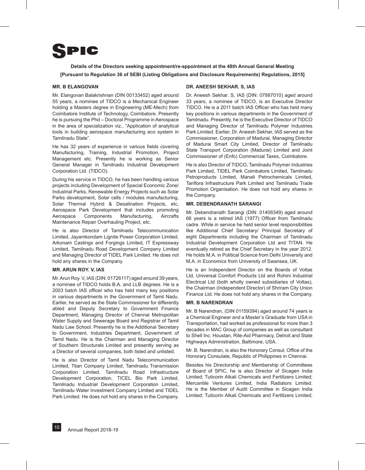

**Details of the Directors seeking appointment/re-appointment at the 48th Annual General Meeting [Pursuant to Regulation 36 of SEBI (Listing Obligations and Disclosure Requirements) Regulations, 2015]**

#### **MR. B ELANGOVAN**

Mr. Elangovan Balakrishnan (DIN 00133452) aged around 55 years, a nominee of TIDCO is a Mechanical Engineer holding a Masters degree in Engineering (ME-Mech) from Coimbatore Institute of Technology, Coimbatore. Presently he is pursuing the Phd – Doctoral Programme in Aerospace in the area of specialization viz., "Application of analytical tools in building aerospace manufacturing eco system in Tamilnadu State".

He has 32 years of experience in various fields covering Manufacturing, Training, Industrial Promotion, Project Management etc. Presently he is working as Senior General Manager in Tamilnadu Industrial Development Corporation Ltd. (TIDCO).

During his service in TIDCO, he has been handling various projects including Development of Special Economic Zone/ Industrial Parks, Renewable Energy Projects such as Solar Parks development, Solar cells / modules manufacturing, Solar Thermal Hybrid & Desalination Projects, etc, Aerospace Park Development that includes promoting Aerospace Components Manufacturing, Aircrafts Maintenance Repair Overhauling Project, etc.

He is also Director of Tamilnadu Telecommunication Limited, Jayamkondam Lignite Power Corporation Limited, Arkonam Castings and Forgings Limited, IT Expressway Limited, Tamilnadu Road Development Company Limited and Managing Director of TIDEL Park Limited. He does not hold any shares in the Company.

#### **MR. ARUN ROY. V, IAS**

Mr. Arun Roy. V, IAS (DIN: 01726117) aged around 39 years, a nominee of TIDCO holds B.A. and LLB degrees. He is a 2003 batch IAS officer who has held many key positions in various departments in the Government of Tamil Nadu. Earlier, he served as the State Commissioner for differently abled and Deputy Secretary to Government Finance Department, Managing Director of Chennai Metropolitan Water Supply and Sewerage Board and Registrar of Tamil Nadu Law School. Presently he is the Additional Secretary to Government, Industries Department, Government of Tamil Nadu. He is the Chairman and Managing Director of Southern Structurals Limited and presently serving as a Director of several companies, both listed and unlisted.

He is also Director of Tamil Nadu Telecommunication Limited, Titan Company Limited, Tamilnadu Transmission Corporation Limited, Tamilnadu Road Infrastructure Development Corporation, TICEL Bio Park Limited, Tamilnadu Industrial Development Corporation Limited, Tamilnadu Water Investment Company Limited and TIDEL Park Limited. He does not hold any shares in the Company.

#### **DR. ANEESH SEKHAR. S, IAS**

Dr. Aneesh Sekhar. S, IAS (DIN: 07887010) aged around 33 years, a nominee of TIDCO, is an Executive Director TIDCO. He is a 2011 batch IAS Officer who has held many key positions in various departments in the Government of Tamilnadu. Presently, he is the Executive Director of TIDCO and Managing Director of Tamilnadu Polymer Industries Park Limited. Earlier, Dr. Aneesh Sekhar, IAS served as the Commissioner, Corporation of Madurai, Managing Director of Madurai Smart City Limited, Director of Tamilnadu State Transport Corporation (Madurai) Limited and Joint Commissioner of (Enfo) Commercial Taxes, Coimbatore.

He is also Director of TIDCO, Tamilnadu Polymer Industries Park Limited, TIDEL Park Coimbatore Limited, Tamilnadu Petroproducts Limited, Manali Petrochemicals Limited, Tanflora Infrastructure Park Limited and Tamilnadu Trade Promotion Organisation. He does not hold any shares in the Company.

#### **MR. DEBENDRANATH SARANGI**

Mr. Debendranath Sarangi (DIN: 01408349) aged around 66 years is a retired IAS (1977) Officer from Tamilnadu cadre. While in service he held senior level responsibilities like Additional Chief Secretary/ Principal Secretary of eight Departments including the Chairman of Tamilnadu Industrial Development Corporation Ltd and TITAN. He eventually retired as the Chief Secretary in the year 2012. He holds M.A. in Political Science from Delhi University and M.A. in Economics from University of Swansea, UK.

He is an Independent Director on the Boards of Voltas Ltd, Universal Comfort Products Ltd and Rohini Industrial Electrical Ltd (both wholly owned subsidiaries of Voltas), the Chairman (Independent Director) of Shriram City Union Finance Ltd. He does not hold any shares in the Company.

#### **MR. B NARENDRAN**

Mr. B Narendran, (DIN 01159394) aged around 74 years is a Chemical Engineer and a Master's Graduate from USA in Transportation, had worked as professional for more than 3 decades in MAC Group of companies as well as consultant to Shell Inc. Houstan, Rite-Aid Pharmacy, Detroit and State Highways Administration, Baltimore, USA.

Mr. B. Narendran, is also the Honorary Consul, Office of the Honorary Consulate, Republic of Philippines in Chennai.

Besides his Directorship and Membership of Committees of Board of SPIC, he is also Director of Sicagen India Limited; Tuticorin Alkali Chemicals and Fertilizers Limited; Mercantile Ventures Limited; India Radiators Limited. He is the Member of Audit Committee in Sicagen India Limited; Tuticorin Alkali Chemicals and Fertilizers Limited;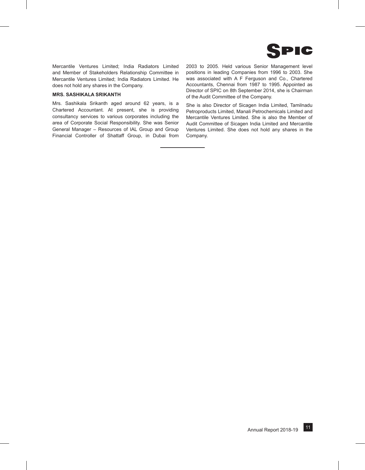

Mercantile Ventures Limited; India Radiators Limited and Member of Stakeholders Relationship Committee in Mercantile Ventures Limited; India Radiators Limited. He does not hold any shares in the Company.

#### **MRS. SASHIKALA SRIKANTH**

Mrs. Sashikala Srikanth aged around 62 years, is a Chartered Accountant. At present, she is providing consultancy services to various corporates including the area of Corporate Social Responsibility. She was Senior General Manager – Resources of IAL Group and Group Financial Controller of Shattaff Group, in Dubai from 2003 to 2005. Held various Senior Management level positions in leading Companies from 1996 to 2003. She was associated with A F Ferguson and Co., Chartered Accountants, Chennai from 1987 to 1995. Appointed as Director of SPIC on 8th September 2014, she is Chairman of the Audit Committee of the Company.

She is also Director of Sicagen India Limited, Tamilnadu Petroproducts Limited, Manali Petrochemicals Limited and Mercantile Ventures Limited. She is also the Member of Audit Committee of Sicagen India Limited and Mercantile Ventures Limited. She does not hold any shares in the Company.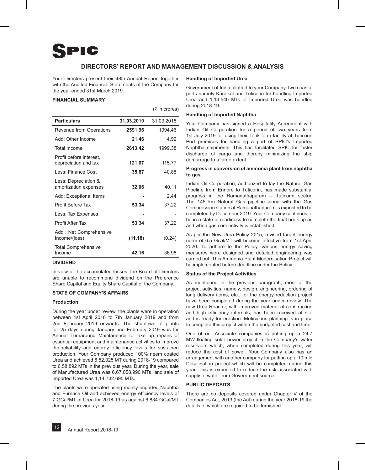#### **DIRECTORS' REPORT AND MANAGEMENT DISCUSSION & ANALYSIS**

 $(3 \nmid n \text{ cross})$ 

Your Directors present their 48th Annual Report together with the Audited Financial Statements of the Company for the year ended 31st March 2019.

#### **FINANCIAL SUMMARY**

| <b>Particulars</b>                              | 31.03.2019 | 31.03.2018 |
|-------------------------------------------------|------------|------------|
| Revenue from Operations                         | 2591.96    | 1994 46    |
| Add: Other Income                               | 21.46      | 4.92       |
| <b>Total Income</b>                             | 2613.42    | 1999.38    |
| Profit before interest.<br>depreciation and tax | 121.07     | 115.77     |
| Less: Finance Cost                              | 35.67      | 40.88      |
| Less: Depreciation &<br>amortization expenses   | 32.06      | 40 11      |
| Add: Exceptional Items                          |            | 244        |
| Profit Before Tax                               | 53.34      | 37.22      |
| Less: Tax Expenses                              |            |            |
| Profit After Tax                                | 53.34      | 37 22      |
| Add: Net Comprehensive<br>Income/(loss)         | (11.18)    | (0.24)     |
| <b>Total Comprehensive</b><br>Income            | 42.16      | 36.98      |

#### **DIVIDEND**

In view of the accumulated losses, the Board of Directors are unable to recommend dividend on the Preference Share Capital and Equity Share Capital of the Company.

#### **STATE OF COMPANY'S AFFAIRS**

#### **Production**

During the year under review, the plants were in operation between 1st April 2018 to 7th January 2019 and from 2nd February 2019 onwards. The shutdown of plants for 25 days during January and February 2019 was for Annual Turnaround Maintanence to take up repairs of essential equipment and maintenance activities to improve the reliability and energy efficiency levels for sustained production. Your Company produced 100% neem coated Urea and achieved 6,52,025 MT during 2018-19 compared to 6,58,892 MTs in the previous year. During the year, sale of Manufactured Urea was 6,67,058.990 MTs and sale of Imported Urea was 1,14,732.695 MTs.

The plants were operated using mainly imported Naphtha and Furnace Oil and achieved energy efficiency levels of 7 GCal/MT of Urea for 2018-19 as against 6.834 GCal/MT during the previous year.

#### **Handling of Imported Urea**

Government of India allotted to your Company, two coastal ports namely Karaikal and Tuticorin for handling Imported Urea and 1,14,540 MTs of Imported Urea was handled during 2018-19.

#### **Handling of Imported Naphtha**

Your Company has signed a Hospitality Agreement with Indian Oil Corporation for a period of two years from 1st July 2019 for using their Tank farm facility at Tuticorin Port premises for handling a part of SPIC's Imported Naphtha shipments. This has facilitated SPIC for faster discharge of cargo and thereby minimizing the ship demurrage to a large extent.

#### **Progress in conversion of ammonia plant from naphtha to gas**

Indian Oil Corporation, authorized to lay the Natural Gas Pipeline from Ennore to Tuticorin, has made substantial progress in the Ramanathapuram – Tuticorin sector. The 145 km Natural Gas pipeline along with the Gas Compression station at Ramanathapuram is expected to be completed by December 2019. Your Company continues to be in a state of readiness to complete the final hook up as and when gas connectivity is established.

As per the New Urea Policy 2015, revised target energy norm of 6.5 Gcal/MT will become effective from 1st April 2020. To adhere to the Policy, various energy saving measures were designed and detailed engineering was carried out. This Ammonia Plant Modernisation Project will be implemented before deadline under the Policy.

#### **Status of the Project Activities**

As mentioned in the previous paragraph, most of the project activities, namely, design, engineering, ordering of long delivery items, etc., for the energy reduction project have been completed during the year under review. The new Urea Reactor, with improved material of construction and high efficiency internals, has been received at site and is ready for erection. Meticulous planning is in place to complete this project within the budgeted cost and time.

One of our Associate companies is putting up a 24.7 MW floating solar power project in the Company's water reservoirs which, when completed during this year, will reduce the cost of power. Your Company also has an arrangement with another company for putting up a 10 mld Desalination project which will be completed during this year. This is expected to reduce the risk associated with supply of water from Government source.

#### **PUBLIC DEPOSITS**

There are no deposits covered under Chapter V of the Companies Act, 2013 (the Act) during the year 2018-19 the details of which are required to be furnished.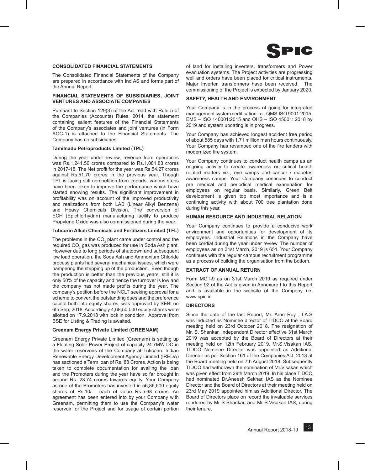

#### **CONSOLIDATED FINANCIAL STATEMENTS**

The Consolidated Financial Statements of the Company are prepared in accordance with Ind AS and forms part of the Annual Report.

#### **FINANCIAL STATEMENTS OF SUBSIDIARIES, JOINT VENTURES AND ASSOCIATE COMPANIES**

Pursuant to Section 129(3) of the Act read with Rule 5 of the Companies (Accounts) Rules, 2014, the statement containing salient features of the Financial Statements of the Company's associates and joint ventures (in Form AOC-1) is attached to the Financial Statements. The Company has no subsidiaries.

#### **Tamilnadu Petroproducts Limited (TPL)**

During the year under review, revenue from operations was Rs.1,241.56 crores compared to Rs.1,081.83 crores in 2017-18. The Net profit for the year was Rs.54.27 crores against Rs.51.70 crores in the previous year. Though TPL is facing stiff competition from imports, various steps have been taken to improve the performance which have started showing results. The significant improvement in profitability was on account of the improved productivity and realizations from both LAB (Linear Alkyl Benzene) and Heavy Chemicals Division. The conversion of ECH (Epichlorhydrin) manufacturing facility to produce Propylene Oxide was also commissioned during the year.

#### **Tuticorin Alkali Chemicals and Fertilizers Limited (TFL)**

The problems in the  $CO_2$  plant came under control and the required CO $_2^{}$  gas was produced for use in Soda Ash plant. However due to long periods of shutdown and subsequent low load operation, the Soda Ash and Ammonium Chloride process plants had several mechanical issues, which were hampering the stepping up of the production. Even though the production is better than the previous years, still it is only 50% of the capacity and hence the turnover is low and the company has not made profits during the year. The company's petition before the NCLT seeking approval for a scheme to convert the outstanding dues and the preference capital both into equity shares, was approved by SEBI on 6th Sep, 2018. Accordingly 4,68,50,000 equity shares were allotted on 17.9.2018 with lock in condition. Approval from BSE for Listing & Trading is awaited.

#### **Greenam Energy Private Limited (Greenam)**

Greenam Energy Private Limited (Greenam) is setting up a Floating Solar Power Project of capacity 24.7MW DC in the water reservoirs of the Company at Tuticorin. Indian Renewable Energy Development Agency Limited (IREDA) has sactioned a Term loan of Rs. 88 Crores. Action is being taken to complete documentation for availing the loan and the Promoters during the year have so far brought in around Rs. 28.74 crores towards equity. Your Company as one of the Promoters has invested in 56,86,500 equity shares of Rs.10/- each of value Rs.5.68 crores. An agreement has been entered into by your Company with Greenam, permitting them to use the Company's water reservoir for the Project and for usage of certain portion of land for installing inverters, transformers and Power evacuation systems. The Project activities are progressing well and orders have been placed for critical instruments. Major Inverter, transformers have been received. The commissioning of the Project is expected by January 2020.

#### **SAFETY, HEALTH AND ENVIRONMENT**

Your Company is in the process of going for integrated management system certification i.e., QMS.ISO 9001:2015, EMS – ISO 140001:2015 and OHS – ISO 45001: 2018 by 2019 and system updating is in progress.

Your Company has achieved longest accident free period of about 585 days with 1.71 million man hours continuously. Your Company has revamped one of the fire tenders with modernized fire system.

Your Company continues to conduct health camps as an ongoing activity to create awareness on critical health related matters viz., eye camps and cancer / diabetes awareness camps. Your Company continues to conduct pre medical and periodical medical examination for employees on regular basis. Similarly, Green Belt development is given top most importance and is a continuing activity with about 700 tree plantation done during this year.

#### **HUMAN RESOURCE AND INDUSTRIAL RELATION**

Your Company continues to provide a conducive work environment and opportunities for development of its employees. Industrial Relations in the Company have been cordial during the year under review. The number of employees as on 31st March, 2019 is 651. Your Company continues with the regular campus recruitment programme as a process of building the organisation from the bottom.

#### **EXTRACT OF ANNUAL RETURN**

Form MGT-9 as on 31st March 2019 as required under Section 92 of the Act is given in Annexure I to this Report and is available in the website of the Company i.e. www.spic.in.

#### **DIRECTORS**

Since the date of the last Report, Mr. Arun Roy , I.A.S was inducted as Nominee director of TIDCO at the Board meeting held on 23rd October 2018. The resignation of Mr. S. Shankar, Independent Director effective 31st March 2019 was accepted by the Board of Directors at their meeting held on 12th February 2019. Mr.S.Visakan IAS, TIDCO Nominee Director was appointed as Additional Director as per Section 161 of the Companies Act, 2013 at the Board meeting held on 7th August 2018. Subsequently TIDCO had withdrawn the nomination of Mr.Visakan which was given effect from 29th March 2019. In his place TIDCO had nominated Dr.Aneesh Sekhar, IAS as the Nominee Director and the Board of Directors at their meeting held on 23rd May 2019 appointed him as Additional Director. The Board of Directors place on record the invaluable services rendered by Mr S Shankar, and Mr S.Visakan IAS, during their tenure.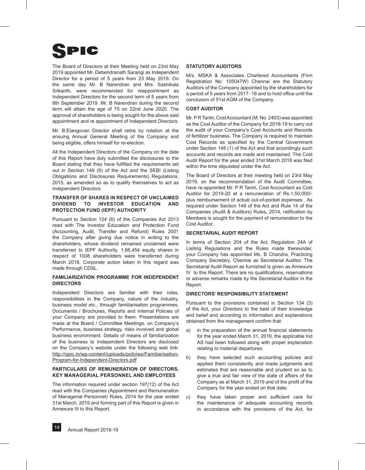The Board of Directors at their Meeting held on 23rd May 2019 appointed Mr. Debendranath Sarangi as Independent Director for a period of 5 years from 23 May 2019. On the same day Mr. B Narendran and Mrs. Sashikala Srikanth, were recommended for reappointment as Independent Directors for the second term of 5 years from 8th September 2019. Mr. B Narendran during the second term will attain the age of 75 on 22nd June 2020. The approval of shareholders is being sought for the above said appointment and re appointment of Independent Directors.

Mr. B.Elangovan Director shall retire by rotation at the ensuing Annual General Meeting of the Company and being eligible, offers himself for re-election.

All the Independent Directors of the Company on the date of this Report have duly submitted the disclosures to the Board stating that they have fulfilled the requirements set out in Section 149 (6) of the Act and the SEBI (Listing Obligations and Disclosures Requirements) Regulations, 2015, as amended so as to qualify themselves to act as Independent Directors.

#### **TRANSFER OF SHARES IN RESPECT OF UNCLAIMED DIVIDEND TO INVESTOR EDUCATION AND PROTECTION FUND (IEPF) AUTHORITY**

Pursuant to Section 124 (6) of the Companies Act 2013 read with The Investor Education and Protection Fund (Accounting, Audit, Transfer and Refund) Rules 2001 the Company after giving due notice in writing to the shareholders, whose dividend remained unclaimed were transferred to IEPF Authority. 1,66,454 equity shares in respect of 1008 shareholders were transferred during March 2018. Corporate action taken in this regard was made through CDSL.

#### **FAMILIARIZATION PROGRAMME FOR INDEPENDENT DIRECTORS**

Independent Directors are familiar with their roles, responsibilities in the Company, nature of the industry, business model etc., through familiarisation programmes. Documents / Brochures, Reports and Internal Policies of your Company are provided to them. Presentations are made at the Board / Committee Meetings, on Company's Performance, business strategy, risks involved and global business environment. Details of means of familiarization of the business to Independent Directors are disclosed on the Company's website under the following web link: http://spic.in/wp-content/uploads/policies/Familiarisation-Program-for-Independent-Directors.pdf

#### **PARTICULARS OF REMUNERATION OF DIRECTORS, Key Managerial Personnel AND EMPLOYEES**

The information required under section 197(12) of the Act read with the Companies (Appointment and Remuneration of Managerial Personnel) Rules, 2014 for the year ended 31st March, 2019 and forming part of this Report is given in Annexure III to this Report.

#### **STATUTORY AUDITORS**

M/s. MSKA & Associates Chartered Accountants (Firm Registration No: 105047W) Chennai are the Statutory Auditors of the Company appointed by the shareholders for a period of 5 years from 2017- 18 and to hold office until the conclusion of 51st AGM of the Company.

#### **COST AUDITOR**

Mr. P R Tantri, Cost Accountant (M. No. 2403) was appointed as the Cost Auditor of the Company for 2018-19 to carry out the audit of your Company's Cost Accounts and Records of fertilizer business. The Company is required to maintain Cost Records as specified by the Central Government under Section 148 (1) of the Act and that accordingly such accounts and records are made and maintained. The Cost Audit Report for the year ended 31st March 2018 was filed within the time stipulated under the Act.

The Board of Directors at their meeting held on 23rd May 2019, on the recommendation of the Audit Committee, have re-appointed Mr. P R Tantri, Cost Accountant as Cost Auditor for 2019-20 at a remuneration of Rs.1,50,000/ plus reimbursement of actual out-of-pocket expenses . As required under Section 148 of the Act and Rule 14 of the Companies (Audit & Auditors) Rules, 2014, ratification by Members is sought for the payment of remuneration to the Cost Auditor.

#### **SECRETARIAL AUDIT REPORT**

In terms of Section 204 of the Act, Regulation 24A of Lisiting Regulations and the Rules made thereunder, your Company has appointed Ms. B Chandra, Practicing Company Secretary, Chennai as Secretarial Auditor. The Secretarial Audit Report as furnished is given as Annexure IV to this Report. There are no qualifications, reservations or adverse remarks made by the Secretarial Auditor in the Report.

#### **DIRECTORS' RESPONSIBILITY STATEMENT**

Pursuant to the provisions contained in Section 134 (3) of the Act, your Directors to the best of their knowledge and belief and according to information and explanations obtained from the management confirm that:

- a) in the preparation of the annual financial statements for the year ended March 31, 2019, the applicable Ind AS had been followed along with proper explanation relating to material departures;
- b) they have selected such accounting policies and applied them consistently and made judgments and estimates that are reasonable and prudent so as to give a true and fair view of the state of affairs of the Company as at March 31, 2019 and of the profit of the Company for the year ended on that date;
- c) they have taken proper and sufficient care for the maintenance of adequate accounting records in accordance with the provisions of the Act, for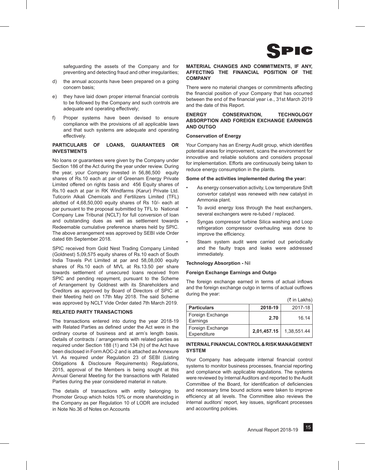

safeguarding the assets of the Company and for preventing and detecting fraud and other irregularities;

- d) the annual accounts have been prepared on a going concern basis;
- e) they have laid down proper internal financial controls to be followed by the Company and such controls are adequate and operating effectively;
- f) Proper systems have been devised to ensure compliance with the provisions of all applicable laws and that such systems are adequate and operating effectively.

#### **PARTICULARS OF LOANS, GUARANTEES OR INVESTMENTS**

No loans or guarantees were given by the Company under Section 186 of the Act during the year under review. During the year, your Company invested in 56,86,500 equity shares of Rs.10 each at par of Greenam Energy Private Limited offered on rights basis and 456 Equity shares of Rs.10 each at par in RK Windfarms (Karur) Private Ltd. Tuticorin Alkali Chemicals and Fertilizers Limited (TFL) allotted of 4,68,50,000 equity shares of Rs 10/- each at par pursuant to the proposal submitted by TFL to National Company Law Tribunal (NCLT) for full conversion of loan and outstanding dues as well as settlement towards Redeemable cumulative preference shares held by SPIC. The above arrangement was approved by SEBI vide Order dated 6th September 2018.

SPIC received from Gold Nest Trading Company Limited (Goldnest) 5,09,575 equity shares of Rs.10 each of South India Travels Pvt Limited at par and 58,08,000 equity shares of Rs.10 each of MVL at Rs.13.50 per share towards settlement of unsecured loans received from SPIC and pending repayment, pursuant to the Scheme of Arrangement by Goldnest with its Shareholders and Creditors as approved by Board of Directors of SPIC at their Meeting held on 17th May 2018. The said Scheme was approved by NCLT Vide Order dated 7th March 2019.

#### **RELATED PARTY TRANSACTIONS**

The transactions entered into during the year 2018-19 with Related Parties as defined under the Act were in the ordinary course of business and at arm's length basis. Details of contracts / arrangements with related parties as required under Section 188 (1) and 134 (h) of the Act have been disclosed in Form AOC-2 and is attached as Annexure VI. As required under Regulation 23 of SEBI (Listing Obligations & Disclosure Requirements) Regulations, 2015, approval of the Members is being sought at this Annual General Meeting for the transactions with Related Parties during the year considered material in nature.

The details of transactions with entity belonging to Promoter Group which holds 10% or more shareholding in the Company as per Regulation 10 of LODR are included in Note No.36 of Notes on Accounts

#### **MATERIAL CHANGES AND COMMITMENTS, IF ANY, AFFECTING THE FINANCIAL POSITION OF THE COMPANY**

There were no material changes or commitments affecting the financial position of your Company that has occurred between the end of the financial year i.e., 31st March 2019 and the date of this Report.

#### **ENERGY CONSERVATION, TECHNOLOGY ABSORPTION AND FOREIGN EXCHANGE EARNINGS AND OUTGO**

#### **Conservation of Energy**

Your Company has an Energy Audit group, which identifies potential areas for improvement, scans the environment for innovative and reliable solutions and considers proposal for implementation. Efforts are continuously being taken to reduce energy consumption in the plants.

#### **Some of the activities implemented during the year:**

- As energy conservation activity, Low temperature Shift convertor catalyst was renewed with new catalyst in Ammonia plant.
- To avoid energy loss through the heat exchangers, several exchangers were re-tubed / replaced.
- Syngas compressor turbine Silica washing and Loop refrigeration compressor overhauling was done to improve the efficiency.
- Steam system audit were carried out periodically and the faulty traps and leaks were addressed immediately.

#### **Technology Absorption -** Nil

#### **Foreign Exchange Earnings and Outgo**

The foreign exchange earned in terms of actual inflows and the foreign exchange outgo in terms of actual outflows during the year:

|                                 |             | $(3\overline{5})$ in Lakhs) |
|---------------------------------|-------------|-----------------------------|
| <b>Particulars</b>              | 2018-19     | 2017-18                     |
| Foreign Exchange<br>Earnings    | 2.70        | 16.14                       |
| Foreign Exchange<br>Expenditure | 2,01,457.15 | 1,38,551.44                 |

#### **INTERNAL FINANCIAL CONTROL & RISK MANAGEMENT SYSTEM**

Your Company has adequate internal financial control systems to monitor business processes, financial reporting and compliance with applicable regulations. The systems were reviewed by Internal Auditors and reported to the Audit Committee of the Board, for identification of deficiencies and necessary time bound actions were taken to improve efficiency at all levels. The Committee also reviews the internal auditors' report, key issues, significant processes and accounting policies.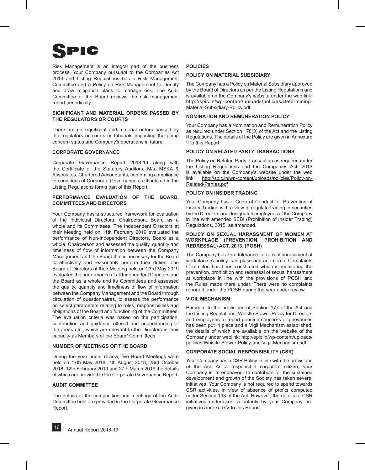Risk Management is an integral part of the business process. Your Company pursuant to the Companies Act 2013 and Listing Regulations has a Risk Management Committee and a Policy on Risk Management to identify and draw mitigation plans to manage risk. The Audit Committee of the Board reviews the risk management report periodically.

#### **SIGNIFICANT AND MATERIAL ORDERS PASSED BY THE REGULATORS OR COURTS**

There are no significant and material orders passed by the regulators or courts or tribunals impacting the going concern status and Company's operations in future.

#### **CORPORATE GOVERNANCE**

Corporate Governance Report 2018-19 along with the Certificate of the Statutory Auditors, M/s. MSKA & Associates, Chartered Accountants, confirming compliance to conditions of Corporate Governance as stipulated in the Listing Regulations forms part of this Report.

#### **PERFORMANCE EVALUATION OF THE BOARD, COMMITTEES AND DIRECTORS**

Your Company has a structured framework for evaluation of the Individual Directors, Chairperson, Board as a whole and its Committees. The Independent Directors at their Meeting held on 11th February 2019 evaluated the performance of Non-Independent Directors, Board as a whole, Chairperson and assessed the quality, quantity and timeliness of flow of information between the Company Management and the Board that is necessary for the Board to effectively and reasonably perform their duties. The Board of Directors at their Meeting held on 23rd May 2019 evaluated the performance of all Independent Directors and the Board as a whole and its Committees and assessed the quality, quantity and timeliness of flow of information between the Company Management and the Board through circulation of questionnaires, to assess the performance on select parameters relating to roles, responsibilities and obligations of the Board and functioning of the Committees. The evaluation criteria was based on the participation, contribution and guidance offered and understanding of the areas etc., which are relevant to the Directors in their capacity as Members of the Board/ Committees.

#### **NUMBER OF MEETINGS OF THE BOARD**

During the year under review, five Board Meetings were held on 17th May 2018, 7th August 2018, 23rd October 2018, 12th February 2019 and 27th March 2019 the details of which are provided in the Corporate Governance Report.

#### **AUDIT COMMITTEE**

The details of the composition and meetings of the Audit Committee held are provided in the Corporate Governance Report.

#### **POLICIES**

#### **POLICY ON MATERIAL SUBSIDIARY**

The Company has a Policy on Material Subsidiary approved by the Board of Directors as per the Listing Regulations and is available on the Company's website under the web link: http://spic.in/wp-content/uploads/policies/Determining-Material-Subsidiary-Policy.pdf

#### **NOMINATION AND REMUNERATION POLICY**

Your Company has a Nomination and Remuneration Policy as required under Section 178(3) of the Act and the Listing Regulations. The details of the Policy are given in Annexure II to this Report.

#### **POLICY ON RELATED PARTY TRANSACTIONS**

The Policy on Related Party Transaction as required under the Listing Regulations and the Companies Act, 2013 is available on the Company's website under the web link: http://spic.in/wp-content/uploads/policies/Policy-on-Related-Parties.pdf

#### **POLICY ON INSIDER TRADING**

Your Company has a Code of Conduct for Prevention of Insider Trading with a view to regulate trading in securities by the Directors and designated employees of the Company in line with amended SEBI (Prohibition of Insider Trading) Regulations, 2015, as amended.

#### **POLICY ON SEXUAL HARASSMENT OF WOMEN AT WORKPLACE (PREVENTION, PROHIBITION AND REDRESSAL) ACT, 2013. (POSH)**

The Company has zero tolerance for sexual harassment at workplace. A policy is in place and an Internal Complaints Committee has been constituted which is monitoring the prevention, prohibition and redressal of sexual harassment at workplace in line with the provisions of POSH and the Rules made there under. There were no complaints reported under the POSH during the year under review.

#### **VIGIL MECHANISM:**

Pursuant to the provisions of Section 177 of the Act and the Listing Regulations, Whistle Blower Policy for Directors and employees to report genuine concerns or grievances has been put in place and a Vigil Mechanism established, the details of which are available on the website of the Company under weblink: http://spic.in/wp-content/uploads/ policies/Whistle-Blower-Policy-and-Vigil-Mechanism.pdf

#### **CORPORATE SOCIAL RESPONSIBILITY (CSR)**

Your Company has a CSR Policy in line with the provisions of the Act. As a responsible corporate citizen, your Company in its endeavour to contribute for the sustained development and growth of the Society has taken several initiatives. Your Company is not required to spend towards CSR activities, in view of absence of profits computed under Section 198 of the Act. However, the details of CSR initiatives undertaken voluntarily by your Company are given in Annexure V to this Report.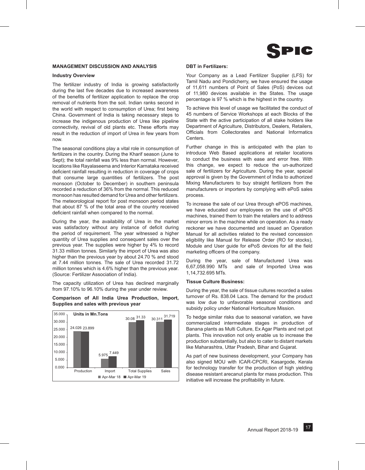

#### **MANAGEMENT DISCUSSION AND ANALYSIS**

#### **Industry Overview**

The fertilizer industry of India is growing satisfactorily during the last five decades due to increased awareness of the benefits of fertilizer application to replace the crop removal of nutrients from the soil. Indian ranks second in the world with respect to consumption of Urea; first being China. Government of India is taking necessary steps to increase the indigenous production of Urea like pipeline connectivity, revival of old plants etc. These efforts may result in the reduction of import of Urea in few years from now.

The seasonal conditions play a vital role in consumption of fertilizers in the country. During the Kharif season (June to Sept); the total rainfall was 9% less than normal. However, locations like Rayalaseema and Interior Karnataka received deficient rainfall resulting in reduction in coverage of crops that consume large quantities of fertilizers. The post monsoon (October to December) in southern peninsula recorded a reduction of 36% from the normal. This reduced monsoon has resulted demand for Urea and other fertilizers. The meteorological report for post monsoon period states that about 87 % of the total area of the country received deficient rainfall when compared to the normal.

During the year, the availability of Urea in the market was satisfactory without any instance of deficit during the period of requirement. The year witnessed a higher quantity of Urea supplies and consequent sales over the previous year. The supplies were higher by 4% to record 31.33 million tonnes. Similarly the import of Urea was also higher than the previous year by about 24.70 % and stood at 7.44 million tonnes. The sale of Urea recorded 31.72 million tonnes which is 4.6% higher than the previous year. (Source: Fertilizer Association of India).

The capacity utilization of Urea has declined marginally from 97.10% to 96.10% during the year under review.

**Comparison of All India Urea Production, Import, Supplies and sales with previous year**



#### **DBT in Fertilizers:**

Your Company as a Lead Fertilizer Supplier (LFS) for Tamil Nadu and Pondicherry, we have ensured the usage of 11,611 numbers of Point of Sales (PoS) devices out of 11,980 devices available in the States. The usage percentage is 97 % which is the highest in the country.

To achieve this level of usage we facilitated the conduct of 45 numbers of Service Workshops at each Blocks of the State with the active participation of all stake holders like Department of Agriculture, Distributors, Dealers, Retailers, Officials from Collectorates and National Informatics **Centers** 

Further change in this is anticipated with the plan to introduce Web Based applications at retailer locations to conduct the business with ease and error free. With this change, we expect to reduce the un-authorized sale of fertilizers for Agriculture. During the year, special approval is given by the Government of India to authorized Mixing Manufacturers to buy straight fertilizers from the manufacturers or importers by complying with ePoS sales process.

To increase the sale of our Urea through ePOS machines, we have educated our employees on the use of ePOS machines, trained them to train the retailers and to address minor errors in the machine while on operation. As a ready reckoner we have documented and issued an Operation Manual for all activities related to the revised concession eligibility like Manual for Release Order (RO for stocks), Module and User guide for ePoS devices for all the field marketing officers of the company.

During the year, sale of Manufactured Urea was 6,67,058.990 MTs and sale of Imported Urea was 1,14,732.695 MTs.

#### **Tissue Culture Business:**

During the year, the sale of tissue cultures recorded a sales turnover of Rs. 838.04 Lacs. The demand for the product was low due to unfavorable seasonal conditions and subsidy policy under National Horticulture Mission.

To hedge similar risks due to seasonal variation, we have commercialized intermediate stages in production of Banana plants as Multi Culture, Ex Agar Plants and net pot plants. This innovation not only enable us to increase the production substantially, but also to cater to distant markets like Maharashtra, Uttar Pradesh, Bihar and Gujarat.

As part of new business development, your Company has also signed MOU with ICAR-CPCRI, Kasargode, Kerala for technology transfer for the production of high yielding disease resistant arecanut plants for mass production. This initiative will increase the profitability in future.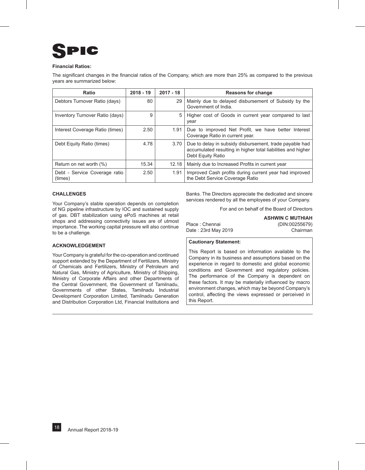## C

#### **Financial Ratios:**

The significant changes in the financial ratios of the Company, which are more than 25% as compared to the previous years are summarized below:

| Ratio                                    | $2018 - 19$ | $2017 - 18$ | <b>Reasons for change</b>                                                                                                                    |
|------------------------------------------|-------------|-------------|----------------------------------------------------------------------------------------------------------------------------------------------|
| Debtors Turnover Ratio (days)            | 80          | 29          | Mainly due to delayed disbursement of Subsidy by the<br>Government of India.                                                                 |
| Inventory Turnover Ratio (days)          | 9           | 5           | Higher cost of Goods in current year compared to last<br>year                                                                                |
| Interest Coverage Ratio (times)          | 2.50        | 1.91        | Due to improved Net Profit, we have better Interest<br>Coverage Ratio in current year.                                                       |
| Debt Equity Ratio (times)                | 4.78        | 3.70        | Due to delay in subsidy disbursement, trade payable had<br>accumulated resulting in higher total liabilities and higher<br>Debt Equity Ratio |
| Return on net worth (%)                  | 15.34       | 12.18       | Mainly due to Increased Profits in current year                                                                                              |
| Debt - Service Coverage ratio<br>(times) | 2.50        | 1.91        | Improved Cash profits during current year had improved<br>the Debt Service Coverage Ratio                                                    |

#### **CHALLENGES**

Your Company's stable operation depends on completion of NG pipeline infrastructure by IOC and sustained supply of gas. DBT stabilization using ePoS machines at retail shops and addressing connectivity issues are of utmost importance. The working capital pressure will also continue to be a challenge.

#### **ACKNOWLEDGEMENT**

Your Company is grateful for the co-operation and continued support extended by the Department of Fertilizers, Ministry of Chemicals and Fertilizers, Ministry of Petroleum and Natural Gas, Ministry of Agriculture, Ministry of Shipping, Ministry of Corporate Affairs and other Departments of the Central Government, the Government of Tamilnadu, Governments of other States, Tamilnadu Industrial Development Corporation Limited, Tamilnadu Generation and Distribution Corporation Ltd, Financial Institutions and

Banks. The Directors appreciate the dedicated and sincere services rendered by all the employees of your Company.

For and on behalf of the Board of Directors

**ASHWIN C MUTHIAH** Place : Chennai (DIN:00255679) Date : 23rd May 2019 Chairman

#### **Cautionary Statement:**

This Report is based on information available to the Company in its business and assumptions based on the experience in regard to domestic and global economic conditions and Government and regulatory policies. The performance of the Company is dependent on these factors. It may be materially influenced by macro environment changes, which may be beyond Company's control, affecting the views expressed or perceived in this Report.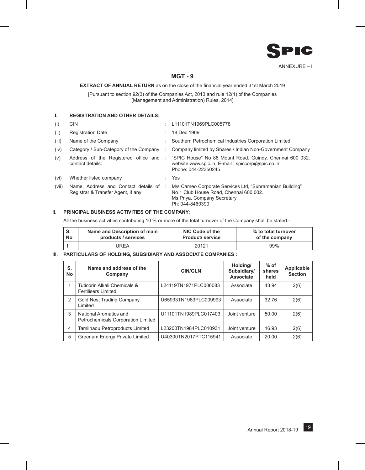

### **MGT - 9**

#### **EXTRACT OF ANNUAL RETURN** as on the close of the financial year ended 31st March 2019

[Pursuant to section 92(3) of the Companies Act, 2013 and rule 12(1) of the Companies (Management and Administration) Rules, 2014]

#### **I. REGISTRATION AND OTHER DETAILS:**

| (i)   | CIN                                                                          |   | L11101TN1969PLC005778                                                                                                                                                     |
|-------|------------------------------------------------------------------------------|---|---------------------------------------------------------------------------------------------------------------------------------------------------------------------------|
| (ii)  | <b>Registration Date</b>                                                     |   | 18 Dec 1969                                                                                                                                                               |
| (iii) | Name of the Company                                                          |   | Southern Petrochemical Industries Corporation Limited                                                                                                                     |
| (iv)  | Category / Sub-Category of the Company                                       | ÷ | Company limited by Shares / Indian Non-Government Company                                                                                                                 |
| (v)   | contact details:                                                             |   | Address of the Registered office and : "SPIC House" No 88 Mount Road, Guindy, Chennai 600 032.<br>website:www.spic.in, E-mail: spiccorp@spic.co.in<br>Phone: 044-22350245 |
| (vi)  | Whether listed company                                                       |   | Yes                                                                                                                                                                       |
| (vii) | Name, Address and Contact details of :<br>Registrar & Transfer Agent, if any |   | M/s Cameo Corporate Services Ltd, "Subramanian Building"<br>No 1 Club House Road, Chennai 600 002.<br>Ms Priya, Company Secretary<br>Ph: 044-8460390                      |

#### **II. PRINCIPAL BUSINESS ACTIVITIES OF THE COMPANY:**

All the business activities contributing 10 % or more of the total turnover of the Company shall be stated:-

| S.        | Name and Description of main | NIC Code of the        | % to total turnover |  |  |
|-----------|------------------------------|------------------------|---------------------|--|--|
| <b>No</b> | products / services          | <b>Product/service</b> | of the company      |  |  |
|           | UREA                         | 20121                  | 99%                 |  |  |

#### **III. PARTICULARS OF HOLDING, SUBSIDIARY AND ASSOCIATE COMPANIES :**

| S.<br><b>No</b> | Name and address of the<br>Company                           | <b>CIN/GLN</b>        | Holding/<br>Subsidiary/<br><b>Associate</b> | $%$ of<br>shares<br>held | Applicable<br><b>Section</b> |
|-----------------|--------------------------------------------------------------|-----------------------|---------------------------------------------|--------------------------|------------------------------|
|                 | Tuticorin Alkali Chemicals &<br><b>Fertilisers Limited</b>   | L24119TN1971PLC006083 | Associate                                   | 43.94                    | 2(6)                         |
| $\mathcal{P}$   | <b>Gold Nest Trading Company</b><br>Limited                  | U65933TN1983PLC009993 | Associate                                   | 32.76                    | 2(6)                         |
| 3               | National Aromatics and<br>Petrochemicals Corporation Limited | U11101TN1989PLC017403 | Joint venture                               | 50.00                    | 2(6)                         |
| $\overline{4}$  | Tamilnadu Petroproducts Limited                              | L23200TN1984PLC010931 | Joint venture                               | 16.93                    | 2(6)                         |
| 5               | Greenam Energy Private Limited                               | U40300TN2017PTC115941 | Associate                                   | 20.00                    | 2(6)                         |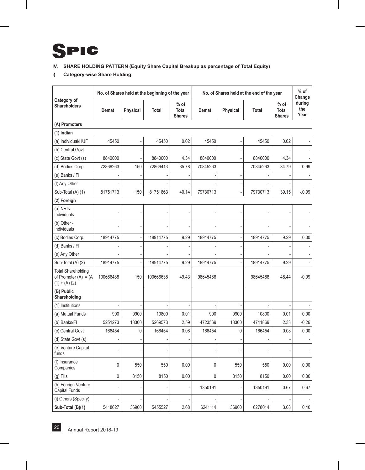

### **IV. SHARE HOLDING PATTERN (Equity Share Capital Breakup as percentage of Total Equity)**

**i) Category-wise Share Holding:**

|                                                                         | No. of Shares held at the beginning of the year |          |              |                                       | No. of Shares held at the end of the year |          |              |                                         | $%$ of<br>Change      |
|-------------------------------------------------------------------------|-------------------------------------------------|----------|--------------|---------------------------------------|-------------------------------------------|----------|--------------|-----------------------------------------|-----------------------|
| Category of<br><b>Shareholders</b>                                      | Demat                                           | Physical | <b>Total</b> | % of<br><b>Total</b><br><b>Shares</b> | Demat                                     | Physical | <b>Total</b> | $%$ of<br><b>Total</b><br><b>Shares</b> | during<br>the<br>Year |
| (A) Promoters                                                           |                                                 |          |              |                                       |                                           |          |              |                                         |                       |
| (1) Indian                                                              |                                                 |          |              |                                       |                                           |          |              |                                         |                       |
| (a) Individual/HUF                                                      | 45450                                           |          | 45450        | 0.02                                  | 45450                                     |          | 45450        | 0.02                                    |                       |
| (b) Central Govt                                                        |                                                 |          |              |                                       |                                           |          |              |                                         |                       |
| (c) State Govt (s)                                                      | 8840000                                         |          | 8840000      | 4.34                                  | 8840000                                   |          | 8840000      | 4.34                                    |                       |
| (d) Bodies Corp.                                                        | 72866263                                        | 150      | 72866413     | 35.78                                 | 70845263                                  |          | 70845263     | 34.79                                   | $-0.99$               |
| (e) Banks / FI                                                          |                                                 |          |              |                                       |                                           |          |              |                                         |                       |
| (f) Any Other                                                           |                                                 |          |              |                                       |                                           |          |              |                                         |                       |
| Sub-Total (A) (1)                                                       | 81751713                                        | 150      | 81751863     | 40.14                                 | 79730713                                  |          | 79730713     | 39.15                                   | $-0.99$               |
| (2) Foreign                                                             |                                                 |          |              |                                       |                                           |          |              |                                         |                       |
| (a) $NRIs -$<br>Individuals                                             |                                                 |          |              |                                       |                                           |          |              |                                         |                       |
| (b) Other -<br><b>Individuals</b>                                       |                                                 |          |              |                                       |                                           |          |              |                                         |                       |
| (c) Bodies Corp.                                                        | 18914775                                        |          | 18914775     | 9.29                                  | 18914775                                  |          | 18914775     | 9.29                                    | 0.00                  |
| (d) Banks / FI                                                          |                                                 |          |              |                                       |                                           |          |              |                                         |                       |
| (e) Any Other                                                           |                                                 |          |              |                                       |                                           |          |              |                                         |                       |
| Sub-Total (A) (2)                                                       | 18914775                                        |          | 18914775     | 9.29                                  | 18914775                                  |          | 18914775     | 9.29                                    |                       |
| <b>Total Shareholding</b><br>of Promoter $(A) = (A)$<br>$(1) + (A) (2)$ | 100666488                                       | 150      | 100666638    | 49.43                                 | 98645488                                  |          | 98645488     | 48.44                                   | $-0.99$               |
| (B) Public<br>Shareholding                                              |                                                 |          |              |                                       |                                           |          |              |                                         |                       |
| (1) Institutions                                                        |                                                 |          |              |                                       |                                           |          |              |                                         |                       |
| (a) Mutual Funds                                                        | 900                                             | 9900     | 10800        | 0.01                                  | 900                                       | 9900     | 10800        | 0.01                                    | 0.00                  |
| (b) Banks/FI                                                            | 5251273                                         | 18300    | 5269573      | 2.59                                  | 4723569                                   | 18300    | 4741869      | 2.33                                    | $-0.26$               |
| (c) Central Govt                                                        | 166454                                          | 0        | 166454       | 0.08                                  | 166454                                    | 0        | 166454       | 0.08                                    | 0.00                  |
| (d) State Govt (s)                                                      |                                                 |          |              |                                       |                                           |          |              |                                         |                       |
| (e) Venture Capital<br>funds                                            |                                                 |          |              |                                       |                                           |          |              |                                         |                       |
| (f) Insurance<br>Companies                                              | $\pmb{0}$                                       | 550      | 550          | 0.00                                  | 0                                         | 550      | 550          | 0.00                                    | 0.00                  |
| $(g)$ FIIs                                                              | $\mathsf{0}$                                    | 8150     | 8150         | 0.00                                  | 0                                         | 8150     | 8150         | 0.00                                    | 0.00                  |
| (h) Foreign Venture<br>Capital Funds                                    |                                                 |          |              |                                       | 1350191                                   |          | 1350191      | 0.67                                    | 0.67                  |
| (i) Others (Specify)                                                    |                                                 |          |              |                                       |                                           |          |              |                                         |                       |
| Sub-Total (B)(1)                                                        | 5418627                                         | 36900    | 5455527      | 2.68                                  | 6241114                                   | 36900    | 6278014      | 3.08                                    | 0.40                  |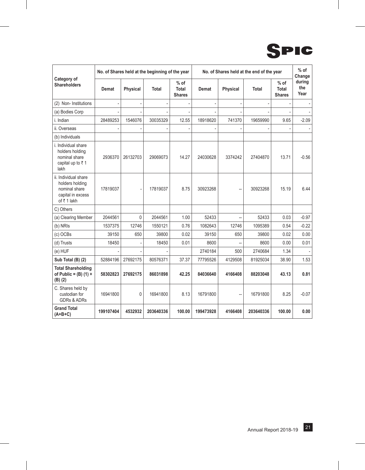

| Category of                                                                                 | No. of Shares held at the beginning of the year |                 |              |                                  | No. of Shares held at the end of the year |          |           |                                  | $%$ of<br>Change      |
|---------------------------------------------------------------------------------------------|-------------------------------------------------|-----------------|--------------|----------------------------------|-------------------------------------------|----------|-----------|----------------------------------|-----------------------|
| <b>Shareholders</b>                                                                         | Demat                                           | <b>Physical</b> | <b>Total</b> | $%$ of<br>Total<br><b>Shares</b> | Demat                                     | Physical | Total     | $%$ of<br>Total<br><b>Shares</b> | during<br>the<br>Year |
| (2) Non- Institutions                                                                       |                                                 |                 |              |                                  |                                           |          |           |                                  |                       |
| (a) Bodies Corp                                                                             |                                                 |                 |              |                                  |                                           |          |           |                                  |                       |
| i. Indian                                                                                   | 28489253                                        | 1546076         | 30035329     | 12.55                            | 18918620                                  | 741370   | 19659990  | 9.65                             | $-2.09$               |
| ii. Overseas                                                                                |                                                 |                 |              |                                  |                                           |          |           |                                  |                       |
| (b) Individuals                                                                             |                                                 |                 |              |                                  |                                           |          |           |                                  |                       |
| i. Individual share<br>holders holding<br>nominal share<br>capital up to ₹1<br>lakh         | 2936370                                         | 26132703        | 29069073     | 14.27                            | 24030628                                  | 3374242  | 27404870  | 13.71                            | $-0.56$               |
| ii. Individual share<br>holders holding<br>nominal share<br>capital in excess<br>of ₹1 lakh | 17819037                                        |                 | 17819037     | 8.75                             | 30923268                                  |          | 30923268  | 15.19                            | 6.44                  |
| C) Others                                                                                   |                                                 |                 |              |                                  |                                           |          |           |                                  |                       |
| (a) Clearing Member                                                                         | 2044561                                         | $\mathbf{0}$    | 2044561      | 1.00                             | 52433                                     |          | 52433     | 0.03                             | $-0.97$               |
| (b) NRIs                                                                                    | 1537375                                         | 12746           | 1550121      | 0.76                             | 1082643                                   | 12746    | 1095389   | 0.54                             | $-0.22$               |
| (c) OCBs                                                                                    | 39150                                           | 650             | 39800        | 0.02                             | 39150                                     | 650      | 39800     | 0.02                             | 0.00                  |
| (d) Trusts                                                                                  | 18450                                           |                 | 18450        | 0.01                             | 8600                                      |          | 8600      | 0.00                             | 0.01                  |
| (e) HUF                                                                                     |                                                 |                 |              |                                  | 2740184                                   | 500      | 2740684   | 1.34                             |                       |
| Sub Total (B) (2)                                                                           | 52884196                                        | 27692175        | 80576371     | 37.37                            | 77795526                                  | 4129508  | 81925034  | 38.90                            | 1.53                  |
| <b>Total Shareholding</b><br>of Public = $(B)$ (1) +<br>$(B)$ $(2)$                         | 58302823                                        | 27692175        | 86031898     | 42.25                            | 84036640                                  | 4166408  | 88203048  | 43.13                            | 0.81                  |
| C. Shares held by<br>custodian for<br><b>GDRs &amp; ADRs</b>                                | 16941800                                        | 0               | 16941800     | 8.13                             | 16791800                                  | --       | 16791800  | 8.25                             | $-0.07$               |
| <b>Grand Total</b><br>$(A+B+C)$                                                             | 199107404                                       | 4532932         | 203640336    | 100.00                           | 199473928                                 | 4166408  | 203640336 | 100.00                           | 0.00                  |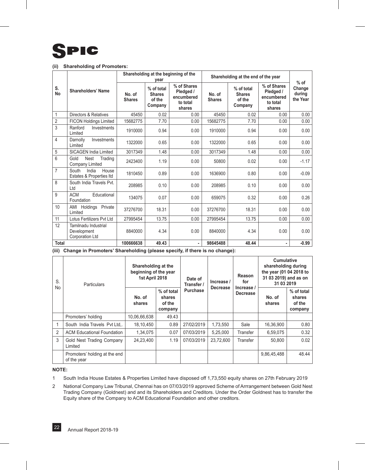#### **(ii) Shareholding of Promoters:**

|                 |                                                        |                         | year                                             | Shareholding at the beginning of the                         | Shareholding at the end of the year | $%$ of                                           |                                                              |                              |
|-----------------|--------------------------------------------------------|-------------------------|--------------------------------------------------|--------------------------------------------------------------|-------------------------------------|--------------------------------------------------|--------------------------------------------------------------|------------------------------|
| S.<br><b>No</b> | Shareholders' Name                                     | No. of<br><b>Shares</b> | % of total<br><b>Shares</b><br>of the<br>Company | % of Shares<br>Pledged /<br>encumbered<br>to total<br>shares | No. of<br><b>Shares</b>             | % of total<br><b>Shares</b><br>of the<br>Company | % of Shares<br>Pledged /<br>encumbered<br>to total<br>shares | Change<br>during<br>the Year |
| $\mathbf{1}$    | Directors & Relatives                                  | 45450                   | 0.02                                             | 0.00                                                         | 45450                               | 0.02                                             | 0.00                                                         | 0.00                         |
| $\overline{2}$  | <b>FICON Holdings Limited</b>                          | 15682775                | 7.70                                             | 0.00                                                         | 15682775                            | 7.70                                             | 0.00                                                         | 0.00                         |
| 3               | Ranford<br>Investments<br>Limited                      | 1910000                 | 0.94                                             | 0.00                                                         | 1910000                             | 0.94                                             | 0.00                                                         | 0.00                         |
| 4               | Darnolly<br>Investments<br>Limited                     | 1322000                 | 0.65                                             | 0.00                                                         | 1322000                             | 0.65                                             | 0.00                                                         | 0.00                         |
| 5               | <b>SICAGEN India Limited</b>                           | 3017349                 | 1.48                                             | 0.00                                                         | 3017349                             | 1.48                                             | 0.00                                                         | 0.00                         |
| 6               | Gold<br>Nest<br>Trading<br>Company Limited             | 2423400                 | 1.19                                             | 0.00                                                         | 50800                               | 0.02                                             | 0.00                                                         | $-1.17$                      |
| $\overline{7}$  | India<br>South<br>House<br>Estates & Properties Itd    | 1810450                 | 0.89                                             | 0.00                                                         | 1636900                             | 0.80                                             | 0.00                                                         | $-0.09$                      |
| 8               | South India Travels Pvt.<br>Ltd                        | 208985                  | 0.10                                             | 0.00                                                         | 208985                              | 0.10                                             | 0.00                                                         | 0.00                         |
| 9               | <b>ACM</b><br>Educational<br>Foundation                | 134075                  | 0.07                                             | 0.00                                                         | 659075                              | 0.32                                             | 0.00                                                         | 0.26                         |
| 10              | AMI Holdings Private<br>Limited                        | 37276700                | 18.31                                            | 0.00                                                         | 37276700                            | 18.31                                            | 0.00                                                         | 0.00                         |
| 11              | Lotus Fertilizers Pvt Ltd                              | 27995454                | 13.75                                            | 0.00                                                         | 27995454                            | 13.75                                            | 0.00                                                         | 0.00                         |
| 12              | Tamilnadu Industrial<br>Development<br>Corporation Ltd | 8840000                 | 4.34                                             | 0.00                                                         | 8840000                             | 4.34                                             | 0.00                                                         | 0.00                         |
| Total           |                                                        | 100666638               | 49.43                                            |                                                              | 98645488                            | 48.44                                            |                                                              | $-0.99$                      |

**(iii) Change in Promoters' Shareholding (please specify, if there is no change):**

| S.<br><b>No</b> | <b>Particulars</b>                           | Shareholding at the<br>beginning of the year<br>1st April 2018 |                                           | Date of<br>Transfer / | Increase /      | Reason<br>for<br>Increase / | <b>Cumulative</b><br>shareholding during<br>the year (01 04 2018 to<br>31 03 2019) and as on<br>31 03 2019 |                                           |
|-----------------|----------------------------------------------|----------------------------------------------------------------|-------------------------------------------|-----------------------|-----------------|-----------------------------|------------------------------------------------------------------------------------------------------------|-------------------------------------------|
|                 |                                              | No. of<br>shares                                               | % of total<br>shares<br>of the<br>company | <b>Purchase</b>       | <b>Decrease</b> | <b>Decrease</b>             | No. of<br>shares                                                                                           | % of total<br>shares<br>of the<br>company |
|                 | Promoters' holding                           | 10,06,66,638                                                   | 49.43                                     |                       |                 |                             |                                                                                                            |                                           |
|                 | South India Travels Pyt Ltd                  | 18,10,450                                                      | 0.89                                      | 27/02/2019            | 1,73,550        | Sale                        | 16,36,900                                                                                                  | 0.80                                      |
| 2               | <b>ACM Educational Foundation</b>            | 1,34,075                                                       | 0.07                                      | 07/03/2019            | 5,25,000        | Transfer                    | 6,59,075                                                                                                   | 0.32                                      |
| 3               | Gold Nest Trading Company<br>Limited         | 24,23,400                                                      | 1.19                                      | 07/03/2019            | 23.72.600       | Transfer                    | 50.800                                                                                                     | 0.02                                      |
|                 | Promoters' holding at the end<br>of the year |                                                                |                                           |                       |                 |                             | 9,86,45,488                                                                                                | 48.44                                     |

#### **NOTE:**

1 South India House Estates & Properties Limited have disposed off 1,73,550 equity shares on 27th February 2019

2 National Company Law Tribunal, Chennai has on 07/03/2019 approved Scheme of Arrrangement between Gold Nest Trading Company (Goldnest) and and its Shareholders and Creditors. Under the Order Goldnest has to transfer the Equity share of the Company to ACM Educational Foundation and other creditors.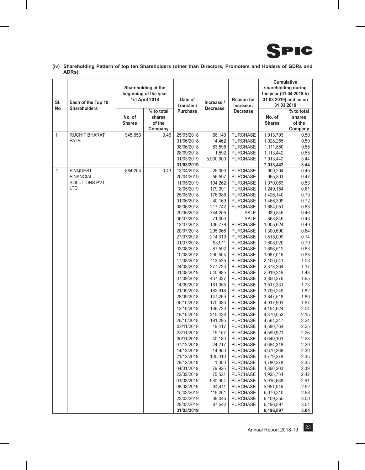

**(iv) Shareholding Pattern of top ten Shareholders (other than Directors, Promoters and Holders of GDRs and ADRs):**

| SI.<br>Each of the Top 10                                                            | Shareholding at the<br>beginning of the year<br>1st April 2018 |                                           | Date of<br>Transfer /                                                                                                                                                                                                                                                                                                                                                                                                                                                                                                                                                                      | Increase /<br><b>Decrease</b>                                                                                                                                                                                                                                                                                                                                                                                                            | <b>Reason for</b><br>Increase /                                                                                                                                                                                                                                                                                                                                                                                                                                                                                                                                                                                                                                                                                                                         | Cumulative<br>shareholding during<br>the year (01 04 2018 to<br>31 03 2019) and as on<br>31 03 2019                                                                                                                                                                                                                                                                                                                                                                                                                                       |                                                                                                                                                                                                                                                                                                                                      |
|--------------------------------------------------------------------------------------|----------------------------------------------------------------|-------------------------------------------|--------------------------------------------------------------------------------------------------------------------------------------------------------------------------------------------------------------------------------------------------------------------------------------------------------------------------------------------------------------------------------------------------------------------------------------------------------------------------------------------------------------------------------------------------------------------------------------------|------------------------------------------------------------------------------------------------------------------------------------------------------------------------------------------------------------------------------------------------------------------------------------------------------------------------------------------------------------------------------------------------------------------------------------------|---------------------------------------------------------------------------------------------------------------------------------------------------------------------------------------------------------------------------------------------------------------------------------------------------------------------------------------------------------------------------------------------------------------------------------------------------------------------------------------------------------------------------------------------------------------------------------------------------------------------------------------------------------------------------------------------------------------------------------------------------------|-------------------------------------------------------------------------------------------------------------------------------------------------------------------------------------------------------------------------------------------------------------------------------------------------------------------------------------------------------------------------------------------------------------------------------------------------------------------------------------------------------------------------------------------|--------------------------------------------------------------------------------------------------------------------------------------------------------------------------------------------------------------------------------------------------------------------------------------------------------------------------------------|
| <b>Shareholders</b><br>No                                                            | No. of<br><b>Shares</b>                                        | % to total<br>shares<br>of the<br>Company | <b>Purchase</b>                                                                                                                                                                                                                                                                                                                                                                                                                                                                                                                                                                            |                                                                                                                                                                                                                                                                                                                                                                                                                                          | <b>Decrease</b>                                                                                                                                                                                                                                                                                                                                                                                                                                                                                                                                                                                                                                                                                                                                         | No. of<br><b>Shares</b>                                                                                                                                                                                                                                                                                                                                                                                                                                                                                                                   | % to total<br>shares<br>of the<br>Company                                                                                                                                                                                                                                                                                            |
| $\mathbf{1}$<br>RUCHIT BHARAT<br><b>PATEL</b>                                        | 945,653                                                        | 0.46                                      | 25/05/2018<br>01/06/2018<br>08/06/2018<br>28/09/2018<br>01/03/2019<br>31/03/2019                                                                                                                                                                                                                                                                                                                                                                                                                                                                                                           | 68,140<br>14,462<br>83,595<br>1,592<br>5,900,000                                                                                                                                                                                                                                                                                                                                                                                         | <b>PURCHASE</b><br><b>PURCHASE</b><br><b>PURCHASE</b><br><b>PURCHASE</b><br><b>PURCHASE</b>                                                                                                                                                                                                                                                                                                                                                                                                                                                                                                                                                                                                                                                             | 1,013,793<br>1,028,255<br>1,111,850<br>1,113,442<br>7,013,442<br>7,013,442                                                                                                                                                                                                                                                                                                                                                                                                                                                                | 0.50<br>0.50<br>0.55<br>0.55<br>3.44<br>3.44                                                                                                                                                                                                                                                                                         |
| $\overline{2}$<br><b>FINQUEST</b><br><b>FINANCIAL</b><br>SOLUTIONS PVT<br><b>LTD</b> | 884,204                                                        | 0.43                                      | 13/04/2018<br>20/04/2019<br>11/05/2019<br>18/05/2019<br>25/05/2018<br>01/06/2018<br>08/06/2018<br>29/06/2018<br>06/07/2018<br>13/07/2018<br>20/07/2018<br>27/07/2018<br>31/07/2018<br>03/08/2018<br>10/08/2018<br>17/08/2018<br>24/08/2018<br>31/08/2019<br>07/09/2018<br>14/09/2018<br>21/09/2018<br>28/09/2018<br>05/10/2018<br>12/10/2018<br>19/10/2018<br>26/10/2018<br>02/11/2018<br>23/11/2018<br>30/11/2018<br>07/12/2018<br>14/12/2018<br>21/12/2018<br>28/12/2018<br>04/01/2019<br>22/02/2019<br>01/03/2019<br>08/03/2019<br>15/03/2019<br>22/03/2019<br>29/03/2019<br>31/03/2019 | 25,000<br>56,597<br>104,262<br>179,091<br>176,986<br>40,169<br>217,742<br>$-744,205$<br>$-71,000$<br>136,778<br>295,066<br>214,319<br>93,911<br>87,592<br>290,504<br>113,525<br>277,723<br>540,985<br>437,027<br>161,055<br>182,918<br>147,269<br>170,383<br>136,723<br>215,428<br>191,295<br>19,417<br>19,157<br>40,180<br>24,217<br>14,950<br>100.010<br>1,000<br>79,925<br>75,531<br>980,904<br>34,411<br>119,261<br>39,045<br>87,542 | <b>PURCHASE</b><br><b>PURCHASE</b><br><b>PURCHASE</b><br><b>PURCHASE</b><br><b>PURCHASE</b><br>PURCHASE<br><b>PURCHASE</b><br>SALE<br>SALE<br><b>PURCHASE</b><br><b>PURCHASE</b><br><b>PURCHASE</b><br><b>PURCHASE</b><br><b>PURCHASE</b><br><b>PURCHASE</b><br><b>PURCHASE</b><br><b>PURCHASE</b><br><b>PURCHASE</b><br><b>PURCHASE</b><br><b>PURCHASE</b><br><b>PURCHASE</b><br><b>PURCHASE</b><br><b>PURCHASE</b><br><b>PURCHASE</b><br><b>PURCHASE</b><br><b>PURCHASE</b><br><b>PURCHASE</b><br><b>PURCHASE</b><br><b>PURCHASE</b><br><b>PURCHASE</b><br><b>PURCHASE</b><br><b>PURCHASE</b><br><b>PURCHASE</b><br><b>PURCHASE</b><br><b>PURCHASE</b><br><b>PURCHASE</b><br><b>PURCHASE</b><br><b>PURCHASE</b><br><b>PURCHASE</b><br><b>PURCHASE</b> | 909,204<br>965,801<br>1,070,063<br>1,249,154<br>1,426,140<br>1,466,309<br>1,684,051<br>939,846<br>868,846<br>1,005,624<br>1,300,690<br>1,515,009<br>1,608,920<br>1,696,512<br>1,987,016<br>2,100,541<br>2,378,264<br>2,919,249<br>3,356,276<br>3,517,331<br>3,700,249<br>3,847,518<br>4,017,901<br>4,154,624<br>4,370,052<br>4,561,347<br>4,580,764<br>4,599,921<br>4,640,101<br>4,664,318<br>4,679,268<br>4,779,278<br>4,780,278<br>4,860,203<br>4,935,734<br>5,916,638<br>5,951,049<br>6,070,310<br>6,109,355<br>6,196,897<br>6,196,897 | 0.45<br>0.47<br>0.53<br>0.61<br>0.70<br>0.72<br>0.83<br>0.46<br>0.43<br>0.49<br>0.64<br>0.74<br>0.79<br>0.83<br>0.98<br>1.03<br>1.17<br>1.43<br>1.65<br>1.73<br>1.82<br>1.89<br>1.97<br>2.04<br>2.15<br>2.24<br>2.25<br>2.26<br>2.28<br>2.29<br>2.30<br>2.35<br>2.35<br>2.39<br>2.42<br>2.91<br>2.92<br>2.98<br>3.00<br>3.04<br>3.04 |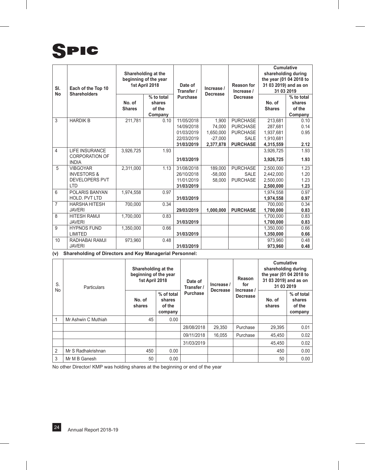# SPIC

| SI.<br><b>No</b> | Each of the Top 10<br><b>Shareholders</b>                                        | Shareholding at the<br>beginning of the year<br>1st April 2018 |                                           | Date of<br>Transfer /                                              | Increase /<br><b>Decrease</b>                          | <b>Reason for</b><br>Increase /                                                         | <b>Cumulative</b><br>shareholding during<br>the year (01 04 2018 to<br>31 03 2019) and as on<br>31 03 2019 |                                           |
|------------------|----------------------------------------------------------------------------------|----------------------------------------------------------------|-------------------------------------------|--------------------------------------------------------------------|--------------------------------------------------------|-----------------------------------------------------------------------------------------|------------------------------------------------------------------------------------------------------------|-------------------------------------------|
|                  |                                                                                  | No. of<br><b>Shares</b>                                        | % to total<br>shares<br>of the<br>Company | <b>Purchase</b>                                                    |                                                        | <b>Decrease</b>                                                                         | No. of<br><b>Shares</b>                                                                                    | % to total<br>shares<br>of the<br>Company |
| 3                | <b>HARDIK B</b>                                                                  | 211,781                                                        | 0.10                                      | 11/05/2018<br>14/09/2018<br>01/03/2019<br>22/03/2019<br>31/03/2019 | 1,900<br>74,000<br>1,650,000<br>$-27.000$<br>2,377,878 | <b>PURCHASE</b><br><b>PURCHASE</b><br><b>PURCHASE</b><br><b>SALE</b><br><b>PURCHASE</b> | 213,681<br>287.681<br>1,937,681<br>1,910,681<br>4,315,559                                                  | 0.10<br>0.14<br>0.95<br>2.12              |
| 4                | <b>LIFE INSURANCE</b><br><b>CORPORATION OF</b><br><b>INDIA</b>                   | 3,926,725                                                      | 1.93                                      | 31/03/2019                                                         |                                                        |                                                                                         | 3,926,725<br>3,926,725                                                                                     | 1.93<br>1.93                              |
| 5                | <b>VIBGOYAR</b><br><b>INVESTORS &amp;</b><br><b>DEVELOPERS PVT</b><br><b>ITD</b> | 2,311,000                                                      | 1.13                                      | 31/08/2018<br>26/10/2018<br>11/01/2019<br>31/03/2019               | 189,000<br>$-58,000$<br>58.000                         | <b>PURCHASE</b><br><b>SALE</b><br><b>PURCHASE</b>                                       | 2,500,000<br>2,442,000<br>2,500,000<br>2,500,000                                                           | 1.23<br>1.20<br>1.23<br>1.23              |
| 6                | POLARIS BANYAN<br><b>HOLD, PVT LTD</b>                                           | 1,974,558                                                      | 0.97                                      | 31/03/2019                                                         |                                                        |                                                                                         | 1,974,558<br>1,974,558                                                                                     | 0.97<br>0.97                              |
| $\overline{7}$   | <b>HARSHA HITESH</b><br><b>JAVERI</b>                                            | 700,000                                                        | 0.34                                      | 29/03/2019                                                         | 1,000,000                                              | <b>PURCHASE</b>                                                                         | 700,000<br>1,700,000                                                                                       | 0.34<br>0.83                              |
| $\overline{8}$   | <b>HITESH RAMJI</b><br><b>JAVERI</b>                                             | 1,700,000                                                      | 0.83                                      | 31/03/2019                                                         |                                                        |                                                                                         | 1,700,000<br>1,700,000                                                                                     | 0.83<br>0.83                              |
| 9                | <b>HYPNOS FUND</b><br><b>LIMITED</b>                                             | 1,350,000                                                      | 0.66                                      | 31/03/2019                                                         |                                                        |                                                                                         | 1,350,000<br>1,350,000                                                                                     | 0.66<br>0.66                              |
| 10               | RADHABAI RAMJI<br><b>JAVERI</b>                                                  | 973,960                                                        | 0.48                                      | 31/03/2019                                                         |                                                        |                                                                                         | 973,960<br>973,960                                                                                         | 0.48<br>0.48                              |

**(v) Shareholding of Directors and Key Managerial Personnel:**

| S.<br><b>No</b> | <b>Particulars</b>  | Shareholding at the<br>beginning of the year<br>1st April 2018 |                                           | Date of<br>Transfer / | Increase /      | Reason<br>for                 | <b>Cumulative</b><br>shareholding during<br>the year (01 04 2018 to<br>31 03 2019) and as on<br>31 03 2019 |                                           |
|-----------------|---------------------|----------------------------------------------------------------|-------------------------------------------|-----------------------|-----------------|-------------------------------|------------------------------------------------------------------------------------------------------------|-------------------------------------------|
|                 |                     | No. of<br>shares                                               | % of total<br>shares<br>of the<br>company | <b>Purchase</b>       | <b>Decrease</b> | Increase /<br><b>Decrease</b> | No. of<br>shares                                                                                           | % of total<br>shares<br>of the<br>company |
|                 | Mr Ashwin C Muthiah | 45                                                             | 0.00                                      |                       |                 |                               |                                                                                                            |                                           |
|                 |                     |                                                                |                                           | 28/08/2018            | 29.350          | Purchase                      | 29,395                                                                                                     | 0.01                                      |
|                 |                     |                                                                |                                           | 09/11/2018            | 16.055          | Purchase                      | 45,450                                                                                                     | 0.02                                      |
|                 |                     |                                                                |                                           | 31/03/2019            |                 |                               | 45.450                                                                                                     | 0.02                                      |
| $\overline{2}$  | Mr S Radhakrishnan  | 450                                                            | 0.00                                      |                       |                 |                               | 450                                                                                                        | 0.00                                      |
| 3               | Mr M B Ganesh       | 50                                                             | 0.00                                      |                       |                 |                               | 50                                                                                                         | 0.00                                      |

No other Director/ KMP was holding shares at the beginning or end of the year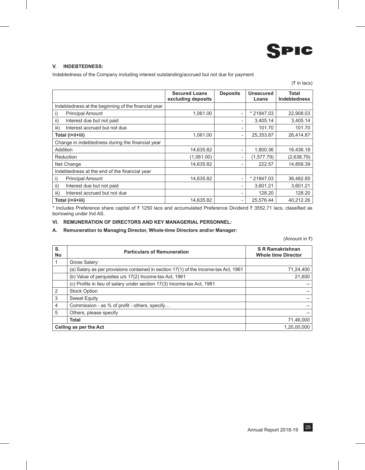

#### **V. INDEBTEDNESS:**

Indebtedness of the Company including interest outstanding/accrued but not due for payment

|                                                     | <b>Secured Loans</b> | <b>Deposits</b>          | <b>Unsecured</b> | <b>Total</b>        |
|-----------------------------------------------------|----------------------|--------------------------|------------------|---------------------|
|                                                     | excluding deposits   |                          | Loans            | <b>Indebtedness</b> |
| Indebtedness at the beginning of the financial year |                      |                          |                  |                     |
| <b>Principal Amount</b><br>i)                       | 1.061.00             | $\overline{\phantom{a}}$ | * 21847.03       | 22,908.03           |
| ii)<br>Interest due but not paid                    |                      | $\overline{\phantom{a}}$ | 3,405.14         | 3,405.14            |
| iii)<br>Interest accrued but not due                |                      | -                        | 101.70           | 101.70              |
| Total (i+ii+iii)                                    | 1,061.00             | $\overline{\phantom{0}}$ | 25,353.87        | 26,414.87           |
| Change in indebtedness during the financial year    |                      |                          |                  |                     |
| Addition                                            | 14,635.82            | $\overline{\phantom{a}}$ | 1,800.36         | 16,436.18           |
| Reduction                                           | (1,061.00)           |                          | (1,577.79)       | (2,638.79)          |
| Net Change                                          | 14,635.82            | $\overline{\phantom{a}}$ | 222.57           | 14,858.39           |
| Indebtedness at the end of the financial year       |                      |                          |                  |                     |
| <b>Principal Amount</b><br>i)                       | 14,635.82            | $\overline{\phantom{a}}$ | * 21847.03       | 36,482.85           |
| ii)<br>Interest due but not paid                    |                      | -                        | 3,601.21         | 3,601.21            |
| iii)<br>Interest accrued but not due                |                      |                          | 128.20           | 128.20              |
| Total (i+ii+iii)                                    | 14,635.82            | $\overline{\phantom{a}}$ | 25,576.44        | 40,212.26           |

\* Includes Preference share capital of ₹ 1250 lacs and accumulated Preference Dividend ₹ 3552.71 lacs, classified as borrowing under Ind AS.

#### **VI. REMUNERATION OF DIRECTORS AND KEY MANAGERIAL PERSONNEL:**

#### **A. Remuneration to Managing Director, Whole-time Directors and/or Manager:**

(Amount in  $\bar{z}$ )

| S.<br><b>No</b> | <b>Particulars of Remuneration</b>                                                  | <b>S R Ramakrishnan</b><br><b>Whole time Director</b> |
|-----------------|-------------------------------------------------------------------------------------|-------------------------------------------------------|
|                 | Gross Salary:                                                                       |                                                       |
|                 | (a) Salary as per provisions contained in section 17(1) of the Income-tax Act, 1961 | 71,24,400                                             |
|                 | (b) Value of perquisites u/s 17(2) Income-tax Act, 1961                             | 21,600                                                |
|                 | (c) Profits in lieu of salary under section 17(3) Income-tax Act, 1961              |                                                       |
| 2               | <b>Stock Option</b>                                                                 |                                                       |
| 3               | Sweat Equity                                                                        |                                                       |
| $\overline{4}$  | Commission - as % of profit - others, specify                                       |                                                       |
| 5               | Others, please specify                                                              |                                                       |
|                 | <b>Total</b>                                                                        | 71,46,000                                             |
|                 | Ceiling as per the Act                                                              | 1,20,00,000                                           |

 $($ ₹ in lacs)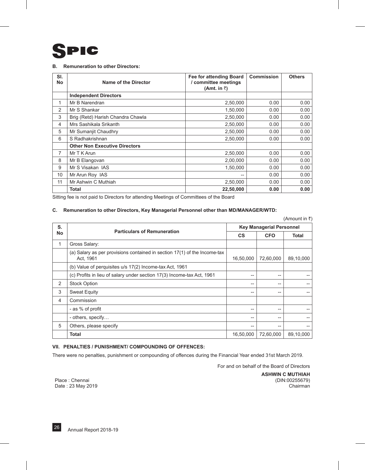#### **B. Remuneration to other Directors:**

| SI.<br>No      | Name of the Director                 | <b>Fee for attending Board</b><br>/ committee meetings<br>(Amt. in $\bar{z}$ ) | Commission | <b>Others</b> |
|----------------|--------------------------------------|--------------------------------------------------------------------------------|------------|---------------|
|                | <b>Independent Directors</b>         |                                                                                |            |               |
| 1              | Mr B Narendran                       | 2,50,000                                                                       | 0.00       | 0.00          |
| $\overline{2}$ | Mr S Shankar                         | 1,50,000                                                                       | 0.00       | 0.00          |
| 3              | Brig (Retd) Harish Chandra Chawla    | 2,50,000                                                                       | 0.00       | 0.00          |
| 4              | Mrs Sashikala Srikanth               | 2,50,000                                                                       | 0.00       | 0.00          |
| 5              | Mr Sumanjit Chaudhry                 | 2,50,000                                                                       | 0.00       | 0.00          |
| 6              | S Radhakrishnan                      | 2,50,000                                                                       | 0.00       | 0.00          |
|                | <b>Other Non Executive Directors</b> |                                                                                |            |               |
| 7              | Mr T K Arun                          | 2,50,000                                                                       | 0.00       | 0.00          |
| 8              | Mr B Elangovan                       | 2,00,000                                                                       | 0.00       | 0.00          |
| 9              | Mr S Visakan IAS                     | 1,50,000                                                                       | 0.00       | 0.00          |
| 10             | Mr Arun Roy IAS                      | $- -$                                                                          | 0.00       | 0.00          |
| 11             | Mr Ashwin C Muthiah                  | 2,50,000                                                                       | 0.00       | 0.00          |
|                | <b>Total</b>                         | 22,50,000                                                                      | 0.00       | 0.00          |

Sitting fee is not paid to Directors for attending Meetings of Committees of the Board

#### **C. Remuneration to other Directors, Key Managerial Personnel other than MD/MANAGER/WTD:**

(Amount in  $\overline{\tau}$ )

| S.        | <b>Particulars of Remuneration</b>                                                     | <b>Key Managerial Personnel</b> |            |              |  |  |
|-----------|----------------------------------------------------------------------------------------|---------------------------------|------------|--------------|--|--|
| <b>No</b> |                                                                                        | <b>CS</b>                       | <b>CFO</b> | <b>Total</b> |  |  |
| 1         | Gross Salary:                                                                          |                                 |            |              |  |  |
|           | (a) Salary as per provisions contained in section 17(1) of the Income-tax<br>Act, 1961 | 16,50,000                       | 72,60,000  | 89,10,000    |  |  |
|           | (b) Value of perquisites u/s 17(2) Income-tax Act, 1961                                |                                 |            |              |  |  |
|           | (c) Profits in lieu of salary under section 17(3) Income-tax Act, 1961                 | $-$                             | --         |              |  |  |
| 2         | <b>Stock Option</b>                                                                    | $-$                             | --         |              |  |  |
| 3         | <b>Sweat Equity</b>                                                                    | $-$                             | --         |              |  |  |
| 4         | Commission                                                                             |                                 |            |              |  |  |
|           | - as % of profit                                                                       | $-$                             | --         |              |  |  |
|           | - others, specify                                                                      | $-$                             | --         |              |  |  |
| 5         | Others, please specify                                                                 | $-$                             | --         |              |  |  |
|           | <b>Total</b>                                                                           | 16,50,000                       | 72,60,000  | 89,10,000    |  |  |

#### **VII. PENALTIES / PUNISHMENT/ COMPOUNDING OF OFFENCES:**

There were no penalties, punishment or compounding of offences during the Financial Year ended 31st March 2019.

For and on behalf of the Board of Directors

Place : Chennai Date : 23 May 2019 **ASHWIN C MUTHIAH** (DIN:00255679) Chairman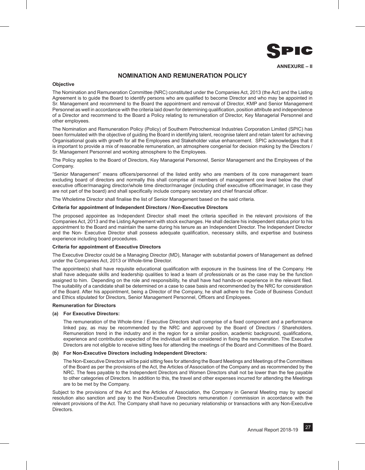

#### **NOMINATION AND REMUNERATION POLICY**

#### **Objective**

The Nomination and Remuneration Committee (NRC) constituted under the Companies Act, 2013 (the Act) and the Listing Agreement is to guide the Board to identify persons who are qualified to become Director and who may be appointed in Sr. Management and recommend to the Board the appointment and removal of Director, KMP and Senior Management Personnel as well in accordance with the criteria laid down for determining qualification, position attribute and independence of a Director and recommend to the Board a Policy relating to remuneration of Director, Key Managerial Personnel and other employees.

The Nomination and Remuneration Policy (Policy) of Southern Petrochemical Industries Corporation Limited (SPIC) has been formulated with the objective of guiding the Board in identifying talent, recognise talent and retain talent for achieving Organisational goals with growth for all the Employees and Stakeholder value enhancement. SPIC acknowledges that it is important to provide a mix of reasonable remuneration, an atmosphere congenial for decision making by the Directors / Sr. Management Personnel and working atmosphere to the Employees.

The Policy applies to the Board of Directors, Key Managerial Personnel, Senior Management and the Employees of the Company.

"Senior Management'' means officers/personnel of the listed entity who are members of its core management team excluding board of directors and normally this shall comprise all members of management one level below the chief executive officer/managing director/whole time director/manager (including chief executive officer/manager, in case they are not part of the board) and shall specifically include company secretary and chief financial officer.

The Wholetime Director shall finalise the list of Senior Management based on the said criteria.

#### **Criteria for appointment of Independent Directors / Non-Executive Directors**

The proposed appointee as Independent Director shall meet the criteria specified in the relevant provisions of the Companies Act, 2013 and the Listing Agreement with stock exchanges. He shall declare his independent status prior to his appointment to the Board and maintain the same during his tenure as an Independent Director. The Independent Director and the Non- Executive Director shall possess adequate qualification, necessary skills, and expertise and business experience including board procedures.

#### **Criteria for appointment of Executive Directors**

The Executive Director could be a Managing Director (MD), Manager with substantial powers of Management as defined under the Companies Act, 2013 or Whole-time Director.

The appointee(s) shall have requisite educational qualification with exposure in the business line of the Company. He shall have adequate skills and leadership qualities to lead a team of professionals or as the case may be the function assigned to him. Depending on the role and responsibility, he shall have had hands-on experience in the relevant filed. The suitability of a candidate shall be determined on a case to case basis and recommended by the NRC for consideration of the Board. After his appointment, being a Director of the Company, he shall adhere to the Code of Business Conduct and Ethics stipulated for Directors, Senior Management Personnel, Officers and Employees.

#### **Remuneration for Directors**

#### **(a) For Executive Directors:**

The remuneration of the Whole-time / Executive Directors shall comprise of a fixed component and a performance linked pay, as may be recommended by the NRC and approved by the Board of Directors / Shareholders. Remuneration trend in the industry and in the region for a similar position, academic background, qualifications, experience and contribution expected of the individual will be considered in fixing the remuneration. The Executive Directors are not eligible to receive sitting fees for attending the meetings of the Board and Committees of the Board.

#### **(b) For Non-Executive Directors including Independent Directors:**

The Non-Executive Directors will be paid sitting fees for attending the Board Meetings and Meetings of the Committees of the Board as per the provisions of the Act, the Articles of Association of the Company and as recommended by the NRC. The fees payable to the Independent Directors and Women Directors shall not be lower than the fee payable to other categories of Directors. In addition to this, the travel and other expenses incurred for attending the Meetings are to be met by the Company.

Subject to the provisions of the Act and the Articles of Association, the Company in General Meeting may by special resolution also sanction and pay to the Non-Executive Directors remuneration / commission in accordance with the relevant provisions of the Act. The Company shall have no pecuniary relationship or transactions with any Non-Executive **Directors**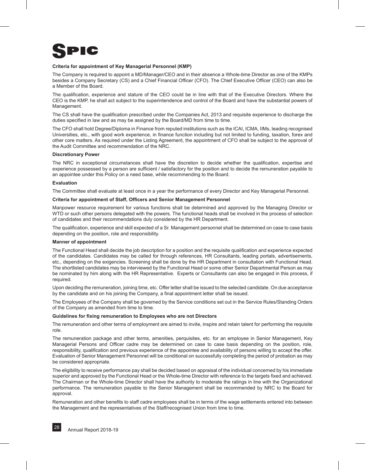#### **Criteria for appointment of Key Managerial Personnel (KMP)**

The Company is required to appoint a MD/Manager/CEO and in their absence a Whole-time Director as one of the KMPs besides a Company Secretary (CS) and a Chief Financial Officer (CFO). The Chief Executive Officer (CEO) can also be a Member of the Board.

The qualification, experience and stature of the CEO could be in line with that of the Executive Directors. Where the CEO is the KMP, he shall act subject to the superintendence and control of the Board and have the substantial powers of Management.

The CS shall have the qualification prescribed under the Companies Act, 2013 and requisite experience to discharge the duties specified in law and as may be assigned by the Board/MD from time to time.

The CFO shall hold Degree/Diploma in Finance from reputed institutions such as the ICAI, ICMA, IIMs, leading recognised Universities, etc., with good work experience, in finance function including but not limited to funding, taxation, forex and other core matters. As required under the Listing Agreement, the appointment of CFO shall be subject to the approval of the Audit Committee and recommendation of the NRC.

#### **Discretionary Power**

The NRC in exceptional circumstances shall have the discretion to decide whether the qualification, expertise and experience possessed by a person are sufficient / satisfactory for the position and to decide the remuneration payable to an appointee under this Policy on a need base, while recommending to the Board.

#### **Evaluation**

The Committee shall evaluate at least once in a year the performance of every Director and Key Managerial Personnel.

#### **Criteria for appointment of Staff, Officers and Senior Management Personnel**

Manpower resource requirement for various functions shall be determined and approved by the Managing Director or WTD or such other persons delegated with the powers. The functional heads shall be involved in the process of selection of candidates and their recommendations duly considered by the HR Department.

The qualification, experience and skill expected of a Sr. Management personnel shall be determined on case to case basis depending on the position, role and responsibility.

#### **Manner of appointment**

The Functional Head shall decide the job description for a position and the requisite qualification and experience expected of the candidates. Candidates may be called for through references, HR Consultants, leading portals, advertisements, etc., depending on the exigencies. Screening shall be done by the HR Department in consultation with Functional Head. The shortlisted candidates may be interviewed by the Functional Head or some other Senior Departmental Person as may be nominated by him along with the HR Representative. Experts or Consultants can also be engaged in this process, if required.

Upon deciding the remuneration, joining time, etc. Offer letter shall be issued to the selected candidate. On due acceptance by the candidate and on his joining the Company, a final appointment letter shall be issued.

The Employees of the Company shall be governed by the Service conditions set out in the Service Rules/Standing Orders of the Company as amended from time to time.

#### **Guidelines for fixing remuneration to Employees who are not Directors**

The remuneration and other terms of employment are aimed to invite, inspire and retain talent for performing the requisite role.

The remuneration package and other terms, amenities, perquisites, etc. for an employee in Senior Management, Key Managerial Persons and Officer cadre may be determined on case to case basis depending on the position, role, responsibility, qualification and previous experience of the appointee and availability of persons willing to accept the offer. Evaluation of Senior Management Personnel will be conditional on successfully completing the period of probation as may be considered appropriate.

The eligibility to receive performance pay shall be decided based on appraisal of the individual concerned by his immediate superior and approved by the Functional Head or the Whole-time Director with reference to the targets fixed and achieved. The Chairman or the Whole-time Director shall have the authority to moderate the ratings in line with the Organizational performance. The remuneration payable to the Senior Management shall be recommended by NRC to the Board for approval.

Remuneration and other benefits to staff cadre employees shall be in terms of the wage settlements entered into between the Management and the representatives of the Staff/recognised Union from time to time.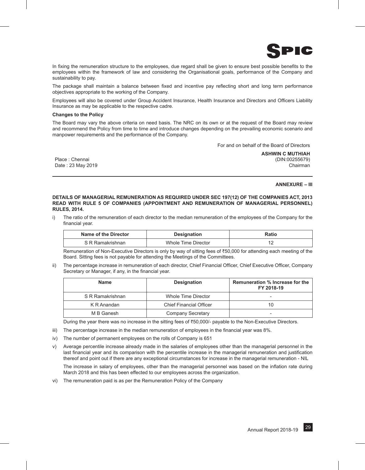

In fixing the remuneration structure to the employees, due regard shall be given to ensure best possible benefits to the employees within the framework of law and considering the Organisational goals, performance of the Company and sustainability to pay.

The package shall maintain a balance between fixed and incentive pay reflecting short and long term performance objectives appropriate to the working of the Company.

Employees will also be covered under Group Accident Insurance, Health Insurance and Directors and Officers Liability Insurance as may be applicable to the respective cadre.

#### **Changes to the Policy**

The Board may vary the above criteria on need basis. The NRC on its own or at the request of the Board may review and recommend the Policy from time to time and introduce changes depending on the prevailing economic scenario and manpower requirements and the performance of the Company.

For and on behalf of the Board of Directors

Place : Chennai Date : 23 May 2019 **ASHWIN C MUTHIAH** (DIN:00255679) Chairman

#### **ANNEXURE – III**

#### **DETAILS OF MANAGERIAL REMUNERATION AS REQUIRED UNDER SEC 197(12) OF THE COMPANIES ACT, 2013 READ WITH RULE 5 OF COMPANIES (APPOINTMENT AND REMUNERATION OF MANAGERIAL PERSONNEL) RULES, 2014.**

i) The ratio of the remuneration of each director to the median remuneration of the employees of the Company for the financial year.

| Name of the Director | <b>Designation</b>  | Ratio |  |
|----------------------|---------------------|-------|--|
| S R Ramakrishnan     | Whole Time Director |       |  |

Remuneration of Non-Executive Directors is only by way of sitting fees of  $\bar{\tau}$ 50,000 for attending each meeting of the Board. Sitting fees is not payable for attending the Meetings of the Committees.

ii) The percentage increase in remuneration of each director, Chief Financial Officer, Chief Executive Officer, Company Secretary or Manager, if any, in the financial year.

| <b>Name</b>      | <b>Designation</b>             | Remuneration % Increase for the<br>FY 2018-19 |
|------------------|--------------------------------|-----------------------------------------------|
| S R Ramakrishnan | Whole Time Director            |                                               |
| K R Anandan      | <b>Chief Financial Officer</b> | 10                                            |
| M B Ganesh       | Company Secretary              |                                               |

During the year there was no increase in the sitting fees of ₹50,000/- payable to the Non-Executive Directors.

- iii) The percentage increase in the median remuneration of employees in the financial year was 8%.
- iv) The number of permanent employees on the rolls of Company is 651
- v) Average percentile increase already made in the salaries of employees other than the managerial personnel in the last financial year and its comparison with the percentile increase in the managerial remuneration and justification thereof and point out if there are any exceptional circumstances for increase in the managerial remuneration - NIL

The increase in salary of employees, other than the managerial personnel was based on the inflation rate during March 2018 and this has been effected to our employees across the organization.

vi) The remuneration paid is as per the Remuneration Policy of the Company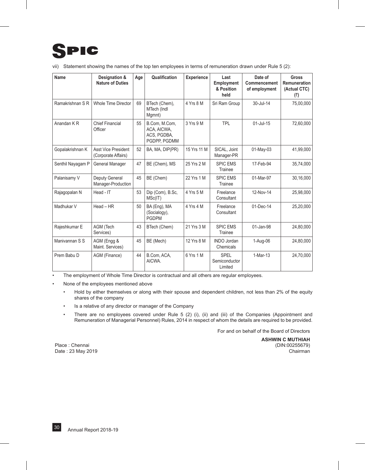| Name              | Designation &<br><b>Nature of Duties</b>   | Age | Qualification                                               | <b>Experience</b> | Last<br><b>Employment</b><br>& Position<br>held | Date of<br>Commencement<br>of employment | <b>Gross</b><br>Remuneration<br>(Actual CTC)<br>(₹) |
|-------------------|--------------------------------------------|-----|-------------------------------------------------------------|-------------------|-------------------------------------------------|------------------------------------------|-----------------------------------------------------|
| Ramakrishnan S R  | Whole Time Director                        | 69  | BTech (Chem),<br>MTech (Indl<br>Mgmnt)                      | 4 Yrs 8 M         | Sri Ram Group                                   | 30-Jul-14                                | 75,00,000                                           |
| Anandan KR        | <b>Chief Financial</b><br>Officer          | 55  | B.Com. M.Com.<br>ACA, AICWA,<br>ACS, PGDBA,<br>PGDPP. PGDMM | 3 Yrs 9 M         | <b>TPL</b>                                      | $01$ -Jul-15                             | 72,60,000                                           |
| Gopalakrishnan K  | Asst Vice President<br>(Corporate Affairs) | 52  | BA, MA, DIP(PR)                                             | 15 Yrs 11 M       | SICAL, Joint<br>Manager-PR                      | 01-May-03                                | 41,99,000                                           |
| Senthil Nayagam P | General Manager                            | 47  | BE (Chem), MS                                               | 25 Yrs 2 M        | <b>SPIC FMS</b><br>Trainee                      | 17-Feb-94                                | 35,74,000                                           |
| Palanisamy V      | Deputy General<br>Manager-Production       | 45  | BE (Chem)                                                   | 22 Yrs 1 M        | <b>SPIC EMS</b><br>Trainee                      | 01-Mar-97                                | 30,16,000                                           |
| Rajagopalan N     | Head - IT                                  | 53  | Dip (Com), B.Sc,<br>MSC(IT)                                 | 4 Yrs 5 M         | Freelance<br>Consultant                         | 12-Nov-14                                | 25,98,000                                           |
| Madhukar V        | $Head - HR$                                | 50  | BA (Eng), MA<br>(Socialogy),<br><b>PGDPM</b>                | 4 Yrs 4 M         | Freelance<br>Consultant                         | $01-Dec-14$                              | 25,20,000                                           |
| Rajeshkumar E     | AGM (Tech<br>Services)                     | 43  | BTech (Chem)                                                | 21 Yrs 3 M        | <b>SPIC EMS</b><br>Trainee                      | 01-Jan-98                                | 24,80,000                                           |
| Manivannan S S    | AGM (Engg &<br>Maint. Services)            | 45  | BE (Mech)                                                   | 12 Yrs 8 M        | <b>INDO Jordan</b><br>Chemicals                 | 1-Aug-06                                 | 24.80.000                                           |
| Prem Babu D       | AGM (Finance)                              | 44  | B.Com, ACA,<br>AICWA.                                       | 6 Yrs 1 M         | <b>SPEL</b><br>Semiconductor<br>Limited         | $1-Mar-13$                               | 24,70,000                                           |

vii) Statement showing the names of the top ten employees in terms of remuneration drawn under Rule 5 (2):

• The employment of Whole Time Director is contractual and all others are regular employees.

• None of the employees mentioned above

- Hold by either themselves or along with their spouse and dependent children, not less than 2% of the equity shares of the company
- Is a relative of any director or manager of the Company
- There are no employees covered under Rule 5 (2) (i), (ii) and (iii) of the Companies (Appointment and Remuneration of Managerial Personnel) Rules, 2014 in respect of whom the details are required to be provided.

For and on behalf of the Board of Directors

**ASHWIN C MUTHIAH** (DIN:00255679) Chairman

Place : Chennai Date : 23 May 2019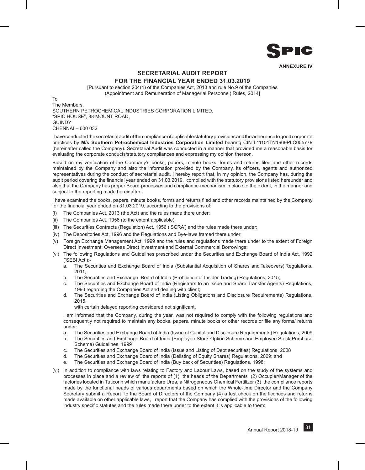

### **SECRETARIAL AUDIT REPORT FOR THE FINANCIAL YEAR ENDED 31.03.2019**

[Pursuant to section 204(1) of the Companies Act, 2013 and rule No.9 of the Companies (Appointment and Remuneration of Managerial Personnel) Rules, 2014]

To The Members, SOUTHERN PETROCHEMICAL INDUSTRIES CORPORATION LIMITED, "SPIC HOUSE", 88 MOUNT ROAD, **GUINDY** CHENNAI – 600 032

I have conducted the secretarial audit of the compliance of applicable statutory provisions and the adherence to good corporate practices by **M/s Southern Petrochemical Industries Corporation Limited** bearing CIN L11101TN1969PLC005778 (hereinafter called the Company). Secretarial Audit was conducted in a manner that provided me a reasonable basis for evaluating the corporate conducts/statutory compliances and expressing my opinion thereon.

Based on my verification of the Company's books, papers, minute books, forms and returns filed and other records maintained by the Company and also the information provided by the Company, its officers, agents and authorized representatives during the conduct of secretarial audit, I hereby report that, in my opinion, the Company has, during the audit period covering the financial year ended on 31.03.2019, complied with the statutory provisions listed hereunder and also that the Company has proper Board-processes and compliance-mechanism in place to the extent, in the manner and subject to the reporting made hereinafter:

I have examined the books, papers, minute books, forms and returns filed and other records maintained by the Company for the financial year ended on 31.03.2019, according to the provisions of:

- (i) The Companies Act, 2013 (the Act) and the rules made there under;
- (ii) The Companies Act, 1956 (to the extent applicable)
- (iii) The Securities Contracts (Regulation) Act, 1956 ('SCRA') and the rules made there under;
- (iv) The Depositories Act, 1996 and the Regulations and Bye-laws framed there under;
- (v) Foreign Exchange Management Act, 1999 and the rules and regulations made there under to the extent of Foreign Direct Investment, Overseas Direct Investment and External Commercial Borrowings;
- (vi) The following Regulations and Guidelines prescribed under the Securities and Exchange Board of India Act, 1992 ('SEBI Act'):
	- a. The Securities and Exchange Board of India (Substantial Acquisition of Shares and Takeovers) Regulations,  $2011$
	- b. The Securities and Exchange Board of India (Prohibition of Insider Trading) Regulations, 2015;
	- c. The Securities and Exchange Board of India (Registrars to an Issue and Share Transfer Agents) Regulations, 1993 regarding the Companies Act and dealing with client;
	- d. The Securities and Exchange Board of India (Listing Obligations and Disclosure Requirements) Regulations, 2015.

with certain delayed reporting considered not significant.

I am informed that the Company, during the year, was not required to comply with the following regulations and consequently not required to maintain any books, papers, minute books or other records or file any forms/ returns under:

- a. The Securities and Exchange Board of India (Issue of Capital and Disclosure Requirements) Regulations, 2009
- b. The Securities and Exchange Board of India (Employee Stock Option Scheme and Employee Stock Purchase Scheme) Guidelines, 1999
- c. The Securities and Exchange Board of India (Issue and Listing of Debt securities) Regulations, 2008
- d. The Securities and Exchange Board of India (Delisting of Equity Shares) Regulations, 2009; and
- e. The Securities and Exchange Board of India (Buy back of Securities) Regulations, 1998;
- (vi) In addition to compliance with laws relating to Factory and Labour Laws, based on the study of the systems and processes in place and a review of the reports of (1) the heads of the Departments (2) Occupier/Manager of the factories located in Tuticorin which manufacture Urea, a Nitrogeneous Chemical Fertilizer (3) the compliance reports made by the functional heads of various departments based on which the Whole-time Director and the Company Secretary submit a Report to the Board of Directors of the Company (4) a test check on the licences and returns made available on other applicable laws, I report that the Company has complied with the provisions of the following industry specific statutes and the rules made there under to the extent it is applicable to them: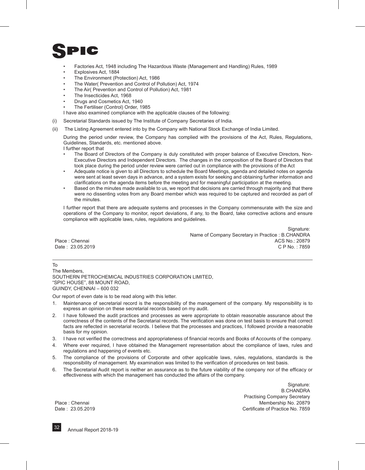- Factories Act, 1948 including The Hazardous Waste (Management and Handling) Rules, 1989
- Explosives Act, 1884
- The Environment (Protection) Act, 1986
- The Water( Prevention and Control of Pollution) Act, 1974
- The Air( Prevention and Control of Pollution) Act, 1981
- The Insecticides Act, 1968
- Drugs and Cosmetics Act, 1940
- The Fertiliser (Control) Order, 1985

I have also examined compliance with the applicable clauses of the following:

- (i) Secretarial Standards issued by The Institute of Company Secretaries of India.
- (ii) The Listing Agreement entered into by the Company with National Stock Exchange of India Limited.

During the period under review, the Company has complied with the provisions of the Act, Rules, Regulations, Guidelines, Standards, etc. mentioned above.

I further report that

- The Board of Directors of the Company is duly constituted with proper balance of Executive Directors, Non-Executive Directors and Independent Directors. The changes in the composition of the Board of Directors that took place during the period under review were carried out in compliance with the provisions of the Act
- Adequate notice is given to all Directors to schedule the Board Meetings, agenda and detailed notes on agenda were sent at least seven days in advance, and a system exists for seeking and obtaining further information and clarifications on the agenda items before the meeting and for meaningful participation at the meeting.
- Based on the minutes made available to us, we report that decisions are carried through majority and that there were no dissenting votes from any Board member which was required to be captured and recorded as part of the minutes.

I further report that there are adequate systems and processes in the Company commensurate with the size and operations of the Company to monitor, report deviations, if any, to the Board, take corrective actions and ensure compliance with applicable laws, rules, regulations and guidelines.

Signature: Name of Company Secretary in Practice : B.CHANDRA Place : Chennai ACS No.: 20879 Date : 23.05.2019 C P No. : 7859

To The Members, SOUTHERN PETROCHEMICAL INDUSTRIES CORPORATION LIMITED, "SPIC HOUSE", 88 MOUNT ROAD, GUINDY, CHENNAI – 600 032

Our report of even date is to be read along with this letter.

- 1. Maintenance of secretarial record is the responsibility of the management of the company. My responsibility is to express an opinion on these secretarial records based on my audit.
- 2. I have followed the audit practices and processes as were appropriate to obtain reasonable assurance about the correctness of the contents of the Secretarial records. The verification was done on test basis to ensure that correct facts are reflected in secretarial records. I believe that the processes and practices, I followed provide a reasonable basis for my opinion.
- 3. I have not verified the correctness and appropriateness of financial records and Books of Accounts of the company.
- 4. Where ever required, I have obtained the Management representation about the compliance of laws, rules and regulations and happening of events etc.
- 5. The compliance of the provisions of Corporate and other applicable laws, rules, regulations, standards is the responsibility of management. My examination was limited to the verification of procedures on test basis.
- 6. The Secretarial Audit report is neither an assurance as to the future viability of the company nor of the efficacy or effectiveness with which the management has conducted the affairs of the company.

Signature: B.CHANDRA Practising Company Secretary Place : Chennai Membership No. 20879 Date : 23.05.2019 Certificate of Practice No. 7859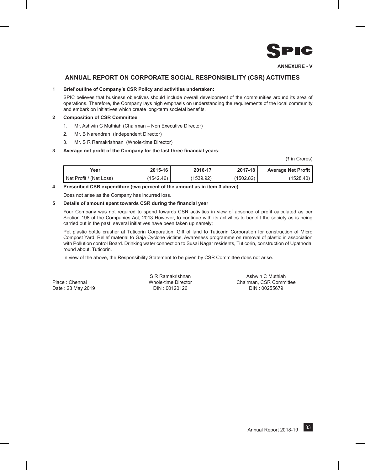

**ANNEXURE - V**

#### **ANNUAL REPORT ON CORPORATE SOCIAL RESPONSIBILITY (CSR) ACTIVITIES**

#### **1 Brief outline of Company's CSR Policy and activities undertaken:**

SPIC believes that business objectives should include overall development of the communities around its area of operations. Therefore, the Company lays high emphasis on understanding the requirements of the local community and embark on initiatives which create long-term societal benefits.

#### **2 Composition of CSR Committee**

- 1. Mr. Ashwin C Muthiah (Chairman Non Executive Director)
- 2. Mr. B Narendran (Independent Director)
- 3. Mr. S R Ramakrishnan (Whole-time Director)

#### **3 Average net profit of the Company for the last three financial years:**

(₹ in Crores)

| Year                    | 2015-16   | 2016-17   | 2017-18   | <b>Average Net Profit</b> |
|-------------------------|-----------|-----------|-----------|---------------------------|
| Net Profit / (Net Loss) | (1542.46) | (1539.92) | (1502.82) | (1528.40)                 |

#### **4 Prescribed CSR expenditure (two percent of the amount as in item 3 above)**

Does not arise as the Company has incurred loss.

#### **5 Details of amount spent towards CSR during the financial year**

Your Company was not required to spend towards CSR activities in view of absence of profit calculated as per Section 198 of the Companies Act, 2013 However, to continue with its activities to benefit the society as is being carried out in the past, several initiatives have been taken up namely;

Pet plastic bottle crusher at Tuticorin Corporation, Gift of land to Tuticorin Corporation for construction of Micro Compost Yard, Relief material to Gaja Cyclone victims, Awareness programme on removal of plastic in association with Pollution control Board. Drinking water connection to Susai Nagar residents, Tuticorin, construction of Upathodai round about, Tuticorin.

In view of the above, the Responsibility Statement to be given by CSR Committee does not arise.

S R Ramakrishnan Ashwin C Muthiah Place : Chennai Whole-time Director Chairman, CSR Committee Date : 23 May 2019 DIN : 00120126 DIN : 00255679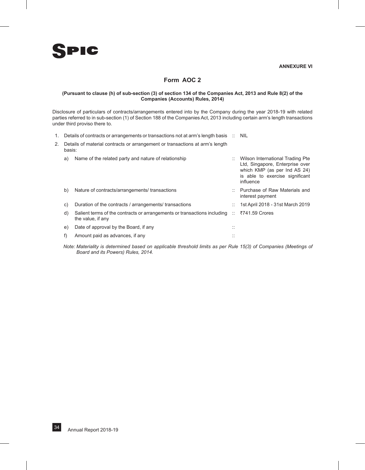

### **Form AOC 2**

#### **(Pursuant to clause (h) of sub-section (3) of section 134 of the Companies Act, 2013 and Rule 8(2) of the Companies (Accounts) Rules, 2014)**

Disclosure of particulars of contracts/arrangements entered into by the Company during the year 2018-19 with related parties referred to in sub-section (1) of Section 188 of the Companies Act, 2013 including certain arm's length transactions under third proviso there to.

- 1. Details of contracts or arrangements or transactions not at arm's length basis :: NIL
- 2. Details of material contracts or arrangement or transactions at arm's length basis:

| a) | Name of the related party and nature of relationship                                             |            | Wilson International Trading Pte<br>Ltd, Singapore, Enterprise over<br>which KMP (as per Ind AS 24)<br>is able to exercise significant<br>influence |
|----|--------------------------------------------------------------------------------------------------|------------|-----------------------------------------------------------------------------------------------------------------------------------------------------|
| b) | Nature of contracts/arrangements/ transactions                                                   |            | Purchase of Raw Materials and<br>interest payment                                                                                                   |
| C) | Duration of the contracts / arrangements/ transactions                                           |            | 1st April 2018 - 31st March 2019                                                                                                                    |
| d) | Salient terms of the contracts or arrangements or transactions including ::<br>the value, if any |            | ₹741.59 Crores                                                                                                                                      |
| e) | Date of approval by the Board, if any                                                            | . .<br>. . |                                                                                                                                                     |
|    | Amount paid as advances, if any                                                                  | <br>. .    |                                                                                                                                                     |

*Note: Materiality is determined based on applicable threshold limits as per Rule 15(3) of Companies (Meetings of Board and its Powers) Rules, 2014.*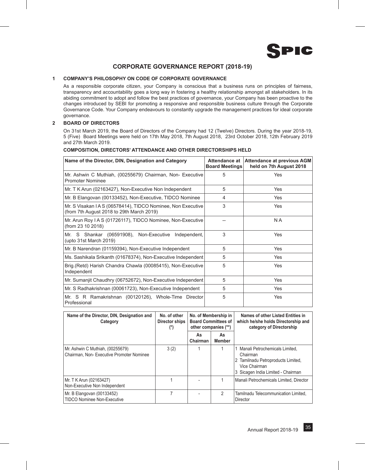

# **CORPORATE GOVERNANCE REPORT (2018-19)**

# **1 COMPANY'S PHILOSOPHY ON CODE OF CORPORATE GOVERNANCE**

As a responsible corporate citizen, your Company is conscious that a business runs on principles of fairness, transparency and accountability goes a long way in fostering a healthy relationship amongst all stakeholders. In its abiding commitment to adopt and follow the best practices of governance, your Company has been proactive to the changes introduced by SEBI for promoting a responsive and responsible business culture through the Corporate Governance Code. Your Company endeavours to constantly upgrade the management practices for ideal corporate governance.

# **2 BOARD OF DIRECTORS**

On 31st March 2019, the Board of Directors of the Company had 12 (Twelve) Directors. During the year 2018-19, 5 (Five) Board Meetings were held on 17th May 2018, 7th August 2018, 23rd October 2018, 12th February 2019 and 27th March 2019.

| Name of the Director, DIN, Designation and Category                                                       | Attendance at<br><b>Board Meetings</b> | <b>Attendance at previous AGM</b><br>held on 7th August 2018 |
|-----------------------------------------------------------------------------------------------------------|----------------------------------------|--------------------------------------------------------------|
| Mr. Ashwin C Muthiah, (00255679) Chairman, Non-Executive<br><b>Promoter Nominee</b>                       | 5                                      | Yes                                                          |
| Mr. T K Arun (02163427), Non-Executive Non Independent                                                    | 5                                      | Yes                                                          |
| Mr. B Elangovan (00133452), Non-Executive, TIDCO Nominee                                                  | 4                                      | Yes                                                          |
| Mr. S Visakan I A S (06578414), TIDCO Nominee, Non Executive<br>(from 7th August 2018 to 29th March 2019) | 3                                      | Yes                                                          |
| Mr. Arun Roy I A S (01726117), TIDCO Nominee, Non-Executive<br>(from 23 10 2018)                          |                                        | N A                                                          |
| Mr. S Shankar (06591908), Non-Executive<br>Independent,<br>(upto 31st March 2019)                         | 3                                      | Yes                                                          |
| Mr. B Narendran (01159394), Non-Executive Independent                                                     | 5                                      | Yes                                                          |
| Ms. Sashikala Srikanth (01678374), Non-Executive Independent                                              | 5                                      | Yes                                                          |
| Brig. (Retd) Harish Chandra Chawla (00085415), Non-Executive<br>Independent                               | 5                                      | Yes                                                          |
| Mr. Sumanjit Chaudhry (06752672), Non-Executive Independent                                               | 5                                      | Yes                                                          |
| Mr. S Radhakrishnan (00061723), Non-Executive Independent                                                 | 5                                      | Yes                                                          |
| Mr. S R Ramakrishnan (00120126), Whole-Time Director<br>Professional                                      | 5                                      | Yes                                                          |

# **COMPOSITION, DIRECTORS' ATTENDANCE AND OTHER DIRECTORSHIPS HELD**

| Name of the Director, DIN, Designation and<br>Category                        | No. of other<br>Director ships<br>$(*)$ | No. of Membership in<br><b>Board Committees of</b><br>other companies (**) |                     | Names of other Listed Entities in<br>which he/she holds Directorship and<br>category of Directorship                                      |
|-------------------------------------------------------------------------------|-----------------------------------------|----------------------------------------------------------------------------|---------------------|-------------------------------------------------------------------------------------------------------------------------------------------|
|                                                                               |                                         | As<br>Chairman                                                             | As<br><b>Member</b> |                                                                                                                                           |
| Mr. Ashwin C Muthiah, (00255679)<br>Chairman. Non- Executive Promoter Nominee | 3(2)                                    |                                                                            |                     | 1 Manali Petrochemicals Limited,<br>Chairman<br>2 Tamilnadu Petroproducts Limited,<br>Vice Chairman<br>3 Sicagen India Limited - Chairman |
| Mr. T K Arun (02163427)<br>Non-Executive Non Independent                      |                                         |                                                                            |                     | Manali Petrochemicals Limited. Director                                                                                                   |
| Mr. B Elangovan (00133452)<br>TIDCO Nominee Non-Executive                     |                                         |                                                                            | 2                   | Tamilnadu Telecommunication Limited.<br>Director                                                                                          |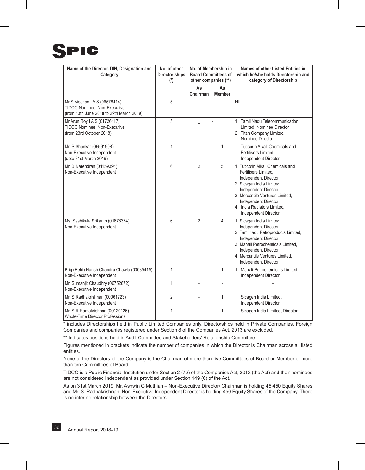

| Name of the Director, DIN, Designation and<br>Category                                                         | No. of other<br><b>Director ships</b><br>$(*)$ | No. of Membership in<br><b>Board Committees of</b><br>other companies (**) |                     | Names of other Listed Entities in<br>which he/she holds Directorship and<br>category of Directorship                                                                                                                                                         |
|----------------------------------------------------------------------------------------------------------------|------------------------------------------------|----------------------------------------------------------------------------|---------------------|--------------------------------------------------------------------------------------------------------------------------------------------------------------------------------------------------------------------------------------------------------------|
|                                                                                                                |                                                | As<br>Chairman                                                             | As<br><b>Member</b> |                                                                                                                                                                                                                                                              |
| Mr S Visakan IAS (06578414)<br><b>TIDCO Nominee. Non-Executive</b><br>(from 13th June 2018 to 29th March 2019) | 5                                              |                                                                            |                     | <b>NIL</b>                                                                                                                                                                                                                                                   |
| Mr Arun Roy I A S (01726117)<br><b>TIDCO Nominee. Non-Executive</b><br>(from 23rd October 2018)                | 5                                              |                                                                            |                     | 1. Tamil Nadu Telecommunication<br>Limited, Nominee Director<br>2. Titan Company Limited,<br>Nominee Director                                                                                                                                                |
| Mr. S Shankar (06591908)<br>Non-Executive Independent<br>(upto 31st March 2019)                                | 1                                              |                                                                            | 1                   | <b>Tuticorin Alkali Chemicals and</b><br>Fertilisers Limited,<br><b>Independent Director</b>                                                                                                                                                                 |
| Mr. B Narendran (01159394)<br>Non-Executive Independent                                                        | 6                                              | $\overline{2}$                                                             | 5                   | 1 Tuticorin Alkali Chemicals and<br>Fertilisers Limited.<br>Independent Director<br>2 Sicagen India Limited,<br><b>Independent Director</b><br>3 Mercantile Ventures Limited.<br>Independent Director<br>4. India Radiators Limited.<br>Independent Director |
| Ms. Sashikala Srikanth (01678374)<br>Non-Executive Independent                                                 | 6                                              | $\overline{2}$                                                             | 4                   | 1 Sicagen India Limited,<br>Independent Director<br>2 Tamilnadu Petroproducts Limited,<br><b>Independent Director</b><br>3 Manali Petrochemicals Limited,<br>Independent Director<br>4 Mercantile Ventures Limited,<br>Independent Director                  |
| Brig.(Retd) Harish Chandra Chawla (00085415)<br>Non-Executive Independent                                      | $\mathbf{1}$                                   |                                                                            | $\mathbf{1}$        | 1. Manali Petrochemicals Limited.<br>Independent Director                                                                                                                                                                                                    |
| Mr. Sumanjit Chaudhry (06752672)<br>Non-Executive Independent                                                  | 1                                              | $\frac{1}{2}$                                                              | $\overline{a}$      |                                                                                                                                                                                                                                                              |
| Mr. S Radhakrishnan (00061723)<br>Non-Executive Independent                                                    | $\overline{2}$                                 |                                                                            | 1                   | Sicagen India Limited,<br>Independent Director                                                                                                                                                                                                               |
| Mr. S R Ramakrishnan (00120126)<br>Whole-Time Director Professional                                            | 1                                              |                                                                            | 1                   | Sicagen India Limited, Director                                                                                                                                                                                                                              |

\* includes Directorships held in Public Limited Companies only. Directorships held in Private Companies, Foreign Companies and companies registered under Section 8 of the Companies Act, 2013 are excluded.

\*\* Indicates positions held in Audit Committee and Stakeholders' Relationship Committee.

Figures mentioned in brackets indicate the number of companies in which the Director is Chairman across all listed entities.

None of the Directors of the Company is the Chairman of more than five Committees of Board or Member of more than ten Committees of Board.

TIDCO is a Public Financial Institution under Section 2 (72) of the Companies Act, 2013 (the Act) and their nominees are not considered Independent as provided under Section 149 (6) of the Act.

As on 31st March 2019, Mr. Ashwin C Muthiah – Non-Executive Director/ Chairman is holding 45,450 Equity Shares and Mr. S. Radhakrishnan, Non-Executive Independent Director is holding 450 Equity Shares of the Company. There is no inter-se relationship between the Directors.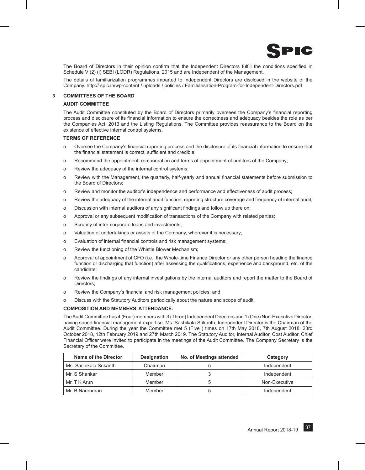

The Board of Directors in their opinion confirm that the Independent Directors fulfill the conditions specified in Schedule V (2) (i) SEBI (LODR) Regulations, 2015 and are Independent of the Management.

The details of familiarization programmes imparted to Independent Directors are disclosed in the website of the Company. http:// spic.in/wp-content / uploads / policies / Familiarisation-Program-for-Independent-Directors.pdf

# **3 COMMITTEES OF THE BOARD**

# **AUDIT COMMITTEE**

The Audit Committee constituted by the Board of Directors primarily oversees the Company's financial reporting process and disclosure of its financial information to ensure the correctness and adequacy besides the role as per the Companies Act, 2013 and the Listing Regulations. The Committee provides reassurance to the Board on the existence of effective internal control systems.

# **TERMS OF REFERENCE**

- o Oversee the Company's financial reporting process and the disclosure of its financial information to ensure that the financial statement is correct, sufficient and credible;
- o Recommend the appointment, remuneration and terms of appointment of auditors of the Company;
- o Review the adequacy of the internal control systems;
- o Review with the Management, the quarterly, half-yearly and annual financial statements before submission to the Board of Directors;
- o Review and monitor the auditor's independence and performance and effectiveness of audit process;
- o Review the adequacy of the internal audit function, reporting structure coverage and frequency of internal audit;
- o Discussion with internal auditors of any significant findings and follow up there on;
- o Approval or any subsequent modification of transactions of the Company with related parties;
- o Scrutiny of inter-corporate loans and investments;
- o Valuation of undertakings or assets of the Company, wherever it is necessary;
- o Evaluation of internal financial controls and risk management systems;
- o Review the functioning of the Whistle Blower Mechanism;
- o Approval of appointment of CFO (i.e., the Whole-time Finance Director or any other person heading the finance function or discharging that function) after assessing the qualifications, experience and background, etc. of the candidate;
- o Review the findings of any internal investigations by the internal auditors and report the matter to the Board of Directors;
- o Review the Company's financial and risk management policies; and
- o Discuss with the Statutory Auditors periodically about the nature and scope of audit.

# **COMPOSITION AND MEMBERS' ATTENDANCE:**

The Audit Committee has 4 (Four) members with 3 (Three) Independent Directors and 1 (One) Non-Executive Director, having sound financial management expertise. Ms. Sashikala Srikanth, Independent Director is the Chairman of the Audit Committee. During the year the Committee met 5 (Five ) times on 17th May 2018, 7th August 2018, 23rd October 2018, 12th February 2019 and 27th March 2019. The Statutory Auditor, Internal Auditor, Cost Auditor, Chief Financial Officer were invited to participate in the meetings of the Audit Committee. The Company Secretary is the Secretary of the Committee.

| Name of the Director   | <b>Designation</b> | No. of Meetings attended | Category      |
|------------------------|--------------------|--------------------------|---------------|
| Ms. Sashikala Srikanth | Chairman           |                          | Independent   |
| Mr. S Shankar          | Member             |                          | Independent   |
| Mr. T K Arun           | Member             |                          | Non-Executive |
| Mr. B Narendran        | Member             |                          | Independent   |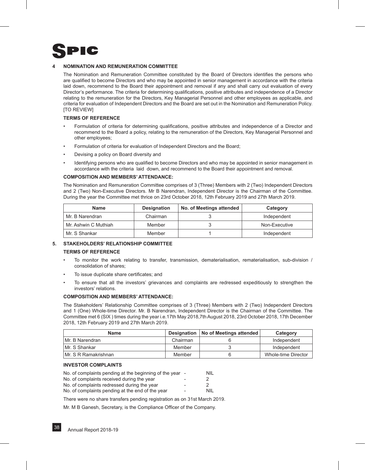

# **4 NOMINATION AND REMUNERATION COMMITTEE**

The Nomination and Remuneration Committee constituted by the Board of Directors identifies the persons who are qualified to become Directors and who may be appointed in senior management in accordance with the criteria laid down, recommend to the Board their appointment and removal if any and shall carry out evaluation of every Director's performance. The criteria for determining qualifications, positive attributes and independence of a Director relating to the remuneration for the Directors, Key Managerial Personnel and other employees as applicable, and criteria for evaluation of Independent Directors and the Board are set out in the Nomination and Remuneration Policy. **ITO REVIEWI** 

# **TERMS OF REFERENCE**

- Formulation of criteria for determining qualifications, positive attributes and independence of a Director and recommend to the Board a policy, relating to the remuneration of the Directors, Key Managerial Personnel and other employees;
- Formulation of criteria for evaluation of Independent Directors and the Board;
- Devising a policy on Board diversity and
- Identifying persons who are qualified to become Directors and who may be appointed in senior management in accordance with the criteria laid down, and recommend to the Board their appointment and removal.

# **COMPOSITION AND MEMBERS' ATTENDANCE:**

The Nomination and Remuneration Committee comprises of 3 (Three) Members with 2 (Two) Independent Directors and 2 (Two) Non-Executive Directors. Mr B Narendran, Independent Director is the Chairman of the Committee. During the year the Committee met thrice on 23rd October 2018, 12th February 2019 and 27th March 2019.

| <b>Name</b>          | <b>Designation</b> | No. of Meetings attended | Category      |
|----------------------|--------------------|--------------------------|---------------|
| Mr. B Narendran      | Chairman           |                          | Independent   |
| Mr. Ashwin C Muthiah | Member             |                          | Non-Executive |
| Mr. S Shankar        | Member             |                          | Independent   |

# **5. STAKEHOLDERS' RELATIONSHIP COMMITTEE**

# **TERMS OF REFERENCE**

- To monitor the work relating to transfer, transmission, dematerialisation, rematerialisation, sub-division / consolidation of shares;
- To issue duplicate share certificates; and
- To ensure that all the investors' grievances and complaints are redressed expeditiously to strengthen the investors' relations.

# **COMPOSITION AND MEMBERS' ATTENDANCE:**

The Stakeholders' Relationship Committee comprises of 3 (Three) Members with 2 (Two) Independent Directors and 1 (One) Whole-time Director. Mr. B Narendran, Independent Director is the Chairman of the Committee. The Committee met 6 (SIX ) times during the year i.e.17th May 2018,7th August 2018, 23rd October 2018, 17th December 2018, 12th February 2019 and 27th March 2019.

| <b>Name</b>           |          | Designation   No of Meetings attended | Category            |
|-----------------------|----------|---------------------------------------|---------------------|
| IMr. B Narendran      | Chairman |                                       | Independent         |
| IMr. S Shankar        | Member   |                                       | Independent         |
| IMr. S R Ramakrishnan | Member   |                                       | Whole-time Director |

# **INVESTOR COMPLAINTS**

| No. of complaints pending at the beginning of the year - |                          | NIL. |
|----------------------------------------------------------|--------------------------|------|
| No. of complaints received during the year               | $\overline{\phantom{0}}$ |      |
| No. of complaints redressed during the year              | $\overline{\phantom{0}}$ |      |
| No. of complaints pending at the end of the year         | $\overline{\phantom{0}}$ | NIL. |

There were no share transfers pending registration as on 31st March 2019.

Mr. M B Ganesh, Secretary, is the Compliance Officer of the Company.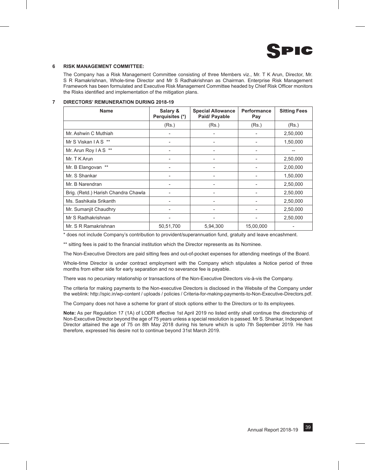

# **6 RISK MANAGEMENT COMMITTEE:**

The Company has a Risk Management Committee consisting of three Members viz., Mr. T K Arun, Director, Mr. S R Ramakrishnan, Whole-time Director and Mr S Radhakrishnan as Chairman. Enterprise Risk Management Framework has been formulated and Executive Risk Management Committee headed by Chief Risk Officer monitors the Risks identified and implementation of the mitigation plans.

# **7 DIRECTORS' REMUNERATION DURING 2018-19**

| <b>Name</b>                         | Salary &<br>Perquisites (*) | <b>Special Allowance</b><br>Paid/ Payable | Performance<br>Pay | <b>Sitting Fees</b> |
|-------------------------------------|-----------------------------|-------------------------------------------|--------------------|---------------------|
|                                     | (Rs.)                       | (Rs.)                                     | (Rs.)              | (Rs.)               |
| Mr. Ashwin C Muthiah                | $\overline{\phantom{a}}$    |                                           |                    | 2,50,000            |
| Mr S Viskan IAS **                  |                             |                                           |                    | 1,50,000            |
| Mr. Arun Roy I A S **               | -                           | -                                         |                    |                     |
| Mr. T K Arun                        |                             |                                           |                    | 2,50,000            |
| Mr. B Elangovan **                  | -                           | $\overline{\phantom{0}}$                  |                    | 2,00,000            |
| Mr. S Shankar                       |                             |                                           |                    | 1,50,000            |
| Mr. B Narendran                     |                             |                                           |                    | 2,50,000            |
| Brig. (Retd.) Harish Chandra Chawla |                             |                                           |                    | 2,50,000            |
| Ms. Sashikala Srikanth              |                             |                                           |                    | 2,50,000            |
| Mr. Sumanjit Chaudhry               |                             |                                           |                    | 2,50,000            |
| Mr S Radhakrishnan                  |                             |                                           |                    | 2,50,000            |
| Mr. S R Ramakrishnan                | 50,51,700                   | 5,94,300                                  | 15,00,000          |                     |

\* does not include Company's contribution to provident/superannuation fund, gratuity and leave encashment.

\*\* sitting fees is paid to the financial institution which the Director represents as its Nominee.

The Non-Executive Directors are paid sitting fees and out-of-pocket expenses for attending meetings of the Board.

Whole-time Director is under contract employment with the Company which stipulates a Notice period of three months from either side for early separation and no severance fee is payable.

There was no pecuniary relationship or transactions of the Non-Executive Directors vis-à-vis the Company.

The criteria for making payments to the Non-executive Directors is disclosed in the Website of the Company under the weblink: http://spic.in/wp-content / uploads / policies / Criteria-for-making-payments-to-Non-Executive-Directors.pdf.

The Company does not have a scheme for grant of stock options either to the Directors or to its employees.

**Note:** As per Regulation 17 (1A) of LODR effective 1st April 2019 no listed entity shall continue the directorship of Non-Executive Director beyond the age of 75 years unless a special resolution is passed. Mr S. Shankar, Independent Director attained the age of 75 on 8th May 2018 during his tenure which is upto 7th September 2019. He has therefore, expressed his desire not to continue beyond 31st March 2019.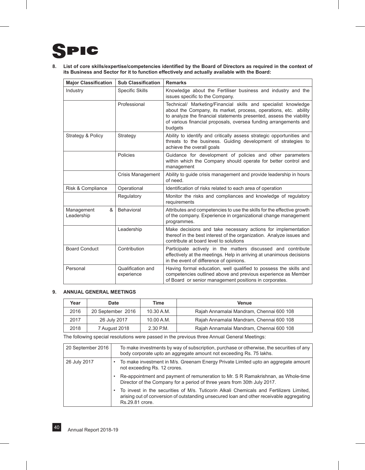# PIC 91

**8. List of core skills/expertise/competencies identified by the Board of Directors as required in the context of its Business and Sector for it to function effectively and actually available with the Board:**

| <b>Major Classification</b>   | <b>Sub Classification</b>       | <b>Remarks</b>                                                                                                                                                                                                                                                                           |
|-------------------------------|---------------------------------|------------------------------------------------------------------------------------------------------------------------------------------------------------------------------------------------------------------------------------------------------------------------------------------|
| Industry                      | Specific Skills                 | Knowledge about the Fertiliser business and industry and the<br>issues specific to the Company.                                                                                                                                                                                          |
|                               | Professional                    | Technical/ Marketing/Financial skills and specialist knowledge<br>about the Company, its market, process, operations, etc. ability<br>to analyze the financial statements presented, assess the viability<br>of various financial proposals, oversea funding arrangements and<br>budgets |
| Strategy & Policy             | Strategy                        | Ability to identify and critically assess strategic opportunities and<br>threats to the business. Guiding development of strategies to<br>achieve the overall goals                                                                                                                      |
|                               | Policies                        | Guidance for development of policies and other parameters<br>within which the Company should operate for better control and<br>management                                                                                                                                                |
|                               | <b>Crisis Management</b>        | Ability to guide crisis management and provide leadership in hours<br>of need.                                                                                                                                                                                                           |
| Risk & Compliance             | Operational                     | Identification of risks related to each area of operation                                                                                                                                                                                                                                |
|                               | Regulatory                      | Monitor the risks and compliances and knowledge of regulatory<br>requirements                                                                                                                                                                                                            |
| &<br>Management<br>Leadership | Behavioral                      | Attributes and competencies to use the skills for the effective growth<br>of the company. Experience in organizational change management<br>programmes.                                                                                                                                  |
|                               | Leadership                      | Make decisions and take necessary actions for implementation<br>thereof in the best interest of the organization. Analyze issues and<br>contribute at board level to solutions                                                                                                           |
| <b>Board Conduct</b>          | Contribution                    | Participate actively in the matters discussed and contribute<br>effectively at the meetings. Help in arriving at unanimous decisions<br>in the event of difference of opinions.                                                                                                          |
| Personal                      | Qualification and<br>experience | Having formal education, well qualified to possess the skills and<br>competencies outlined above and previous experience as Member<br>of Board or senior management positions in corporates.                                                                                             |

# **9. ANNUAL GENERAL MEETINGS**

| Year | Date              | Time       | <b>Venue</b>                             |
|------|-------------------|------------|------------------------------------------|
| 2016 | 20 September 2016 | 10.30 A.M. | Rajah Annamalai Mandram, Chennai 600 108 |
| 2017 | 26 July 2017      | 10.00 A.M. | Rajah Annamalai Mandram, Chennai 600 108 |
| 2018 | 7 August 2018     | 2 30 PM    | Rajah Annamalai Mandram, Chennai 600 108 |

The following special resolutions were passed in the previous three Annual General Meetings:

| 20 September 2016 | To make investments by way of subscription, purchase or otherwise, the securities of any<br>body corporate upto an aggregate amount not exceeding Rs. 75 lakhs.                                        |
|-------------------|--------------------------------------------------------------------------------------------------------------------------------------------------------------------------------------------------------|
| 26 July 2017      | To make investment in M/s. Greenam Energy Private Limited upto an aggregate amount<br>not exceeding Rs. 12 crores.                                                                                     |
|                   | Re-appointment and payment of remuneration to Mr. S R Ramakrishnan, as Whole-time<br>Director of the Company for a period of three years from 30th July 2017.                                          |
|                   | To invest in the securities of M/s. Tuticorin Alkali Chemicals and Fertilizers Limited,<br>arising out of conversion of outstanding unsecured loan and other receivable aggregating<br>Rs.29.81 crore. |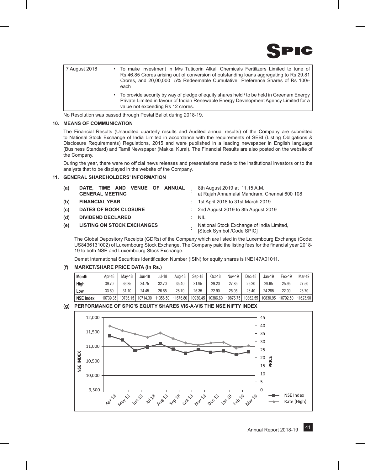

| 7 August 2018 | To make investment in M/s Tuticorin Alkali Chemicals Fertilizers Limited to tune of<br>Rs.46.85 Crores arising out of conversion of outstanding loans aggregating to Rs 29.81<br>Crores, and 20,00,000 5% Redeemable Cumulative Preference Shares of Rs 100/-<br>each |
|---------------|-----------------------------------------------------------------------------------------------------------------------------------------------------------------------------------------------------------------------------------------------------------------------|
|               | To provide security by way of pledge of equity shares held / to be held in Greenam Energy<br>Private Limited in favour of Indian Renewable Energy Development Agency Limited for a<br>value not exceeding Rs 12 crores.                                               |

No Resolution was passed through Postal Ballot during 2018-19.

# **10. MEANS OF COMMUNICATION**

The Financial Results (Unaudited quarterly results and Audited annual results) of the Company are submitted to National Stock Exchange of India Limited in accordance with the requirements of SEBI (Listing Obligations & Disclosure Requirements) Regulations, 2015 and were published in a leading newspaper in English language (Business Standard) and Tamil Newspaper (Makkal Kural). The Financial Results are also posted on the website of the Company.

During the year, there were no official news releases and presentations made to the institutional investors or to the analysts that to be displayed in the website of the Company.

# **11. GENERAL SHAREHOLDERS' INFORMATION**

| (a) | DATE, TIME AND VENUE OF ANNUAL<br><b>GENERAL MEETING</b> |                                                                        | 8th August 2019 at 11.15 A.M.<br>at Rajah Annamalai Mandram, Chennai 600 108 |  |  |  |
|-----|----------------------------------------------------------|------------------------------------------------------------------------|------------------------------------------------------------------------------|--|--|--|
| (b) | <b>FINANCIAL YEAR</b>                                    |                                                                        | : 1st April 2018 to 31st March 2019                                          |  |  |  |
| (c) | DATES OF BOOK CLOSURE                                    |                                                                        | $:$ 2nd August 2019 to 8th August 2019                                       |  |  |  |
| (d) | <b>DIVIDEND DECLARED</b>                                 |                                                                        | $\therefore$ NIL                                                             |  |  |  |
| (e) | <b>LISTING ON STOCK EXCHANGES</b>                        | National Stock Exchange of India Limited,<br>[Stock Symbol /Code SPIC] |                                                                              |  |  |  |

 The Global Depository Receipts (GDRs) of the Company which are listed in the Luxembourg Exchange (Code: US8436131002) of Luxembourg Stock Exchange. The Company paid the listing fees for the financial year 2018- 19 to both NSE and Luxembourg Stock Exchange.

Demat International Securities Identification Number (ISIN) for equity shares is INE147A01011.

# (**f) MARKET/SHARE PRICE DATA (in Rs.)**

| <b>Month</b>     | Apr-18   | Mav-18      | Jun-18   | Jul-18   | Aug-18   | Sep-18   | Oct-18   | <b>Nov-19</b> | Dec-18   | Jan-19   | Feb-19   | Mar-19   |
|------------------|----------|-------------|----------|----------|----------|----------|----------|---------------|----------|----------|----------|----------|
| High             | 39.70    | 36.85       | 34.75    | 32.70    | 35.40    | 31.95    | 29.20    | 27.85         | 29.20    | 29.65    | 25.95    | 27.50    |
| Low              | 33.60    | 31.10<br>21 | 24.45    | 26.65    | 28.70    | 25.35    | 22.90    | 25.05         | 23.40    | 24.285   | 22.00    | 23.70    |
| <b>NSE Index</b> | 10739.35 | 10736.15    | 10714.30 | 11356.50 | 11676.80 | 10930.45 | 10386.60 | 10876.75      | 10862.55 | 10830.95 | 10792.50 | 11623.90 |

# **(g) PERFORMANCE OF SPIC'S EQUITY SHARES VIS-A-VIS THE NSE NIFTY INDEX**

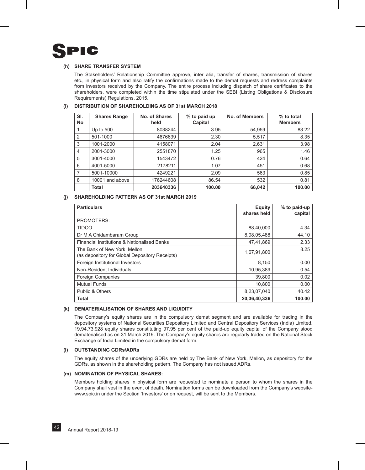

# **(h) SHARE TRANSFER SYSTEM**

 The Stakeholders' Relationship Committee approve, inter alia, transfer of shares, transmission of shares etc., in physical form and also ratify the confirmations made to the demat requests and redress complaints from investors received by the Company. The entire process including dispatch of share certificates to the shareholders, were completed within the time stipulated under the SEBI (Listing Obligations & Disclosure Requirements) Regulations, 2015.

| SI.<br><b>No</b> | <b>Shares Range</b> | No. of Shares<br>held | % to paid up<br>Capital | No. of Members | % to total<br><b>Members</b> |
|------------------|---------------------|-----------------------|-------------------------|----------------|------------------------------|
|                  | Up to $500$         | 8038244               | 3.95                    | 54,959         | 83.22                        |
| 2                | 501-1000            | 4676639               | 2.30                    | 5,517          | 8.35                         |
| 3                | 1001-2000           | 4158071               | 2.04                    | 2,631          | 3.98                         |
| $\overline{4}$   | 2001-3000           | 2551870               | 1.25                    | 965            | 1.46                         |
| 5                | 3001-4000           | 1543472               | 0.76                    | 424            | 0.64                         |
| 6                | 4001-5000           | 2178211               | 1.07                    | 451            | 0.68                         |
| 7                | 5001-10000          | 4249221               | 2.09                    | 563            | 0.85                         |
| 8                | 10001 and above     | 176244608             | 86.54                   | 532            | 0.81                         |
|                  | Total               | 203640336             | 100.00                  | 66,042         | 100.00                       |

# **(i) DISTRIBUTION OF SHAREHOLDING AS OF 31st MARCH 2018**

# **(j) SHAREHOLDING PATTERN AS OF 31st MARCH 2019**

| <b>Particulars</b>                                                            | Equity<br>shares held | % to paid-up<br>capital |
|-------------------------------------------------------------------------------|-----------------------|-------------------------|
| <b>PROMOTERS:</b>                                                             |                       |                         |
| <b>TIDCO</b>                                                                  | 88,40,000             | 4.34                    |
| Dr M A Chidambaram Group                                                      | 8,98,05,488           | 44.10                   |
| Financial Institutions & Nationalised Banks                                   | 47,41,869             | 2.33                    |
| The Bank of New York Mellon<br>(as depository for Global Depository Receipts) | 1,67,91,800           | 8.25                    |
| Foreign Institutional Investors                                               | 8,150                 | 0.00                    |
| Non-Resident Individuals                                                      | 10,95,389             | 0.54                    |
| <b>Foreign Companies</b>                                                      | 39,800                | 0.02                    |
| <b>Mutual Funds</b>                                                           | 10,800                | 0.00                    |
| Public & Others                                                               | 8,23,07,040           | 40.42                   |
| <b>Total</b>                                                                  | 20,36,40,336          | 100.00                  |

# **(k) DEMATERIALISATION OF SHARES AND LIQUIDITY**

The Company's equity shares are in the compulsory demat segment and are available for trading in the depository systems of National Securities Depository Limited and Central Depository Services (India) Limited. 19,94,73,928 equity shares constituting 97.95 per cent of the paid-up equity capital of the Company stood dematerialised as on 31 March 2019. The Company's equity shares are regularly traded on the National Stock Exchange of India Limited in the compulsory demat form.

# **(l) OUTSTANDING GDRs/ADRs**

The equity shares of the underlying GDRs are held by The Bank of New York, Mellon, as depository for the GDRs, as shown in the shareholding pattern. The Company has not issued ADRs.

# **(m) NOMINATION OF PHYSICAL SHARES:**

Members holding shares in physical form are requested to nominate a person to whom the shares in the Company shall vest in the event of death. Nomination forms can be downloaded from the Company's websitewww.spic.in under the Section 'Investors' or on request, will be sent to the Members.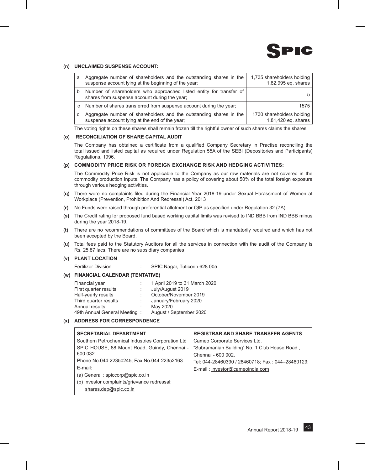

# **(n) UNCLAIMED SUSPENSE ACCOUNT:**

| a            | Aggregate number of shareholders and the outstanding shares in the<br>suspense account lying at the beginning of the year; | 1,735 shareholders holding<br>1,82,995 eq. shares |
|--------------|----------------------------------------------------------------------------------------------------------------------------|---------------------------------------------------|
| b            | Number of shareholders who approached listed entity for transfer of<br>shares from suspense account during the year;       | 51                                                |
| $\mathbf{C}$ | Number of shares transferred from suspense account during the year;                                                        | 1575                                              |
|              | Aggregate number of shareholders and the outstanding shares in the<br>suspense account lying at the end of the year;       | 1730 shareholders holding<br>1,81,420 eq. shares  |

The voting rights on these shares shall remain frozen till the rightful owner of such shares claims the shares.

# **(o) RECONCILIATION OF SHARE CAPITAL AUDIT**

The Company has obtained a certificate from a qualified Company Secretary in Practise reconciling the total issued and listed capital as required under Regulation 55A of the SEBI (Depositories and Participants) Regulations, 1996.

# **(p) Commodity price risk or foreign exchange risk and hedging activities:**

 The Commodity Price Risk is not applicable to the Company as our raw materials are not covered in the commodity production Inputs. The Company has a policy of covering about 50% of the total foreign exposure through various hedging activities.

- **(q)** There were no complaints filed during the Financial Year 2018-19 under Sexual Harassment of Women at Workplace (Prevention, Prohibition And Redressal) Act, 2013
- **(r)** No Funds were raised through preferential allotment or QIP as specified under Regulation 32 (7A)
- **(s)** The Credit rating for proposed fund based working capital limits was revised to IND BBB from IND BBB minus during the year 2018-19.
- **(t)** There are no recommendations of committees of the Board which is mandatorily required and which has not been accepted by the Board.
- **(u)** Total fees paid to the Statutory Auditors for all the services in connection with the audit of the Company is Rs. 25.87 lacs. There are no subsidiary companies

# **(v) PLANT LOCATION**

Fertilizer Division : SPIC Nagar, Tuticorin 628 005

# **(w) FINANCIAL CALENDAR (TENTATIVE)**

| Financial year               |   | 1 April 2019 to 31 March 2020 |
|------------------------------|---|-------------------------------|
| First quarter results        |   | July/August 2019              |
| Half-yearly results          |   | October/November 2019         |
| Third quarter results        |   | January/February 2020         |
| Annual results               | ÷ | May 2020                      |
| 49th Annual General Meeting: |   | August / September 2020       |

# **(x) ADDRESS FOR CORRESPONDENCE**

| <b>SECRETARIAL DEPARTMENT</b>                     | <b>REGISTRAR AND SHARE TRANSFER AGENTS</b>       |
|---------------------------------------------------|--------------------------------------------------|
| Southern Petrochemical Industries Corporation Ltd | Cameo Corporate Services Ltd.                    |
| SPIC HOUSE, 88 Mount Road, Guindy, Chennai -      | "Subramanian Building" No. 1 Club House Road,    |
| 600 032                                           | Chennai - 600 002.                               |
| Phone No.044-22350245; Fax No.044-22352163        | Tel: 044-28460390 / 28460718; Fax: 044-28460129; |
| E-mail:                                           | E-mail: investor@cameoindia.com                  |
| (a) General : $spiccorp@spic.co.in$               |                                                  |
| (b) Investor complaints/grievance redressal:      |                                                  |
| shares.dep@spic.co.in                             |                                                  |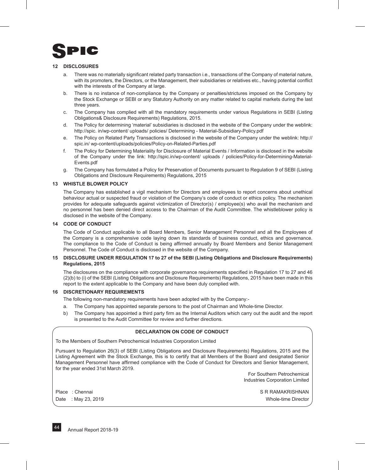

# **12 DISCLOSURES**

- a. There was no materially significant related party transaction i.e., transactions of the Company of material nature, with its promoters, the Directors, or the Management, their subsidiaries or relatives etc., having potential conflict with the interests of the Company at large.
- b. There is no instance of non-compliance by the Company or penalties/strictures imposed on the Company by the Stock Exchange or SEBI or any Statutory Authority on any matter related to capital markets during the last three years.
- c. The Company has complied with all the mandatory requirements under various Regulations in SEBI (Listing Obligations& Disclosure Requirements) Regulations, 2015.
- d. The Policy for determining 'material' subsidiaries is disclosed in the website of the Company under the weblink: http://spic. in/wp-content/ uploads/ policies/ Determining - Material-Subsidiary-Policy.pdf
- e. The Policy on Related Party Transactions is disclosed in the website of the Company under the weblink: http:// spic.in/ wp-content/uploads/policies/Policy-on-Related-Parties.pdf
- f. The Policy for Determining Materiality for Disclosure of Material Events / Information is disclosed in the website of the Company under the link: http://spic.in/wp-content/ uploads / policies/Policy-for-Determining-Material-Events.pdf
- g. The Company has formulated a Policy for Preservation of Documents pursuant to Regulation 9 of SEBI (Listing Obligations and Disclosure Requirements) Regulations, 2015

# **13 WHISTLE BLOWER POLICY**

The Company has established a vigil mechanism for Directors and employees to report concerns about unethical behaviour actual or suspected fraud or violation of the Company's code of conduct or ethics policy. The mechanism provides for adequate safeguards against victimization of Director(s) / employee(s) who avail the mechanism and no personnel has been denied direct access to the Chairman of the Audit Committee. The whistleblower policy is disclosed in the website of the Company.

# **14 CODE OF CONDUCT**

The Code of Conduct applicable to all Board Members, Senior Management Personnel and all the Employees of the Company is a comprehensive code laying down its standards of business conduct, ethics and governance. The compliance to the Code of Conduct is being affirmed annually by Board Members and Senior Management Personnel. The Code of Conduct is disclosed in the website of the Company.

# **15 DISCLOSURE UNDER REGULATION 17 to 27 of the SEBI (Listing Obligations and Disclosure Requirements) Regulations, 2015**

The disclosures on the compliance with corporate governance requirements specified in Regulation 17 to 27 and 46 (2)(b) to (i) of the SEBI (Listing Obligations and Disclosure Requirements) Regulations, 2015 have been made in this report to the extent applicable to the Company and have been duly complied with.

# **16 DISCRETIONARY REQUIREMENTS**

The following non-mandatory requirements have been adopted with by the Company:-

- a. The Company has appointed separate persons to the post of Chairman and Whole-time Director.
- b) The Company has appointed a third party firm as the Internal Auditors which carry out the audit and the report is presented to the Audit Committee for review and further directions.

# **DECLARATION ON CODE OF CONDUCT**

To the Members of Southern Petrochemical Industries Corporation Limited

Pursuant to Regulation 26(3) of SEBI (Listing Obligations and Disclosure Requirements) Regulations, 2015 and the Listing Agreement with the Stock Exchange, this is to certify that all Members of the Board and designated Senior Management Personnel have affirmed compliance with the Code of Conduct for Directors and Senior Management, for the year ended 31st March 2019.

> For Southern Petrochemical Industries Corporation Limited

Place : Chennai S R RAMAKRISHNAN S R RAMAKRISHNAN S R RAMAKRISHNAN Date : May 23, 2019 Whole-time Director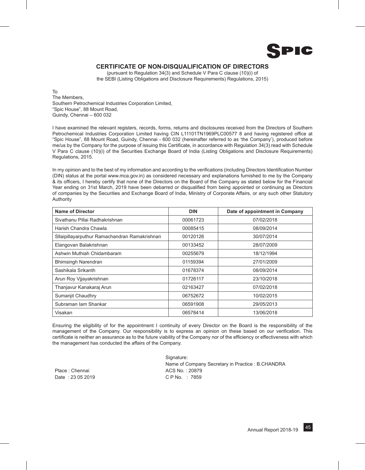

# **CERTIFICATE OF NON-DISQUALIFICATION OF DIRECTORS**

(pursuant to Regulation 34(3) and Schedule V Para C clause (10)(i) of the SEBI (Listing Obligations and Disclosure Requirements) Regulations, 2015)

To The Members, Southern Petrochemical Industries Corporation Limited, "Spic House", 88 Mount Road, Guindy, Chennai – 600 032

I have examined the relevant registers, records, forms, returns and disclosures received from the Directors of Southern Petrochemical Industries Corporation Limited having CIN L11101TN1969PLC00577 8 and having registered office at "Spic House", 88 Mount Road, Guindy, Chennai - 600 032 (hereinafter referred to as 'the Company'), produced before me/us by the Company for the purpose of issuing this Certificate, in accordance with Regulation 34(3) read with Schedule V Para C clause (10)(i) of the Securities Exchange Board of India (Listing Obligations and Disclosure Requirements) Regulations, 2015.

In my opinion and to the best of my information and according to the verifications (including Directors Identification Number (DIN) status at the portal www.mca.gov.in) as considered necessary and explanations furnished to me by the Company & its officers, I hereby certify that none of the Directors on the Board of the Company as stated below for the Financial Year ending on 31st March, 2019 have been debarred or disqualified from being appointed or continuing as Directors of companies by the Securities and Exchange Board of India, Ministry of Corporate Affairs, or any such other Statutory Authority

| <b>Name of Director</b>                       | <b>DIN</b> | Date of appointment in Company |
|-----------------------------------------------|------------|--------------------------------|
| Sivathanu Pillai Radhakrishnan                | 00061723   | 07/02/2018                     |
| Harish Chandra Chawla                         | 00085415   | 08/09/2014                     |
| Sllaipillayarputhur Ramachandran Ramakrishnan | 00120126   | 30/07/2014                     |
| Elangovan Balakrishnan                        | 00133452   | 28/07/2009                     |
| Ashwin Muthiah Chidambaram                    | 00255679   | 18/12/1994                     |
| <b>Bhimsingh Narendran</b>                    | 01159394   | 27/01/2009                     |
| Sashikala Srikanth                            | 01678374   | 08/09/2014                     |
| Arun Roy Vijayakrishnan                       | 01726117   | 23/10/2018                     |
| Thanjavur Kanakaraj Arun                      | 02163427   | 07/02/2018                     |
| Sumanjit Chaudhry                             | 06752672   | 10/02/2015                     |
| Subraman lam Shankar                          | 06591908   | 29/05/2013                     |
| Visakan                                       | 06578414   | 13/06/2018                     |

Ensuring the eligibility of for the appointment I continuity of every Director on the Board is the responsibility of the management of the Company. Our responsibility is to express an opinion on these based on our verification. This certificate is neither an assurance as to the future viability of the Company nor of the efficiency or effectiveness with which the management has conducted the affairs of the Company.

Place : Chennai ACS No. : 20879 Date : 23 05 2019 C P No. : 7859

Signature: Name of Company Secretary in Practice : B.CHANDRA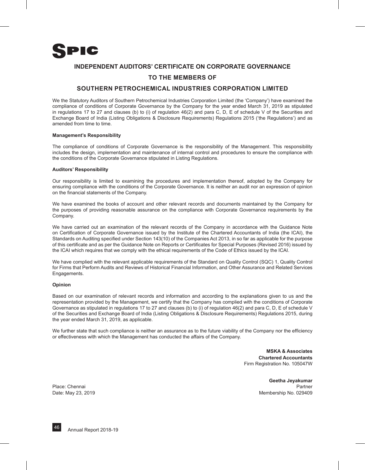

# **INDEPENDENT AUDITORS' CERTIFICATE ON CORPORATE GOVERNANCE**

# **To the Members of**

# **Southern Petrochemical Industries Corporation Limited**

We the Statutory Auditors of Southern Petrochemical Industries Corporation Limited (the 'Company') have examined the compliance of conditions of Corporate Governance by the Company for the year ended March 31, 2019 as stipulated in regulations 17 to 27 and clauses (b) to (i) of regulation 46(2) and para C, D, E of schedule V of the Securities and Exchange Board of India (Listing Obligations & Disclosure Requirements) Regulations 2015 ('the Regulations') and as amended from time to time.

# **Management's Responsibility**

The compliance of conditions of Corporate Governance is the responsibility of the Management. This responsibility includes the design, implementation and maintenance of internal control and procedures to ensure the compliance with the conditions of the Corporate Governance stipulated in Listing Regulations.

# **Auditors' Responsibility**

Our responsibility is limited to examining the procedures and implementation thereof, adopted by the Company for ensuring compliance with the conditions of the Corporate Governance. It is neither an audit nor an expression of opinion on the financial statements of the Company.

We have examined the books of account and other relevant records and documents maintained by the Company for the purposes of providing reasonable assurance on the compliance with Corporate Governance requirements by the Company.

We have carried out an examination of the relevant records of the Company in accordance with the Guidance Note on Certification of Corporate Governance issued by the Institute of the Chartered Accountants of India (the ICAI), the Standards on Auditing specified under Section 143(10) of the Companies Act 2013, in so far as applicable for the purpose of this certificate and as per the Guidance Note on Reports or Certificates for Special Purposes (Revised 2016) issued by the ICAI which requires that we comply with the ethical requirements of the Code of Ethics issued by the ICAI.

We have complied with the relevant applicable requirements of the Standard on Quality Control (SQC) 1, Quality Control for Firms that Perform Audits and Reviews of Historical Financial Information, and Other Assurance and Related Services Engagements.

# **Opinion**

Based on our examination of relevant records and information and according to the explanations given to us and the representation provided by the Management, we certify that the Company has complied with the conditions of Corporate Governance as stipulated in regulations 17 to 27 and clauses (b) to (i) of regulation 46(2) and para C, D, E of schedule V of the Securities and Exchange Board of India (Listing Obligations & Disclosure Requirements) Regulations 2015, during the year ended March 31, 2019, as applicable.

We further state that such compliance is neither an assurance as to the future viability of the Company nor the efficiency or effectiveness with which the Management has conducted the affairs of the Company.

> **MSKA & Associates Chartered Accountants** Firm Registration No. 105047W

**Geetha Jeyakumar** Place: Chennai **Partner** Partner Partner Partner Partner Partner Partner Partner Partner Partner Partner Partner Date: May 23, 2019 Membership No. 029409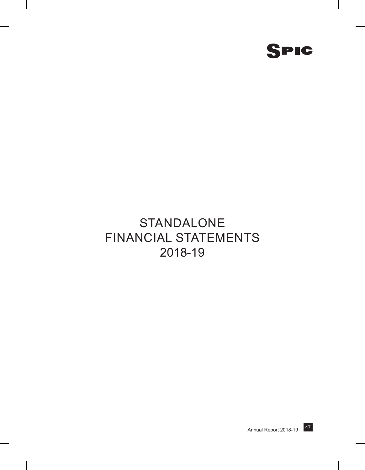

# STANDALONE Financial Statements 2018-19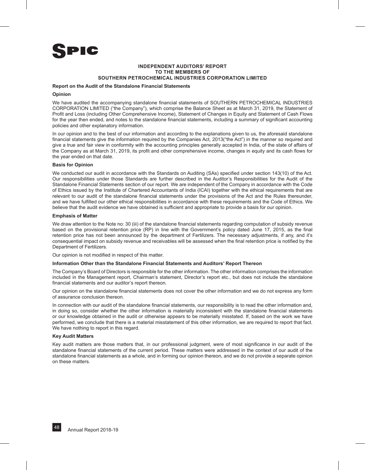

# **INDEPENDENT AUDITORS' REPORT To The Members of Southern Petrochemical Industries Corporation Limited**

# **Report on the Audit of the Standalone Financial Statements**

# **Opinion**

We have audited the accompanying standalone financial statements of SOUTHERN PETROCHEMICAL INDUSTRIES CORPORATION LIMITED ("the Company"), which comprise the Balance Sheet as at March 31, 2019, the Statement of Profit and Loss (including Other Comprehensive Income), Statement of Changes in Equity and Statement of Cash Flows for the year then ended, and notes to the standalone financial statements, including a summary of significant accounting policies and other explanatory information.

In our opinion and to the best of our information and according to the explanations given to us, the aforesaid standalone financial statements give the information required by the Companies Act, 2013("the Act") in the manner so required and give a true and fair view in conformity with the accounting principles generally accepted in India, of the state of affairs of the Company as at March 31, 2019, its profit and other comprehensive income, changes in equity and its cash flows for the year ended on that date.

# **Basis for Opinion**

We conducted our audit in accordance with the Standards on Auditing (SAs) specified under section 143(10) of the Act. Our responsibilities under those Standards are further described in the Auditor's Responsibilities for the Audit of the Standalone Financial Statements section of our report. We are independent of the Company in accordance with the Code of Ethics issued by the Institute of Chartered Accountants of India (ICAI) together with the ethical requirements that are relevant to our audit of the standalone financial statements under the provisions of the Act and the Rules thereunder, and we have fulfilled our other ethical responsibilities in accordance with these requirements and the Code of Ethics. We believe that the audit evidence we have obtained is sufficient and appropriate to provide a basis for our opinion.

# **Emphasis of Matter**

We draw attention to the Note no: 30 (iii) of the standalone financial statements regarding computation of subsidy revenue based on the provisional retention price (RP) in line with the Government's policy dated June 17, 2015, as the final retention price has not been announced by the department of Fertilizers. The necessary adjustments, if any, and it's consequential impact on subsidy revenue and receivables will be assessed when the final retention price is notified by the Department of Fertilizers.

Our opinion is not modified in respect of this matter.

# **Information Other than the Standalone Financial Statements and Auditors' Report Thereon**

The Company's Board of Directors is responsible for the other information. The other information comprises the information included in the Management report, Chairman's statement, Director's report etc., but does not include the standalone financial statements and our auditor's report thereon.

Our opinion on the standalone financial statements does not cover the other information and we do not express any form of assurance conclusion thereon.

In connection with our audit of the standalone financial statements, our responsibility is to read the other information and, in doing so, consider whether the other information is materially inconsistent with the standalone financial statements or our knowledge obtained in the audit or otherwise appears to be materially misstated. If, based on the work we have performed, we conclude that there is a material misstatement of this other information, we are required to report that fact. We have nothing to report in this regard.

# **Key Audit Matters**

Key audit matters are those matters that, in our professional judgment, were of most significance in our audit of the standalone financial statements of the current period. These matters were addressed in the context of our audit of the standalone financial statements as a whole, and in forming our opinion thereon, and we do not provide a separate opinion on these matters.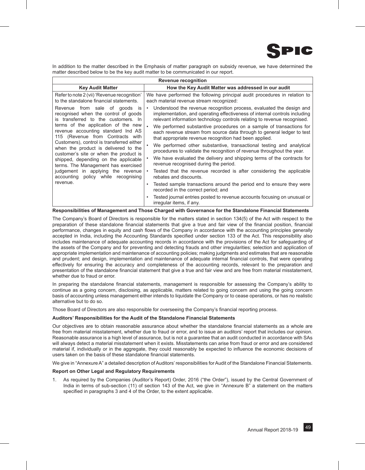

In addition to the matter described in the Emphasis of matter paragraph on subsidy revenue, we have determined the matter described below to be the key audit matter to be communicated in our report.

|                                                                                                                                                                                           | Revenue recognition                                                                                                                                                                                                                                                                                                                                                                          |  |  |  |  |
|-------------------------------------------------------------------------------------------------------------------------------------------------------------------------------------------|----------------------------------------------------------------------------------------------------------------------------------------------------------------------------------------------------------------------------------------------------------------------------------------------------------------------------------------------------------------------------------------------|--|--|--|--|
| <b>Key Audit Matter</b>                                                                                                                                                                   | How the Key Audit Matter was addressed in our audit                                                                                                                                                                                                                                                                                                                                          |  |  |  |  |
| Refer to note 2 (vii) 'Revenue recognition'<br>to the standalone financial statements.                                                                                                    | We have performed the following principal audit procedures in relation to<br>each material revenue stream recognized:                                                                                                                                                                                                                                                                        |  |  |  |  |
| Revenue from sale of goods is<br>recognised when the control of goods<br>is transferred to the customers. In<br>terms of the application of the new<br>revenue accounting standard Ind AS | Understood the revenue recognition process, evaluated the design and<br>$\bullet$<br>implementation, and operating effectiveness of internal controls including<br>relevant information technology controls relating to revenue recognised.<br>We performed substantive procedures on a sample of transactions for<br>each revenue stream from source data through to general ledger to test |  |  |  |  |
| 115 (Revenue from Contracts with<br>Customers), control is transferred either<br>when the product is delivered to the                                                                     | that appropriate revenue recognition had been applied.<br>We performed other substantive, transactional testing and analytical                                                                                                                                                                                                                                                               |  |  |  |  |
| customer's site or when the product is<br>shipped, depending on the applicable<br>terms. The Management has exercised                                                                     | procedures to validate the recognition of revenue throughout the year.<br>We have evaluated the delivery and shipping terms of the contracts for<br>revenue recognised during the period.                                                                                                                                                                                                    |  |  |  |  |
| judgement in applying the revenue<br>accounting policy while recognising                                                                                                                  | Tested that the revenue recorded is after considering the applicable<br>rebates and discounts.                                                                                                                                                                                                                                                                                               |  |  |  |  |
| revenue.                                                                                                                                                                                  | Tested sample transactions around the period end to ensure they were<br>$\bullet$<br>recorded in the correct period; and                                                                                                                                                                                                                                                                     |  |  |  |  |
|                                                                                                                                                                                           | Tested journal entries posted to revenue accounts focusing on unusual or<br>٠<br>irregular items, if any.                                                                                                                                                                                                                                                                                    |  |  |  |  |
|                                                                                                                                                                                           |                                                                                                                                                                                                                                                                                                                                                                                              |  |  |  |  |

# **Responsibilities of Management and Those Charged with Governance for the Standalone Financial Statements**

The Company's Board of Directors is responsible for the matters stated in section 134(5) of the Act with respect to the preparation of these standalone financial statements that give a true and fair view of the financial position, financial performance, changes in equity and cash flows of the Company in accordance with the accounting principles generally accepted in India, including the Accounting Standards specified under section 133 of the Act. This responsibility also includes maintenance of adequate accounting records in accordance with the provisions of the Act for safeguarding of the assets of the Company and for preventing and detecting frauds and other irregularities; selection and application of appropriate implementation and maintenance of accounting policies; making judgments and estimates that are reasonable and prudent; and design, implementation and maintenance of adequate internal financial controls, that were operating effectively for ensuring the accuracy and completeness of the accounting records, relevant to the preparation and presentation of the standalone financial statement that give a true and fair view and are free from material misstatement, whether due to fraud or error.

In preparing the standalone financial statements, management is responsible for assessing the Company's ability to continue as a going concern, disclosing, as applicable, matters related to going concern and using the going concern basis of accounting unless management either intends to liquidate the Company or to cease operations, or has no realistic alternative but to do so.

Those Board of Directors are also responsible for overseeing the Company's financial reporting process.

# **Auditors' Responsibilities for the Audit of the Standalone Financial Statements**

Our objectives are to obtain reasonable assurance about whether the standalone financial statements as a whole are free from material misstatement, whether due to fraud or error, and to issue an auditors' report that includes our opinion. Reasonable assurance is a high level of assurance, but is not a guarantee that an audit conducted in accordance with SAs will always detect a material misstatement when it exists. Misstatements can arise from fraud or error and are considered material if, individually or in the aggregate, they could reasonably be expected to influence the economic decisions of users taken on the basis of these standalone financial statements.

We give in "Annexure A" a detailed description of Auditors' responsibilities for Audit of the Standalone Financial Statements.

# **Report on Other Legal and Regulatory Requirements**

1. As required by the Companies (Auditor's Report) Order, 2016 ("the Order"), issued by the Central Government of India in terms of sub-section (11) of section 143 of the Act, we give in "Annexure B" a statement on the matters specified in paragraphs 3 and 4 of the Order, to the extent applicable.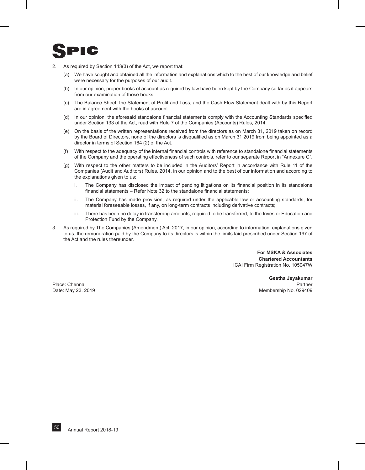

- 2. As required by Section 143(3) of the Act, we report that:
	- (a) We have sought and obtained all the information and explanations which to the best of our knowledge and belief were necessary for the purposes of our audit.
	- (b) In our opinion, proper books of account as required by law have been kept by the Company so far as it appears from our examination of those books.
	- (c) The Balance Sheet, the Statement of Profit and Loss, and the Cash Flow Statement dealt with by this Report are in agreement with the books of account.
	- (d) In our opinion, the aforesaid standalone financial statements comply with the Accounting Standards specified under Section 133 of the Act, read with Rule 7 of the Companies (Accounts) Rules, 2014.
	- (e) On the basis of the written representations received from the directors as on March 31, 2019 taken on record by the Board of Directors, none of the directors is disqualified as on March 31 2019 from being appointed as a director in terms of Section 164 (2) of the Act.
	- (f) With respect to the adequacy of the internal financial controls with reference to standalone financial statements of the Company and the operating effectiveness of such controls, refer to our separate Report in "Annexure C".
	- (g) With respect to the other matters to be included in the Auditors' Report in accordance with Rule 11 of the Companies (Audit and Auditors) Rules, 2014, in our opinion and to the best of our information and according to the explanations given to us:
		- i. The Company has disclosed the impact of pending litigations on its financial position in its standalone financial statements – Refer Note 32 to the standalone financial statements;
		- ii. The Company has made provision, as required under the applicable law or accounting standards, for material foreseeable losses, if any, on long-term contracts including derivative contracts;
		- iii. There has been no delay in transferring amounts, required to be transferred, to the Investor Education and Protection Fund by the Company.
- 3. As required by The Companies (Amendment) Act, 2017, in our opinion, according to information, explanations given to us, the remuneration paid by the Company to its directors is within the limits laid prescribed under Section 197 of the Act and the rules thereunder.

**For MSKA & Associates Chartered Accountants** ICAI Firm Registration No. 105047W

**Geetha Jeyakumar** Place: Chennai **Partner** Partner Partner Partner Partner Partner Partner Partner Partner Partner Partner Partner Date: May 23, 2019 Membership No. 029409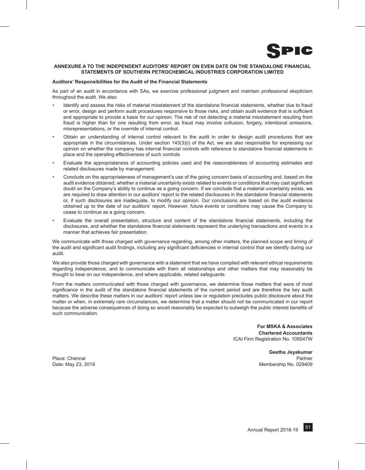

# **ANNEXURE A TO THE INDEPENDENT AUDITORS' REPORT ON EVEN DATE ON THE STANDALONE FINANCIAL STATEMENTS OF SOUTHERN PETROCHEMICAL INDUSTRIES CORPORATION LIMITED**

# **Auditors' Responsibilities for the Audit of the Financial Statements**

As part of an audit in accordance with SAs, we exercise professional judgment and maintain professional skepticism throughout the audit. We also:

- Identify and assess the risks of material misstatement of the standalone financial statements, whether due to fraud or error, design and perform audit procedures responsive to those risks, and obtain audit evidence that is sufficient and appropriate to provide a basis for our opinion. The risk of not detecting a material misstatement resulting from fraud is higher than for one resulting from error, as fraud may involve collusion, forgery, intentional omissions, misrepresentations, or the override of internal control.
- Obtain an understanding of internal control relevant to the audit in order to design audit procedures that are appropriate in the circumstances. Under section 143(3)(i) of the Act, we are also responsible for expressing our opinion on whether the company has internal financial controls with reference to standalone financial statements in place and the operating effectiveness of such controls.
- Evaluate the appropriateness of accounting policies used and the reasonableness of accounting estimates and related disclosures made by management.
- Conclude on the appropriateness of management's use of the going concern basis of accounting and, based on the audit evidence obtained, whether a material uncertainty exists related to events or conditions that may cast significant doubt on the Company's ability to continue as a going concern. If we conclude that a material uncertainty exists, we are required to draw attention in our auditors' report to the related disclosures in the standalone financial statements or, if such disclosures are inadequate, to modify our opinion. Our conclusions are based on the audit evidence obtained up to the date of our auditors' report. However, future events or conditions may cause the Company to cease to continue as a going concern.
- Evaluate the overall presentation, structure and content of the standalone financial statements, including the disclosures, and whether the standalone financial statements represent the underlying transactions and events in a manner that achieves fair presentation.

We communicate with those charged with governance regarding, among other matters, the planned scope and timing of the audit and significant audit findings, including any significant deficiencies in internal control that we identify during our audit.

We also provide those charged with governance with a statement that we have complied with relevant ethical requirements regarding independence, and to communicate with them all relationships and other matters that may reasonably be thought to bear on our independence, and where applicable, related safeguards.

From the matters communicated with those charged with governance, we determine those matters that were of most significance in the audit of the standalone financial statements of the current period and are therefore the key audit matters. We describe these matters in our auditors' report unless law or regulation precludes public disclosure about the matter or when, in extremely rare circumstances, we determine that a matter should not be communicated in our report because the adverse consequences of doing so would reasonably be expected to outweigh the public interest benefits of such communication.

> **For MSKA & Associates Chartered Accountants** ICAI Firm Registration No. 105047W

Place: Chennai

**Geetha Jeyakumar** Date: May 23, 2019 Membership No. 029409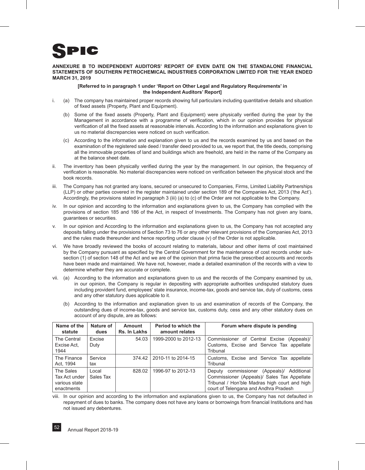

# **ANNEXURE B TO INDEPENDENT AUDITORS' REPORT OF EVEN DATE ON THE STANDALONE FINANCIAL STATEMENTS OF SOUTHERN PETROCHEMICAL INDUSTRIES CORPORATION LIMITED FOR THE YEAR ENDED MARCH 31, 2019**

# **[Referred to in paragraph 1 under 'Report on Other Legal and Regulatory Requirements' in the Independent Auditors' Report]**

- i. (a) The company has maintained proper records showing full particulars including quantitative details and situation of fixed assets (Property, Plant and Equipment).
	- (b) Some of the fixed assets (Property, Plant and Equipment) were physically verified during the year by the Management in accordance with a programme of verification, which in our opinion provides for physical verification of all the fixed assets at reasonable intervals. According to the information and explanations given to us no material discrepancies were noticed on such verification.
	- (c) According to the information and explanation given to us and the records examined by us and based on the examination of the registered sale deed / transfer deed provided to us, we report that, the title deeds, comprising all the immovable properties of land and buildings which are freehold, are held in the name of the Company as at the balance sheet date.
- ii. The inventory has been physically verified during the year by the management. In our opinion, the frequency of verification is reasonable. No material discrepancies were noticed on verification between the physical stock and the book records.
- iii. The Company has not granted any loans, secured or unsecured to Companies, Firms, Limited Liability Partnerships (LLP) or other parties covered in the register maintained under section 189 of the Companies Act, 2013 ('the Act'). Accordingly, the provisions stated in paragraph 3 (iii) (a) to (c) of the Order are not applicable to the Company.
- iv. In our opinion and according to the information and explanations given to us, the Company has complied with the provisions of section 185 and 186 of the Act, in respect of Investments. The Company has not given any loans, guarantees or securities.
- v. In our opinion and According to the information and explanations given to us, the Company has not accepted any deposits falling under the provisions of Section 73 to 76 or any other relevant provisions of the Companies Act, 2013 and the rules made thereunder and hence reporting under clause (v) of the Order is not applicable.
- vi. We have broadly reviewed the books of account relating to materials, labour and other items of cost maintained by the Company pursuant as specified by the Central Government for the maintenance of cost records under subsection (1) of section 148 of the Act and we are of the opinion that prima facie the prescribed accounts and records have been made and maintained. We have not, however, made a detailed examination of the records with a view to determine whether they are accurate or complete.
- vii. (a) According to the information and explanations given to us and the records of the Company examined by us, in our opinion, the Company is regular in depositing with appropriate authorities undisputed statutory dues including provident fund, employees' state insurance, income-tax, goods and service tax, duty of customs, cess and any other statutory dues applicable to it.
	- (b) According to the information and explanation given to us and examination of records of the Company, the outstanding dues of income-tax, goods and service tax, customs duty, cess and any other statutory dues on account of any dispute, are as follows:

| Name of the<br>statute                                      | Nature of<br>dues  | Amount<br>Rs. In Lakhs | Period to which the<br>amount relates | Forum where dispute is pending                                                                                                                                                           |
|-------------------------------------------------------------|--------------------|------------------------|---------------------------------------|------------------------------------------------------------------------------------------------------------------------------------------------------------------------------------------|
| The Central<br>Excise Act.<br>1944                          | Excise<br>Duty     | 54.03                  | 1999-2000 to 2012-13                  | Commissioner of Central Excise (Appeals)/<br>Customs, Excise and Service Tax appellate<br>Tribunal                                                                                       |
| The Finance<br>Act, 1994                                    | Service<br>tax     | 374.42                 | 2010-11 to 2014-15                    | Customs, Excise and Service Tax appellate<br>Tribunal                                                                                                                                    |
| The Sales<br>Tax Act under I<br>various state<br>enactments | Local<br>Sales Tax | 828.02                 | 1996-97 to 2012-13                    | commissioner<br>(Appeals)/ Additional<br>Deputy<br>Commissioner (Appeals)/ Sales Tax Appellate<br>Tribunal / Hon'ble Madras high court and high<br>court of Telengana and Andhra Pradesh |

viii. In our opinion and according to the information and explanations given to us, the Company has not defaulted in repayment of dues to banks. The company does not have any loans or borrowings from financial Institutions and has not issued any debentures.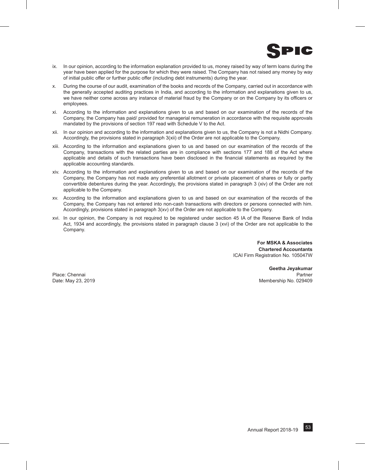

- ix. In our opinion, according to the information explanation provided to us, money raised by way of term loans during the year have been applied for the purpose for which they were raised. The Company has not raised any money by way of initial public offer or further public offer (including debt instruments) during the year.
- x. During the course of our audit, examination of the books and records of the Company, carried out in accordance with the generally accepted auditing practices in India, and according to the information and explanations given to us, we have neither come across any instance of material fraud by the Company or on the Company by its officers or employees.
- xi. According to the information and explanations given to us and based on our examination of the records of the Company, the Company has paid/ provided for managerial remuneration in accordance with the requisite approvals mandated by the provisions of section 197 read with Schedule V to the Act.
- xii. In our opinion and according to the information and explanations given to us, the Company is not a Nidhi Company. Accordingly, the provisions stated in paragraph 3(xii) of the Order are not applicable to the Company.
- xiii. According to the information and explanations given to us and based on our examination of the records of the Company, transactions with the related parties are in compliance with sections 177 and 188 of the Act where applicable and details of such transactions have been disclosed in the financial statements as required by the applicable accounting standards.
- xiv. According to the information and explanations given to us and based on our examination of the records of the Company, the Company has not made any preferential allotment or private placement of shares or fully or partly convertible debentures during the year. Accordingly, the provisions stated in paragraph 3 (xiv) of the Order are not applicable to the Company.
- xv. According to the information and explanations given to us and based on our examination of the records of the Company, the Company has not entered into non-cash transactions with directors or persons connected with him. Accordingly, provisions stated in paragraph 3(xv) of the Order are not applicable to the Company.
- xvi. In our opinion, the Company is not required to be registered under section 45 IA of the Reserve Bank of India Act, 1934 and accordingly, the provisions stated in paragraph clause 3 (xvi) of the Order are not applicable to the Company.

**For MSKA & Associates Chartered Accountants** ICAI Firm Registration No. 105047W

**Geetha Jeyakumar** Place: Chennai **Partner** Partner Partner Partner Partner Partner Partner Partner Partner Partner Partner Partner Date: May 23, 2019 Membership No. 029409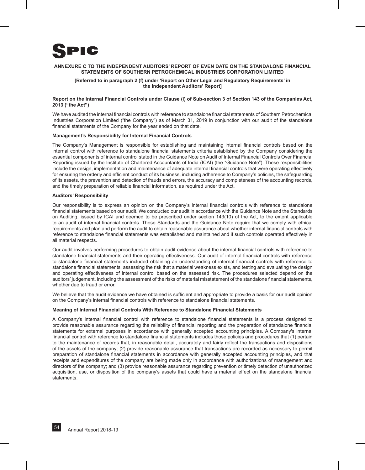

# **ANNEXURE C TO THE INDEPENDENT AUDITORS' REPORT OF EVEN DATE ON THE STANDALONE FINANCIAL STATEMENTS OF SOUTHERN PETROCHEMICAL INDUSTRIES CORPORATION LIMITED**

# **[Referred to in paragraph 2 (f) under 'Report on Other Legal and Regulatory Requirements' in the Independent Auditors' Report]**

# **Report on the Internal Financial Controls under Clause (i) of Sub-section 3 of Section 143 of the Companies Act, 2013 ("the Act")**

We have audited the internal financial controls with reference to standalone financial statements of Southern Petrochemical Industries Corporation Limited ("the Company") as of March 31, 2019 in conjunction with our audit of the standalone financial statements of the Company for the year ended on that date.

# **Management's Responsibility for Internal Financial Controls**

The Company's Management is responsible for establishing and maintaining internal financial controls based on the internal control with reference to standalone financial statements criteria established by the Company considering the essential components of internal control stated in the Guidance Note on Audit of Internal Financial Controls Over Financial Reporting issued by the Institute of Chartered Accountants of India (ICAI) (the "Guidance Note"). These responsibilities include the design, implementation and maintenance of adequate internal financial controls that were operating effectively for ensuring the orderly and efficient conduct of its business, including adherence to Company's policies, the safeguarding of its assets, the prevention and detection of frauds and errors, the accuracy and completeness of the accounting records, and the timely preparation of reliable financial information, as required under the Act.

# **Auditors' Responsibility**

Our responsibility is to express an opinion on the Company's internal financial controls with reference to standalone financial statements based on our audit. We conducted our audit in accordance with the Guidance Note and the Standards on Auditing, issued by ICAI and deemed to be prescribed under section 143(10) of the Act, to the extent applicable to an audit of internal financial controls. Those Standards and the Guidance Note require that we comply with ethical requirements and plan and perform the audit to obtain reasonable assurance about whether internal financial controls with reference to standalone financial statements was established and maintained and if such controls operated effectively in all material respects.

Our audit involves performing procedures to obtain audit evidence about the internal financial controls with reference to standalone financial statements and their operating effectiveness. Our audit of internal financial controls with reference to standalone financial statements included obtaining an understanding of internal financial controls with reference to standalone financial statements, assessing the risk that a material weakness exists, and testing and evaluating the design and operating effectiveness of internal control based on the assessed risk. The procedures selected depend on the auditors' judgement, including the assessment of the risks of material misstatement of the standalone financial statements, whether due to fraud or error.

We believe that the audit evidence we have obtained is sufficient and appropriate to provide a basis for our audit opinion on the Company's internal financial controls with reference to standalone financial statements.

# **Meaning of Internal Financial Controls With Reference to Standalone Financial Statements**

A Company's internal financial control with reference to standalone financial statements is a process designed to provide reasonable assurance regarding the reliability of financial reporting and the preparation of standalone financial statements for external purposes in accordance with generally accepted accounting principles. A Company's internal financial control with reference to standalone financial statements includes those policies and procedures that (1) pertain to the maintenance of records that, in reasonable detail, accurately and fairly reflect the transactions and dispositions of the assets of the company; (2) provide reasonable assurance that transactions are recorded as necessary to permit preparation of standalone financial statements in accordance with generally accepted accounting principles, and that receipts and expenditures of the company are being made only in accordance with authorizations of management and directors of the company; and (3) provide reasonable assurance regarding prevention or timely detection of unauthorized acquisition, use, or disposition of the company's assets that could have a material effect on the standalone financial statements.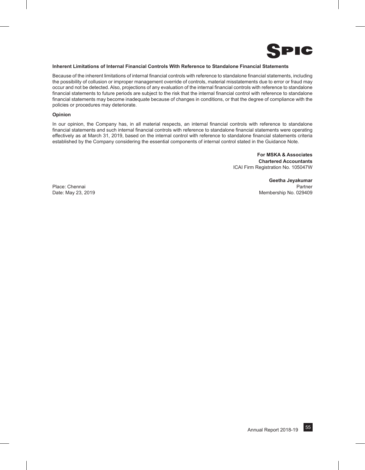

# **Inherent Limitations of Internal Financial Controls With Reference to Standalone Financial Statements**

Because of the inherent limitations of internal financial controls with reference to standalone financial statements, including the possibility of collusion or improper management override of controls, material misstatements due to error or fraud may occur and not be detected. Also, projections of any evaluation of the internal financial controls with reference to standalone financial statements to future periods are subject to the risk that the internal financial control with reference to standalone financial statements may become inadequate because of changes in conditions, or that the degree of compliance with the policies or procedures may deteriorate.

# **Opinion**

In our opinion, the Company has, in all material respects, an internal financial controls with reference to standalone financial statements and such internal financial controls with reference to standalone financial statements were operating effectively as at March 31, 2019, based on the internal control with reference to standalone financial statements criteria established by the Company considering the essential components of internal control stated in the Guidance Note.

> **For MSKA & Associates Chartered Accountants** ICAI Firm Registration No. 105047W

**Geetha Jeyakumar** Place: Chennai **Partner** Partner Partner Partner Partner Partner Partner Partner Partner Partner Partner Partner Date: May 23, 2019 Membership No. 029409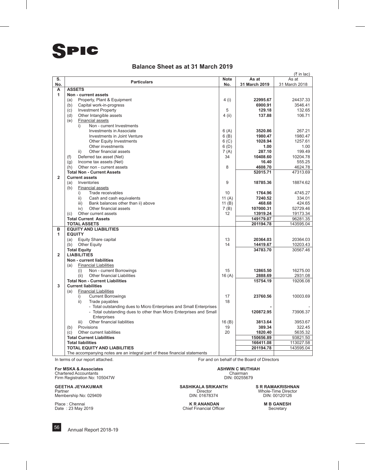# **Balance Sheet as at 31 March 2019**

|                   |                                                                             |                  |                     | $($ ₹ in lac)        |
|-------------------|-----------------------------------------------------------------------------|------------------|---------------------|----------------------|
| S.                | <b>Particulars</b>                                                          | <b>Note</b>      | As at               | As at                |
| No.               |                                                                             | No.              | 31 March 2019       | 31 March 2018        |
| A<br>$\mathbf{1}$ | <b>ASSETS</b><br>Non - current assets                                       |                  |                     |                      |
|                   | Property, Plant & Equipment<br>(a)                                          | 4 (i)            | 22995.67            | 24437.33             |
|                   | Capital work-in-progress<br>(b)                                             |                  | 6900.91             | 3546.41              |
|                   | <b>Investment Property</b><br>(c)                                           | 5                | 129.18              | 132.65               |
|                   | (d)<br>Other Intangible assets                                              | $4$ (ii)         | 137.88              | 106.71               |
|                   | <b>Financial assets</b><br>(e)                                              |                  |                     |                      |
|                   | Non - current Investments<br>i)                                             |                  |                     |                      |
|                   | Investments in Associate                                                    | 6(A)             | 3520.86             | 267.21               |
|                   | Investments in Joint Venture                                                | 6(B)             | 1980.47             | 1980.47              |
|                   | <b>Other Equity Investments</b>                                             | 6 <sub>(C)</sub> | 1028.94             | 1257.61              |
|                   | Other investments                                                           | 6(D)             | 1.00                | 1.00                 |
|                   | Other financial assets<br>ii)                                               | 7(A)             | 287.10              | 199.49               |
|                   | (f)<br>Deferred tax asset (Net)                                             | 34               | 10408.60            | 10204.78             |
|                   | Income tax assets (Net)<br>(q)                                              |                  | 16.40               | 555.25               |
|                   | Other non - current assets<br>(h)                                           | 8                | 4608.70             | 4624.78              |
|                   | <b>Total Non - Current Assets</b>                                           |                  | 52015.71            | 47313.69             |
| $\overline{2}$    | <b>Current assets</b>                                                       |                  |                     |                      |
|                   | Inventories<br>(a)                                                          | 9                | 18785.36            | 18874.62             |
|                   | <b>Financial assets</b><br>(b)                                              |                  |                     |                      |
|                   | Trade receivables<br>i)                                                     | 10               | 1764.96             | 4745.27              |
|                   | $\mathsf{ii}$ )<br>Cash and cash equivalents                                | 11 $(A)$         | 7240.52             | 334.01               |
|                   | Bank balances other than ii) above<br>iii)<br>iv)<br>Other financial assets | 11 $(B)$         | 468.68<br>107000.31 | 424.65               |
|                   | Other current assets<br>(c)                                                 | 7(B)<br>12       | 13919.24            | 52729.46<br>19173.34 |
|                   | <b>Total Current Assets</b>                                                 |                  | 149179.07           | 96281.35             |
|                   | <b>TOTAL ASSETS</b>                                                         |                  | 201194.78           | 143595.04            |
| в                 | <b>EQUITY AND LIABILITIES</b>                                               |                  |                     |                      |
| 1                 | <b>EQUITY</b>                                                               |                  |                     |                      |
|                   | Equity Share capital<br>(a)                                                 | 13               | 20364.03            | 20364.03             |
|                   | <b>Other Equity</b><br>(b)                                                  | 14               | 14419.67            | 10203.43             |
|                   | <b>Total Equity</b>                                                         |                  | 34783.70            | 30567.46             |
| $\overline{2}$    | <b>LIABILITIES</b>                                                          |                  |                     |                      |
|                   | Non - current liabilities                                                   |                  |                     |                      |
|                   | (a)<br><b>Financial Liabilities</b>                                         |                  |                     |                      |
|                   | (i)<br>Non - current Borrowings                                             | 15               | 12865.50            | 16275.00             |
|                   | <b>Other financial Liabilities</b><br>(ii)                                  | 16(A)            | 2888.69             | 2931.08              |
| 3                 | <b>Total Non - Current Liabilities</b><br><b>Current liabilities</b>        |                  | 15754.19            | 19206.08             |
|                   | <b>Financial Liabilities</b><br>(a)                                         |                  |                     |                      |
|                   | <b>Current Borrowings</b><br>i)                                             | 17               | 23760.56            | 10003.69             |
|                   | Trade payables<br>ii)                                                       | 18               |                     |                      |
|                   | - Total outstanding dues to Micro Enterprises and Small Enterprises         |                  |                     |                      |
|                   | - Total outstanding dues to other than Micro Enterprises and Small          |                  | 120872.95           | 73906.37             |
|                   | Enterprises                                                                 |                  |                     |                      |
|                   | Other financial liabilities<br>iii)                                         | 16(B)            | 3813.64             | 3953.67              |
|                   | Provisions<br>(b)                                                           | 19               | 389.34              | 322.45               |
|                   | Other current liabilities<br>(c)                                            | 20               | 1820.40             | 5635.32              |
|                   | <b>Total Current Liabilities</b>                                            |                  | 150656.89           | 93821.50             |
|                   | <b>Total liabilities</b>                                                    |                  | 166411.08           | 113027.58            |
|                   | <b>TOTAL EQUITY AND LIABILITIES</b>                                         |                  | 201194.78           | 143595.04            |
|                   | The accompanying notes are an integral part of these financial statements   |                  |                     |                      |

**For MSKA & Associates**<br>
Chartered Accountants<br>
Firm Registration No: 105047W<br>
Firm Registration No: 105047W<br>
ASHWIN C MUTHIAH<br>
DIN: 00255679

Chartered Accountants<br>Firm Registration No: 105047W DIN: 00255679

In terms of our report attached. For and on behalf of the Board of Directors

Place : Chennai **M B GANESH**<br>
Place : 23 May 2019 **M B GANESH**<br>
Chief Financial Officer **M B GANESH**<br>
Secretary Chief Financial Officer

**GEETHA JEYAKUMAR SASHIKALA SRIKANTH SRIKANTH** SR RAMAKRISHNAN<br>
Partner Membership No: 029409 **SASHIKALA SRIKANTH** Director Membership No: 029409 **SASHIKALA SRIKANTH** Director Membership No: 029409 Partner Director Whole-Time Director Membership No: 029409 DIN: 01678374 DIN: 00120126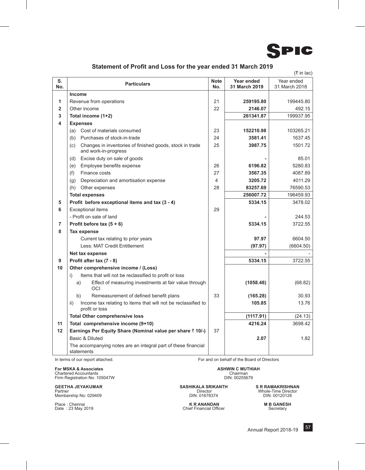

# **Statement of Profit and Loss for the year ended 31 March 2019**

|                |                                                                                         |             |               | (₹ in lac)    |
|----------------|-----------------------------------------------------------------------------------------|-------------|---------------|---------------|
| S.             |                                                                                         | <b>Note</b> | Year ended    | Year ended    |
| No.            | <b>Particulars</b>                                                                      | No.         | 31 March 2019 | 31 March 2018 |
|                | <b>Income</b>                                                                           |             |               |               |
| 1              | Revenue from operations                                                                 | 21          | 259195.80     | 199445.80     |
| $\mathbf{2}$   | Other income                                                                            | 22          | 2146.07       | 492.15        |
| 3              | Total income (1+2)                                                                      |             | 261341.87     | 199937.95     |
| 4              | <b>Expenses</b>                                                                         |             |               |               |
|                | (a) Cost of materials consumed                                                          | 23          | 152210.98     | 103265.21     |
|                | (b) Purchases of stock-in-trade                                                         | 24          | 3581.41       | 1637.45       |
|                | Changes in inventories of finished goods, stock in trade<br>(c)<br>and work-in-progress | 25          | 3987.75       | 1501.72       |
|                | Excise duty on sale of goods<br>(d)                                                     |             |               | 85.01         |
|                | Employee benefits expense<br>(e)                                                        | 26          | 6196.82       | 5280.83       |
|                | Finance costs<br>(f)                                                                    | 27          | 3567.35       | 4087.89       |
|                | Depreciation and amortisation expense<br>(q)                                            | 4           | 3205.72       | 4011.29       |
|                | (h) Other expenses                                                                      | 28          | 83257.69      | 76590.53      |
|                | <b>Total expenses</b>                                                                   |             | 256007.72     | 196459.93     |
| 5              | Profit before exceptional items and tax (3 - 4)                                         |             | 5334.15       | 3478.02       |
| 6              | <b>Exceptional items</b>                                                                | 29          |               |               |
|                | - Profit on sale of land                                                                |             |               | 244.53        |
| $\overline{7}$ | Profit before tax $(5 + 6)$                                                             |             | 5334.15       | 3722.55       |
| 8              | <b>Tax expense</b>                                                                      |             |               |               |
|                | Current tax relating to prior years                                                     |             | 97.97         | 6604.50       |
|                | Less: MAT Credit Entitlement                                                            |             | (97.97)       | (6604.50)     |
|                | Net tax expense                                                                         |             |               |               |
| 9              | Profit after tax (7 - 8)                                                                |             | 5334.15       | 3722.55       |
| 10             | Other comprehensive income / (Loss)                                                     |             |               |               |
|                | Items that will not be reclassified to profit or loss<br>i)                             |             |               |               |
|                | Effect of measuring investments at fair value through<br>a)<br>OCI                      |             | (1058.48)     | (68.82)       |
|                | Remeasurement of defined benefit plans<br>b)                                            | 33          | (165.28)      | 30.93         |
|                | Income tax relating to items that will not be reclassified to<br>ii)<br>profit or loss  |             | 105.85        | 13.76         |
|                | <b>Total Other comprehensive loss</b>                                                   |             | (1117.91)     | (24.13)       |
| 11             | Total comprehensive income (9+10)                                                       |             | 4216.24       | 3698.42       |
| 12             | Earnings Per Equity Share (Nominal value per share ₹10/-)                               | 37          |               |               |
|                | Basic & Diluted                                                                         |             | 2.07          | 1.82          |
|                | The accompanying notes are an integral part of these financial<br>statements            |             |               |               |

**For MSKA & Associates**<br>
Chartered Accountants<br>
Firm Registration No: 105047W **ASHWIN C MUTHIAH**<br>
Firm Registration No: 105047W **ASHWIN** Chartered Accountants Chairman Firm Registration No: 105047W DIN: 00255679

Partner Director Whole-Time Director Membership No: 029409 DIN: 01678374 DIN: 00120126

In terms of our report attached. For and on behalf of the Board of Directors

**GASHIKALA SRIKANTH S R RAMAKRISHNAN**<br>Director Mole-Time Director<br>DIN: 01678374 DIN: 00120126

Place : Chennai **M B GANESH**<br>
Date : 23 May 2019 **M B Chief Financial Officer** Secretary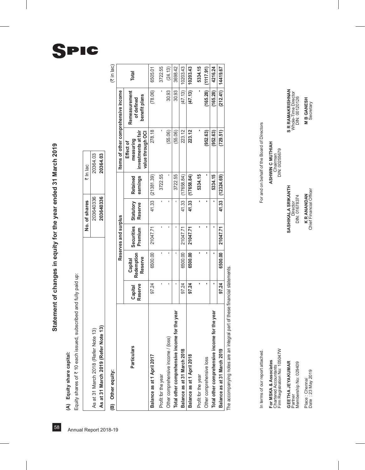# (A) Equity share capital:

| (A) Equity share capital:                                          |           |          |  |
|--------------------------------------------------------------------|-----------|----------|--|
|                                                                    |           |          |  |
| subscribed and fully paid up:<br>Equity shares of ₹ 10 each issued |           |          |  |
| No. of shares                                                      |           | ₹ In lac |  |
| As at 31 March 2018 (Refer Note 13)                                | 203640336 | 20364.03 |  |
| As at 31 March 2019 (Refer Note 13)                                | 203640336 | 20364.03 |  |

 $(3\overline{3})$  in lac)

|                                               |                    |                                  | Reserves and surplus  |                      |                      | Items of other comprehensive income                                |                                              |              |
|-----------------------------------------------|--------------------|----------------------------------|-----------------------|----------------------|----------------------|--------------------------------------------------------------------|----------------------------------------------|--------------|
| <b>Particulars</b>                            | Reserve<br>Capital | Redemption<br>Reserve<br>Capital | Securities<br>Premium | Statutory<br>Reserve | earnings<br>Retained | investments at fair<br>value through OCI<br>measuring<br>Effect of | Remeasurement<br>benefit plans<br>of defined | <b>Total</b> |
| Balance as at 1 April 2017                    | 97.24              | 6500.00                          | 21047.71              | 41.33                | (21381.39)           | 278.18                                                             | (78.06)                                      | 6505.01      |
| Profit for the year                           |                    |                                  |                       |                      | 3722.55              |                                                                    |                                              | 3722.55      |
| Other comprehensive income / (loss)           |                    |                                  |                       |                      |                      | (55.06)                                                            | 30.93                                        | (24.13)      |
| Total other comprehensive income for the year |                    |                                  |                       |                      | 3722.55              | (55.06)                                                            | 30.93                                        | 3698.42      |
| Balance as at 31 March 2018                   | 97.24              | 6500.00                          | 21047.71              | 41.33                | 17658.84)            | 223.12                                                             | (47.13)                                      | 0203.43      |
| Balance as at 1 April 2018                    | 97.24              | 6500.00                          | 21047.71              | 41.33                | (17658.84)           | 223.12                                                             | (47.13)                                      | 10203.43     |
| Profit for the year                           |                    |                                  |                       |                      | 5334.15              |                                                                    |                                              | 5334.15      |
| Other comprehensive loss                      |                    |                                  |                       |                      |                      | (952.63)                                                           | (165.28)                                     | (1117.91)    |
| Total other comprehensive income for the year |                    |                                  |                       |                      | 5334.15              | (952.63)                                                           | (165.28)                                     | 4216.24      |
| Balance as at 31 March 2019                   | 97.24              | 6500.00                          | 21047.71              | 41.33                | (12324.69)           | (729.51)                                                           | (212.41)                                     | 14419.67     |
|                                               |                    |                                  |                       |                      |                      |                                                                    |                                              |              |

The accompanying notes are an integral part of these financial statements. The accompanying notes are an integral part of these financial statements.

In terms of our report attached.

**F**or MSKA & ASSOCIATES ASSOCIATES ASSOCIATES ASSOCIATES AND MUST MESSOLATE ASSOCIATED **M** NO MUNITED MUNITED MUNITED MUNITED MUNITED MUNITED MUNITED MUNITED MUNITED MUNITED MUNITED MUNITED MUNITED MUNITED MUNITED MUNITED Firm Registration No: 105047W DIN: 00255679 Chartered Accountants Chairman For MSKA & Associates<br>Chartered Accountants<br>Firm Registration No: 105047W

**GEETHA JEYAKUMAR**<br>Partner Membership No: 029409 Place : Chennai<br>Date : 23 May 2019

For and on behalf of the Board of Directors In terms of our report attached. For and attached. For an and on behalf of the Board of Directors

ASHWIN C MUTHIAH Chairman<br>DIN: 00255679

**Geetha Jeyakumar SASHIKALA SRIKANTH S R RAMAKRISHNAN** Partner Ninector Director Director SASHIKALA SRIKANTH

Director<br>DIN: 01678374

**S R RAMAKRISHNAN**<br>Whole-Time Director<br>DIN: 00120126 **M B GANESH**<br>Secretary Membership No: 029409 DIN: 01678374 DIN: 01678374 DIN: 01678374 DIN: 01678374 DIN: 00120120126

Place : Chennai **K R ANANDAN M B GANESH** Date : 23 May 2019 Secretary Chief Financial Officer Secretary Secretary K R ANANDAN<br>Chief Financial Officer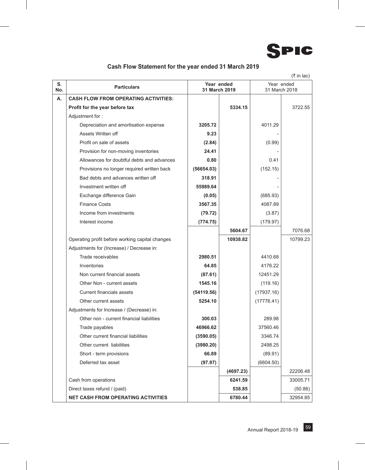

# **Cash Flow Statement for the year ended 31 March 2019**

|           |                                                 |                             |           |            | (₹ in lac)    |
|-----------|-------------------------------------------------|-----------------------------|-----------|------------|---------------|
| S.<br>No. | <b>Particulars</b>                              | Year ended<br>31 March 2019 |           | Year ended | 31 March 2018 |
| А.        | <b>CASH FLOW FROM OPERATING ACTIVITIES:</b>     |                             |           |            |               |
|           | Profit for the year before tax                  |                             | 5334.15   |            | 3722.55       |
|           | Adjustment for:                                 |                             |           |            |               |
|           | Depreciation and amortisation expense           | 3205.72                     |           | 4011.29    |               |
|           | Assets Written off                              | 9.23                        |           |            |               |
|           | Profit on sale of assets                        | (2.84)                      |           | (0.99)     |               |
|           | Provision for non-moving inventories            | 24.41                       |           |            |               |
|           | Allowances for doubtful debts and advances      | 0.80                        |           | 0.41       |               |
|           | Provisions no longer required written back      | (56654.03)                  |           | (152.15)   |               |
|           | Bad debts and advances written off              | 318.91                      |           |            |               |
|           | Investment written off                          | 55989.64                    |           |            |               |
|           | Exchange difference Gain                        | (0.05)                      |           | (685.93)   |               |
|           | <b>Finance Costs</b>                            | 3567.35                     |           | 4087.89    |               |
|           | Income from investments                         | (79.72)                     |           | (3.87)     |               |
|           | Interest income                                 | (774.75)                    |           | (179.97)   |               |
|           |                                                 |                             | 5604.67   |            | 7076.68       |
|           | Operating profit before working capital changes |                             | 10938.82  |            | 10799.23      |
|           | Adjustments for (Increase) / Decrease in:       |                             |           |            |               |
|           | Trade receivables                               | 2980.51                     |           | 4410.68    |               |
|           | Inventories                                     | 64.85                       |           | 4176.22    |               |
|           | Non current financial assets                    | (87.61)                     |           | 12451.29   |               |
|           | Other Non - current assets                      | 1545.16                     |           | (119.16)   |               |
|           | Current financials assets                       | (54119.56)                  |           | (17937.16) |               |
|           | Other current assets                            | 5254.10                     |           | (17776.41) |               |
|           | Adjustments for Increase / (Decrease) in:       |                             |           |            |               |
|           | Other non - current financial liabilities       | 300.03                      |           | 289.98     |               |
|           | Trade payables                                  | 46966.62                    |           | 37560.46   |               |
|           | Other current financial liabilities             | (3590.05)                   |           | 3346.74    |               |
|           | Other current liabilities                       | (3980.20)                   |           | 2498.25    |               |
|           | Short - term provisions                         | 66.89                       |           | (89.91)    |               |
|           | Deferred tax asset                              | (97.97)                     |           | (6604.50)  |               |
|           |                                                 |                             | (4697.23) |            | 22206.48      |
|           | Cash from operations                            |                             | 6241.59   |            | 33005.71      |
|           | Direct taxes refund / (paid)                    |                             | 538.85    |            | (50.86)       |
|           | <b>NET CASH FROM OPERATING ACTIVITIES</b>       |                             | 6780.44   |            | 32954.85      |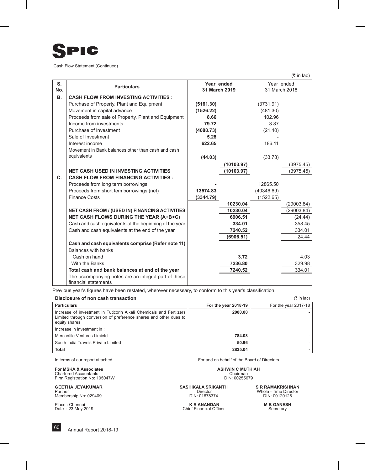

Cash Flow Statement (Continued)

 $(3 \bar{\tau}$  in lac)

| S.        | <b>Particulars</b>                                                           | Year ended |               |            | Year ended    |
|-----------|------------------------------------------------------------------------------|------------|---------------|------------|---------------|
| No.       |                                                                              |            | 31 March 2019 |            | 31 March 2018 |
| <b>B.</b> | <b>CASH FLOW FROM INVESTING ACTIVITIES:</b>                                  |            |               |            |               |
|           | Purchase of Property, Plant and Equipment                                    | (5161.30)  |               | (3731.91)  |               |
|           | Movement in capital advance                                                  | (1526.22)  |               | (481.30)   |               |
|           | Proceeds from sale of Property, Plant and Equipment                          | 8.66       |               | 102.96     |               |
|           | Income from investments                                                      | 79.72      |               | 3.87       |               |
|           | Purchase of Investment                                                       | (4088.73)  |               | (21.40)    |               |
|           | Sale of Investment                                                           | 5.28       |               |            |               |
|           | Interest income                                                              | 622.65     |               | 186.11     |               |
|           | Movement in Bank balances other than cash and cash                           |            |               |            |               |
|           | equivalents                                                                  | (44.03)    |               | (33.78)    |               |
|           |                                                                              |            | (10103.97)    |            | (3975.45)     |
|           | <b>NET CASH USED IN INVESTING ACTIVITIES</b>                                 |            | (10103.97)    |            | (3975.45)     |
| C.        | <b>CASH FLOW FROM FINANCING ACTIVITIES:</b>                                  |            |               |            |               |
|           | Proceeds from long term borrowings                                           |            |               | 12865.50   |               |
|           | Proceeds from short tem borrowings (net)                                     | 13574.83   |               | (40346.69) |               |
|           | <b>Finance Costs</b>                                                         | (3344.79)  |               | (1522.65)  |               |
|           |                                                                              |            | 10230.04      |            | (29003.84)    |
|           | <b>NET CASH FROM / (USED IN) FINANCING ACTIVITIES</b>                        |            | 10230.04      |            | (29003.84)    |
|           | <b>NET CASH FLOWS DURING THE YEAR (A+B+C)</b>                                |            | 6906.51       |            | (24.44)       |
|           | Cash and cash equivalents at the beginning of the year                       |            | 334.01        |            | 358.45        |
|           | Cash and cash equivalents at the end of the year                             |            | 7240.52       |            | 334.01        |
|           |                                                                              |            | (6906.51)     |            | 24.44         |
|           | Cash and cash equivalents comprise (Refer note 11)                           |            |               |            |               |
|           | Balances with banks                                                          |            |               |            |               |
|           | Cash on hand                                                                 |            | 3.72          |            | 4.03          |
|           | With the Banks                                                               |            | 7236.80       |            | 329.98        |
|           | Total cash and bank balances at end of the year                              |            | 7240.52       |            | 334.01        |
|           | The accompanying notes are an integral part of these<br>financial statements |            |               |            |               |

Previous year's figures have been restated, wherever necessary, to conform to this year's classification.

| Disclosure of non cash transaction<br>(₹ in lac)                                                                                                          |                      |                      |  |  |
|-----------------------------------------------------------------------------------------------------------------------------------------------------------|----------------------|----------------------|--|--|
| <b>Particulars</b>                                                                                                                                        | For the year 2018-19 | For the year 2017-18 |  |  |
| Increase of investment in Tuticorin Alkali Chemicals and Fertlizers<br>Limited through conversion of preference shares and other dues to<br>equity shares | 2000.00              |                      |  |  |
| Increase in investment in :                                                                                                                               |                      |                      |  |  |
| Mercantile Ventures Limietd                                                                                                                               | 784.08               |                      |  |  |
| South India Travels Private Limited                                                                                                                       | 50.96                |                      |  |  |
| <b>Total</b>                                                                                                                                              | 2835.04              |                      |  |  |

# **For MSKA & Associates Associates** Chartered Accountants<br>
Chartered Accountants Chartered Accountants<br>
Firm Registration No: 105047W **ASHWIN C MUTHIAH**<br>
DIN: 00255679 Chartered Accountants<br>Firm Registration No: 105047W DIN: 00255679

Membership No: 029409

In terms of our report attached. For and on behalf of the Board of Directors

Place : Chennai **M B GANESH**<br>
Pate : 23 May 2019 **M B GANESH**<br>
Chief Financial Officer **M B GANESH**<br>
Secretary Chief Financial Officer

**Geetha Jeyakumar SASHIKALA SRIKANTH S R RAMAKRISHNAN** Whole - Time Director<br>DIN: 00120126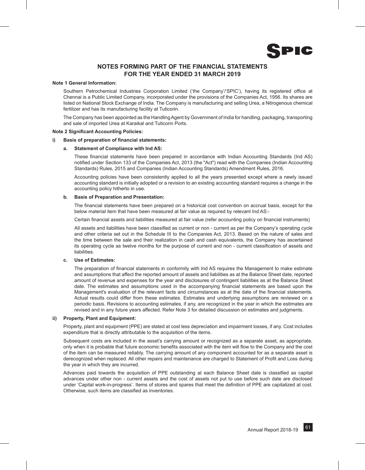

# **NOTES FORMING PART OF THE FINANCIAL STATEMENTS FOR THE YEAR ENDED 31 MARCH 2019**

# **Note 1 General Information:**

Southern Petrochemical Industries Corporation Limited ('the Company'/'SPIC'), having its registered office at Chennai is a Public Limited Company, incorporated under the provisions of the Companies Act, 1956. Its shares are listed on National Stock Exchange of India. The Company is manufacturing and selling Urea, a Nitrogenous chemical fertilizer and has its manufacturing facility at Tuticorin.

The Company has been appointed as the Handling Agent by Government of India for handling, packaging, transporting and sale of imported Urea at Karaikal and Tuticorin Ports.

# **Note 2 Significant Accounting Policies:**

# **i) Basis of preparation of financial statements:**

# **a. Statement of Compliance with Ind AS:**

These financial statements have been prepared in accordance with Indian Accounting Standards (Ind AS) notified under Section 133 of the Companies Act, 2013 (the "Act") read with the Companies (Indian Accounting Standards) Rules, 2015 and Companies (Indian Accounting Standards) Amendment Rules, 2016.

Accounting policies have been consistently applied to all the years presented except where a newly issued accounting standard is initially adopted or a revision to an existing accounting standard requires a change in the accounting policy hitherto in use.

# **b. Basis of Preparation and Presentation:**

The financial statements have been prepared on a historical cost convention on accrual basis, except for the below material item that have been measured at fair value as required by relevant Ind AS:-

Certain financial assets and liabilities measured at fair value (refer accounting policy on financial instruments)

All assets and liabilities have been classified as current or non - current as per the Company's operating cycle and other criteria set out in the Schedule III to the Companies Act, 2013. Based on the nature of sales and the time between the sale and their realization in cash and cash equivalents, the Company has ascertained its operating cycle as twelve months for the purpose of current and non - current classification of assets and liabilities.

# **c. Use of Estimates:**

The preparation of financial statements in conformity with Ind AS requires the Management to make estimate and assumptions that affect the reported amount of assets and liabilities as at the Balance Sheet date, reported amount of revenue and expenses for the year and disclosures of contingent liabilities as at the Balance Sheet date. The estimates and assumptions used in the accompanying financial statements are based upon the Management's evaluation of the relevant facts and circumstances as at the date of the financial statements. Actual results could differ from these estimates. Estimates and underlying assumptions are reviewed on a periodic basis. Revisions to accounting estimates, if any, are recognized in the year in which the estimates are revised and in any future years affected. Refer Note 3 for detailed discussion on estimates and judgments.

# **ii) Property, Plant and Equipment:**

Property, plant and equipment (PPE) are stated at cost less depreciation and impairment losses, if any. Cost includes expenditure that is directly attributable to the acquisition of the items.

Subsequent costs are included in the asset's carrying amount or recognized as a separate asset, as appropriate, only when it is probable that future economic benefits associated with the item will flow to the Company and the cost of the item can be measured reliably. The carrying amount of any component accounted for as a separate asset is derecognized when replaced. All other repairs and maintenance are charged to Statement of Profit and Loss during the year in which they are incurred.

Advances paid towards the acquisition of PPE outstanding at each Balance Sheet date is classified as capital advances under other non - current assets and the cost of assets not put to use before such date are disclosed under 'Capital work-in-progress'. Items of stores and spares that meet the definition of PPE are capitalized at cost. Otherwise, such items are classified as inventories.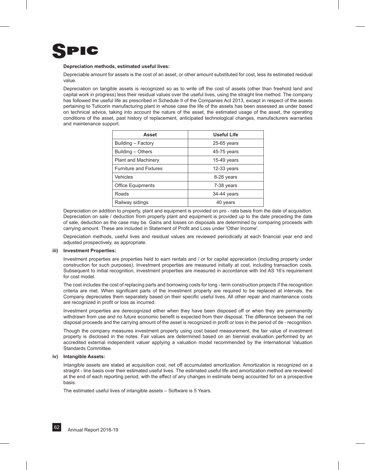

# **Depreciation methods, estimated useful lives:**

Depreciable amount for assets is the cost of an asset, or other amount substituted for cost, less its estimated residual value.

Depreciation on tangible assets is recognized so as to write off the cost of assets (other than freehold land and capital work in progress) less their residual values over the useful lives, using the straight line method. The company has followed the useful life as prescribed in Schedule II of the Companies Act 2013, except in respect of the assets pertaining to Tuticorin manufacturing plant in whose case the life of the assets has been assessed as under based on technical advice, taking into account the nature of the asset, the estimated usage of the asset, the operating conditions of the asset, past history of replacement, anticipated technological changes, manufacturers warranties and maintenance support.

| Asset                         | <b>Useful Life</b> |  |  |
|-------------------------------|--------------------|--|--|
| Building - Factory            | $25-65$ years      |  |  |
| Building - Others             | 45-75 years        |  |  |
| <b>Plant and Machinery</b>    | 15-49 years        |  |  |
| <b>Furniture and Fixtures</b> | $12-33$ years      |  |  |
| Vehicles                      | 8-26 years         |  |  |
| <b>Office Equipments</b>      | 7-38 years         |  |  |
| Roads                         | 34-44 years        |  |  |
| Railway sidings               | 40 years           |  |  |

Depreciation on addition to property, plant and equipment is provided on pro - rata basis from the date of acquisition. Depreciation on sale / deduction from property plant and equipment is provided up to the date preceding the date of sale, deduction as the case may be. Gains and losses on disposals are determined by comparing proceeds with carrying amount. These are included in Statement of Profit and Loss under 'Other Income'.

Depreciation methods, useful lives and residual values are reviewed periodically at each financial year end and adjusted prospectively, as appropriate.

# **iii) Investment Properties:**

Investment properties are properties held to earn rentals and / or for capital appreciation (including property under construction for such purposes). Investment properties are measured initially at cost, including transaction costs. Subsequent to initial recognition, investment properties are measured in accordance with Ind AS 16's requirement for cost model.

The cost includes the cost of replacing parts and borrowing costs for long - term construction projects if the recognition criteria are met. When significant parts of the investment property are required to be replaced at intervals, the Company depreciates them separately based on their specific useful lives. All other repair and maintenance costs are recognized in profit or loss as incurred.

Investment properties are derecognized either when they have been disposed off or when they are permanently withdrawn from use and no future economic benefit is expected from their disposal. The difference between the net disposal proceeds and the carrying amount of the asset is recognized in profit or loss in the period of de - recognition.

Though the company measures investment property using cost based measurement, the fair value of investment property is disclosed in the notes. Fair values are determined based on an biennial evaluation performed by an accredited external independent valuer applying a valuation model recommended by the International Valuation Standards Committee.

# **iv) Intangible Assets:**

Intangible assets are stated at acquisition cost, net off accumulated amortization. Amortization is recognized on a straight - line basis over their estimated useful lives. The estimated useful life and amortization method are reviewed at the end of each reporting period, with the effect of any changes in estimate being accounted for on a prospective basis.

The estimated useful lives of intangible assets – Software is 5 Years.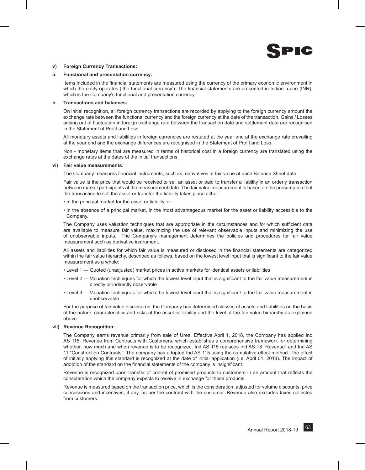

# **v) Foreign Currency Transactions:**

# **a. Functional and presentation currency:**

Items included in the financial statements are measured using the currency of the primary economic environment in which the entity operates ('the functional currency'). The financial statements are presented in Indian rupee (INR), which is the Company's functional and presentation currency.

# **b. Transactions and balances:**

On initial recognition, all foreign currency transactions are recorded by applying to the foreign currency amount the exchange rate between the functional currency and the foreign currency at the date of the transaction. Gains / Losses arising out of fluctuation in foreign exchange rate between the transaction date and settlement date are recognised in the Statement of Profit and Loss.

All monetary assets and liabilities in foreign currencies are restated at the year end at the exchange rate prevailing at the year end and the exchange differences are recognised in the Statement of Profit and Loss.

Non - monetary items that are measured in terms of historical cost in a foreign currency are translated using the exchange rates at the dates of the initial transactions.

# **vi) Fair value measurements:**

The Company measures financial instruments, such as, derivatives at fair value at each Balance Sheet date.

Fair value is the price that would be received to sell an asset or paid to transfer a liability in an orderly transaction between market participants at the measurement date. The fair value measurement is based on the presumption that the transaction to sell the asset or transfer the liability takes place either:

- In the principal market for the asset or liability, or
- In the absence of a principal market, in the most advantageous market for the asset or liability accessible to the Company.

The Company uses valuation techniques that are appropriate in the circumstances and for which sufficient data are available to measure fair value, maximizing the use of relevant observable inputs and minimizing the use of unobservable inputs. The Company's management determines the policies and procedures for fair value measurement such as derivative instrument.

All assets and liabilities for which fair value is measured or disclosed in the financial statements are categorized within the fair value hierarchy, described as follows, based on the lowest level input that is significant to the fair value measurement as a whole:

- Level 1 Quoted (unadjusted) market prices in active markets for identical assets or liabilities
- Level 2 Valuation techniques for which the lowest level input that is significant to the fair value measurement is directly or indirectly observable
- Level 3 Valuation techniques for which the lowest level input that is significant to the fair value measurement is unobservable.

For the purpose of fair value disclosures, the Company has determined classes of assets and liabilities on the basis of the nature, characteristics and risks of the asset or liability and the level of the fair value hierarchy as explained above.

# **vii) Revenue Recognition:**

The Company earns revenue primarily from sale of Urea. Effective April 1, 2018, the Company has applied Ind AS 115, Revenue from Contracts with Customers, which establishes a comprehensive framework for determining whether, how much and when revenue is to be recognized. Ind AS 115 replaces Ind AS 18 "Revenue" and Ind AS 11 "Construction Contracts". The company has adopted Ind AS 115 using the cumulative effect method. The effect of initially applying this standard is recognized at the date of initial application (i.e. April 01, 2018). The impact of adoption of the standard on the financial statements of the company is insignificant.

Revenue is recognized upon transfer of control of promised products to customers in an amount that reflects the consideration which the company expects to receive in exchange for those products.

Revenue is measured based on the transaction price, which is the consideration, adjusted for volume discounts, price concessions and incentives, if any, as per the contract with the customer. Revenue also excludes taxes collected from customers.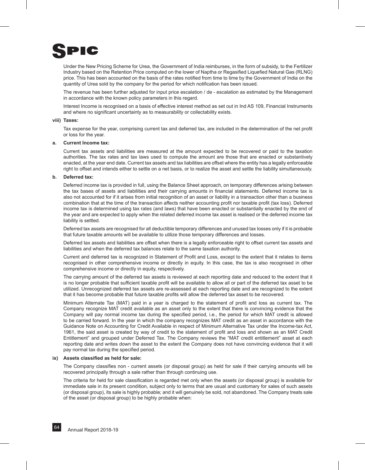

Under the New Pricing Scheme for Urea, the Government of India reimburses, in the form of subsidy, to the Fertilizer Industry based on the Retention Price computed on the lower of Naptha or Regasified Liquefied Natural Gas (RLNG) price. This has been accounted on the basis of the rates notified from time to time by the Government of India on the quantity of Urea sold by the company for the period for which notification has been issued.

The revenue has been further adjusted for input price escalation / de - escalation as estimated by the Management in accordance with the known policy parameters in this regard.

Interest Income is recognised on a basis of effective interest method as set out in Ind AS 109, Financial Instruments and where no significant uncertainty as to measurability or collectability exists.

# **viii) Taxes:**

Tax expense for the year, comprising current tax and deferred tax, are included in the determination of the net profit or loss for the year.

# **a. Current Income tax:**

 Current tax assets and liabilities are measured at the amount expected to be recovered or paid to the taxation authorities. The tax rates and tax laws used to compute the amount are those that are enacted or substantively enacted, at the year end date. Current tax assets and tax liabilities are offset where the entity has a legally enforceable right to offset and intends either to settle on a net basis, or to realize the asset and settle the liability simultaneously.

# **b. Deferred tax:**

Deferred income tax is provided in full, using the Balance Sheet approach, on temporary differences arising between the tax bases of assets and liabilities and their carrying amounts in financial statements. Deferred income tax is also not accounted for if it arises from initial recognition of an asset or liability in a transaction other than a business combination that at the time of the transaction affects neither accounting profit nor taxable profit (tax loss). Deferred income tax is determined using tax rates (and laws) that have been enacted or substantially enacted by the end of the year and are expected to apply when the related deferred income tax asset is realised or the deferred income tax liability is settled.

Deferred tax assets are recognised for all deductible temporary differences and unused tax losses only if it is probable that future taxable amounts will be available to utilize those temporary differences and losses.

Deferred tax assets and liabilities are offset when there is a legally enforceable right to offset current tax assets and liabilities and when the deferred tax balances relate to the same taxation authority.

Current and deferred tax is recognized in Statement of Profit and Loss, except to the extent that it relates to items recognised in other comprehensive income or directly in equity. In this case, the tax is also recognised in other comprehensive income or directly in equity, respectively.

The carrying amount of the deferred tax assets is reviewed at each reporting date and reduced to the extent that it is no longer probable that sufficient taxable profit will be available to allow all or part of the deferred tax asset to be utilized. Unrecognized deferred tax assets are re-assessed at each reporting date and are recognized to the extent that it has become probable that future taxable profits will allow the deferred tax asset to be recovered.

Minimum Alternate Tax (MAT) paid in a year is charged to the statement of profit and loss as current tax. The Company recognize MAT credit available as an asset only to the extent that there is convincing evidence that the Company will pay normal income tax during the specified period, i.e., the period for which MAT credit is allowed to be carried forward. In the year in which the company recognizes MAT credit as an asset in accordance with the Guidance Note on Accounting for Credit Available in respect of Minimum Alternative Tax under the Income-tax Act, 1961, the said asset is created by way of credit to the statement of profit and loss and shown as an MAT Credit Entitlement" and grouped under Deferred Tax. The Company reviews the "MAT credit entitlement" asset at each reporting date and writes down the asset to the extent the Company does not have convincing evidence that it will pay normal tax during the specified period.

# **ix) Assets classified as held for sale:**

The Company classifies non - current assets (or disposal group) as held for sale if their carrying amounts will be recovered principally through a sale rather than through continuing use.

The criteria for held for sale classification is regarded met only when the assets (or disposal group) is available for immediate sale in its present condition, subject only to terms that are usual and customary for sales of such assets (or disposal group), its sale is highly probable; and it will genuinely be sold, not abandoned. The Company treats sale of the asset (or disposal group) to be highly probable when: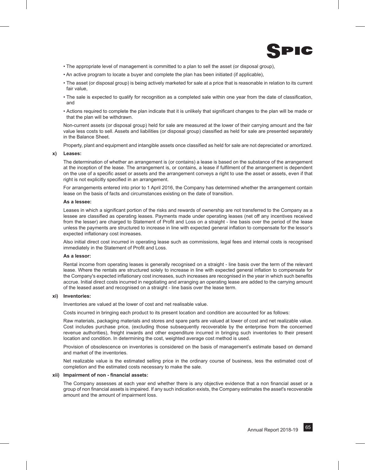

- The appropriate level of management is committed to a plan to sell the asset (or disposal group),
- An active program to locate a buyer and complete the plan has been initiated (if applicable),
- The asset (or disposal group) is being actively marketed for sale at a price that is reasonable in relation to its current fair value,
- The sale is expected to qualify for recognition as a completed sale within one year from the date of classification, and
- Actions required to complete the plan indicate that it is unlikely that significant changes to the plan will be made or that the plan will be withdrawn.

Non-current assets (or disposal group) held for sale are measured at the lower of their carrying amount and the fair value less costs to sell. Assets and liabilities (or disposal group) classified as held for sale are presented separately in the Balance Sheet.

Property, plant and equipment and intangible assets once classified as held for sale are not depreciated or amortized.

# **x) Leases:**

The determination of whether an arrangement is (or contains) a lease is based on the substance of the arrangement at the inception of the lease. The arrangement is, or contains, a lease if fulfilment of the arrangement is dependent on the use of a specific asset or assets and the arrangement conveys a right to use the asset or assets, even if that right is not explicitly specified in an arrangement.

For arrangements entered into prior to 1 April 2016, the Company has determined whether the arrangement contain lease on the basis of facts and circumstances existing on the date of transition.

# **As a lessee:**

Leases in which a significant portion of the risks and rewards of ownership are not transferred to the Company as a lessee are classified as operating leases. Payments made under operating leases (net off any incentives received from the lesser) are charged to Statement of Profit and Loss on a straight - line basis over the period of the lease unless the payments are structured to increase in line with expected general inflation to compensate for the lessor's expected inflationary cost increases.

Also initial direct cost incurred in operating lease such as commissions, legal fees and internal costs is recognised immediately in the Statement of Profit and Loss.

# **As a lessor:**

Rental income from operating leases is generally recognised on a straight - line basis over the term of the relevant lease. Where the rentals are structured solely to increase in line with expected general inflation to compensate for the Company's expected inflationary cost increases, such increases are recognised in the year in which such benefits accrue. Initial direct costs incurred in negotiating and arranging an operating lease are added to the carrying amount of the leased asset and recognised on a straight - line basis over the lease term.

# **xi) Inventories:**

Inventories are valued at the lower of cost and net realisable value.

Costs incurred in bringing each product to its present location and condition are accounted for as follows:

Raw materials, packaging materials and stores and spare parts are valued at lower of cost and net realizable value. Cost includes purchase price, (excluding those subsequently recoverable by the enterprise from the concerned revenue authorities), freight inwards and other expenditure incurred in bringing such inventories to their present location and condition. In determining the cost, weighted average cost method is used.

Provision of obsolescence on inventories is considered on the basis of management's estimate based on demand and market of the inventories.

Net realizable value is the estimated selling price in the ordinary course of business, less the estimated cost of completion and the estimated costs necessary to make the sale.

# **xii) Impairment of non - financial assets:**

The Company assesses at each year end whether there is any objective evidence that a non financial asset or a group of non financial assets is impaired. If any such indication exists, the Company estimates the asset's recoverable amount and the amount of impairment loss.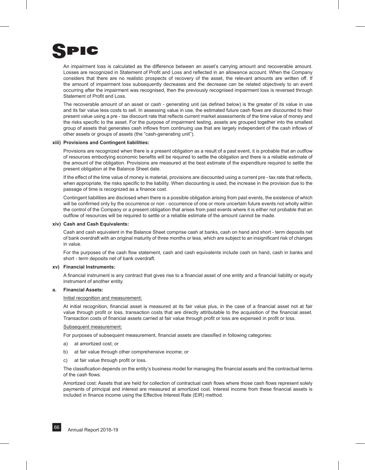

An impairment loss is calculated as the difference between an asset's carrying amount and recoverable amount. Losses are recognized in Statement of Profit and Loss and reflected in an allowance account. When the Company considers that there are no realistic prospects of recovery of the asset, the relevant amounts are written off. If the amount of impairment loss subsequently decreases and the decrease can be related objectively to an event occurring after the impairment was recognised, then the previously recognised impairment loss is reversed through Statement of Profit and Loss.

The recoverable amount of an asset or cash - generating unit (as defined below) is the greater of its value in use and its fair value less costs to sell. In assessing value in use, the estimated future cash flows are discounted to their present value using a pre - tax discount rate that reflects current market assessments of the time value of money and the risks specific to the asset. For the purpose of impairment testing, assets are grouped together into the smallest group of assets that generates cash inflows from continuing use that are largely independent of the cash inflows of other assets or groups of assets (the "cash-generating unit").

# **xiii) Provisions and Contingent liabilities:**

Provisions are recognized when there is a present obligation as a result of a past event, it is probable that an outflow of resources embodying economic benefits will be required to settle the obligation and there is a reliable estimate of the amount of the obligation. Provisions are measured at the best estimate of the expenditure required to settle the present obligation at the Balance Sheet date.

If the effect of the time value of money is material, provisions are discounted using a current pre - tax rate that reflects, when appropriate, the risks specific to the liability. When discounting is used, the increase in the provision due to the passage of time is recognized as a finance cost.

Contingent liabilities are disclosed when there is a possible obligation arising from past events, the existence of which will be confirmed only by the occurrence or non - occurrence of one or more uncertain future events not wholly within the control of the Company or a present obligation that arises from past events where it is either not probable that an outflow of resources will be required to settle or a reliable estimate of the amount cannot be made.

# **xiv) Cash and Cash Equivalents:**

Cash and cash equivalent in the Balance Sheet comprise cash at banks, cash on hand and short - term deposits net of bank overdraft with an original maturity of three months or less, which are subject to an insignificant risk of changes in value.

For the purposes of the cash flow statement, cash and cash equivalents include cash on hand, cash in banks and short - term deposits net of bank overdraft.

# **xv) Financial Instruments:**

A financial instrument is any contract that gives rise to a financial asset of one entity and a financial liability or equity instrument of another entity.

# **a. Financial Assets:**

# Initial recognition and measurement:

At initial recognition, financial asset is measured at its fair value plus, in the case of a financial asset not at fair value through profit or loss, transaction costs that are directly attributable to the acquisition of the financial asset. Transaction costs of financial assets carried at fair value through profit or loss are expensed in profit or loss.

# Subsequent measurement:

For purposes of subsequent measurement, financial assets are classified in following categories:

- a) at amortized cost; or
- b) at fair value through other comprehensive income; or
- c) at fair value through profit or loss.

The classification depends on the entity's business model for managing the financial assets and the contractual terms of the cash flows.

Amortized cost: Assets that are held for collection of contractual cash flows where those cash flows represent solely payments of principal and interest are measured at amortized cost. Interest income from these financial assets is included in finance income using the Effective Interest Rate (EIR) method.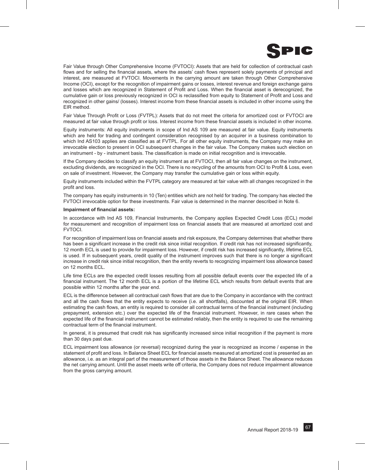

Fair Value through Other Comprehensive Income (FVTOCI): Assets that are held for collection of contractual cash flows and for selling the financial assets, where the assets' cash flows represent solely payments of principal and interest, are measured at FVTOCI. Movements in the carrying amount are taken through Other Comprehensive Income (OCI), except for the recognition of impairment gains or losses, interest revenue and foreign exchange gains and losses which are recognized in Statement of Profit and Loss. When the financial asset is derecognized, the cumulative gain or loss previously recognized in OCI is reclassified from equity to Statement of Profit and Loss and recognized in other gains/ (losses). Interest income from these financial assets is included in other income using the EIR method.

Fair Value Through Profit or Loss (FVTPL): Assets that do not meet the criteria for amortized cost or FVTOCI are measured at fair value through profit or loss. Interest income from these financial assets is included in other income.

Equity instruments: All equity instruments in scope of Ind AS 109 are measured at fair value. Equity instruments which are held for trading and contingent consideration recognised by an acquirer in a business combination to which Ind AS103 applies are classified as at FVTPL. For all other equity instruments, the Company may make an irrevocable election to present in OCI subsequent changes in the fair value. The Company makes such election on an instrument - by - instrument basis. The classification is made on initial recognition and is irrevocable.

If the Company decides to classify an equity instrument as at FVTOCI, then all fair value changes on the instrument, excluding dividends, are recognized in the OCI. There is no recycling of the amounts from OCI to Profit & Loss, even on sale of investment. However, the Company may transfer the cumulative gain or loss within equity.

Equity instruments included within the FVTPL category are measured at fair value with all changes recognized in the profit and loss.

The company has equity instruments in 10 (Ten) entities which are not held for trading. The company has elected the FVTOCI irrevocable option for these investments. Fair value is determined in the manner described in Note 6.

# **Impairment of financial assets:**

In accordance with Ind AS 109, Financial Instruments, the Company applies Expected Credit Loss (ECL) model for measurement and recognition of impairment loss on financial assets that are measured at amortized cost and FVTOCI.

For recognition of impairment loss on financial assets and risk exposure, the Company determines that whether there has been a significant increase in the credit risk since initial recognition. If credit risk has not increased significantly, 12 month ECL is used to provide for impairment loss. However, if credit risk has increased significantly, lifetime ECL is used. If in subsequent years, credit quality of the instrument improves such that there is no longer a significant increase in credit risk since initial recognition, then the entity reverts to recognizing impairment loss allowance based on 12 months ECL.

Life time ECLs are the expected credit losses resulting from all possible default events over the expected life of a financial instrument. The 12 month ECL is a portion of the lifetime ECL which results from default events that are possible within 12 months after the year end.

ECL is the difference between all contractual cash flows that are due to the Company in accordance with the contract and all the cash flows that the entity expects to receive (i.e. all shortfalls), discounted at the original EIR. When estimating the cash flows, an entity is required to consider all contractual terms of the financial instrument (including prepayment, extension etc.) over the expected life of the financial instrument. However, in rare cases when the expected life of the financial instrument cannot be estimated reliably, then the entity is required to use the remaining contractual term of the financial instrument.

In general, it is presumed that credit risk has significantly increased since initial recognition if the payment is more than 30 days past due.

ECL impairment loss allowance (or reversal) recognized during the year is recognized as income / expense in the statement of profit and loss. In Balance Sheet ECL for financial assets measured at amortized cost is presented as an allowance, i.e. as an integral part of the measurement of those assets in the Balance Sheet. The allowance reduces the net carrying amount. Until the asset meets write off criteria, the Company does not reduce impairment allowance from the gross carrying amount.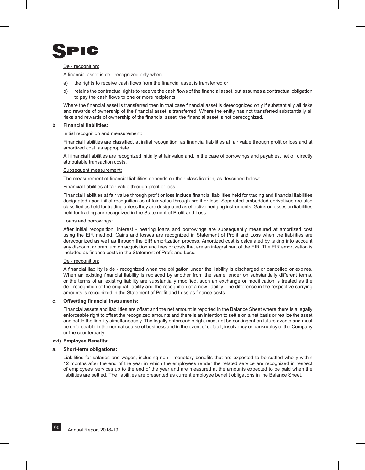

# De - recognition:

A financial asset is de - recognized only when

- a) the rights to receive cash flows from the financial asset is transferred or
- b) retains the contractual rights to receive the cash flows of the financial asset, but assumes a contractual obligation to pay the cash flows to one or more recipients.

Where the financial asset is transferred then in that case financial asset is derecognized only if substantially all risks and rewards of ownership of the financial asset is transferred. Where the entity has not transferred substantially all risks and rewards of ownership of the financial asset, the financial asset is not derecognized.

# **b. Financial liabilities:**

# Initial recognition and measurement:

Financial liabilities are classified, at initial recognition, as financial liabilities at fair value through profit or loss and at amortized cost, as appropriate.

All financial liabilities are recognized initially at fair value and, in the case of borrowings and payables, net off directly attributable transaction costs.

# Subsequent measurement:

The measurement of financial liabilities depends on their classification, as described below:

# Financial liabilities at fair value through profit or loss:

Financial liabilities at fair value through profit or loss include financial liabilities held for trading and financial liabilities designated upon initial recognition as at fair value through profit or loss. Separated embedded derivatives are also classified as held for trading unless they are designated as effective hedging instruments. Gains or losses on liabilities held for trading are recognized in the Statement of Profit and Loss.

# Loans and borrowings:

After initial recognition, interest - bearing loans and borrowings are subsequently measured at amortized cost using the EIR method. Gains and losses are recognized in Statement of Profit and Loss when the liabilities are derecognized as well as through the EIR amortization process. Amortized cost is calculated by taking into account any discount or premium on acquisition and fees or costs that are an integral part of the EIR. The EIR amortization is included as finance costs in the Statement of Profit and Loss.

# De - recognition:

A financial liability is de - recognized when the obligation under the liability is discharged or cancelled or expires. When an existing financial liability is replaced by another from the same lender on substantially different terms, or the terms of an existing liability are substantially modified, such an exchange or modification is treated as the de - recognition of the original liability and the recognition of a new liability. The difference in the respective carrying amounts is recognized in the Statement of Profit and Loss as finance costs.

# **c. Offsetting financial instruments:**

Financial assets and liabilities are offset and the net amount is reported in the Balance Sheet where there is a legally enforceable right to offset the recognized amounts and there is an intention to settle on a net basis or realize the asset and settle the liability simultaneously. The legally enforceable right must not be contingent on future events and must be enforceable in the normal course of business and in the event of default, insolvency or bankruptcy of the Company or the counterparty.

# **xvi) Employee Benefits:**

# **a. Short-term obligations:**

Liabilities for salaries and wages, including non - monetary benefits that are expected to be settled wholly within 12 months after the end of the year in which the employees render the related service are recognized in respect of employees' services up to the end of the year and are measured at the amounts expected to be paid when the liabilities are settled. The liabilities are presented as current employee benefit obligations in the Balance Sheet.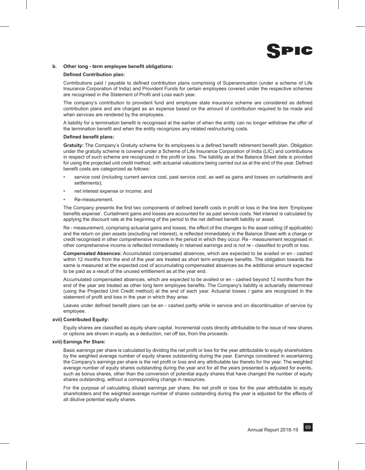

# **b. Other long - term employee benefit obligations:**

# **Defined Contribution plan:**

Contributions paid / payable to defined contribution plans comprising of Superannuation (under a scheme of Life Insurance Corporation of India) and Provident Funds for certain employees covered under the respective schemes are recognised in the Statement of Profit and Loss each year.

The company's contribution to provident fund and employee state insurance scheme are considered as defined contribution plans and are charged as an expense based on the amount of contribution required to be made and when services are rendered by the employees.

A liability for a termination benefit is recognised at the earlier of when the entity can no longer withdraw the offer of the termination benefit and when the entity recognizes any related restructuring costs.

# **Defined benefit plans:**

**Gratuity:** The Company's Gratuity scheme for its employees is a defined benefit retirement benefit plan. Obligation under the gratuity scheme is covered under a Scheme of Life Insurance Corporation of India (LIC) and contributions in respect of such scheme are recognized in the profit or loss. The liability as at the Balance Sheet date is provided for using the projected unit credit method, with actuarial valuations being carried out as at the end of the year. Defined benefit costs are categorized as follows:

- service cost (including current service cost, past service cost, as well as gains and losses on curtailments and settlements);
- net interest expense or income; and
- Re-measurement.

The Company presents the first two components of defined benefit costs in profit or loss in the line item 'Employee benefits expense'. Curtailment gains and losses are accounted for as past service costs. Net interest is calculated by applying the discount rate at the beginning of the period to the net defined benefit liability or asset.

Re - measurement, comprising actuarial gains and losses, the effect of the changes to the asset ceiling (if applicable) and the return on plan assets (excluding net interest), is reflected immediately in the Balance Sheet with a charge or credit recognised in other comprehensive income in the period in which they occur. Re - measurement recognised in other comprehensive income is reflected immediately in retained earnings and is not re - classified to profit or loss.

**Compensated Absences:** Accumulated compensated absences, which are expected to be availed or en - cashed within 12 months from the end of the year are treated as short term employee benefits. The obligation towards the same is measured at the expected cost of accumulating compensated absences as the additional amount expected to be paid as a result of the unused entitlement as at the year end.

Accumulated compensated absences, which are expected to be availed or en - cashed beyond 12 months from the end of the year are treated as other long term employee benefits. The Company's liability is actuarially determined (using the Projected Unit Credit method) at the end of each year. Actuarial losses / gains are recognized in the statement of profit and loss in the year in which they arise.

Leaves under defined benefit plans can be en - cashed partly while in service and on discontinuation of service by employee.

# **xvii) Contributed Equity:**

Equity shares are classified as equity share capital. Incremental costs directly attributable to the issue of new shares or options are shown in equity as a deduction, net off tax, from the proceeds.

# **xviii) Earnings Per Share:**

Basic earnings per share is calculated by dividing the net profit or loss for the year attributable to equity shareholders by the weighted average number of equity shares outstanding during the year. Earnings considered in ascertaining the Company's earnings per share is the net profit or loss and any attributable tax thereto for the year. The weighted average number of equity shares outstanding during the year and for all the years presented is adjusted for events, such as bonus shares, other than the conversion of potential equity shares that have changed the number of equity shares outstanding, without a corresponding change in resources.

For the purpose of calculating diluted earnings per share, the net profit or loss for the year attributable to equity shareholders and the weighted average number of shares outstanding during the year is adjusted for the effects of all dilutive potential equity shares.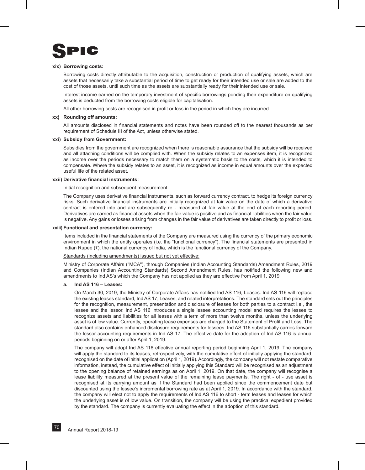

# **xix) Borrowing costs:**

Borrowing costs directly attributable to the acquisition, construction or production of qualifying assets, which are assets that necessarily take a substantial period of time to get ready for their intended use or sale are added to the cost of those assets, until such time as the assets are substantially ready for their intended use or sale.

Interest income earned on the temporary investment of specific borrowings pending their expenditure on qualifying assets is deducted from the borrowing costs eligible for capitalisation.

All other borrowing costs are recognised in profit or loss in the period in which they are incurred.

# **xx) Rounding off amounts:**

All amounts disclosed in financial statements and notes have been rounded off to the nearest thousands as per requirement of Schedule III of the Act, unless otherwise stated.

# **xxi) Subsidy from Government:**

Subsidies from the government are recognized when there is reasonable assurance that the subsidy will be received and all attaching conditions will be complied with. When the subsidy relates to an expenses item, it is recognized as income over the periods necessary to match them on a systematic basis to the costs, which it is intended to compensate. Where the subsidy relates to an asset, it is recognized as income in equal amounts over the expected useful life of the related asset.

# **xxii) Derivative financial instruments:**

Initial recognition and subsequent measurement:

The Company uses derivative financial instruments, such as forward currency contract, to hedge its foreign currency risks. Such derivative financial instruments are initially recognized at fair value on the date of which a derivative contract is entered into and are subsequently re - measured at fair value at the end of each reporting period. Derivatives are carried as financial assets when the fair value is positive and as financial liabilities when the fair value is negative. Any gains or losses arising from changes in the fair value of derivatives are taken directly to profit or loss.

# **xxiii) Functional and presentation currency:**

Items included in the financial statements of the Company are measured using the currency of the primary economic environment in which the entity operates (i.e. the "functional currency"). The financial statements are presented in Indian Rupee  $(\bar{\tau})$ , the national currency of India, which is the functional currency of the Company.

# Standards (including amendments) issued but not yet effective:

Ministry of Corporate Affairs ("MCA"), through Companies (Indian Accounting Standards) Amendment Rules, 2019 and Companies (Indian Accounting Standards) Second Amendment Rules, has notified the following new and amendments to Ind AS's which the Company has not applied as they are effective from April 1, 2019:

# **a. Ind AS 116 – Leases:**

On March 30, 2019, the Ministry of Corporate Affairs has notified Ind AS 116, Leases. Ind AS 116 will replace the existing leases standard, Ind AS 17, Leases, and related interpretations. The standard sets out the principles for the recognition, measurement, presentation and disclosure of leases for both parties to a contract i.e., the lessee and the lessor. Ind AS 116 introduces a single lessee accounting model and requires the lessee to recognize assets and liabilities for all leases with a term of more than twelve months, unless the underlying asset is of low value. Currently, operating lease expenses are charged to the Statement of Profit and Loss. The standard also contains enhanced disclosure requirements for lessees. Ind AS 116 substantially carries forward the lessor accounting requirements in Ind AS 17. The effective date for the adoption of Ind AS 116 is annual periods beginning on or after April 1, 2019.

The company will adopt Ind AS 116 effective annual reporting period beginning April 1, 2019. The company will apply the standard to its leases, retrospectively, with the cumulative effect of initially applying the standard, recognised on the date of initial application (April 1, 2019). Accordingly, the company will not restate comparative information, instead, the cumulative effect of initially applying this Standard will be recognised as an adjustment to the opening balance of retained earnings as on April 1, 2019. On that date, the company will recognise a lease liability measured at the present value of the remaining lease payments. The right - of - use asset is recognised at its carrying amount as if the Standard had been applied since the commencement date but discounted using the lessee's incremental borrowing rate as at April 1, 2019. In accordance with the standard, the company will elect not to apply the requirements of Ind AS 116 to short - term leases and leases for which the underlying asset is of low value. On transition, the company will be using the practical expedient provided by the standard. The company is currently evaluating the effect in the adoption of this standard.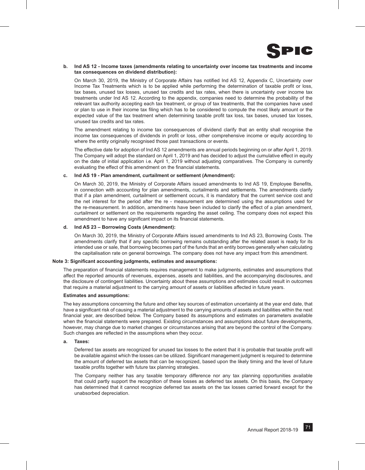

#### **b. Ind AS 12 - Income taxes (amendments relating to uncertainty over income tax treatments and income tax consequences on dividend distribution):**

On March 30, 2019, the Ministry of Corporate Affairs has notified Ind AS 12, Appendix C, Uncertainty over Income Tax Treatments which is to be applied while performing the determination of taxable profit or loss, tax bases, unused tax losses, unused tax credits and tax rates, when there is uncertainty over income tax treatments under Ind AS 12. According to the appendix, companies need to determine the probability of the relevant tax authority accepting each tax treatment, or group of tax treatments, that the companies have used or plan to use in their income tax filing which has to be considered to compute the most likely amount or the expected value of the tax treatment when determining taxable profit tax loss, tax bases, unused tax losses, unused tax credits and tax rates.

The amendment relating to income tax consequences of dividend clarify that an entity shall recognise the income tax consequences of dividends in profit or loss, other comprehensive income or equity according to where the entity originally recognised those past transactions or events.

The effective date for adoption of Ind AS 12 amendments are annual periods beginning on or after April 1, 2019. The Company will adopt the standard on April 1, 2019 and has decided to adjust the cumulative effect in equity on the date of initial application i.e. April 1, 2019 without adjusting comparatives. The Company is currently evaluating the effect of this amendment on the financial statements.

#### **c. Ind AS 19 - Plan amendment, curtailment or settlement (Amendment):**

On March 30, 2019, the Ministry of Corporate Affairs issued amendments to Ind AS 19, Employee Benefits, in connection with accounting for plan amendments, curtailments and settlements. The amendments clarify that if a plan amendment, curtailment or settlement occurs, it is mandatory that the current service cost and the net interest for the period after the re - measurement are determined using the assumptions used for the re-measurement. In addition, amendments have been included to clarify the effect of a plan amendment, curtailment or settlement on the requirements regarding the asset ceiling. The company does not expect this amendment to have any significant impact on its financial statements.

#### **d. Ind AS 23 – Borrowing Costs (Amendment):**

On March 30, 2019, the Ministry of Corporate Affairs issued amendments to Ind AS 23, Borrowing Costs. The amendments clarify that if any specific borrowing remains outstanding after the related asset is ready for its intended use or sale, that borrowing becomes part of the funds that an entity borrows generally when calculating the capitalisation rate on general borrowings. The company does not have any impact from this amendment.

#### **Note 3: Significant accounting judgments, estimates and assumptions:**

The preparation of financial statements requires management to make judgments, estimates and assumptions that affect the reported amounts of revenues, expenses, assets and liabilities, and the accompanying disclosures, and the disclosure of contingent liabilities. Uncertainty about these assumptions and estimates could result in outcomes that require a material adjustment to the carrying amount of assets or liabilities affected in future years.

#### **Estimates and assumptions:**

The key assumptions concerning the future and other key sources of estimation uncertainty at the year end date, that have a significant risk of causing a material adjustment to the carrying amounts of assets and liabilities within the next financial year, are described below. The Company based its assumptions and estimates on parameters available when the financial statements were prepared. Existing circumstances and assumptions about future developments, however, may change due to market changes or circumstances arising that are beyond the control of the Company. Such changes are reflected in the assumptions when they occur.

#### **a. Taxes:**

Deferred tax assets are recognized for unused tax losses to the extent that it is probable that taxable profit will be available against which the losses can be utilized. Significant management judgment is required to determine the amount of deferred tax assets that can be recognized, based upon the likely timing and the level of future taxable profits together with future tax planning strategies.

The Company neither has any taxable temporary difference nor any tax planning opportunities available that could partly support the recognition of these losses as deferred tax assets. On this basis, the Company has determined that it cannot recognize deferred tax assets on the tax losses carried forward except for the unabsorbed depreciation.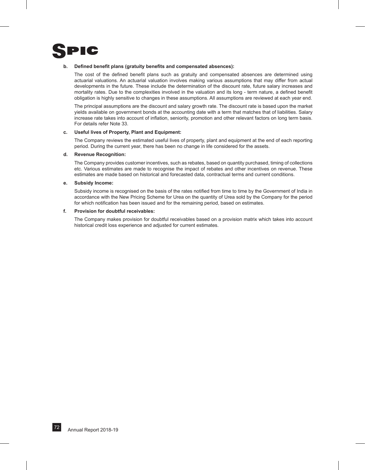

#### **b. Defined benefit plans (gratuity benefits and compensated absences):**

The cost of the defined benefit plans such as gratuity and compensated absences are determined using actuarial valuations. An actuarial valuation involves making various assumptions that may differ from actual developments in the future. These include the determination of the discount rate, future salary increases and mortality rates. Due to the complexities involved in the valuation and its long - term nature, a defined benefit obligation is highly sensitive to changes in these assumptions. All assumptions are reviewed at each year end.

The principal assumptions are the discount and salary growth rate. The discount rate is based upon the market yields available on government bonds at the accounting date with a term that matches that of liabilities. Salary increase rate takes into account of inflation, seniority, promotion and other relevant factors on long term basis. For details refer Note 33.

#### **c. Useful lives of Property, Plant and Equipment:**

The Company reviews the estimated useful lives of property, plant and equipment at the end of each reporting period. During the current year, there has been no change in life considered for the assets.

#### **d. Revenue Recognition:**

The Company provides customer incentives, such as rebates, based on quantity purchased, timing of collections etc. Various estimates are made to recognise the impact of rebates and other incentives on revenue. These estimates are made based on historical and forecasted data, contractual terms and current conditions.

#### **e. Subsidy Income:**

Subsidy income is recognised on the basis of the rates notified from time to time by the Government of India in accordance with the New Pricing Scheme for Urea on the quantity of Urea sold by the Company for the period for which notification has been issued and for the remaining period, based on estimates.

#### **f. Provision for doubtful receivables:**

The Company makes provision for doubtful receivables based on a provision matrix which takes into account historical credit loss experience and adjusted for current estimates.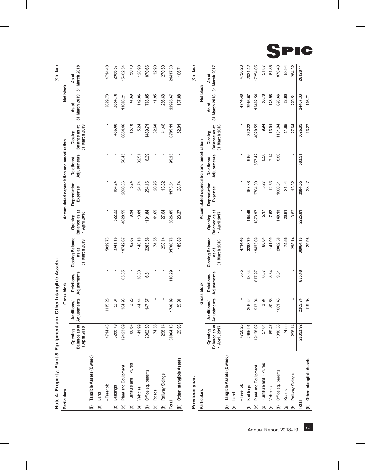|                    | Note 4: Property, Plant & Equipment and Other Intangible Assets: |                                             |                                  |                           |                                                  |                                          |                                           |                                  |                                           |                        | (₹ in lac)             |
|--------------------|------------------------------------------------------------------|---------------------------------------------|----------------------------------|---------------------------|--------------------------------------------------|------------------------------------------|-------------------------------------------|----------------------------------|-------------------------------------------|------------------------|------------------------|
|                    | Particulars                                                      |                                             |                                  | Gross block               |                                                  |                                          | Accumulated depreciation and amortization |                                  |                                           | Net block              |                        |
|                    |                                                                  | Balance as at<br>2018<br>Opening<br>1 April | Adjustments<br><b>Additions/</b> | Adjustments<br>Deletions/ | <b>Closing Balance</b><br>31 March 2019<br>as at | Balance as at<br>1 April 2018<br>Opening | Depreciation<br>Expense                   | Adjustments<br><b>Deletions/</b> | 31 March 2019<br>Balance as at<br>Closing | 31 March 2019<br>As at | 31 March 2018<br>As at |
|                    | (i) Tangible Assets (Owned)                                      |                                             |                                  |                           |                                                  |                                          |                                           |                                  |                                           |                        |                        |
|                    | (a) Land                                                         |                                             |                                  |                           |                                                  |                                          |                                           |                                  |                                           |                        |                        |
|                    | - Freehold                                                       | 4714.48                                     | 1115.25                          | ı                         | 5829.73                                          | ı                                        |                                           |                                  |                                           | 5829.73                | 4714.48                |
|                    | (b) Buildings                                                    | 3288.79                                     | 52.37                            |                           | 3341.16                                          | 322.22                                   | 164.24                                    |                                  | 486.46                                    | 2854.70                | 2966.57                |
| $\odot$            | Plant and Equipment                                              | 423.09<br>စ္                                | 384.93                           | 65.35                     | 19742.67                                         | 4020.55                                  | 2690.36                                   | 56.45                            | 6654.46                                   | 3088.21                | 15402.54               |
|                    | (d) Furniture and Fixtures                                       | 60.64                                       | 2.23                             |                           | 62.87                                            | 9.94                                     | 5.24                                      |                                  | 15.18                                     | 47.69                  | 50.70                  |
|                    | (e) Vehicles                                                     | 141.99                                      | 44.44                            | 38.33                     | 148.10                                           | 13.01                                    | 24.74                                     | 32.51                            | 5.24                                      | 142.86                 | 128.98                 |
|                    | (f) Office equipments                                            | 2062.50                                     | 147.67                           | 6.61                      | 2203.56                                          | 1191.84                                  | 254.16                                    | 6.29                             | 1439.71                                   | 763.85                 | 870.66                 |
| $\widehat{\Theta}$ | Roads                                                            | 74.55                                       |                                  |                           | 74.55                                            | 41.65                                    | 20.95                                     |                                  | 62.60                                     | 11.95                  | 32.90                  |
|                    | (h) Railway Sidings                                              | 298.14                                      |                                  |                           | 298.14                                           | 27.64                                    | 13.82                                     |                                  | 41.46                                     | 256.68                 | 270.50                 |
| Total              |                                                                  | 30064.18                                    | 1746.89                          | 110.29                    | 31700.78                                         | 5626.85                                  | 3173.51                                   | 95.25                            | 8705.11                                   | 22995.67               | 24437.33               |
|                    | (ii) Other Intangible Assets                                     | 129.98                                      | 59.91                            |                           | 189.89                                           | 23.27                                    | 28.74                                     |                                  | 52.01                                     | 137.88                 | 106.71                 |
|                    |                                                                  |                                             |                                  |                           |                                                  |                                          |                                           |                                  |                                           |                        |                        |

|                        | Previous year:               |                                              |                                  |                                  |                                                  |                                          |                                           |                           |                                           |                        | (₹ in lac)             |  |
|------------------------|------------------------------|----------------------------------------------|----------------------------------|----------------------------------|--------------------------------------------------|------------------------------------------|-------------------------------------------|---------------------------|-------------------------------------------|------------------------|------------------------|--|
|                        | Particulars                  |                                              |                                  | Gross block                      |                                                  |                                          | Accumulated depreciation and amortization |                           |                                           | Net block              |                        |  |
|                        |                              | Balance as at<br>2017<br>Opening<br>I April, | Adjustments<br><b>Additions/</b> | Adjustments<br><b>Deletions/</b> | <b>Closing Balance</b><br>31 March 2018<br>as at | Balance as at<br>1 April 2017<br>Opening | Depreciation<br>Expense                   | Adjustments<br>Deletions/ | 31 March 2018<br>Balance as at<br>Closing | 31 March 2018<br>As at | 31 March 2017<br>As at |  |
|                        | (i) Tangible Assets (Owned)  |                                              |                                  |                                  |                                                  |                                          |                                           |                           |                                           |                        |                        |  |
|                        | (a) Land                     |                                              |                                  |                                  |                                                  |                                          |                                           |                           |                                           |                        |                        |  |
|                        | - Freehold                   | 720.23                                       | ı                                | 5.75                             | 4714.48                                          | ×                                        | ı                                         | ı                         | ٠                                         | 4714.48                | 4720.23                |  |
| $\widehat{e}$          | <b>Buildings</b>             | 2995.91                                      | 306.42                           | 13.54                            | 3288.79                                          | 164.49                                   | 167.38                                    | 9.65                      | 322.22                                    | 2966.57                | 2831.42                |  |
| $\odot$                | Plant and Equipment          | 128.02<br>$\frac{5}{2}$                      | 913.04                           | 617.97                           | 9423.09                                          | 873.97                                   | 2704.00                                   | 557.42                    | 4020.55                                   | 5402.54                | 17254.05               |  |
|                        | (d) Furniture and Fixtures   | 57.04                                        | 3.97                             | 0.37                             | 60.64                                            | 5.17                                     | 5.27                                      | 0.50                      | 9.94                                      | 50.70                  | 51.87                  |  |
| e)                     | Vehicles                     | 69.47                                        | 80.86                            | 8.34                             | 141.99                                           | 7.62                                     | 12.53                                     | 7.14                      | 13.01                                     | 128.98                 | 61.85                  |  |
| $\oplus$               | Office equipments            | 010.56                                       | 1061.45                          | 9.51                             | 2062.50                                          | 140.13                                   | 060.51                                    | 8.80                      | 1191.84                                   | 870.66                 | 870.43                 |  |
| $\widehat{\mathbf{e}}$ | Roads                        | 74.55                                        |                                  | ı                                | 74.55                                            | 20.61                                    | 21.04                                     |                           | 41.65                                     | 32.90                  | 53.94                  |  |
|                        | (h) Railway Sidings          | 298.14                                       | 1                                | ı                                | 298.14                                           | 13.82                                    | 13.82                                     |                           | 27.64                                     | 270.51                 | 284.32                 |  |
| <b>Total</b>           |                              | 28353.92                                     | 2365.74                          | 655.48                           | 30064.18                                         | 2225.81                                  | 3984.55                                   | 583.51                    | 5626.85                                   | 24437.33               | 26128.11               |  |
|                        | (ii) Other Intangible Assets |                                              | 129.98                           |                                  | 129.98                                           |                                          | 23.27                                     |                           | 23.27                                     | 106.71                 |                        |  |

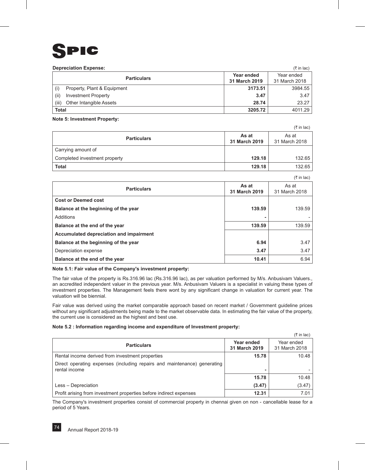

#### **Depreciation Expense:** (3) in lac)

|              | <b>Depreciation Experise.</b> |               |               |
|--------------|-------------------------------|---------------|---------------|
|              | <b>Particulars</b>            | Year ended    | Year ended    |
|              |                               | 31 March 2019 | 31 March 2018 |
| (i)          | Property, Plant & Equipment   | 3173.51       | 3984.55       |
| (ii)         | <b>Investment Property</b>    | 3.47          | 3.47          |
| (iii)        | Other Intangible Assets       | 28.74         | 23.27         |
| <b>Total</b> |                               | 3205.72       | 4011.29       |

#### **Note 5: Investment Property:**

 $($ ₹ in lac) **Particulars As at As at As at As at As at As at As at As at As at As at As at As at As at As at As at As at As at As at As at As at As at As at As at 31 March 2019** As at 31 March 2018 Carrying amount of **Completed investment property 129.18** 132.65 **Total 129.18** 132.65

|                                         |                        | (₹ in lac)             |
|-----------------------------------------|------------------------|------------------------|
| <b>Particulars</b>                      | As at<br>31 March 2019 | As at<br>31 March 2018 |
| <b>Cost or Deemed cost</b>              |                        |                        |
| Balance at the beginning of the year    | 139.59                 | 139.59                 |
| Additions                               |                        |                        |
| Balance at the end of the year          | 139.59                 | 139.59                 |
| Accumulated depreciation and impairment |                        |                        |
| Balance at the beginning of the year    | 6.94                   | 3.47                   |
| Depreciation expense                    | 3.47                   | 3.47                   |
| Balance at the end of the year          | 10.41                  | 6.94                   |

#### **Note 5.1: Fair value of the Company's investment property:**

The fair value of the property is Rs.316.96 lac (Rs.316.96 lac), as per valuation performed by M/s. Anbusivam Valuers., an accredited independent valuer in the previous year. M/s. Anbusivam Valuers is a specialist in valuing these types of investment properties. The Management feels there wont by any significant change in valuation for current year. The valuation will be biennial.

Fair value was derived using the market comparable approach based on recent market / Government guideline prices without any significant adjustments being made to the market observable data. In estimating the fair value of the property, the current use is considered as the highest and best use.

#### **Note 5.2 : Information regarding income and expenditure of Investment property:**

|                                                                                           |                             | $(3\overline{5})$ in lac)   |
|-------------------------------------------------------------------------------------------|-----------------------------|-----------------------------|
| <b>Particulars</b>                                                                        | Year ended<br>31 March 2019 | Year ended<br>31 March 2018 |
| Rental income derived from investment properties                                          | 15.78                       | 10.48                       |
| Direct operating expenses (including repairs and maintenance) generating<br>rental income |                             |                             |
|                                                                                           | 15.78                       | 10.48                       |
| Less - Depreciation                                                                       | (3.47)                      | (3.47)                      |
| Profit arising from investment properties before indirect expenses                        | 12.31                       | 7.01                        |

The Company's investment properties consist of commercial property in chennai given on non - cancellable lease for a period of 5 Years.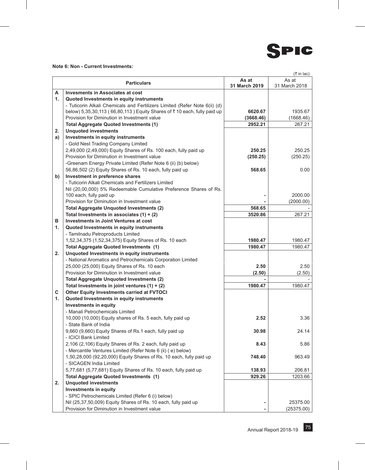

## **Note 6: Non - Current Investments:**

|    |                                                                                              |               | (₹ in lac)           |
|----|----------------------------------------------------------------------------------------------|---------------|----------------------|
|    | <b>Particulars</b>                                                                           | As at         | As at                |
|    |                                                                                              | 31 March 2019 | 31 March 2018        |
| A  | <b>Invesments in Associates at cost</b>                                                      |               |                      |
| 1. | Quoted Investments in equity instruments                                                     |               |                      |
|    | - Tuticorin Alkali Chemicals and Fertilizers Limited (Refer Note 6(ii) (d)                   |               |                      |
|    | below) 5,35,30,113 (66,80,113) Equity Shares of ₹10 each, fully paid up                      | 6620.67       | 1935.67              |
|    | Provision for Diminution in Investment value                                                 | (3668.46)     | (1668.46)            |
|    | <b>Total Aggregate Quoted Investments (1)</b>                                                | 2952.21       | 267.21               |
| 2. | <b>Unquoted investments</b>                                                                  |               |                      |
| a) | Investments in equity instruments                                                            |               |                      |
|    | - Gold Nest Trading Company Limited                                                          |               |                      |
|    | 2,49,000 (2,49,000) Equity Shares of Rs. 100 each, fully paid up                             | 250.25        | 250.25               |
|    | Provision for Diminution in Investment value                                                 | (250.25)      | (250.25)             |
|    | -Greenam Energy Private Limited (Refer Note 6 (ii) (b) below)                                |               |                      |
|    | 56,86,502 (2) Equity Shares of Rs. 10 each, fully paid up                                    | 568.65        | 0.00                 |
| b) | Investment in preference shares                                                              |               |                      |
|    | - Tuticorin Alkali Chemicals and Fertilizers Limited                                         |               |                      |
|    | Nil (20,00,000) 5% Redeemable Cumulative Preference Shares of Rs.<br>100 each, fully paid up |               |                      |
|    | Provision for Diminution in Investment value                                                 |               | 2000.00<br>(2000.00) |
|    | <b>Total Aggregate Unquoted Investments (2)</b>                                              | 568.65        |                      |
|    | Total Investments in associates $(1) + (2)$                                                  | 3520.86       | 267.21               |
| в  | Investments in Joint Ventures at cost                                                        |               |                      |
| 1. | Quoted Investments in equity instruments                                                     |               |                      |
|    | - Tamilnadu Petroproducts Limited                                                            |               |                      |
|    | 1,52,34,375 (1,52,34,375) Equity Shares of Rs. 10 each                                       | 1980.47       | 1980.47              |
|    | Total Aggregate Quoted Investments (1)                                                       | 1980.47       | 1980.47              |
| 2. | Unquoted Investments in equity instruments                                                   |               |                      |
|    | - National Aromatics and Petrochemicals Corporation Limited                                  |               |                      |
|    | 25,000 (25,000) Equity Shares of Rs. 10 each                                                 | 2.50          | 2.50                 |
|    | Provision for Diminution in Investment value                                                 | (2.50)        | (2.50)               |
|    | <b>Total Aggregate Unquoted Investments (2)</b>                                              |               |                      |
|    | Total Investments in joint ventures $(1) + (2)$                                              | 1980.47       | 1980.47              |
| С  | Other Equity Investments carried at FVTOCI                                                   |               |                      |
| 1. | Quoted Investments in equity instruments                                                     |               |                      |
|    | <b>Investments in equity</b>                                                                 |               |                      |
|    | - Manali Petrochemicals Limited                                                              |               |                      |
|    | 10,000 (10,000) Equity shares of Rs. 5 each, fully paid up                                   | 2.52          | 3.36                 |
|    | - State Bank of India                                                                        |               |                      |
|    | 9,660 (9,660) Equity Shares of Rs.1 each, fully paid up                                      | 30.98         | 24.14                |
|    | - ICICI Bank Limited                                                                         |               |                      |
|    | 2,106 (2,106) Equity Shares of Rs. 2 each, fully paid up                                     | 8.43          | 5.86                 |
|    | - Mercantile Ventures Limited (Refer Note 6 (ii) ( e) below)                                 |               |                      |
|    | 1,50,28,000 (92,20,000) Equity Shares of Rs. 10 each, fully paid up                          | 748.40        | 963.49               |
|    | - SICAGEN India Limited                                                                      |               |                      |
|    | 5,77,681 (5,77,681) Equity Shares of Rs. 10 each, fully paid up                              | 138.93        | 206.81               |
|    | <b>Total Aggregate Quoted Investments (1)</b>                                                | 929.26        | 1203.66              |
| 2. | <b>Unquoted investments</b>                                                                  |               |                      |
|    | <b>Investments in equity</b>                                                                 |               |                      |
|    | - SPIC Petrochemicals Limited (Refer 6 (i) below)                                            |               |                      |
|    | Nil (25,37,50,009) Equity Shares of Rs. 10 each, fully paid up                               |               | 25375.00             |
|    | Provision for Diminution in Investment value                                                 |               | (25375.00)           |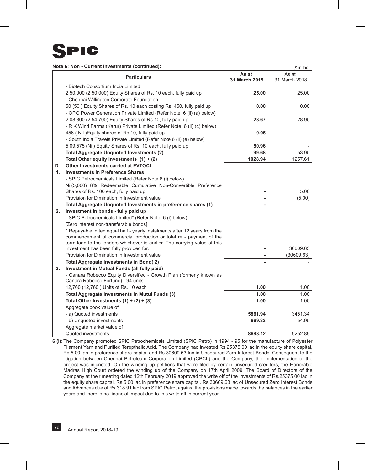

**Note 6: Non - Current Investments (continued):**

 $(\bar{\tau}$  in lac)

|    | <b>Particulars</b>                                                                                                                              | As at<br>31 March 2019 | As at<br>31 March 2018 |
|----|-------------------------------------------------------------------------------------------------------------------------------------------------|------------------------|------------------------|
|    | - Biotech Consortium India Limited                                                                                                              |                        |                        |
|    | 2,50,000 (2,50,000) Equity Shares of Rs. 10 each, fully paid up                                                                                 | 25.00                  | 25.00                  |
|    | - Chennai Willington Corporate Foundation                                                                                                       |                        |                        |
|    | 50 (50) Equity Shares of Rs. 10 each costing Rs. 450, fully paid up                                                                             | 0.00                   | 0.00                   |
|    | - OPG Power Generation Private Limited (Refer Note 6 (ii) (a) below)                                                                            |                        |                        |
|    | 2,08,800 (2,54,700) Equity Shares of Rs.10, fully paid up                                                                                       | 23.67                  | 28.95                  |
|    | - R K Wind Farms (Karur) Private Limited (Refer Note 6 (ii) (c) below)                                                                          |                        |                        |
|    | 456 (Nil) Equity shares of Rs.10, fully paid up                                                                                                 | 0.05                   |                        |
|    | - South India Travels Private Limited (Refer Note 6 (ii) (e) below)                                                                             |                        |                        |
|    | 5,09,575 (Nil) Equity Shares of Rs. 10 each, fully paid up                                                                                      | 50.96                  |                        |
|    | <b>Total Aggregate Unquoted Investments (2)</b>                                                                                                 | 99.68                  | 53.95                  |
|    | Total Other equity Investments $(1) + (2)$                                                                                                      | 1028.94                | 1257.61                |
| D  | <b>Other Investments carried at FVTOCI</b>                                                                                                      |                        |                        |
| 1. | <b>Investments in Preference Shares</b>                                                                                                         |                        |                        |
|    | - SPIC Petrochemicals Limited (Refer Note 6 (i) below)                                                                                          |                        |                        |
|    | Nil(5,000) 8% Redeemable Cumulative Non-Convertible Preference                                                                                  |                        |                        |
|    | Shares of Rs. 100 each, fully paid up                                                                                                           |                        | 5.00                   |
|    | Provision for Diminution in Investment value                                                                                                    |                        | (5.00)                 |
|    | Total Aggregate Unquoted Investments in preference shares (1)                                                                                   |                        |                        |
| 2. | Investment in bonds - fully paid up                                                                                                             |                        |                        |
|    | - SPIC Petrochemicals Limited* (Refer Note 6 (i) below)                                                                                         |                        |                        |
|    | [Zero interest non-transferable bonds]                                                                                                          |                        |                        |
|    | * Repayable in ten equal half - yearly instalments after 12 years from the                                                                      |                        |                        |
|    | commencement of commercial production or total re - payment of the<br>term loan to the lenders whichever is earlier. The carrying value of this |                        |                        |
|    | investment has been fully provided for.                                                                                                         |                        | 30609.63               |
|    | Provision for Diminution in Investment value                                                                                                    |                        | (30609.63)             |
|    | <b>Total Aggregate Investments in Bond(2)</b>                                                                                                   |                        |                        |
| 3. | Investment in Mutual Funds (all fully paid)                                                                                                     |                        |                        |
|    | - Canara Robecco Equity Diversified - Growth Plan (formerly known as                                                                            |                        |                        |
|    | Canara Robecco Fortune) - 94 units                                                                                                              |                        |                        |
|    | 12,760 (12,760) Units of Rs. 10 each                                                                                                            | 1.00                   | 1.00                   |
|    | <b>Total Aggregate Investments In Mutul Funds (3)</b>                                                                                           | 1.00                   | 1.00                   |
|    | Total Other Investments $(1) + (2) + (3)$                                                                                                       | 1.00                   | 1.00                   |
|    | Aggregate book value of                                                                                                                         |                        |                        |
|    | - a) Quoted investments                                                                                                                         | 5861.94                | 3451.34                |
|    | - b) Unquoted investments                                                                                                                       | 669.33                 | 54.95                  |
|    | Aggregate market value of                                                                                                                       |                        |                        |
|    | Quoted investments                                                                                                                              | 8683.12                | 9252.89                |

**6 (i):**The Company promoted SPIC Petrochemicals Limited (SPIC Petro) in 1994 - 95 for the manufacture of Polyester Filament Yarn and Purified Terepthalic Acid. The Company had invested Rs.25375.00 lac in the equity share capital, Rs.5.00 lac in preference share capital and Rs.30609.63 lac in Unsecured Zero Interest Bonds. Consequent to the litigation between Chennai Petroleum Corporation Limited (CPCL) and the Company, the implementation of the project was injuncted. On the winding up petitions that were filed by certain unsecured creditors, the Honorable Madras High Court ordered the winding up of the Company on 17th April 2009. The Board of Directors of the Company at their meeting dated 12th February 2019 approved the write off of the Investments of Rs.25375.00 lac in the equity share capital, Rs.5.00 lac in preference share capital, Rs.30609.63 lac of Unsecured Zero Interest Bonds and Advances due of Rs.318.91 lac from SPIC Petro, against the provisions made towards the balances in the earlier years and there is no financial impact due to this write off in current year.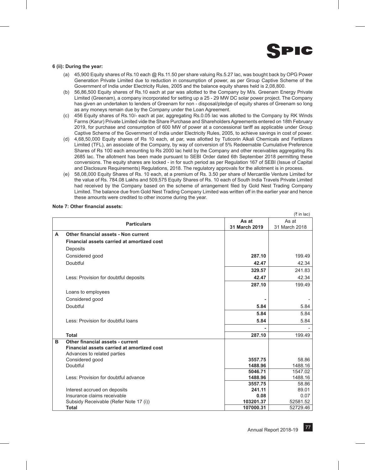

#### **6 (ii): During the year:**

- (a) 45,900 Equity shares of Rs.10 each @ Rs.11.50 per share valuing Rs.5.27 lac, was bought back by OPG Power Generation Private Limited due to reduction in consumption of power, as per Group Captive Scheme of the Government of India under Electricity Rules, 2005 and the balance equity shares held is 2,08,800.
- (b) 56,86,500 Equity shares of Rs.10 each at par was allotted to the Company by M/s. Greenam Energy Private Limited (Greenam), a company incorporated for setting up a 25 - 29 MW DC solar power project. The Company has given an undertaken to lenders of Greenam for non - disposal/pledge of equity shares of Greenam so long as any moneys remain due by the Company under the Loan Agreement.
- (c) 456 Equity shares of Rs.10/- each at par, aggregating Rs.0.05 lac was allotted to the Company by RK Winds Farms (Karur) Private Limited vide the Share Purchase and Shareholders Agreements entered on 18th February 2019, for purchase and consumption of 600 MW of power at a concessional tariff as applicable under Group Captive Scheme of the Government of India under Electricity Rules, 2005, to achieve savings in cost of power.
- (d) 4,68,50,000 Equity shares of Rs 10 each, at par, was allotted by Tuticorin Alkali Chemicals and Fertilizers Limited (TFL), an associate of the Company, by way of conversion of 5% Redeemable Cumulative Preference Shares of Rs 100 each amounting to Rs 2000 lac held by the Company and other receivables aggregating Rs 2685 lac. The allotment has been made pursuant to SEBI Order dated 6th September 2018 permitting these conversions. The equity shares are locked - in for such period as per Regulation 167 of SEBI (Issue of Capital and Disclosure Requirements) Regulations, 2018. The regulatory approvals for the allotment is in process.
- (e) 58,08,000 Equity Shares of Rs. 10 each, at a premium of Rs. 3.50 per share of Mercantile Venture Limited for the value of Rs. 784.08 Lakhs and 509,575 Equity Shares of Rs. 10 each of South India Travels Private Limited had received by the Company based on the scheme of arrangement filed by Gold Nest Trading Company Limited. The balance due from Gold Nest Trading Company Limited was written off in the earlier year and hence these amounts were credited to other income during the year.

|   |                                            |               | (₹ in lac)    |
|---|--------------------------------------------|---------------|---------------|
|   |                                            | As at         | As at         |
|   | <b>Particulars</b>                         | 31 March 2019 | 31 March 2018 |
| A | Other financial assets - Non current       |               |               |
|   | Financial assets carried at amortized cost |               |               |
|   | Deposits                                   |               |               |
|   | Considered good                            | 287.10        | 199.49        |
|   | Doubtful                                   | 42.47         | 42.34         |
|   |                                            | 329.57        | 241.83        |
|   | Less: Provision for doubtful deposits      | 42.47         | 42.34         |
|   |                                            | 287.10        | 199.49        |
|   | Loans to employees                         |               |               |
|   | Considered good                            |               |               |
|   | Doubtful                                   | 5.84          | 5.84          |
|   |                                            | 5.84          | 5.84          |
|   | Less: Provision for doubtful loans         | 5.84          | 5.84          |
|   |                                            |               |               |
|   | <b>Total</b>                               | 287.10        | 199.49        |
| B | Other financial assets - current           |               |               |
|   | Financial assets carried at amortized cost |               |               |
|   | Advances to related parties                |               |               |
|   | Considered good                            | 3557.75       | 58.86         |
|   | Doubtful                                   | 1488.96       | 1488.16       |
|   |                                            | 5046.71       | 1547.02       |
|   | Less: Provision for doubtful advance       | 1488.96       | 1488.16       |
|   |                                            | 3557.75       | 58.86         |
|   | Interest accrued on deposits               | 241.11        | 89.01         |
|   | Insurance claims receivable                | 0.08          | 0.07          |
|   | Subsidy Receivable (Refer Note 17 (i))     | 103201.37     | 52581.52      |
|   | Total                                      | 107000.31     | 52729.46      |

#### **Note 7: Other financial assets:**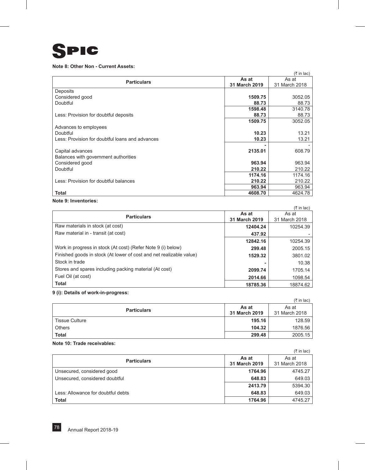

## **Note 8: Other Non - Current Assets:**

|                                                 |               | $(3\overline{5})$ in lac) |
|-------------------------------------------------|---------------|---------------------------|
| <b>Particulars</b>                              | As at         | As at                     |
|                                                 | 31 March 2019 | 31 March 2018             |
| Deposits                                        |               |                           |
| Considered good                                 | 1509.75       | 3052.05                   |
| Doubtful                                        | 88.73         | 88.73                     |
|                                                 | 1598.48       | 3140.78                   |
| Less: Provision for doubtful deposits           | 88.73         | 88.73                     |
|                                                 | 1509.75       | 3052.05                   |
| Advances to employees                           |               |                           |
| Doubtful                                        | 10.23         | 13.21                     |
| Less: Provision for doubtful loans and advances | 10.23         | 13.21                     |
|                                                 |               |                           |
| Capital advances                                | 2135.01       | 608.79                    |
| Balances with government authorities            |               |                           |
| Considered good                                 | 963.94        | 963.94                    |
| Doubtful                                        | 210.22        | 210.22                    |
|                                                 | 1174.16       | 1174.16                   |
| Less: Provision for doubtful balances           | 210.22        | 210.22                    |
|                                                 | 963.94        | 963.94                    |
| <b>Total</b>                                    | 4608.70       | 4624.78                   |

## **Note 9: Inventories:**

|                                                                     |               | $(3\overline{5})$ in lac) |
|---------------------------------------------------------------------|---------------|---------------------------|
| <b>Particulars</b>                                                  | As at         | As at                     |
|                                                                     | 31 March 2019 | 31 March 2018             |
| Raw materials in stock (at cost)                                    | 12404.24      | 10254.39                  |
| Raw material in - transit (at cost)                                 | 437.92        |                           |
|                                                                     | 12842.16      | 10254.39                  |
| Work in progress in stock (At cost) (Refer Note 9 (i) below)        | 299.48        | 2005.15                   |
| Finished goods in stock (At lower of cost and net realizable value) | 1529.32       | 3801.02                   |
| Stock in trade                                                      |               | 10.38                     |
| Stores and spares including packing material (At cost)              | 2099.74       | 1705.14                   |
| Fuel Oil (at cost)                                                  | 2014.66       | 1098.54                   |
| <b>Total</b>                                                        | 18785.36      | 18874.62                  |

### **9 (i): Details of work-in-progress:**

|                    |                        | $(3\overline{5})$ in lac) |
|--------------------|------------------------|---------------------------|
| <b>Particulars</b> | As at<br>31 March 2019 | As at<br>31 March 2018    |
| Tissue Culture     | 195.16                 | 128.59                    |
| Others             | 104.32                 | 1876.56                   |
| <b>Total</b>       | 299.48                 | 2005.15                   |

## **Note 10: Trade receivables:**

|                                    |                        | $(3\overline{5})$ in lac) |
|------------------------------------|------------------------|---------------------------|
| <b>Particulars</b>                 | As at<br>31 March 2019 | As at<br>31 March 2018    |
| Unsecured, considered good         | 1764.96                | 4745.27                   |
| Unsecured, considered doubtful     | 648.83                 | 649.03                    |
|                                    | 2413.79                | 5394.30                   |
| Less: Allowance for doubtful debts | 648.83                 | 649.03                    |
| <b>Total</b>                       | 1764.96                | 4745.27                   |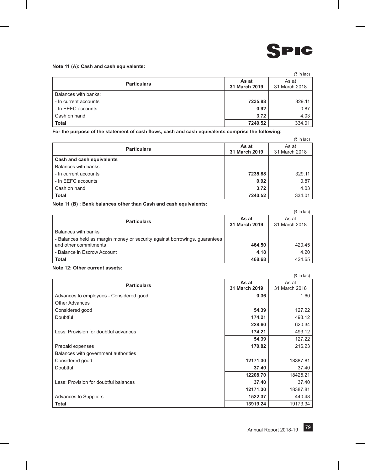

#### **Note 11 (A): Cash and cash equivalents:**

|                       |                        | $(3\overline{5})$ in lac) |
|-----------------------|------------------------|---------------------------|
| <b>Particulars</b>    | As at<br>31 March 2019 | As at<br>31 March 2018    |
| Balances with banks:  |                        |                           |
| - In current accounts | 7235.88                | 329.11                    |
| - In EEFC accounts    | 0.92                   | 0.87                      |
| Cash on hand          | 3.72                   | 4.03                      |
| <b>Total</b>          | 7240.52                | 334.01                    |

**For the purpose of the statement of cash flows, cash and cash equivalents comprise the following:**

|                           |                        | $(3\overline{5})$ in lac) |
|---------------------------|------------------------|---------------------------|
| <b>Particulars</b>        | As at<br>31 March 2019 | As at<br>31 March 2018    |
| Cash and cash equivalents |                        |                           |
| Balances with banks:      |                        |                           |
| - In current accounts     | 7235.88                | 329.11                    |
| - In EEFC accounts        | 0.92                   | 0.87                      |
| Cash on hand              | 3.72                   | 4.03                      |
| <b>Total</b>              | 7240.52                | 334.01                    |

#### **Note 11 (B) : Bank balances other than Cash and cash equivalents:**

|                                                                            |                        | $(3\overline{5})$ in lac) |
|----------------------------------------------------------------------------|------------------------|---------------------------|
| <b>Particulars</b>                                                         | As at<br>31 March 2019 | As at<br>31 March 2018    |
| Balances with banks                                                        |                        |                           |
| - Balances held as margin money or security against borrowings, guarantees |                        |                           |
| and other commitments                                                      | 464.50                 | 420.45                    |
| - Balance in Escrow Account                                                | 4.18                   | 4.20                      |
| Total                                                                      | 468.68                 | 424.65                    |

## **Note 12: Other current assets:**

|                                         |               | $(3\overline{5})$ in lac) |
|-----------------------------------------|---------------|---------------------------|
| As at<br><b>Particulars</b>             |               | As at                     |
|                                         | 31 March 2019 | 31 March 2018             |
| Advances to employees - Considered good | 0.36          | 1.60                      |
| Other Advances                          |               |                           |
| Considered good                         | 54.39         | 127.22                    |
| Doubtful                                | 174.21        | 493.12                    |
|                                         | 228.60        | 620.34                    |
| Less: Provision for doubtful advances   | 174.21        | 493.12                    |
|                                         | 54.39         | 127.22                    |
| Prepaid expenses                        | 170.82        | 216.23                    |
| Balances with government authorities    |               |                           |
| Considered good                         | 12171.30      | 18387.81                  |
| Doubtful                                | 37.40         | 37.40                     |
|                                         | 12208.70      | 18425.21                  |
| Less: Provision for doubtful balances   | 37.40         | 37.40                     |
|                                         | 12171.30      | 18387.81                  |
| <b>Advances to Suppliers</b>            | 1522.37       | 440.48                    |
| <b>Total</b>                            | 13919.24      | 19173.34                  |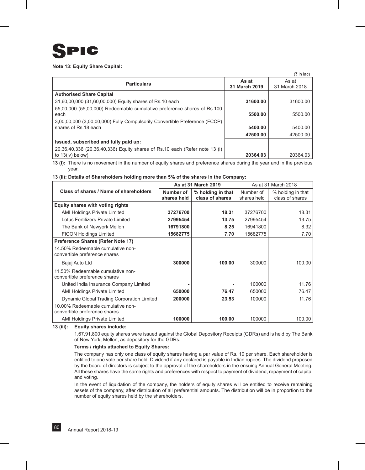## C  $\blacksquare$

#### **Note 13: Equity Share Capital:**

 $(F \in \text{In } \text{In})$ 

|                                                                            |               | $\sqrt{2}$    |
|----------------------------------------------------------------------------|---------------|---------------|
| <b>Particulars</b>                                                         | As at         | As at         |
|                                                                            | 31 March 2019 | 31 March 2018 |
| <b>Authorised Share Capital</b>                                            |               |               |
| 31,60,00,000 (31,60,00,000) Equity shares of Rs.10 each                    | 31600.00      | 31600.00      |
| 55,00,000 (55,00,000) Redeemable cumulative preference shares of Rs.100    |               |               |
| each                                                                       | 5500.00       | 5500.00       |
| 3,00,00,000 (3,00,00,000) Fully Compulsorily Convertible Preference (FCCP) |               |               |
| shares of Rs.18 each                                                       | 5400.00       | 5400.00       |
|                                                                            | 42500.00      | 42500.00      |
| Issued, subscribed and fully paid up:                                      |               |               |
| 20,36,40,336 (20,36,40,336) Equity shares of Rs.10 each (Refer note 13 (i) |               |               |
| to $13(iv)$ below)                                                         | 20364.03      | 20364.03      |

**13 (i):** There is no movement in the number of equity shares and preference shares during the year and in the previous year.

#### **13 (ii): Details of Shareholders holding more than 5% of the shares in the Company:**

|                                                                    |                          | As at 31 March 2019                  |                          | As at 31 March 2018                  |
|--------------------------------------------------------------------|--------------------------|--------------------------------------|--------------------------|--------------------------------------|
| Class of shares / Name of shareholders                             | Number of<br>shares held | % holding in that<br>class of shares | Number of<br>shares held | % holding in that<br>class of shares |
| Equity shares with voting rights                                   |                          |                                      |                          |                                      |
| <b>AMI Holdings Private Limited</b>                                | 37276700                 | 18.31                                | 37276700                 | 18.31                                |
| Lotus Fertilizers Private Limited                                  | 27995454                 | 13.75                                | 27995454                 | 13.75                                |
| The Bank of Newyork Mellon                                         | 16791800                 | 8.25                                 | 16941800                 | 8.32                                 |
| <b>FICON Holdings Limited</b>                                      | 15682775                 | 7.70                                 | 15682775                 | 7.70                                 |
| Preference Shares (Refer Note 17)                                  |                          |                                      |                          |                                      |
| 14.50% Redeemable cumulative non-<br>convertible preference shares |                          |                                      |                          |                                      |
| Bajaj Auto Ltd                                                     | 300000                   | 100.00                               | 300000                   | 100.00                               |
| 11.50% Redeemable cumulative non-<br>convertible preference shares |                          |                                      |                          |                                      |
| United India Insurance Company Limited                             |                          |                                      | 100000                   | 11.76                                |
| <b>AMI Holdings Private Limited</b>                                | 650000                   | 76.47                                | 650000                   | 76.47                                |
| Dynamic Global Trading Corporation Limited                         | 200000                   | 23.53                                | 100000                   | 11.76                                |
| 10.00% Redeemable cumulative non-<br>convertible preference shares |                          |                                      |                          |                                      |
| AMI Holdings Private Limited                                       | 100000                   | 100.00                               | 100000                   | 100.00                               |

#### **13 (iii): Equity shares include:**

1,67,91,800 equity shares were issued against the Global Depository Receipts (GDRs) and is held by The Bank of New York, Mellon, as depository for the GDRs.

#### **Terms / rights attached to Equity Shares:**

The company has only one class of equity shares having a par value of Rs. 10 per share. Each shareholder is entitled to one vote per share held. Dividend if any declared is payable in Indian rupees. The dividend proposed by the board of directors is subject to the approval of the shareholders in the ensuing Annual General Meeting. All these shares have the same rights and preferences with respect to payment of dividend, repayment of capital and voting.

In the event of liquidation of the company, the holders of equity shares will be entitled to receive remaining assets of the company, after distribution of all preferential amounts. The distribution will be in proportion to the number of equity shares held by the shareholders.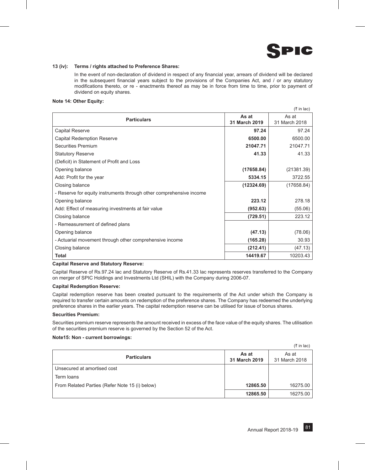

#### **13 (iv): Terms / rights attached to Preference Shares:**

In the event of non-declaration of dividend in respect of any financial year, arrears of dividend will be declared in the subsequent financial years subject to the provisions of the Companies Act, and / or any statutory modifications thereto, or re - enactments thereof as may be in force from time to time, prior to payment of dividend on equity shares.

#### **Note 14: Other Equity:**

|                                                                     |               | (₹ in lac)    |
|---------------------------------------------------------------------|---------------|---------------|
| <b>Particulars</b>                                                  | As at         |               |
|                                                                     | 31 March 2019 | 31 March 2018 |
| Capital Reserve                                                     | 97.24         | 97.24         |
| Capital Redemption Reserve                                          | 6500.00       | 6500.00       |
| Securities Premium                                                  | 21047.71      | 21047.71      |
| <b>Statutory Reserve</b>                                            | 41.33         | 41.33         |
| (Deficit) in Statement of Profit and Loss                           |               |               |
| Opening balance                                                     | (17658.84)    | (21381.39)    |
| Add: Profit for the year                                            | 5334.15       | 3722.55       |
| Closing balance                                                     | (12324.69)    | (17658.84)    |
| - Reserve for equity instruments through other comprehensive income |               |               |
| Opening balance                                                     | 223.12        | 278.18        |
| Add: Effect of measuring investments at fair value                  | (952.63)      | (55.06)       |
| Closing balance                                                     | (729.51)      | 223.12        |
| - Remeasurement of defined plans                                    |               |               |
| Opening balance                                                     | (47.13)       | (78.06)       |
| - Actuarial movement through other comprehensive income             | (165.28)      | 30.93         |
| Closing balance                                                     | (212.41)      | (47.13)       |
| <b>Total</b>                                                        | 14419.67      | 10203.43      |

#### **Capital Reserve and Statutory Reserve:**

Capital Reserve of Rs.97.24 lac and Statutory Reserve of Rs.41.33 lac represents reserves transferred to the Company on merger of SPIC Holdings and Investments Ltd (SHIL) with the Company during 2006-07.

#### **Capital Redemption Reserve:**

Capital redemption reserve has been created pursuant to the requirements of the Act under which the Company is required to transfer certain amounts on redemption of the preference shares. The Company has redeemed the underlying preference shares in the earlier years. The capital redemption reserve can be utilised for issue of bonus shares.

#### **Securities Premium:**

Securities premium reserve represents the amount received in excess of the face value of the equity shares. The utilisation of the securities premium reserve is governed by the Section 52 of the Act.

#### **Note15: Non - current borrowings:**

|                                                |                        | (₹ in lac)             |
|------------------------------------------------|------------------------|------------------------|
| <b>Particulars</b>                             | As at<br>31 March 2019 | As at<br>31 March 2018 |
| Unsecured at amortised cost                    |                        |                        |
| Term loans                                     |                        |                        |
| From Related Parties (Refer Note 15 (i) below) | 12865.50               | 16275.00               |
|                                                | 12865.50               | 16275.00               |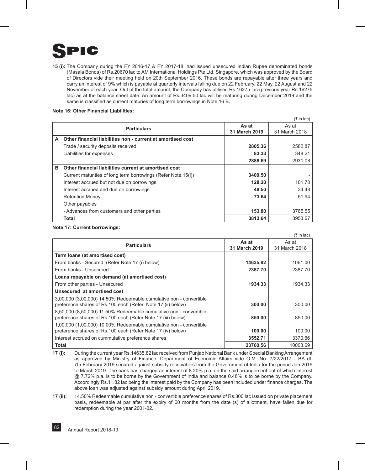

**15 (i):** The Company during the FY 2016-17 & FY 2017-18, had issued unsecured Indian Rupee denominated bonds (Masala Bonds) of Rs.20670 lac to AM International Holdings Pte Ltd, Singapore, which was approved by the Board of Directors vide their meeting held on 20th September 2016. These bonds are repayable after three years and carry an interest of 9% which is payable at quarterly intervals falling due on 22 February, 22 May, 22 August and 22 November of each year. Out of the total amount, the Company has utilised Rs 16275 lac (previous year Rs.16275 lac) as at the balance sheet date. An amount of Rs.3409.50 lac will be maturing during December 2019 and the same is classified as current maturies of long term borrowings in Note 16 B.

 $(3 \nvert \text{in} \text{lac})$ 

#### **Note 16: Other Financial Liabilities:**

|   | <b>Particulars</b>                                            | As at<br>31 March 2019 | As at<br>31 March 2018 |
|---|---------------------------------------------------------------|------------------------|------------------------|
| A | Other financial liabilities non - current at amortised cost   |                        |                        |
|   | Trade / security deposits received                            | 2805.36                | 2582.87                |
|   | Liabilities for expenses                                      | 83.33                  | 348.21                 |
|   |                                                               | 2888.69                | 2931.08                |
| в | Other financial liabilities current at amortised cost         |                        |                        |
|   | Current maturities of long term borrowings (Refer Note 15(i)) | 3409.50                |                        |
|   | Interest accrued but not due on borrowings                    | 128.20                 | 101.70                 |
|   | Interest accrued and due on borrowings                        | 48.50                  | 34.48                  |
|   | <b>Retention Money</b>                                        | 73.64                  | 51.94                  |
|   | Other payables                                                |                        |                        |
|   | - Advances from customers and other parties                   | 153.80                 | 3765.55                |
|   | <b>Total</b>                                                  | 3813.64                | 3953.67                |

#### **Note 17: Current borrowings:**

|                                                                    |               | $(3\overline{5})$ in lac) |
|--------------------------------------------------------------------|---------------|---------------------------|
| As at<br><b>Particulars</b>                                        |               | As at                     |
|                                                                    | 31 March 2019 | 31 March 2018             |
| Term loans (at amortised cost)                                     |               |                           |
| From banks - Secured (Refer Note 17 (i) below)                     | 14635.82      | 1061.00                   |
| From banks - Unsecured                                             | 2387.70       | 2387.70                   |
| Loans repayable on demand (at amortised cost)                      |               |                           |
| From other parties - Unsecured                                     | 1934.33       | 1934.33                   |
| Unsecured at amortised cost                                        |               |                           |
| 3,00,000 (3,00,000) 14.50% Redeemable cumulative non - convertible |               |                           |
| preference shares of Rs.100 each (Refer Note 17 (ii) below)        | 300.00        | 300.00                    |
| 8,50,000 (8,50,000) 11.50% Redeemable cumulative non - convertible |               |                           |
| preference shares of Rs.100 each (Refer Note 17 (iii) below)       | 850.00        | 850.00                    |
| 1,00,000 (1,00,000) 10,00% Redeemable cumulative non - convertible |               |                           |
| preference shares of Rs.100 each (Refer Note 17 (iv) below)        | 100.00        | 100.00                    |
| Interest accrued on cummulative preference shares                  | 3552.71       | 3370.66                   |
| Total                                                              | 23760.56      | 10003.69                  |

**17 (i):** During the current year Rs.14635.82 lac received from Punjab National Bank under Special Banking Arrangement as approved by Ministry of Finance, Department of Economic Affairs vide O.M. No. 7/22/2017 - BA dt. 7th February 2019 secured against subsidy receivables from the Government of India for the period Jan 2019 to March 2019. The bank has charged an interest of 8.20% p.a. on the said arrangement out of which interest @ 7.72% p.a. is to be borne by the Government of India and balance 0.48% is to be borne by the Company. Accordingly Rs.11.82 lac being the interest paid by the Company has been included under finance charges. The above loan was adjusted against subsidy amount during April 2019.

**17 (ii):** 14.50% Redeemable cumulative non - convertible preference shares of Rs.300 lac issued on private placement basis, redeemable at par after the expiry of 60 months from the date (s) of allotment, have fallen due for redemption during the year 2001-02.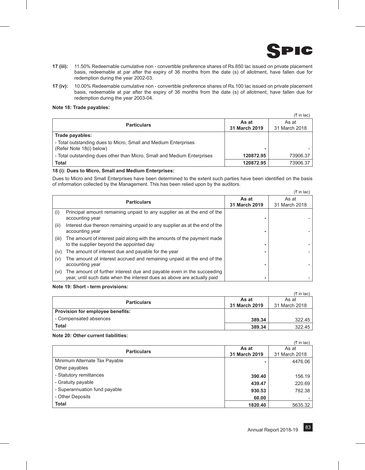

 $\equiv$  in lack  $\equiv$ 

- **17 (iii):** 11.50% Redeemable cumulative non convertible preference shares of Rs.850 lac issued on private placement basis, redeemable at par after the expiry of 36 months from the date (s) of allotment, have fallen due for redemption during the year 2002-03.
- **17 (iv):** 10.00% Redeemable cumulative non convertible preference shares of Rs.100 lac issued on private placement basis, redeemable at par after the expiry of 36 months from the date (s) of allotment, have fallen due for redemption during the year 2003-04.

#### **Note 18: Trade payables:**

|                                                                                             |                        | $(3\overline{5})$ in lac) |
|---------------------------------------------------------------------------------------------|------------------------|---------------------------|
| <b>Particulars</b>                                                                          | As at<br>31 March 2019 | As at<br>31 March 2018    |
| Trade payables:                                                                             |                        |                           |
| - Total outstanding dues to Micro, Small and Medium Enterprises<br>(Refer Note 18(i) below) |                        |                           |
| - Total outstanding dues other than Micro, Small and Medium Enterprises                     | 120872.95              | 73906.37                  |
| <b>Total</b>                                                                                | 120872.95              | 73906.37                  |

#### **18 (i): Dues to Micro, Small and Medium Enterprises:**

Dues to Micro and Small Enterprises have been determined to the extent such parties have been identified on the basis of information collected by the Management. This has been relied upon by the auditors.

|       |                                                                                                                                                  |                        | (र in lac)             |
|-------|--------------------------------------------------------------------------------------------------------------------------------------------------|------------------------|------------------------|
|       | <b>Particulars</b>                                                                                                                               | As at<br>31 March 2019 | As at<br>31 March 2018 |
| (i)   | Principal amount remaining unpaid to any supplier as at the end of the<br>accounting year                                                        |                        |                        |
| (ii)  | Interest due thereon remaining unpaid to any supplier as at the end of the<br>accounting year                                                    |                        |                        |
| (iii) | The amount of interest paid along with the amounts of the payment made<br>to the supplier beyond the appointed day                               |                        |                        |
| (iv)  | The amount of interest due and payable for the year                                                                                              |                        |                        |
| (v)   | The amount of interest accrued and remaining unpaid at the end of the<br>accounting year                                                         |                        |                        |
| (vi)  | The amount of further interest due and payable even in the succeeding<br>year, until such date when the interest dues as above are actually paid |                        |                        |

#### **Note 19: Short - term provisions:**

|                                  |               | (₹ in lac)    |
|----------------------------------|---------------|---------------|
| <b>Particulars</b>               | As at         | As at         |
|                                  | 31 March 2019 | 31 March 2018 |
| Provision for employee benefits: |               |               |
| - Compensated absences           | 389.34        | 322.45        |
| <b>Total</b>                     | 389.34        | 322.45        |

#### **Note 20: Other current liabilities:**

|                               |               | $(3\overline{5})$ in lac) |
|-------------------------------|---------------|---------------------------|
| <b>Particulars</b>            | As at         | As at                     |
|                               | 31 March 2019 | 31 March 2018             |
| Minimum Alternate Tax Payable |               | 4476.06                   |
| Other payables                |               |                           |
| - Statutory remittances       | 390.40        | 156.19                    |
| - Gratuity payable            | 439.47        | 220.69                    |
| - Superannuation fund payable | 930.53        | 782.38                    |
| - Other Deposits              | 60.00         |                           |
| <b>Total</b>                  | 1820.40       | 5635.32                   |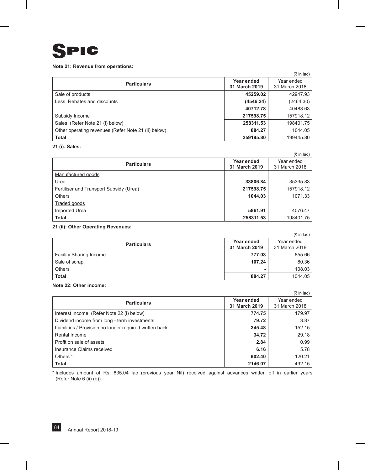

#### **Note 21: Revenue from operations:**

|                                                     |               | $(5 \in \mathsf{In} \mathsf{Iac})$ |
|-----------------------------------------------------|---------------|------------------------------------|
| <b>Particulars</b>                                  | Year ended    | Year ended                         |
|                                                     | 31 March 2019 | 31 March 2018                      |
| Sale of products                                    | 45259.02      | 42947.93                           |
| Less: Rebates and discounts                         | (4546.24)     | (2464.30)                          |
|                                                     | 40712.78      | 40483.63                           |
| Subsidy Income                                      | 217598.75     | 157918.12                          |
| Sales (Refer Note 21 (i) below)                     | 258311.53     | 198401.75                          |
| Other operating revenues (Refer Note 21 (ii) below) | 884.27        | 1044.05                            |
| <b>Total</b>                                        | 259195.80     | 199445.80                          |

### **21 (i): Sales:**

|                                         |               | (₹ in lac)    |
|-----------------------------------------|---------------|---------------|
|                                         | Year ended    | Year ended    |
| <b>Particulars</b>                      | 31 March 2019 | 31 March 2018 |
| Manufactured goods                      |               |               |
| Urea                                    | 33806.84      | 35335.83      |
| Fertiliser and Transport Subsidy (Urea) | 217598.75     | 157918.12     |
| <b>Others</b>                           | 1044.03       | 1071.33       |
| Traded goods                            |               |               |
| Imported Urea                           | 5861.91       | 4076.47       |
| <b>Total</b>                            | 258311.53     | 198401.75     |

### **21 (ii): Other Operating Revenues:**

|                                |                             | $(3\overline{5})$ in lac)   |
|--------------------------------|-----------------------------|-----------------------------|
| <b>Particulars</b>             | Year ended<br>31 March 2019 | Year ended<br>31 March 2018 |
| <b>Facility Sharing Income</b> | 777.03                      | 855.66                      |
| Sale of scrap                  | 107.24                      | 80.36                       |
| <b>Others</b>                  |                             | 108.03                      |
| <b>Total</b>                   | 884.27                      | 1044.05                     |

#### **Note 22: Other income:**

|                                                         |               | (₹ in lac)    |
|---------------------------------------------------------|---------------|---------------|
| <b>Particulars</b>                                      | Year ended    | Year ended    |
|                                                         | 31 March 2019 | 31 March 2018 |
| Interest income (Refer Note 22 (i) below)               | 774.75        | 179.97        |
| Dividend income from long - term investments            | 79.72         | 3.87          |
| Liabilities / Provision no longer required written back | 345.48        | 152.15        |
| Rental Income                                           | 34.72         | 29.18         |
| Profit on sale of assets                                | 2.84          | 0.99          |
| Insurance Claims received                               | 6.16          | 5.78          |
| Others <sup>*</sup>                                     | 902.40        | 120.21        |
| <b>Total</b>                                            | 2146.07       | 492.15        |

\* Includes amount of Rs. 835.04 lac (previous year Nil) received against advances written off in earlier years (Refer Note 6 (ii) (e)).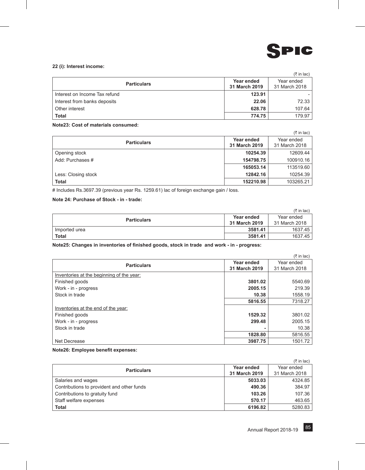

## **22 (i): Interest income:**

|                               |                             | $(3\overline{5})$ in lac)   |
|-------------------------------|-----------------------------|-----------------------------|
| <b>Particulars</b>            | Year ended<br>31 March 2019 | Year ended<br>31 March 2018 |
| Interest on Income Tax refund | 123.91                      |                             |
| Interest from banks deposits  | 22.06                       | 72.33                       |
| Other interest                | 628.78                      | 107.64                      |
| <b>Total</b>                  | 774.75                      | 179.97                      |

#### **Note23: Cost of materials consumed:**

|                     |                             | $(3\overline{5})$ in lac)   |
|---------------------|-----------------------------|-----------------------------|
| <b>Particulars</b>  | Year ended<br>31 March 2019 | Year ended<br>31 March 2018 |
| Opening stock       | 10254.39                    | 12609.44                    |
| Add: Purchases #    | 154798.75                   | 100910.16                   |
|                     | 165053.14                   | 113519.60                   |
| Less: Closing stock | 12842.16                    | 10254.39                    |
| <b>Total</b>        | 152210.98                   | 103265.21                   |

# Includes Rs.3697.39 (previous year Rs. 1259.61) lac of foreign exchange gain / loss.

## **Note 24: Purchase of Stock - in - trade:**

|                    |               | $(3\overline{5})$ in lac) |
|--------------------|---------------|---------------------------|
| <b>Particulars</b> | Year ended    | Year ended                |
|                    | 31 March 2019 | 31 March 2018             |
| Imported urea      | 3581.41       | 1637.45                   |
| <b>Total</b>       | 3581.41       | 1637.45                   |

**Note25: Changes in inventories of finished goods, stock in trade and work - in - progress:**

|                                           |               | $(3\overline{5})$ in lac) |
|-------------------------------------------|---------------|---------------------------|
|                                           | Year ended    | Year ended                |
| <b>Particulars</b>                        | 31 March 2019 | 31 March 2018             |
| Inventories at the beginning of the year: |               |                           |
| Finished goods                            | 3801.02       | 5540.69                   |
| Work - in - progress                      | 2005.15       | 219.39                    |
| Stock in trade                            | 10.38         | 1558.19                   |
|                                           | 5816.55       | 7318.27                   |
| Inventories at the end of the year:       |               |                           |
| Finished goods                            | 1529.32       | 3801.02                   |
| Work - in - progress                      | 299.48        | 2005.15                   |
| Stock in trade                            |               | 10.38                     |
|                                           | 1828.80       | 5816.55                   |
| Net Decrease                              | 3987.75       | 1501.72                   |

#### **Note26: Employee benefit expenses:**

|                                            |               | $(3\overline{5})$ in lac) |
|--------------------------------------------|---------------|---------------------------|
| <b>Particulars</b>                         | Year ended    | Year ended                |
|                                            | 31 March 2019 | 31 March 2018             |
| Salaries and wages                         | 5033.03       | 4324.85                   |
| Contributions to provident and other funds | 490.36        | 384.97                    |
| Contributions to gratuity fund             | 103.26        | 107.36                    |
| Staff welfare expenses                     | 570.17        | 463.65                    |
| <b>Total</b>                               | 6196.82       | 5280.83                   |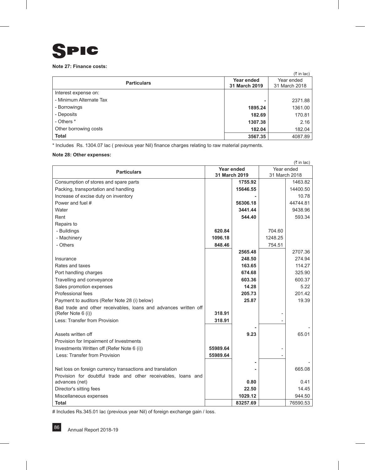

## **Note 27: Finance costs:**

|                         |               | $(3\overline{5})$ in lac) |
|-------------------------|---------------|---------------------------|
| <b>Particulars</b>      | Year ended    | Year ended                |
|                         | 31 March 2019 | 31 March 2018             |
| Interest expense on:    |               |                           |
| - Minimum Alternate Tax |               | 2371.88                   |
| - Borrowings            | 1895.24       | 1361.00                   |
| - Deposits              | 182.69        | 170.81                    |
| - Others *              | 1307.38       | 2.16                      |
| Other borrowing costs   | 182.04        | 182.04                    |
| <b>Total</b>            | 3567.35       | 4087.89                   |

\* Includes Rs. 1304.07 lac ( previous year Nil) finance charges relating to raw material payments.

### **Note 28: Other expenses:**

|                                                                                 |          |               |            | $(3\overline{5})$ in lac) |
|---------------------------------------------------------------------------------|----------|---------------|------------|---------------------------|
|                                                                                 |          | Year ended    | Year ended |                           |
| <b>Particulars</b><br>31 March 2019                                             |          | 31 March 2018 |            |                           |
| Consumption of stores and spare parts                                           |          | 1755.92       |            | 1463.82                   |
| Packing, transportation and handling                                            |          | 15646.55      |            | 14400.50                  |
| Increase of excise duty on inventory                                            |          |               |            | 10.78                     |
| Power and fuel #                                                                |          | 56306.18      |            | 44744.81                  |
| Water                                                                           |          | 3441.44       |            | 9438.96                   |
| Rent                                                                            |          | 544.40        |            | 593.34                    |
| Repairs to                                                                      |          |               |            |                           |
| - Buildings                                                                     | 620.84   |               | 704.60     |                           |
| - Machinery                                                                     | 1096.18  |               | 1248.25    |                           |
| - Others                                                                        | 848.46   |               | 754.51     |                           |
|                                                                                 |          | 2565.48       |            | 2707.36                   |
| Insurance                                                                       |          | 248.50        |            | 274.94                    |
| Rates and taxes                                                                 |          | 163.65        |            | 114.27                    |
| Port handling charges                                                           |          | 674.68        |            | 325.90                    |
| Travelling and conveyance                                                       |          | 603.36        |            | 600.37                    |
| Sales promotion expenses                                                        |          | 14.28         |            | 5.22                      |
| Professional fees                                                               |          | 205.73        |            | 201.42                    |
| Payment to auditors (Refer Note 28 (i) below)                                   |          | 25.87         |            | 19.39                     |
| Bad trade and other receivables, loans and advances written off                 |          |               |            |                           |
| (Refer Note 6 (i))                                                              | 318.91   |               |            |                           |
| Less: Transfer from Provision                                                   | 318.91   |               |            |                           |
|                                                                                 |          |               |            |                           |
| Assets written off                                                              |          | 9.23          |            | 65.01                     |
| Provision for Impairment of Investments                                         |          |               |            |                           |
| Investments Written off (Refer Note 6 (i))                                      | 55989.64 |               |            |                           |
| Less: Transfer from Provision                                                   | 55989.64 |               |            |                           |
|                                                                                 |          |               |            |                           |
| Net loss on foreign currency transactions and translation                       |          |               |            | 665.08                    |
| Provision for doubtful trade and other receivables, loans and<br>advances (net) |          | 0.80          |            | 0.41                      |
| Director's sitting fees                                                         |          | 22.50         |            | 14.45                     |
| Miscellaneous expenses                                                          |          | 1029.12       |            | 944.50                    |
| <b>Total</b>                                                                    |          | 83257.69      |            | 76590.53                  |
|                                                                                 |          |               |            |                           |

# Includes Rs.345.01 lac (previous year Nil) of foreign exchange gain / loss.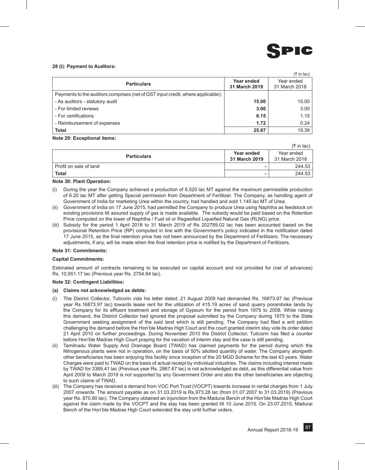

 $(3 \nvert \text{in} \text{lac})$ 

#### **28 (i): Payment to Auditors:**

|                                                                                 |               | (₹ in lac)    |
|---------------------------------------------------------------------------------|---------------|---------------|
| <b>Particulars</b>                                                              | Year ended    | Year ended    |
|                                                                                 | 31 March 2019 | 31 March 2018 |
| Payments to the auditors comprises (net of GST input credit, where applicable): |               |               |
| - As auditors - statutory audit                                                 | 15.00         | 15.00         |
| - For limited reviews                                                           | 3.00          | 3.00          |
| - For certifications                                                            | 6.15          | 1.15          |
| - Reimbursement of expenses                                                     | 1.72          | 0.24          |
| <b>Total</b>                                                                    | 25.87         | 19.39         |

#### **Note 29: Exceptional items:**

| <b>Particulars</b>     | Year ended<br>31 March 2019 | Year ended<br>31 March 2018 |
|------------------------|-----------------------------|-----------------------------|
| Profit on sale of land | -                           | 244.53                      |
| Total                  |                             | 244.53                      |

#### **Note 30: Plant Operation:**

- (i) During the year the Company achieved a production of 6.520 lac MT against the maximum permissible production of 6.20 lac MT after getting Special permission from Department of Fertilizer. The Company, as handling agent of Government of India for marketing Urea within the country, had handled and sold 1.145 lac MT of Urea.
- (ii) Government of India on 17 June 2015, had permitted the Company to produce Urea using Naphtha as feedstock on existing provisions till assured supply of gas is made available. The subsidy would be paid based on the Retention Price computed on the lower of Naphtha / Fuel oil or Regasified Liquefied Natural Gas (RLNG) price.
- (iii) Subsidy for the period 1 April 2018 to 31 March 2019 of Rs 202789.02 lac has been accounted based on the provisional Retention Price (RP) computed in line with the Government's policy indicated in the notification dated 17 June 2015, as the final retention price has not been announced by the Department of Fertilizers. The necessary adjustments, if any, will be made when the final retention price is notified by the Department of Fertilizers.

#### **Note 31: Commitments:**

#### **Capital Commitments:**

Estimated amount of contracts remaining to be executed on capital account and not provided for (net of advances) Rs. 10,951.17 lac (Previous year Rs. 2754.84 lac).

#### **Note 32: Contingent Liabilities:**

#### **(a) Claims not acknowledged as debts:**

- (i) The District Collector, Tuticorin vide his letter dated, 21 August 2009 had demanded Rs. 16873.97 lac (Previous year Rs.16873.97 lac) towards lease rent for the utilization of 415.19 acres of sand quarry poramboke lands by the Company for its effluent treatment and storage of Gypsum for the period from 1975 to 2008. While raising this demand, the District Collector had ignored the proposal submitted by the Company during 1975 to the State Government seeking assignment of the said land which is still pending. The Company had filed a writ petition challenging the demand before the Hon'ble Madras High Court and the court granted interim stay vide its order dated 21 April 2010 on further proceedings. During November 2010 the District Collector, Tuticorin has filed a counter before Hon'ble Madras High Court praying for the vacation of interim stay and the case is still pending.
- (ii) Tamilnadu Water Supply And Drainage Board (TWAD) has claimed payments for the period during which the Nitrogenous plants were not in operation, on the basis of 50% allotted quantity of water. The Company alongwith other beneficiaries has been enjoying this facility since inception of the 20 MGD Scheme for the last 43 years. Water Charges were paid to TWAD on the basis of actual receipt by individual industries. The claims including interest made by TWAD for 3389.41 lac (Previous year Rs. 2867.67 lac) is not acknowledged as debt, as this differential value from April 2009 to March 2019 is not supported by any Government Order and also the other beneficiaries are objecting to such claims of TWAD.
- (iii) The Company has received a demand from VOC Port Trust (VOCPT) towards increase in rental charges from 1 July 2007 onwards. The amount payable as on 31.03.2019 is Rs.973.28 lac (from 01.07.2007 to 31.03.2019) (Previous year Rs. 870.80 lac). The Company obtained an injunction from the Madurai Bench of the Hon'ble Madras High Court against the claim made by the VOCPT and the stay has been granted till 10 June 2015. On 23.07.2015, Madurai Bench of the Hon'ble Madras High Court extended the stay until further orders.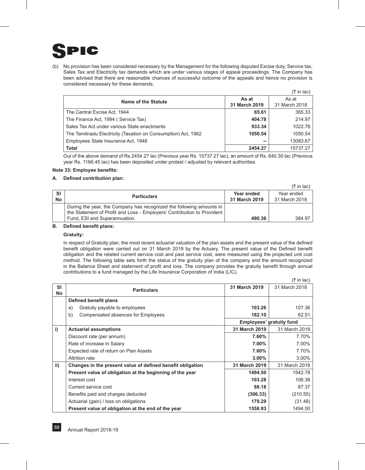

(b) No provision has been considered necessary by the Management for the following disputed Excise duty, Service tax, Sales Tax and Electricity tax demands which are under various stages of appeal proceedings. The Company has been advised that there are reasonable chances of successful outcome of the appeals and hence no provision is considered necessary for these demands.

|                                                               |               | (र in lac)    |
|---------------------------------------------------------------|---------------|---------------|
| Name of the Statute                                           | As at         | As at         |
|                                                               | 31 March 2019 | 31 March 2018 |
| The Central Excise Act, 1944                                  | 65.61         | 365.33        |
| The Finance Act, 1994 (Service Tax)                           | 404.78        | 214.97        |
| Sales Tax Act under various State enactments                  | 933.34        | 1022.76       |
| The Tamilnadu Electricity (Taxation on Consumption) Act, 1962 | 1050.54       | 1050.54       |
| Employees State Insurance Act, 1948                           | --            | 13083.67      |
| Total                                                         | 2454.27       | 15737.27      |

 $\sim$   $\sim$   $\sim$ 

 $(F \in \text{In } \text{In})$ 

Out of the above demand of Rs.2454.27 lac (Previous year Rs. 15737.27 lac), an amount of Rs. 640.30 lac (Previous year Rs. 1166.45 lac) has been deposited under protest / adjusted by relevant authorities.

#### **Note 33: Employee benefits:**

#### **A. Defined contribution plan:**

|                 |                                                                                                                                                 |                             | $\cup$ $\cup$ $\cup$        |
|-----------------|-------------------------------------------------------------------------------------------------------------------------------------------------|-----------------------------|-----------------------------|
| <b>SI</b><br>No | <b>Particulars</b>                                                                                                                              | Year ended<br>31 March 2019 | Year ended<br>31 March 2018 |
|                 | During the year, the Company has recognized the following amounts in<br>the Statement of Profit and Loss - Employers' Contribution to Provident |                             |                             |
|                 | Fund, ESI and Superannuation.                                                                                                                   | 490.36                      | 384.97                      |

#### **B. Defined benefit plans:**

#### **Gratuity:**

In respect of Gratuity plan, the most recent actuarial valuation of the plan assets and the present value of the defined benefit obligation were carried out on 31 March 2019 by the Actuary. The present value of the Defined benefit obligation and the related current service cost and past service cost, were measured using the projected unit cost method. The following table sets forth the status of the gratuity plan of the company and the amount recognized in the Balance Sheet and statement of profit and loss. The company provides the gratuity benefit through annual contributions to a fund managed by the Life Insurance Corporation of India (LIC).

|                 |                                                            |                          | (₹ in lac)    |
|-----------------|------------------------------------------------------------|--------------------------|---------------|
| <b>SI</b><br>No | <b>Particulars</b>                                         | 31 March 2019            | 31 March 2018 |
|                 | Defined benefit plans                                      |                          |               |
|                 | Gratuity payable to employees<br>a)                        | 103.26                   | 107.36        |
|                 | b)<br>Compensated absences for Employees                   | 182.10                   | 62.51         |
|                 |                                                            | Employees' gratuity fund |               |
| i)              | <b>Actuarial assumptions</b>                               | 31 March 2019            | 31 March 2018 |
|                 | Discount rate (per annum)                                  | 7.60%                    | 7.70%         |
|                 | Rate of increase in Salary                                 | 7.00%                    | 7.00%         |
|                 | Expected rate of return on Plan Assets                     | 7.60%                    | 7.70%         |
|                 | Attrition rate                                             | $3.00\%$                 | 3.00%         |
| ii)             | Changes in the present value of defined benefit obligation | 31 March 2019            | 31 March 2018 |
|                 | Present value of obligation at the beginning of the year   | 1494.50                  | 1542.78       |
|                 | Interest cost                                              | 103.28                   | 106.38        |
|                 | Current service cost                                       | 88.18                    | 87.37         |
|                 | Benefits paid and charges deducted                         | (306.33)                 | (210.55)      |
|                 | Actuarial (gain) / loss on obligations                     | 179.29                   | (31.48)       |
|                 | Present value of obligation at the end of the year         | 1558.93                  | 1494.50       |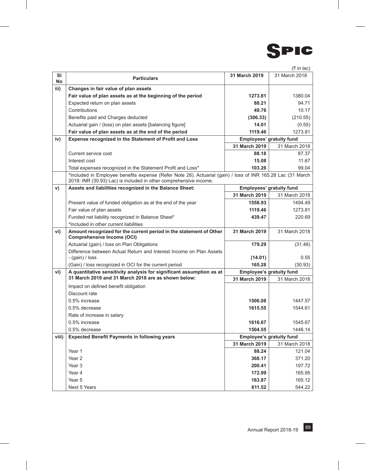

|          |                                                                                                                                                                                  |               | $(3\overline{5})$ in lac)                        |
|----------|----------------------------------------------------------------------------------------------------------------------------------------------------------------------------------|---------------|--------------------------------------------------|
| SI<br>No | <b>Particulars</b>                                                                                                                                                               | 31 March 2019 | 31 March 2018                                    |
| iii)     | Changes in fair value of plan assets                                                                                                                                             |               |                                                  |
|          | Fair value of plan assets as at the beginning of the period                                                                                                                      | 1273.81       | 1380.04                                          |
|          | Expected return on plan assets                                                                                                                                                   | 88.21         | 94.71                                            |
|          | Contributions                                                                                                                                                                    | 49.76         | 10.17                                            |
|          | Benefits paid and Charges deducted                                                                                                                                               | (306.33)      | (210.55)                                         |
|          | Actuarial gain / (loss) on plan assets [balancing figure]                                                                                                                        | 14.01         | (0.55)                                           |
|          | Fair value of plan assets as at the end of the period                                                                                                                            | 1119.46       | 1273.81                                          |
| iv)      | Expense recognized in the Statement of Profit and Loss                                                                                                                           |               | Employees' gratuity fund                         |
|          |                                                                                                                                                                                  | 31 March 2019 | 31 March 2018                                    |
|          | Current service cost                                                                                                                                                             | 88.18         | 87.37                                            |
|          | Interest cost                                                                                                                                                                    | 15.08         | 11.67                                            |
|          | Total expenses recognized in the Statement Profit and Loss*                                                                                                                      | 103.26        | 99.04                                            |
|          | *Included in Employee benefits expense (Refer Note 26). Actuarial (gain) / loss of INR 165.28 Lac (31 March<br>2018: INR (30.93) Lac) is included in other comprehensive income. |               |                                                  |
| V)       | Assets and liabilities recognized in the Balance Sheet:                                                                                                                          |               | Employees' gratuity fund                         |
|          |                                                                                                                                                                                  | 31 March 2019 | 31 March 2018                                    |
|          | Present value of funded obligation as at the end of the year                                                                                                                     | 1558.93       | 1494.49                                          |
|          | Fair value of plan assets                                                                                                                                                        | 1119.46       | 1273.81                                          |
|          | Funded net liability recognized in Balance Sheet*                                                                                                                                | 439.47        | 220.69                                           |
|          | *Included in other current liabilities                                                                                                                                           |               |                                                  |
| vi)      | Amount recognized for the current period in the statement of Other<br><b>Comprehensive Income (OCI)</b>                                                                          | 31 March 2019 | 31 March 2018                                    |
|          | Actuarial (gain) / loss on Plan Obligations                                                                                                                                      | 179.29        | (31.48)                                          |
|          | Difference between Actual Return and Interest Income on Plan Assets                                                                                                              |               |                                                  |
|          | - (gain) / loss                                                                                                                                                                  | (14.01)       | 0.55                                             |
|          | (Gain) / loss recognized in OCI for the current period                                                                                                                           | 165.28        | (30.93)                                          |
| vi)      | A quantitative sensitivity analysis for significant assumption as at<br>31 March 2019 and 31 March 2018 are as shown below:                                                      | 31 March 2019 | <b>Employee's gratuity fund</b><br>31 March 2018 |
|          | Impact on defined benefit obligation                                                                                                                                             |               |                                                  |
|          | Discount rate                                                                                                                                                                    |               |                                                  |
|          | 0.5% increase                                                                                                                                                                    | 1506.08       | 1447.57                                          |
|          | 0.5% decrease                                                                                                                                                                    | 1615.55       | 1544.61                                          |
|          | Rate of increase in salary                                                                                                                                                       |               |                                                  |
|          | 0.5% increase                                                                                                                                                                    | 1616.67       | 1545.67                                          |
|          | 0.5% decrease                                                                                                                                                                    | 1504.55       | 1446.14                                          |
| viii)    | <b>Expected Benefit Payments in following years</b>                                                                                                                              |               | <b>Employee's gratuity fund</b>                  |
|          |                                                                                                                                                                                  | 31 March 2019 | 31 March 2018                                    |
|          | Year 1                                                                                                                                                                           | 88.24         | 121.04                                           |
|          | Year 2                                                                                                                                                                           | 368.17        | 371.20                                           |
|          | Year 3                                                                                                                                                                           | 200.41        | 197.72                                           |
|          | Year 4                                                                                                                                                                           | 172.99        | 165.95                                           |
|          | Year 5                                                                                                                                                                           | 163.87        | 165.12                                           |
|          | Next 5 Years                                                                                                                                                                     | 611.52        | 544.22                                           |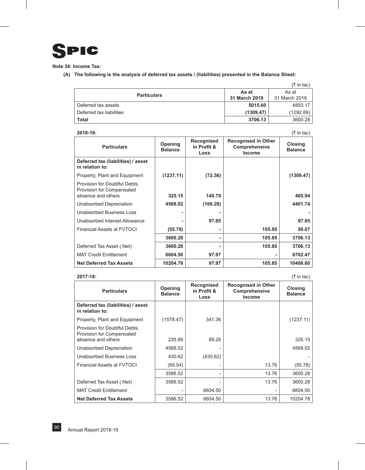

**Note 34: Income Tax:**

**(A) The following is the analysis of deferred tax assets / (liabilities) presented in the Balance Sheet:**

|                          |               | $(3\overline{5})$ in lac) |
|--------------------------|---------------|---------------------------|
| <b>Particulars</b>       | As at         | As at                     |
|                          | 31 March 2019 | 31 March 2018             |
| Deferred tax assets      | 5015.60       | 4893.17                   |
| Deferred tax liabilities | (1309.47)     | (1292.89)                 |
| Total                    | 3706.13       | 3600.28                   |

| 2018-19: |  |
|----------|--|
|          |  |

**2018-19:** (` in lac)

| <b>Particulars</b>                                                               | Opening<br><b>Balance</b> | Recognised<br>in Profit &<br>Loss | <b>Recognised in Other</b><br>Comprehensive<br><b>Income</b> | <b>Closing</b><br><b>Balance</b> |
|----------------------------------------------------------------------------------|---------------------------|-----------------------------------|--------------------------------------------------------------|----------------------------------|
| Deferred tax (liabilities) / asset<br>in relation to:                            |                           |                                   |                                                              |                                  |
| Property, Plant and Equipment                                                    | (1237.11)                 | (72.36)                           |                                                              | (1309.47)                        |
| Provision for Doubtful Debts,<br>Provision for Compensated<br>absence and others | 325.15                    | 140.79                            |                                                              | 465.94                           |
| Unabsorbed Depreciation                                                          | 4568.02                   | (166.28)                          |                                                              | 4401.74                          |
| Unabsorbed Business Loss                                                         |                           |                                   |                                                              |                                  |
| Unabsorbed Interest Allowance                                                    |                           | 97.85                             |                                                              | 97.85                            |
| Financial Assets at FVTOCI                                                       | (55.78)                   |                                   | 105.85                                                       | 50.07                            |
|                                                                                  | 3600.28                   |                                   | 105.85                                                       | 3706.13                          |
| Deferred Tax Asset (Net)                                                         | 3600.28                   |                                   | 105.85                                                       | 3706.13                          |
| <b>MAT Credit Entitlement</b>                                                    | 6604.50                   | 97.97                             |                                                              | 6702.47                          |
| <b>Net Deferred Tax Assets</b>                                                   | 10204.78                  | 97.97                             | 105.85                                                       | 10408.60                         |

#### **2017-18:** (` in lac)

| <b>Particulars</b>                                         | Opening<br><b>Balance</b> | Recognised<br>in Profit &<br>Loss | <b>Recognised in Other</b><br>Comprehensive<br>Income | Closing<br><b>Balance</b> |
|------------------------------------------------------------|---------------------------|-----------------------------------|-------------------------------------------------------|---------------------------|
| Deferred tax (liabilities) / asset<br>in relation to:      |                           |                                   |                                                       |                           |
| Property, Plant and Equipment                              | (1578.47)                 | 341.36                            |                                                       | (1237.11)                 |
| Provision for Doubtful Debts,<br>Provision for Compensated |                           |                                   |                                                       |                           |
| absence and others                                         | 235.89                    | 89.26                             |                                                       | 325.15                    |
| Unabsorbed Depreciation                                    | 4568.02                   |                                   |                                                       | 4568.02                   |
| Unabsorbed Business Loss                                   | 430.62                    | (430.62)                          |                                                       |                           |
| <b>Financial Assets at EVTOCI</b>                          | (69.54)                   |                                   | 13.76                                                 | (55.78)                   |
|                                                            | 3586.52                   |                                   | 13.76                                                 | 3600.28                   |
| Deferred Tax Asset (Net)                                   | 3586.52                   |                                   | 13.76                                                 | 3600.28                   |
| <b>MAT Credit Entitlement</b>                              |                           | 6604.50                           |                                                       | 6604.50                   |
| <b>Net Deferred Tax Assets</b>                             | 3586.52                   | 6604.50                           | 13.76                                                 | 10204.78                  |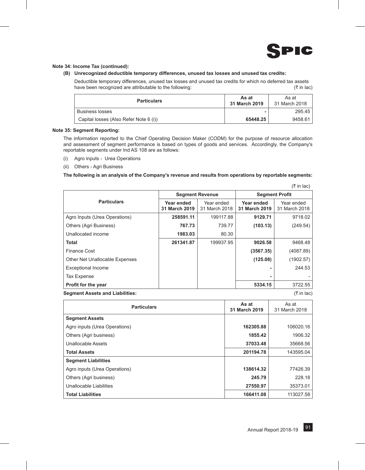

 $(\pm \infty)$ 

#### **Note 34: Income Tax (continued):**

#### **(B) Unrecognized deductible temporary differences, unused tax losses and unused tax credits:**

Deductible temporary differences, unused tax losses and unused tax credits for which no deferred tax assets have been recognized are attributable to the following:  $(*)$  in lac)  $(*$  in lac)

| <b>Particulars</b>                     | As at<br>31 March 2019 | As at<br>31 March 2018 |
|----------------------------------------|------------------------|------------------------|
| <b>Business losses</b>                 | ۰                      | 295.45                 |
| Capital losses (Also Refer Note 6 (i)) | 65448.25               | 9458.61                |

#### **Note 35: Segment Reporting:**

The information reported to the Chief Operating Decision Maker (CODM) for the purpose of resource allocation and assessment of segment performance is based on types of goods and services. Accordingly, the Company's reportable segments under Ind AS 108 are as follows:

- (i) Agro inputs Urea Operations
- (ii) Others Agri Business

#### **The following is an analysis of the Company's revenue and results from operations by reportable segments:**

|                                |                             |                             |                             | (k in iac)                  |
|--------------------------------|-----------------------------|-----------------------------|-----------------------------|-----------------------------|
|                                |                             | <b>Segment Revenue</b>      | <b>Segment Profit</b>       |                             |
| <b>Particulars</b>             | Year ended<br>31 March 2019 | Year ended<br>31 March 2018 | Year ended<br>31 March 2019 | Year ended<br>31 March 2018 |
| Agro Inputs (Urea Operations)  | 258591.11                   | 199117.88                   | 9129.71                     | 9718.02                     |
| Others (Agri Business)         | 767.73                      | 739.77                      | (103.13)                    | (249.54)                    |
| Unallocated income             | 1983.03                     | 80.30                       |                             |                             |
| <b>Total</b>                   | 261341.87                   | 199937.95                   | 9026.58                     | 9468.48                     |
| Finance Cost                   |                             |                             | (3567.35)                   | (4087.89)                   |
| Other Net Unallocable Expenses |                             |                             | (125.08)                    | (1902.57)                   |
| <b>Exceptional Income</b>      |                             |                             |                             | 244.53                      |
| Tax Expense                    |                             |                             | ۰                           |                             |
| Profit for the year            |                             |                             | 5334.15                     | 3722.55                     |

**Segment Assets and Liabilities:** (` in lac)

| <b>Particulars</b>            | As at<br>31 March 2019 | As at<br>31 March 2018 |
|-------------------------------|------------------------|------------------------|
| <b>Segment Assets</b>         |                        |                        |
| Agro inputs (Urea Operations) | 162305.88              | 106020.16              |
| Others (Agri business)        | 1855.42                | 1906.32                |
| Unallocable Assets            | 37033.48               | 35668.56               |
| <b>Total Assets</b>           | 201194.78              | 143595.04              |
| <b>Segment Liabilities</b>    |                        |                        |
| Agro inputs (Urea Operations) | 138614.32              | 77426.39               |
| Others (Agri business)        | 245.79                 | 228.18                 |
| Unallocable Liabilities       | 27550.97               | 35373.01               |
| <b>Total Liabilities</b>      | 166411.08              | 113027.58              |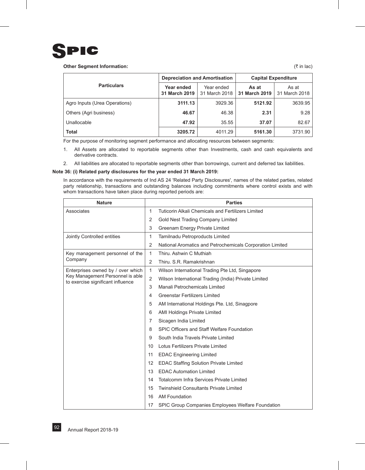

#### **Other Segment Information:**  $( ₹ in lac)$

|                               | <b>Depreciation and Amortisation</b> |                             | <b>Capital Expenditure</b> |                        |
|-------------------------------|--------------------------------------|-----------------------------|----------------------------|------------------------|
| <b>Particulars</b>            | Year ended<br>31 March 2019          | Year ended<br>31 March 2018 | As at<br>31 March 2019     | As at<br>31 March 2018 |
| Agro Inputs (Urea Operations) | 3111.13                              | 3929.36                     | 5121.92                    | 3639.95                |
| Others (Agri business)        | 46.67                                | 46.38                       | 2.31                       | 9.28                   |
| Unallocable                   | 47.92                                | 35.55                       | 37.07                      | 82.67                  |
| <b>Total</b>                  | 3205.72                              | 4011.29                     | 5161.30                    | 3731.90                |

For the purpose of monitoring segment performance and allocating resources between segments:

- 1. All Assets are allocated to reportable segments other than Investments, cash and cash equivalents and derivative contracts.
- 2. All liabilities are allocated to reportable segments other than borrowings, current and deferred tax liabilities.

#### **Note 36: (i) Related party disclosures for the year ended 31 March 2019:**

In accordance with the requirements of Ind AS 24 'Related Party Disclosures', names of the related parties, related party relationship, transactions and outstanding balances including commitments where control exists and with whom transactions have taken place during reported periods are:

| <b>Nature</b>                                                         |                | <b>Parties</b>                                            |
|-----------------------------------------------------------------------|----------------|-----------------------------------------------------------|
| Associates                                                            | 1              | Tuticorin Alkali Chemicals and Fertilizers Limited        |
|                                                                       | 2              | Gold Nest Trading Company Limited                         |
|                                                                       | 3              | Greenam Energy Private Limited                            |
| Jointly Controlled entities                                           | 1              | Tamilnadu Petroproducts Limited                           |
|                                                                       | $\overline{2}$ | National Aromatics and Petrochemicals Corporation Limited |
| Key management personnel of the                                       | 1              | Thiru. Ashwin C Muthiah                                   |
| Company                                                               | 2              | Thiru, S.R. Ramakrishnan                                  |
| Enterprises owned by / over which                                     | 1              | Wilson International Trading Pte Ltd, Singapore           |
| Key Management Personnel is able<br>to exercise significant influence | 2              | Wilson International Trading (India) Private Limited      |
|                                                                       | 3              | Manali Petrochemicals Limited                             |
|                                                                       | 4              | <b>Greenstar Fertilizers Limited</b>                      |
|                                                                       | 5              | AM International Holdings Pte. Ltd, Sinagpore             |
|                                                                       | 6              | <b>AMI Holdings Private Limited</b>                       |
|                                                                       | 7              | Sicagen India Limited                                     |
|                                                                       | 8              | SPIC Officers and Staff Welfare Foundation                |
|                                                                       | 9              | South India Travels Private Limited                       |
|                                                                       | 10             | Lotus Fertilizers Private Limited                         |
|                                                                       | 11             | <b>EDAC Engineering Limited</b>                           |
|                                                                       | 12             | EDAC Staffing Solution Private Limited                    |
|                                                                       | 13             | <b>EDAC Automation Limited</b>                            |
|                                                                       | 14             | Totalcomm Infra Services Private Limited                  |
|                                                                       | 15             | <b>Twinshield Consultants Private Limited</b>             |
|                                                                       | 16             | <b>AM Foundation</b>                                      |
|                                                                       | 17             | SPIC Group Companies Employees Welfare Foundation         |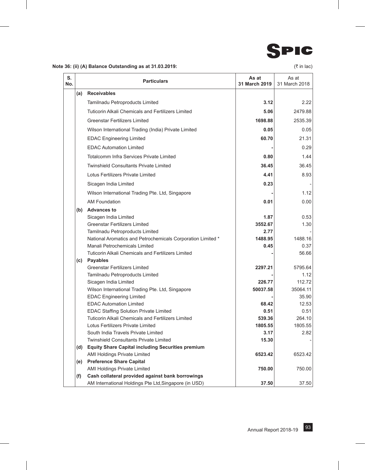

## **Note 36: (ii) (A) Balance Outstanding as at 31.03.2019: C** in lac)

| S.<br>No. |     | <b>Particulars</b>                                                                  | As at<br>31 March 2019 | As at<br>31 March 2018 |
|-----------|-----|-------------------------------------------------------------------------------------|------------------------|------------------------|
|           | (a) | <b>Receivables</b>                                                                  |                        |                        |
|           |     | Tamilnadu Petroproducts Limited                                                     | 3.12                   | 2.22                   |
|           |     | <b>Tuticorin Alkali Chemicals and Fertilizers Limited</b>                           | 5.06                   | 2479.88                |
|           |     | <b>Greenstar Fertilizers Limited</b>                                                | 1698.88                | 2535.39                |
|           |     | Wilson International Trading (India) Private Limited                                | 0.05                   | 0.05                   |
|           |     | <b>EDAC Engineering Limited</b>                                                     | 60.70                  | 21.31                  |
|           |     | <b>EDAC Automation Limited</b>                                                      |                        | 0.29                   |
|           |     |                                                                                     |                        |                        |
|           |     | Totalcomm Infra Services Private Limited                                            | 0.80                   | 1.44                   |
|           |     | <b>Twinshield Consultants Private Limited</b>                                       | 36.45                  | 36.45                  |
|           |     | Lotus Fertilizers Private Limited                                                   | 4.41                   | 8.93                   |
|           |     | Sicagen India Limited                                                               | 0.23                   |                        |
|           |     | Wilson International Trading Pte. Ltd, Singapore                                    |                        | 1.12                   |
|           |     | <b>AM Foundation</b>                                                                | 0.01                   | 0.00                   |
|           |     | (b) Advances to                                                                     |                        |                        |
|           |     | Sicagen India Limited                                                               | 1.87                   | 0.53                   |
|           |     | <b>Greenstar Fertilizers Limited</b>                                                | 3552.67                | 1.30                   |
|           |     | Tamilnadu Petroproducts Limited                                                     | 2.77                   |                        |
|           |     | National Aromatics and Petrochemicals Corporation Limited *                         | 1488.95                | 1488.16                |
|           |     | Manali Petrochemicals Limited                                                       | 0.45                   | 0.37                   |
|           |     | Tuticorin Alkali Chemicals and Fertilizers Limited                                  |                        | 56.66                  |
|           |     | (c) Payables                                                                        |                        |                        |
|           |     | <b>Greenstar Fertilizers Limited</b>                                                | 2297.21                | 5795.64                |
|           |     | Tamilnadu Petroproducts Limited                                                     |                        | 1.12                   |
|           |     | Sicagen India Limited                                                               | 226.77                 | 112.72                 |
|           |     | Wilson International Trading Pte. Ltd, Singapore<br><b>EDAC Engineering Limited</b> | 50037.58               | 35064.11<br>35.90      |
|           |     | <b>EDAC Automation Limited</b>                                                      | 68.42                  | 12.53                  |
|           |     | <b>EDAC Staffing Solution Private Limited</b>                                       | 0.51                   | 0.51                   |
|           |     | <b>Tuticorin Alkali Chemicals and Fertilizers Limited</b>                           | 539.36                 | 264.10                 |
|           |     | Lotus Fertilizers Private Limited                                                   | 1805.55                | 1805.55                |
|           |     | South India Travels Private Limited                                                 | 3.17                   | 2.82                   |
|           |     | <b>Twinshield Consultants Private Limited</b>                                       | 15.30                  |                        |
|           | (d) | <b>Equity Share Capital including Securities premium</b>                            |                        |                        |
|           |     | <b>AMI Holdings Private Limited</b>                                                 | 6523.42                | 6523.42                |
|           |     | (e) Preference Share Capital                                                        |                        |                        |
|           |     | <b>AMI Holdings Private Limited</b>                                                 | 750.00                 | 750.00                 |
|           | (f) | Cash collateral provided against bank borrowings                                    |                        |                        |
|           |     | AM International Holdings Pte Ltd, Singapore (in USD)                               | 37.50                  | 37.50                  |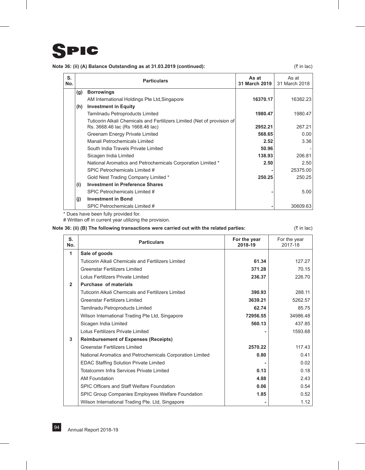

## **Note 36: (ii) (A) Balance Outstanding as at 31.03.2019 (continued):** ( $\bar{x}$  in lac) ( $\bar{x}$  in lac)

| S.<br>No. |     | <b>Particulars</b>                                                                                          | As at<br>31 March 2019 | As at<br>31 March 2018 |
|-----------|-----|-------------------------------------------------------------------------------------------------------------|------------------------|------------------------|
|           | (g) | <b>Borrowings</b>                                                                                           |                        |                        |
|           |     | AM International Holdings Pte Ltd, Singapore                                                                | 16370.17               | 16382.23               |
|           | (h) | <b>Investment in Equity</b>                                                                                 |                        |                        |
|           |     | Tamilnadu Petroproducts Limited                                                                             | 1980.47                | 1980.47                |
|           |     | Tuticorin Alkali Chemicals and Fertilizers Limited (Net of provision of<br>Rs. 3668.46 lac (Rs 1668.46 lac) | 2952.21                | 267.21                 |
|           |     | Greenam Energy Private Limited                                                                              | 568.65                 | 0.00                   |
|           |     | Manali Petrochemicals Limited                                                                               | 2.52                   | 3.36                   |
|           |     | South India Travels Private Limited                                                                         | 50.96                  |                        |
|           |     | Sicagen India Limited                                                                                       | 138.93                 | 206.81                 |
|           |     | National Aromatics and Petrochemicals Corporation Limited *                                                 | 2.50                   | 2.50                   |
|           |     | SPIC Petrochemicals Limited #                                                                               |                        | 25375.00               |
|           |     | Gold Nest Trading Company Limited *                                                                         | 250.25                 | 250.25                 |
|           | (i) | <b>Investment in Preference Shares</b>                                                                      |                        |                        |
|           |     | SPIC Petrochemicals Limited #                                                                               |                        | 5.00                   |
|           | (i) | <b>Investment in Bond</b>                                                                                   |                        |                        |
|           |     | SPIC Petrochemicals Limited #                                                                               |                        | 30609.63               |

\* Dues have been fully provided for.

# Written off in current year utilizing the provision.

## **Note 36: (ii) (B) The following transactions were carried out with the related parties:** ( $\bar{\tau}$  in lac)

| S.<br>No.      | <b>Particulars</b>                                        | For the year<br>2018-19 | For the year<br>2017-18 |
|----------------|-----------------------------------------------------------|-------------------------|-------------------------|
| 1              | Sale of goods                                             |                         |                         |
|                | Tuticorin Alkali Chemicals and Fertilizers Limited        | 61.34                   | 127.27                  |
|                | <b>Greenstar Fertilizers Limited</b>                      | 371.28                  | 70.15                   |
|                | Lotus Fertilizers Private Limited                         | 236.37                  | 226.70                  |
| $\overline{2}$ | <b>Purchase of materials</b>                              |                         |                         |
|                | Tuticorin Alkali Chemicals and Fertilizers Limited        | 390.93                  | 288.11                  |
|                | <b>Greenstar Fertilizers Limited</b>                      | 3639.21                 | 5262.57                 |
|                | Tamilnadu Petroproducts Limited                           | 62.74                   | 85.75                   |
|                | Wilson International Trading Pte Ltd, Singapore           | 72956.55                | 34986.48                |
|                | Sicagen India Limited                                     | 560.13                  | 437.85                  |
|                | Lotus Fertilizers Private Limited                         |                         | 1593.68                 |
| 3              | <b>Reimbursement of Expenses (Receipts)</b>               |                         |                         |
|                | <b>Greenstar Fertilizers Limited</b>                      | 2570.22                 | 117.43                  |
|                | National Aromatics and Petrochemicals Corporation Limited | 0.80                    | 0.41                    |
|                | <b>EDAC Staffing Solution Private Limited</b>             |                         | 0.02                    |
|                | Totalcomm Infra Services Private Limited                  | 0.13                    | 0.18                    |
|                | AM Foundation                                             | 4.88                    | 2.43                    |
|                | SPIC Officers and Staff Welfare Foundation                | 0.06                    | 0.54                    |
|                | SPIC Group Companies Employees Welfare Foundation         | 1.85                    | 0.52                    |
|                | Wilson International Trading Pte. Ltd, Singapore          |                         | 1.12                    |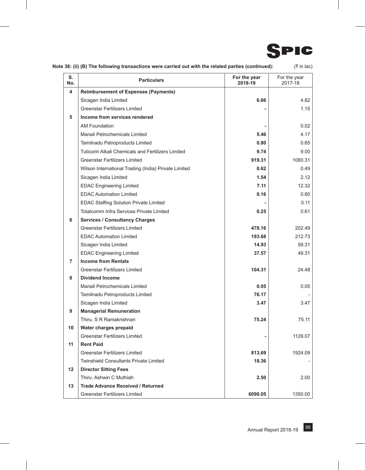

| Note 36: (ii) (B) The following transactions were carried out with the related parties (continued): |  | (₹ in lac) |
|-----------------------------------------------------------------------------------------------------|--|------------|
|-----------------------------------------------------------------------------------------------------|--|------------|

| S.<br>No. | <b>Particulars</b>                                        | For the year<br>2018-19 | For the year<br>2017-18 |
|-----------|-----------------------------------------------------------|-------------------------|-------------------------|
| 4         | <b>Reimbursement of Expenses (Payments)</b>               |                         |                         |
|           | Sicagen India Limited                                     | 6.66                    | 4.82                    |
|           | <b>Greenstar Fertilizers Limited</b>                      |                         | 1.15                    |
| 5         | Income from services rendered                             |                         |                         |
|           | <b>AM Foundation</b>                                      |                         | 0.02                    |
|           | Manali Petrochemicals Limited                             | 5.46                    | 4.17                    |
|           | Tamilnadu Petroproducts Limited                           | 0.80                    | 0.65                    |
|           | <b>Tuticorin Alkali Chemicals and Fertilizers Limited</b> | 9.74                    | 9.00                    |
|           | <b>Greenstar Fertilizers Limited</b>                      | 919.31                  | 1080.31                 |
|           | Wilson International Trading (India) Private Limited      | 0.62                    | 0.49                    |
|           | Sicagen India Limited                                     | 1.54                    | 2.12                    |
|           | <b>EDAC Engineering Limited</b>                           | 7.11                    | 12.32                   |
|           | <b>EDAC Automation Limited</b>                            | 0.16                    | 0.80                    |
|           | <b>EDAC Staffing Solution Private Limited</b>             |                         | 0.11                    |
|           | Totalcomm Infra Services Private Limited                  | 0.25                    | 0.61                    |
| 6         | <b>Services / Consultancy Charges</b>                     |                         |                         |
|           | <b>Greenstar Fertilizers Limited</b>                      | 478.16                  | 202.49                  |
|           | <b>EDAC Automation Limited</b>                            | 193.68                  | 212.73                  |
|           | Sicagen India Limited                                     | 14.93                   | 59.31                   |
|           | <b>EDAC Engineering Limited</b>                           | 37.57                   | 49.31                   |
| 7         | <b>Income from Rentals</b>                                |                         |                         |
|           | <b>Greenstar Fertilizers Limited</b>                      | 104.31                  | 24.48                   |
| 8         | <b>Dividend Income</b>                                    |                         |                         |
|           | Manali Petrochemicals Limited                             | 0.05                    | 0.05                    |
|           | Tamilnadu Petroproducts Limited                           | 76.17                   |                         |
|           | Sicagen India Limited                                     | 3.47                    | 3.47                    |
| 9         | <b>Managerial Remuneration</b>                            |                         |                         |
|           | Thiru. S R Ramakrishnan                                   | 75.24                   | 75.11                   |
| 10        | Water charges prepaid                                     |                         |                         |
|           | <b>Greenstar Fertilizers Limited</b>                      |                         | 1129.07                 |
| 11        | <b>Rent Paid</b>                                          |                         |                         |
|           | <b>Greenstar Fertilizers Limited</b>                      | 813.69                  | 1924.09                 |
|           | <b>Twinshield Consultants Private Limited</b>             | 18.36                   |                         |
| 12        | <b>Director Sitting Fees</b>                              |                         |                         |
|           | Thiru. Ashwin C Muthiah                                   | 2.50                    | 2.00                    |
| 13        | <b>Trade Advance Received / Returned</b>                  |                         |                         |
|           | <b>Greenstar Fertilizers Limited</b>                      | 6090.05                 | 1350.00                 |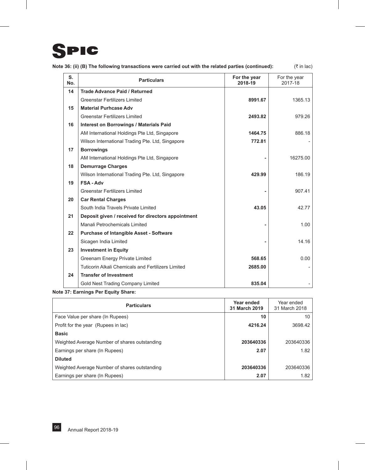## SPIC

| Note 36: (ii) (B) The following transactions were carried out with the related parties (continued): |  | (₹ in lac) |
|-----------------------------------------------------------------------------------------------------|--|------------|
|-----------------------------------------------------------------------------------------------------|--|------------|

| S.<br>No. | <b>Particulars</b>                                 | For the year<br>2018-19 | For the year<br>2017-18 |
|-----------|----------------------------------------------------|-------------------------|-------------------------|
| 14        | <b>Trade Advance Paid / Returned</b>               |                         |                         |
|           | <b>Greenstar Fertilizers Limited</b>               | 8991.67                 | 1365.13                 |
| 15        | <b>Material Purhcase Adv</b>                       |                         |                         |
|           | <b>Greenstar Fertilizers Limited</b>               | 2493.82                 | 979.26                  |
| 16        | <b>Interest on Borrowings / Materials Paid</b>     |                         |                         |
|           | AM International Holdings Pte Ltd, Singapore       | 1464.75                 | 886.18                  |
|           | Wilson International Trading Pte. Ltd, Singapore   | 772.81                  |                         |
| 17        | <b>Borrowings</b>                                  |                         |                         |
|           | AM International Holdings Pte Ltd, Singapore       |                         | 16275.00                |
| 18        | <b>Demurrage Charges</b>                           |                         |                         |
|           | Wilson International Trading Pte. Ltd, Singapore   | 429.99                  | 186.19                  |
| 19        | <b>FSA-Adv</b>                                     |                         |                         |
|           | <b>Greenstar Fertilizers Limited</b>               |                         | 907.41                  |
| 20        | <b>Car Rental Charges</b>                          |                         |                         |
|           | South India Travels Private Limited                | 43.05                   | 42.77                   |
| 21        | Deposit given / received for directors appointment |                         |                         |
|           | Manali Petrochemicals Limited                      |                         | 1.00                    |
| 22        | <b>Purchase of Intangible Asset - Software</b>     |                         |                         |
|           | Sicagen India Limited                              |                         | 14.16                   |
| 23        | <b>Investment in Equity</b>                        |                         |                         |
|           | Greenam Energy Private Limited                     | 568.65                  | 0.00                    |
|           | Tuticorin Alkali Chemicals and Fertilizers Limited | 2685.00                 |                         |
| 24        | <b>Transfer of Investment</b>                      |                         |                         |
|           | Gold Nest Trading Company Limited                  | 835.04                  |                         |

## **Note 37: Earnings Per Equity Share:**

| <b>Particulars</b>                            | Year ended<br>31 March 2019 | Year ended<br>31 March 2018 |
|-----------------------------------------------|-----------------------------|-----------------------------|
| Face Value per share (In Rupees)              | 10                          | 10                          |
| Profit for the year (Rupees in lac)           | 4216.24                     | 3698.42                     |
| <b>Basic</b>                                  |                             |                             |
| Weighted Average Number of shares outstanding | 203640336                   | 203640336                   |
| Earnings per share (In Rupees)                | 2.07                        | 1.82                        |
| <b>Diluted</b>                                |                             |                             |
| Weighted Average Number of shares outstanding | 203640336                   | 203640336                   |
| Earnings per share (In Rupees)                | 2.07                        | 1.82                        |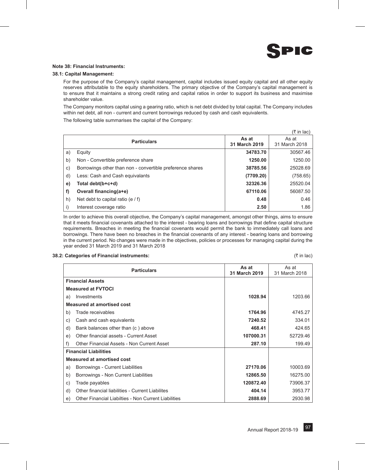

#### **Note 38: Financial Instruments:**

#### **38.1: Capital Management:**

For the purpose of the Company's capital management, capital includes issued equity capital and all other equity reserves attributable to the equity shareholders. The primary objective of the Company's capital management is to ensure that it maintains a strong credit rating and capital ratios in order to support its business and maximise shareholder value.

The Company monitors capital using a gearing ratio, which is net debt divided by total capital. The Company includes within net debt, all non - current and current borrowings reduced by cash and cash equivalents.

The following table summarises the capital of the Company:

|              |                                                           |               | $(3\overline{5})$ in lac) |
|--------------|-----------------------------------------------------------|---------------|---------------------------|
|              | <b>Particulars</b>                                        | As at         | As at                     |
|              |                                                           | 31 March 2019 | 31 March 2018             |
| a)           | Equity                                                    | 34783.70      | 30567.46                  |
| b)           | Non - Convertible preference share                        | 1250.00       | 1250.00                   |
| $\mathsf{C}$ | Borrowings other than non - convertible preference shares | 38785.56      | 25028.69                  |
| d)           | Less: Cash and Cash equivalants                           | (7709.20)     | (758.65)                  |
| e)           | Total debt(b+c+d)                                         | 32326.36      | 25520.04                  |
| f)           | Overall financing(a+e)                                    | 67110.06      | 56087.50                  |
| h)           | Net debt to capital ratio (e $/$ f)                       | 0.48          | 0.46                      |
| i)           | Interest coverage ratio                                   | 2.50          | 1.86                      |

In order to achieve this overall objective, the Company's capital management, amongst other things, aims to ensure that it meets financial covenants attached to the interest - bearing loans and borrowings that define capital structure requirements. Breaches in meeting the financial covenants would permit the bank to immediately call loans and borrowings. There have been no breaches in the financial covenants of any interest - bearing loans and borrowing in the current period. No changes were made in the objectives, policies or processes for managing capital during the year ended 31 March 2019 and 31 March 2018

#### **38.2: Categories of Financial instruments:**  $($ ₹ in lac)

|    | <b>Particulars</b>                                   | As at<br>31 March 2019 | As at<br>31 March 2018 |
|----|------------------------------------------------------|------------------------|------------------------|
|    | <b>Financial Assets</b>                              |                        |                        |
|    | <b>Measured at FVTOCI</b>                            |                        |                        |
| a) | Investments                                          | 1028.94                | 1203.66                |
|    | Measured at amortised cost                           |                        |                        |
| b) | Trade receivables                                    | 1764.96                | 4745.27                |
| C) | Cash and cash equivalents                            | 7240.52                | 334.01                 |
| d) | Bank balances other than (c) above                   | 468.41                 | 424.65                 |
| e) | Other financial assets - Current Asset               | 107000.31              | 52729.46               |
| f) | Other Financial Assets - Non Current Asset<br>287.10 |                        | 199.49                 |
|    | <b>Financial Liabilities</b>                         |                        |                        |
|    | <b>Measured at amortised cost</b>                    |                        |                        |
| a) | Borrowings - Current Liabilities                     | 27170.06               | 10003.69               |
| b) | Borrowings - Non Current Liabilities                 | 12865.50               | 16275.00               |
| C) | Trade payables                                       | 120872.40              | 73906.37               |
| d) | Other financial liabilities - Current Liabilites     | 404.14                 | 3953.77                |
| e) | Other Financial Liabilties - Non Current Liabilities | 2888.69                | 2930.98                |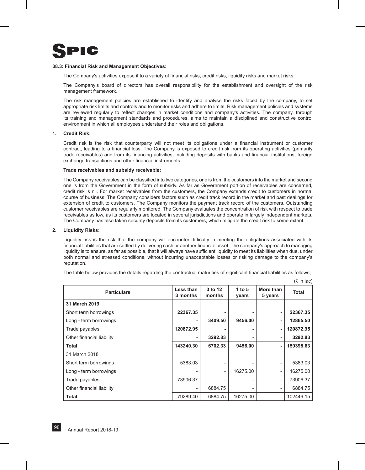

#### **38.3: Financial Risk and Management Objectives:**

The Company's activities expose it to a variety of financial risks, credit risks, liquidity risks and market risks.

The Company's board of directors has overall responsibility for the establishment and oversight of the risk management framework.

The risk management policies are established to identify and analyse the risks faced by the company, to set appropriate risk limits and controls and to monitor risks and adhere to limits. Risk management policies and systems are reviewed regularly to reflect changes in market conditions and company's activities. The company, through its training and management standards and procedures, aims to maintain a disciplined and constructive control environment in which all employees understand their roles and obligations.

#### **1. Credit Risk:**

Credit risk is the risk that counterparty will not meet its obligations under a financial instrument or customer contract, leading to a financial loss. The Company is exposed to credit risk from its operating activities (primarily trade receivables) and from its financing activities, including deposits with banks and financial institutions, foreign exchange transactions and other financial instruments.

#### **Trade receivables and subsidy receivable:**

The Company receivables can be classified into two categories, one is from the customers into the market and second one is from the Government in the form of subsidy. As far as Government portion of receivables are concerned, credit risk is nil. For market receivables from the customers, the Company extends credit to customers in normal course of business. The Company considers factors such as credit track record in the market and past dealings for extension of credit to customers. The Company monitors the payment track record of the customers. Outstanding customer receivables are regularly monitored. The Company evaluates the concentration of risk with respect to trade receivables as low, as its customers are located in several jurisdictions and operate in largely independent markets. The Company has also taken security deposits from its customers, which mitigate the credit risk to some extent.

#### **2. Liquidity Risks:**

Liquidity risk is the risk that the company will encounter difficulty in meeting the obligations associated with its financial liabilities that are settled by delivering cash or another financial asset. The company's approach to managing liquidity is to ensure, as far as possible, that it will always have sufficient liquidity to meet its liabilities when due, under both normal and stressed conditions, without incurring unacceptable losses or risking damage to the company's reputation.

The table below provides the details regarding the contractual maturities of significant financial liabilities as follows;

| <b>Particulars</b>        | Less than<br>3 months | 3 to 12<br>months        | 1 to $5$<br>years | More than<br>5 years     | <b>Total</b> |
|---------------------------|-----------------------|--------------------------|-------------------|--------------------------|--------------|
| 31 March 2019             |                       |                          |                   |                          |              |
| Short term borrowings     | 22367.35              | ٠                        |                   | ٠                        | 22367.35     |
| Long - term borrowings    |                       | 3409.50                  | 9456.00           | ٠                        | 12865.50     |
| Trade payables            | 120872.95             | ٠                        |                   | ٠                        | 120872.95    |
| Other financial liability | ۰.                    | 3292.83                  |                   | ۰.                       | 3292.83      |
| Total                     | 143240.30             | 6702.33                  | 9456.00           | ٠                        | 159398.63    |
| 31 March 2018             |                       |                          |                   |                          |              |
| Short term borrowings     | 5383.03               | $\overline{\phantom{0}}$ |                   |                          | 5383.03      |
| Long - term borrowings    |                       | $\overline{\phantom{a}}$ | 16275.00          | -                        | 16275.00     |
| Trade payables            | 73906.37              | $\overline{a}$           |                   | $\overline{\phantom{0}}$ | 73906.37     |
| Other financial liability |                       | 6884.75                  |                   |                          | 6884.75      |
| <b>Total</b>              | 79289.40              | 6884.75                  | 16275.00          |                          | 102449.15    |

 $($ ₹ in lac)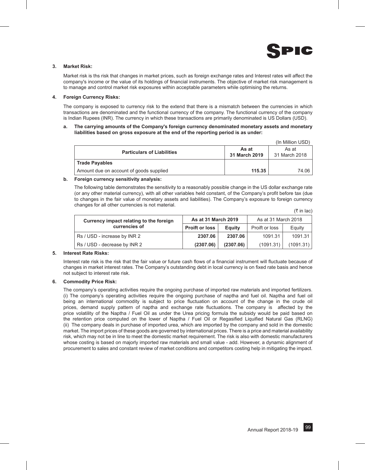

 $(\bar{\tau}$  in lac)

#### **3. Market Risk:**

Market risk is ths risk that changes in market prices, such as foreign exchange rates and Interest rates will affect the company's income or the value of its holdings of financial instruments. The objective of market risk management is to manage and control market risk exposures within acceptable parameters while optimising the returns.

#### **4. Foreign Currency Risks:**

The company is exposed to currency risk to the extend that there is a mismatch between the currencies in which transactions are denominated and the functional currency of the company. The functional currency of the company is Indian Rupees (INR). The currency in which these transactions are primarily denominated is US Dollars (USD).

#### **a. The carrying amounts of the Company's foreign currency denominated monetary assets and monetary liabilities based on gross exposure at the end of the reporting period is as under:**

|                                         |                        | (In Million USD)       |
|-----------------------------------------|------------------------|------------------------|
| <b>Particulars of Liabilities</b>       | As at<br>31 March 2019 | As at<br>31 March 2018 |
| <b>Trade Payables</b>                   |                        |                        |
| Amount due on account of goods supplied | 115.35                 | 74.06                  |

#### **b. Foreign currency sensitivity analysis:**

The following table demonstrates the sensitivity to a reasonably possible change in the US dollar exchange rate (or any other material currency), with all other variables held constant, of the Company's profit before tax (due to changes in the fair value of monetary assets and liabilities). The Company's exposure to foreign currency changes for all other currencies is not material.

| Currency impact relating to the foreign | As at 31 March 2019   |                | As at 31 March 2018 |           |
|-----------------------------------------|-----------------------|----------------|---------------------|-----------|
| currencies of                           | <b>Proift or loss</b> | <b>E</b> quity | Proift or loss      | Equity    |
| Rs / USD - increase by INR 2            | 2307.06               | 2307.06        | 1091.31             | 1091.31   |
| Rs / USD - decrease by INR 2            | (2307.06)             | (2307.06)      | (1091.31)           | (1091.31) |

#### **5. Interest Rate Risks:**

Interest rate risk is the risk that the fair value or future cash flows of a financial instrument will fluctuate because of changes in market interest rates. The Company's outstanding debt in local currency is on fixed rate basis and hence not subject to interest rate risk.

#### **6. Commodity Price Risk:**

The company's operating activities require the ongoing purchase of imported raw materials and imported fertilizers. (i) The company's operating activities require the ongoing purchase of naptha and fuel oil. Naptha and fuel oil being an international commodity is subject to price fluctuation on account of the change in the crude oil prices, demand supply pattern of naptha and exchange rate fluctuations. The company is affected by the price volatility of the Naptha / Fuel Oil as under the Urea pricing formula the subsidy would be paid based on the retention price computed on the lower of Naptha / Fuel Oil or Regasified Liquified Natural Gas (RLNG) (ii) The company deals in purchase of imported urea, which are imported by the company and sold in the domestic market. The import prices of these goods are governed by international prices. There is a price and material availability risk, which may not be in line to meet the domestic market requirement. The risk is also with domestic manufacturers whose costing is based on majorly imported raw materials and small value - add. However, a dynamic alignment of procurement to sales and constant review of market conditions and competitors costing help in mitigating the impact.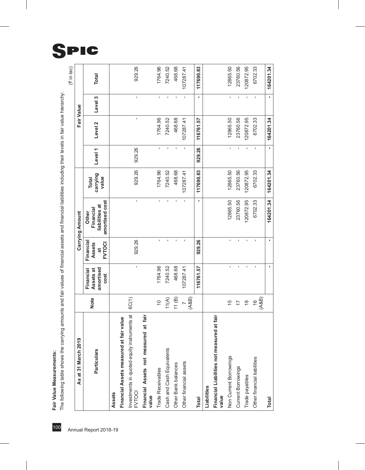Fair Value Measurements:

| As at 31 March 2019                                          |                         |                                             |                                                   | Carrying Amount                                        |                                   |                                       |                    | Fair Value                            |              |
|--------------------------------------------------------------|-------------------------|---------------------------------------------|---------------------------------------------------|--------------------------------------------------------|-----------------------------------|---------------------------------------|--------------------|---------------------------------------|--------------|
| <b>Particulars</b>                                           | <b>Note</b>             | amortised<br>Assets at<br>Financial<br>cost | Financial<br>Assets<br><b>FVTOCI</b><br>$\vec{a}$ | amortised cost<br>liabilities at<br>Financial<br>Other | carrying<br>value<br><b>Total</b> | Level <sub>1</sub>                    | Level <sub>2</sub> | Level 3                               | <b>Total</b> |
| Assets                                                       |                         |                                             |                                                   |                                                        |                                   |                                       |                    |                                       |              |
| ir value<br>Financial Assets measured at fai                 |                         |                                             |                                                   |                                                        |                                   |                                       |                    |                                       |              |
| Investments in quoted equity instruments at<br><b>FVTOCI</b> | 6C(1)                   | $\mathbf{I}$                                | 929.26                                            | ı                                                      | 929.26                            | 929.26                                | ı                  | ı                                     | 929.26       |
| at fair<br>Financial Assets not measured<br>value            |                         |                                             |                                                   |                                                        |                                   |                                       |                    |                                       |              |
| <b>Trade Receivables</b>                                     | $\tilde{c}$             | 1764.96                                     | f,                                                | $\mathbf{r}$                                           | 1764.96                           | ı.                                    | 1764.96            | I.                                    | 1764.96      |
| Cash and Cash Equivalents                                    | 11(A)                   | 7240.52                                     | ï                                                 | f,                                                     | 7240.52                           |                                       | 7240.52            |                                       | 7240.52      |
| Other Bank balances                                          | 11(B)                   | 468.68                                      | ı                                                 | f,                                                     | 468.68                            |                                       | 468.68             |                                       | 468.68       |
| Other financial assets                                       | (AB)                    | 107287.41                                   |                                                   | $\blacksquare$                                         | 07287.41                          |                                       | 107287.41          |                                       | 107287.41    |
| <b>Total</b>                                                 |                         | 116761.57                                   | 929.26                                            | f,                                                     | 117690.83                         | 929.26                                | 116761.57          | f,                                    | 117690.83    |
| Liabilities                                                  |                         |                                             |                                                   |                                                        |                                   |                                       |                    |                                       |              |
| Financial Liabilities not measured at fair<br>value          |                         |                                             |                                                   |                                                        |                                   |                                       |                    |                                       |              |
| Non Current Borrowings                                       | $\frac{5}{1}$           | ï                                           | ï                                                 | 12865.50                                               | 12865.50                          | $\mathsf{I}\hspace{-1.5pt}\mathsf{I}$ | 12865.50           | $\mathsf{I}\hspace{-1.5pt}\mathsf{I}$ | 12865.50     |
| Current Borrowings                                           | $\overline{1}$          | f.                                          |                                                   | 23760.56                                               | 23760.56                          | $\blacksquare$                        | 23760.56           | $\blacksquare$                        | 23760.56     |
| Trade payables                                               | $\frac{\infty}{\infty}$ | f,                                          | ï                                                 | 120872.95                                              | 120872.95                         | $\blacksquare$                        | 120872.95          | $\blacksquare$                        | 120872.95    |
| Other financial liabilities                                  | (AB)<br>$\frac{6}{2}$   | í.                                          | ï                                                 | 6702.33                                                | 6702.33                           |                                       | 6702.33            |                                       | 6702.33      |
| <b>Total</b>                                                 |                         |                                             |                                                   | 164201.34                                              | 164201.34                         | r.                                    | 164201.34          | í.                                    | 164201.34    |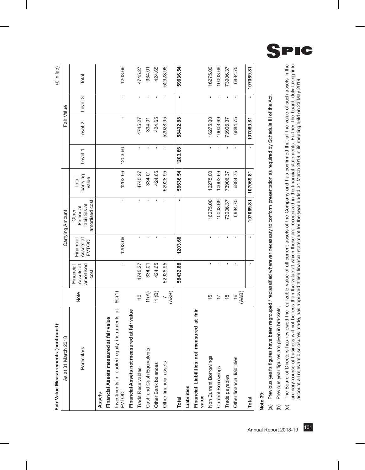| Fair Value Measurements (continued):                         |                                |                                             |                                         |                                                        |                            |              |              |                | $(3 \in \mathbb{N} \mid \mathsf{Jac})$ |
|--------------------------------------------------------------|--------------------------------|---------------------------------------------|-----------------------------------------|--------------------------------------------------------|----------------------------|--------------|--------------|----------------|----------------------------------------|
| As at 31 March 2018                                          |                                |                                             |                                         | Carrying Amount                                        |                            |              | Fair Value   |                |                                        |
| Particulars                                                  | Note                           | amortised<br>Assets at<br>Financial<br>cost | Assets at<br>Financial<br><b>FVTOCI</b> | amortised cost<br>liabilities at<br>Financial<br>Other | carrying<br>value<br>Total | Level 1      | Level 2      | Level 3        | Total                                  |
| Assets                                                       |                                |                                             |                                         |                                                        |                            |              |              |                |                                        |
| Financial Assets measured at fair value                      |                                |                                             |                                         |                                                        |                            |              |              |                |                                        |
| Investments in quoted equity instruments at<br><b>FVTOCI</b> | 6C(1)                          | ı                                           | 1203.66                                 | ı                                                      | 1203.66                    | 1203.66      | $\mathbf{I}$ | $\blacksquare$ | 1203.66                                |
| at fair value<br>Financial Assets not measured               |                                |                                             |                                         |                                                        |                            |              |              |                |                                        |
| Trade Receivables                                            | $\frac{1}{2}$                  | 4745.27                                     | ı                                       | ï                                                      | 4745.27                    | $\mathbf{I}$ | 4745.27      | ı              | 4745.27                                |
| Cash and Cash Equivalents                                    | 11(A)                          | 334.01                                      | f,                                      | ı                                                      | 334.01                     | f,           | 334.01       | f,             | 334.01                                 |
| Other Bank balances                                          | 11(B)                          | 424.65                                      | ï                                       |                                                        | 424.65                     |              | 424.65       |                | 424.65                                 |
| Other financial assets                                       | (AB)<br>$\overline{a}$         | 52928.95                                    |                                         |                                                        | 52928.95                   |              | 52928.95     | I.             | 52928.95                               |
| <b>Total</b>                                                 |                                | 58432.88                                    | 1203.66                                 |                                                        | 59636.54                   | 1203.66      | 58432.88     |                | 59636.54                               |
| Liabilities                                                  |                                |                                             |                                         |                                                        |                            |              |              |                |                                        |
| Financial Liabilities not measured at fair<br>value          |                                |                                             |                                         |                                                        |                            |              |              |                |                                        |
| Non Current Borrowings                                       | 15                             | I.                                          | f,                                      | 16275.00                                               | 16275.00                   | $\mathbf{r}$ | 16275.00     | f,             | 16275.00                               |
| Current Borrowings                                           | $\overline{1}$                 | ï                                           | ı                                       | 10003.69                                               | 10003.69                   |              | 10003.69     | ı              | 10003.69                               |
| Trade payables                                               | $\overset{\infty}{\leftarrow}$ | ï                                           | ï                                       | 73906.37                                               | 73906.37                   | ï            | 73906.37     | $\blacksquare$ | 73906.37                               |
| Other financial liabilities                                  | (AB)<br>$\frac{6}{5}$          | ı                                           |                                         | 6884.75                                                | 6884.75                    |              | 6884.75      |                | 6884.75                                |
| <b>Total</b>                                                 |                                |                                             |                                         | 107069.81                                              | 107069.81                  |              | 107069.81    |                | 107069.81                              |
|                                                              |                                |                                             |                                         |                                                        |                            |              |              |                |                                        |

nntinund): J. Μ, de Vali

# **Note 39:**

Previous year's figures have been regrouped / reclassified wherever necessary to conform presentation as required by Schedule III of the Act. (a) Previous year's figures have been regrouped / reclassified wherever necessary to conform presentation as required by Schedule III of the Act. Previous year figures are given in brackets. (b) Previous year figures are given in brackets.  $\widehat{a}$  $\widehat{e}$ 

The Board of Directors has reviewed the realizable value of all current assets of the Company and has confirmed that all the value of such assets in the<br>ordinary course of business will not be less than the value at which (c) The Board of Directors has reviewed the realizable value of all current assets of the Company and has confirmed that all the value of such assets in the ordinary course of business will not be less than the value at which these are recognized in the financial statements. Further, the board, duly taking into account all relevant disclosures made, has approved these financial statement for the year ended 31 March 2019 in its meeting held on 23 May 2019. $\odot$ 

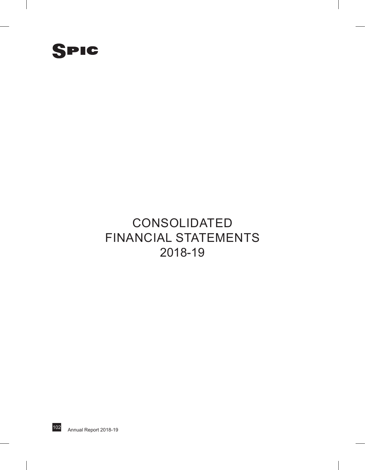

## **CONSOLIDATED** Financial Statements 2018-19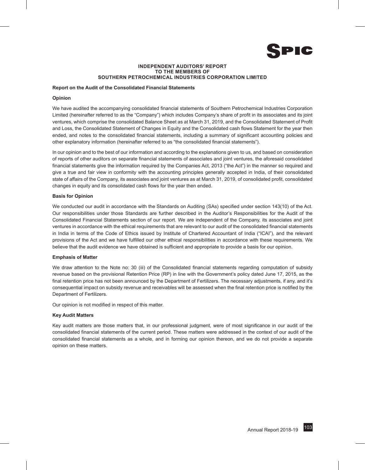

#### **INDEPENDENT AUDITORS' REPORT To The Members of Southern Petrochemical Industries Corporation Limited**

### **Report on the Audit of the Consolidated Financial Statements**

#### **Opinion**

We have audited the accompanying consolidated financial statements of Southern Petrochemical Industries Corporation Limited (hereinafter referred to as the "Company") which includes Company's share of profit in its associates and its joint ventures, which comprise the consolidated Balance Sheet as at March 31, 2019, and the Consolidated Statement of Profit and Loss, the Consolidated Statement of Changes in Equity and the Consolidated cash flows Statement for the year then ended, and notes to the consolidated financial statements, including a summary of significant accounting policies and other explanatory information (hereinafter referred to as "the consolidated financial statements").

In our opinion and to the best of our information and according to the explanations given to us, and based on consideration of reports of other auditors on separate financial statements of associates and joint ventures, the aforesaid consolidated financial statements give the information required by the Companies Act, 2013 ("the Act") in the manner so required and give a true and fair view in conformity with the accounting principles generally accepted in India, of their consolidated state of affairs of the Company, its associates and joint ventures as at March 31, 2019, of consolidated profit, consolidated changes in equity and its consolidated cash flows for the year then ended.

#### **Basis for Opinion**

We conducted our audit in accordance with the Standards on Auditing (SAs) specified under section 143(10) of the Act. Our responsibilities under those Standards are further described in the Auditor's Responsibilities for the Audit of the Consolidated Financial Statements section of our report. We are independent of the Company, its associates and joint ventures in accordance with the ethical requirements that are relevant to our audit of the consolidated financial statements in India in terms of the Code of Ethics issued by Institute of Chartered Accountant of India ("ICAI"), and the relevant provisions of the Act and we have fulfilled our other ethical responsibilities in accordance with these requirements. We believe that the audit evidence we have obtained is sufficient and appropriate to provide a basis for our opinion.

#### **Emphasis of Matter**

We draw attention to the Note no: 30 (iii) of the Consolidated financial statements regarding computation of subsidy revenue based on the provisional Retention Price (RP) in line with the Government's policy dated June 17, 2015, as the final retention price has not been announced by the Department of Fertilizers. The necessary adjustments, if any, and it's consequential impact on subsidy revenue and receivables will be assessed when the final retention price is notified by the Department of Fertilizers.

Our opinion is not modified in respect of this matter.

#### **Key Audit Matters**

Key audit matters are those matters that, in our professional judgment, were of most significance in our audit of the consolidated financial statements of the current period. These matters were addressed in the context of our audit of the consolidated financial statements as a whole, and in forming our opinion thereon, and we do not provide a separate opinion on these matters.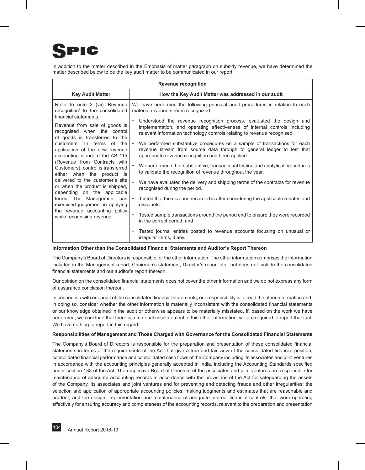## PIC

In addition to the matter described in the Emphasis of matter paragraph on subsidy revenue, we have determined the matter described below to be the key audit matter to be communicated in our report.

|                                                                                                                         | <b>Revenue recognition</b>                                                                                                                                                                                                     |
|-------------------------------------------------------------------------------------------------------------------------|--------------------------------------------------------------------------------------------------------------------------------------------------------------------------------------------------------------------------------|
| <b>Key Audit Matter</b>                                                                                                 | How the Key Audit Matter was addressed in our audit                                                                                                                                                                            |
| Refer to note 2 (vii) 'Revenue<br>recognition' to the consolidated                                                      | We have performed the following principal audit procedures in relation to each<br>material revenue stream recognized:                                                                                                          |
| financial statements.<br>Revenue from sale of goods is<br>recognised when the control<br>of goods is transferred to the | Understood the revenue recognition process, evaluated the design and<br>implementation, and operating effectiveness of internal controls including<br>relevant information technology controls relating to revenue recognised. |
| customers. In terms of the<br>application of the new revenue<br>accounting standard Ind AS 115                          | We performed substantive procedures on a sample of transactions for each<br>revenue stream from source data through to general ledger to test that<br>appropriate revenue recognition had been applied.                        |
| (Revenue from Contracts with<br>Customers), control is transferred<br>either when the product is                        | We performed other substantive, transactional testing and analytical procedures<br>to validate the recognition of revenue throughout the year.                                                                                 |
| delivered to the customer's site<br>or when the product is shipped,<br>depending on the applicable                      | We have evaluated the delivery and shipping terms of the contracts for revenue<br>recognised during the period.                                                                                                                |
| terms. The Management has<br>exercised judgement in applying                                                            | Tested that the revenue recorded is after considering the applicable rebates and<br>discounts.                                                                                                                                 |
| the revenue accounting policy<br>while recognising revenue.                                                             | Tested sample transactions around the period end to ensure they were recorded<br>in the correct period; and                                                                                                                    |
|                                                                                                                         | Tested journal entries posted to revenue accounts focusing on unusual or<br>irregular items, if any.                                                                                                                           |

#### **Information Other than the Consolidated Financial Statements and Auditor's Report Thereon**

The Company's Board of Directors is responsible for the other information. The other information comprises the information included in the Management report, Chairman's statement, Director's report etc., but does not include the consolidated financial statements and our auditor's report thereon.

Our opinion on the consolidated financial statements does not cover the other information and we do not express any form of assurance conclusion thereon.

In connection with our audit of the consolidated financial statements, our responsibility is to read the other information and, in doing so, consider whether the other information is materially inconsistent with the consolidated financial statements or our knowledge obtained in the audit or otherwise appears to be materially misstated. If, based on the work we have performed, we conclude that there is a material misstatement of this other information, we are required to report that fact. We have nothing to report in this regard.

#### **Responsibilities of Management and Those Charged with Governance for the Consolidated Financial Statements**

The Company's Board of Directors is responsible for the preparation and presentation of these consolidated financial statements in terms of the requirements of the Act that give a true and fair view of the consolidated financial position, consolidated financial performance and consolidated cash flows of the Company including its associates and joint ventures in accordance with the accounting principles generally accepted in India, including the Accounting Standards specified under section 133 of the Act. The respective Board of Directors of the associates and joint ventures are responsible for maintenance of adequate accounting records in accordance with the provisions of the Act for safeguarding the assets of the Company, its associates and joint ventures and for preventing and detecting frauds and other irregularities; the selection and application of appropriate accounting policies; making judgments and estimates that are reasonable and prudent; and the design, implementation and maintenance of adequate internal financial controls, that were operating effectively for ensuring accuracy and completeness of the accounting records, relevant to the preparation and presentation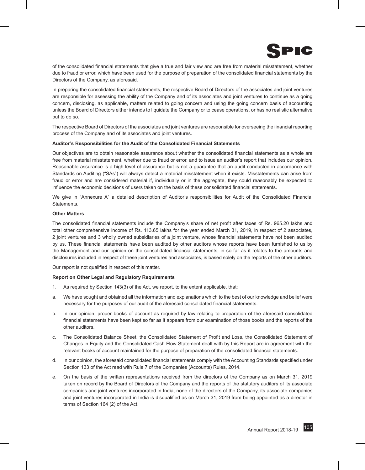

of the consolidated financial statements that give a true and fair view and are free from material misstatement, whether due to fraud or error, which have been used for the purpose of preparation of the consolidated financial statements by the Directors of the Company, as aforesaid.

In preparing the consolidated financial statements, the respective Board of Directors of the associates and joint ventures are responsible for assessing the ability of the Company and of its associates and joint ventures to continue as a going concern, disclosing, as applicable, matters related to going concern and using the going concern basis of accounting unless the Board of Directors either intends to liquidate the Company or to cease operations, or has no realistic alternative but to do so.

The respective Board of Directors of the associates and joint ventures are responsible for overseeing the financial reporting process of the Company and of its associates and joint ventures.

#### **Auditor's Responsibilities for the Audit of the Consolidated Financial Statements**

Our objectives are to obtain reasonable assurance about whether the consolidated financial statements as a whole are free from material misstatement, whether due to fraud or error, and to issue an auditor's report that includes our opinion. Reasonable assurance is a high level of assurance but is not a guarantee that an audit conducted in accordance with Standards on Auditing ("SAs") will always detect a material misstatement when it exists. Misstatements can arise from fraud or error and are considered material if, individually or in the aggregate, they could reasonably be expected to influence the economic decisions of users taken on the basis of these consolidated financial statements.

We give in "Annexure A" a detailed description of Auditor's responsibilities for Audit of the Consolidated Financial Statements.

#### **Other Matters**

The consolidated financial statements include the Company's share of net profit after taxes of Rs. 965.20 lakhs and total other comprehensive income of Rs. 113.65 lakhs for the year ended March 31, 2019, in respect of 2 associates, 2 joint ventures and 3 wholly owned subsidiaries of a joint venture, whose financial statements have not been audited by us. These financial statements have been audited by other auditors whose reports have been furnished to us by the Management and our opinion on the consolidated financial statements, in so far as it relates to the amounts and disclosures included in respect of these joint ventures and associates, is based solely on the reports of the other auditors.

Our report is not qualified in respect of this matter.

#### **Report on Other Legal and Regulatory Requirements**

- 1. As required by Section 143(3) of the Act, we report, to the extent applicable, that:
- a. We have sought and obtained all the information and explanations which to the best of our knowledge and belief were necessary for the purposes of our audit of the aforesaid consolidated financial statements.
- b. In our opinion, proper books of account as required by law relating to preparation of the aforesaid consolidated financial statements have been kept so far as it appears from our examination of those books and the reports of the other auditors.
- c. The Consolidated Balance Sheet, the Consolidated Statement of Profit and Loss, the Consolidated Statement of Changes in Equity and the Consolidated Cash Flow Statement dealt with by this Report are in agreement with the relevant books of account maintained for the purpose of preparation of the consolidated financial statements.
- d. In our opinion, the aforesaid consolidated financial statements comply with the Accounting Standards specified under Section 133 of the Act read with Rule 7 of the Companies (Accounts) Rules, 2014.
- e. On the basis of the written representations received from the directors of the Company as on March 31, 2019 taken on record by the Board of Directors of the Company and the reports of the statutory auditors of its associate companies and joint ventures incorporated in India, none of the directors of the Company, its associate companies and joint ventures incorporated in India is disqualified as on March 31, 2019 from being appointed as a director in terms of Section 164 (2) of the Act.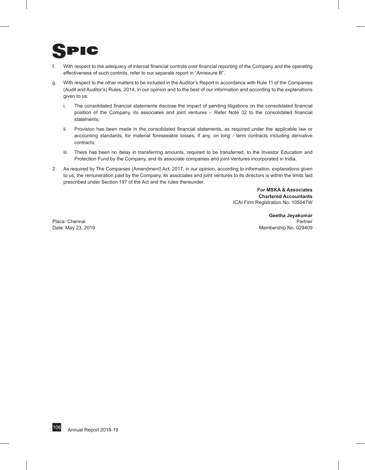## PIC

- f. With respect to the adequacy of internal financial controls over financial reporting of the Company and the operating effectiveness of such controls, refer to our separate report in "Annexure B".
- g. With respect to the other matters to be included in the Auditor's Report in accordance with Rule 11 of the Companies (Audit and Auditor's) Rules, 2014, in our opinion and to the best of our information and according to the explanations given to us:
	- i. The consolidated financial statements disclose the impact of pending litigations on the consolidated financial position of the Company, its associates and joint ventures – Refer Note 32 to the consolidated financial statements;
	- ii. Provision has been made in the consolidated financial statements, as required under the applicable law or accounting standards, for material foreseeable losses, if any, on long - term contracts including derivative contracts;
	- iii. There has been no delay in transferring amounts, required to be transferred, to the Investor Education and Protection Fund by the Company, and its associate companies and joint Ventures incorporated in India.
- 2. As required by The Companies (Amendment) Act, 2017, in our opinion, according to information, explanations given to us, the remuneration paid by the Company, its associates and joint ventures to its directors is within the limits laid prescribed under Section 197 of the Act and the rules thereunder.

**For MSKA & Associates Chartered Accountants** ICAI Firm Registration No. 105047W

**Geetha Jeyakumar** Place: Chennai **Partner** Partner Partner Partner Partner Partner Partner Partner Partner Partner Partner Partner Date: May 23, 2019 Membership No. 029409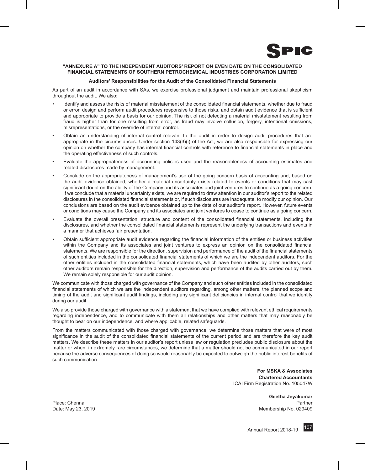

#### **"ANNEXURE A" TO THE INDEPENDENT AUDITORS' REPORT ON EVEN DATE ON THE CONSOLIDATED FINANCIAL STATEMENTS OF SOUTHERN PETROCHEMICAL INDUSTRIES CORPORATION LIMITED**

#### **Auditors' Responsibilities for the Audit of the Consolidated Financial Statements**

As part of an audit in accordance with SAs, we exercise professional judgment and maintain professional skepticism throughout the audit. We also:

- Identify and assess the risks of material misstatement of the consolidated financial statements, whether due to fraud or error, design and perform audit procedures responsive to those risks, and obtain audit evidence that is sufficient and appropriate to provide a basis for our opinion. The risk of not detecting a material misstatement resulting from fraud is higher than for one resulting from error, as fraud may involve collusion, forgery, intentional omissions, misrepresentations, or the override of internal control.
- Obtain an understanding of internal control relevant to the audit in order to design audit procedures that are appropriate in the circumstances. Under section 143(3)(i) of the Act, we are also responsible for expressing our opinion on whether the company has internal financial controls with reference to financial statements in place and the operating effectiveness of such controls.
- Evaluate the appropriateness of accounting policies used and the reasonableness of accounting estimates and related disclosures made by management.
- Conclude on the appropriateness of management's use of the going concern basis of accounting and, based on the audit evidence obtained, whether a material uncertainty exists related to events or conditions that may cast significant doubt on the ability of the Company and its associates and joint ventures to continue as a going concern. If we conclude that a material uncertainty exists, we are required to draw attention in our auditor's report to the related disclosures in the consolidated financial statements or, if such disclosures are inadequate, to modify our opinion. Our conclusions are based on the audit evidence obtained up to the date of our auditor's report. However, future events or conditions may cause the Company and its associates and joint ventures to cease to continue as a going concern.
- Evaluate the overall presentation, structure and content of the consolidated financial statements, including the disclosures, and whether the consolidated financial statements represent the underlying transactions and events in a manner that achieves fair presentation.
- Obtain sufficient appropriate audit evidence regarding the financial information of the entities or business activities within the Company and its associates and joint ventures to express an opinion on the consolidated financial statements. We are responsible for the direction, supervision and performance of the audit of the financial statements of such entities included in the consolidated financial statements of which we are the independent auditors. For the other entities included in the consolidated financial statements, which have been audited by other auditors, such other auditors remain responsible for the direction, supervision and performance of the audits carried out by them. We remain solely responsible for our audit opinion.

We communicate with those charged with governance of the Company and such other entities included in the consolidated financial statements of which we are the independent auditors regarding, among other matters, the planned scope and timing of the audit and significant audit findings, including any significant deficiencies in internal control that we identify during our audit.

We also provide those charged with governance with a statement that we have complied with relevant ethical requirements regarding independence, and to communicate with them all relationships and other matters that may reasonably be thought to bear on our independence, and where applicable, related safeguards.

From the matters communicated with those charged with governance, we determine those matters that were of most significance in the audit of the consolidated financial statements of the current period and are therefore the key audit matters. We describe these matters in our auditor's report unless law or regulation precludes public disclosure about the matter or when, in extremely rare circumstances, we determine that a matter should not be communicated in our report because the adverse consequences of doing so would reasonably be expected to outweigh the public interest benefits of such communication

> **For MSKA & Associates Chartered Accountants** ICAI Firm Registration No. 105047W

**Geetha Jeyakumar** Place: Chennai Partner New York 1999, Place: Chennai Partner New York 1999, Partner New York 1999, Partner New York 1999, Partner New York 1999, Partner New York 1999, Partner New York 1999, Partner New York 1999, Partner Date: May 23, 2019 Membership No. 029409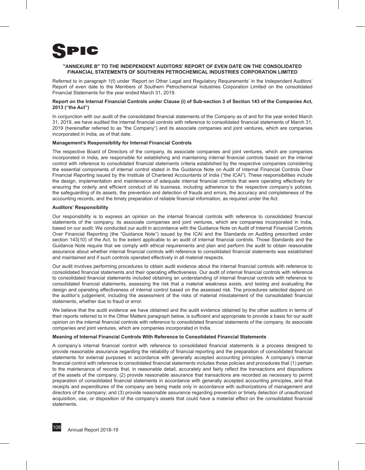

#### **"ANNEXURE B" TO THE INDEPENDENT AUDITORS' REPORT OF EVEN DATE ON THE CONSOLIDATED FINANCIAL STATEMENTS OF SOUTHERN PETROCHEMICAL INDUSTRIES CORPORATION LIMITED**

Referred to in paragraph 1(f) under 'Report on Other Legal and Regulatory Requirements' in the Independent Auditors' Report of even date to the Members of Southern Petrochemical Industries Corporation Limited on the consolidated Financial Statements for the year ended March 31, 2019.

#### **Report on the Internal Financial Controls under Clause (i) of Sub-section 3 of Section 143 of the Companies Act, 2013 ("the Act")**

In conjunction with our audit of the consolidated financial statements of the Company as of and for the year ended March 31, 2019, we have audited the internal financial controls with reference to consolidated financial statements of March 31, 2019 (hereinafter referred to as "the Company") and its associate companies and joint ventures, which are companies incorporated in India, as of that date.

#### **Management's Responsibility for Internal Financial Controls**

The respective Board of Directors of the company, its associate companies and joint ventures, which are companies incorporated in India, are responsible for establishing and maintaining internal financial controls based on the internal control with reference to consolidated financial statements criteria established by the respective companies considering the essential components of internal control stated in the Guidance Note on Audit of Internal Financial Controls Over Financial Reporting issued by the Institute of Chartered Accountants of India ("the ICAI"). These responsibilities include the design, implementation and maintenance of adequate internal financial controls that were operating effectively for ensuring the orderly and efficient conduct of its business, including adherence to the respective company's policies, the safeguarding of its assets, the prevention and detection of frauds and errors, the accuracy and completeness of the accounting records, and the timely preparation of reliable financial information, as required under the Act.

#### **Auditors' Responsibility**

Our responsibility is to express an opinion on the internal financial controls with reference to consolidated financial statements of the company, its associate companies and joint ventures, which are companies incorporated in India, based on our audit. We conducted our audit in accordance with the Guidance Note on Audit of Internal Financial Controls Over Financial Reporting (the "Guidance Note") issued by the ICAI and the Standards on Auditing prescribed under section 143(10) of the Act, to the extent applicable to an audit of internal financial controls. Those Standards and the Guidance Note require that we comply with ethical requirements and plan and perform the audit to obtain reasonable assurance about whether internal financial controls with reference to consolidated financial statements was established and maintained and if such controls operated effectively in all material respects.

Our audit involves performing procedures to obtain audit evidence about the internal financial controls with reference to consolidated financial statements and their operating effectiveness. Our audit of internal financial controls with reference to consolidated financial statements included obtaining an understanding of internal financial controls with reference to consolidated financial statements, assessing the risk that a material weakness exists, and testing and evaluating the design and operating effectiveness of internal control based on the assessed risk. The procedures selected depend on the auditor's judgement, including the assessment of the risks of material misstatement of the consolidated financial statements, whether due to fraud or error.

We believe that the audit evidence we have obtained and the audit evidence obtained by the other auditors in terms of their reports referred to in the Other Matters paragraph below, is sufficient and appropriate to provide a basis for our audit opinion on the internal financial controls with reference to consolidated financial statements of the company, its associate companies and joint ventures, which are companies incorporated in India.

#### **Meaning of Internal Financial Controls With Reference to Consolidated Financial Statements**

A company's internal financial control with reference to consolidated financial statements is a process designed to provide reasonable assurance regarding the reliability of financial reporting and the preparation of consolidated financial statements for external purposes in accordance with generally accepted accounting principles. A company's internal financial control with reference to consolidated financial statements includes those policies and procedures that (1) pertain to the maintenance of records that, in reasonable detail, accurately and fairly reflect the transactions and dispositions of the assets of the company; (2) provide reasonable assurance that transactions are recorded as necessary to permit preparation of consolidated financial statements in accordance with generally accepted accounting principles, and that receipts and expenditures of the company are being made only in accordance with authorizations of management and directors of the company; and (3) provide reasonable assurance regarding prevention or timely detection of unauthorized acquisition, use, or disposition of the company's assets that could have a material effect on the consolidated financial statements.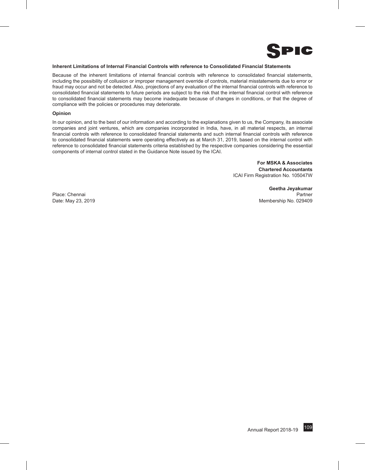

#### **Inherent Limitations of Internal Financial Controls with reference to Consolidated Financial Statements**

Because of the inherent limitations of internal financial controls with reference to consolidated financial statements, including the possibility of collusion or improper management override of controls, material misstatements due to error or fraud may occur and not be detected. Also, projections of any evaluation of the internal financial controls with reference to consolidated financial statements to future periods are subject to the risk that the internal financial control with reference to consolidated financial statements may become inadequate because of changes in conditions, or that the degree of compliance with the policies or procedures may deteriorate.

#### **Opinion**

In our opinion, and to the best of our information and according to the explanations given to us, the Company, its associate companies and joint ventures, which are companies incorporated in India, have, in all material respects, an internal financial controls with reference to consolidated financial statements and such internal financial controls with reference to consolidated financial statements were operating effectively as at March 31, 2019, based on the internal control with reference to consolidated financial statements criteria established by the respective companies considering the essential components of internal control stated in the Guidance Note issued by the ICAI.

> **For MSKA & Associates Chartered Accountants** ICAI Firm Registration No. 105047W

**Geetha Jeyakumar** Place: Chennai Partner Partner Partner Partner Partner Partner Partner Partner Partner Date: May 23, 2019 Membership No. 029409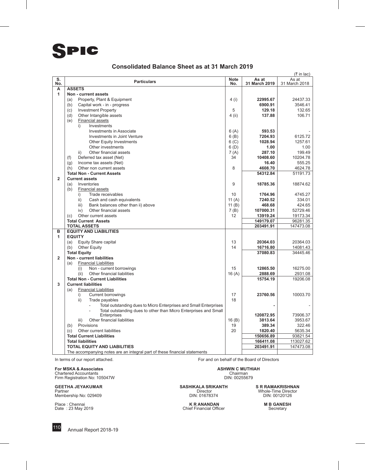#### **Consolidated Balance Sheet as at 31 March 2019**

| S.<br><b>Note</b><br>As at<br>As at<br><b>Particulars</b><br>31 March 2019<br>No.<br>No.<br>31 March 2018<br>A<br><b>ASSETS</b><br>1<br>Non - current assets<br>Property, Plant & Equipment<br>4 (i)<br>22995.67<br>24437.33<br>(a)<br>3546.41<br>Capital work - in - progress<br>6900.91<br>(b)<br>(c)<br><b>Investment Property</b><br>5<br>129.18<br>132.65<br>106.71<br>(d)<br>Other Intangible assets<br>$4$ (ii)<br>137.88<br><b>Financial assets</b><br>(e)<br>i)<br>Investments<br>593.53<br>Investments in Associate<br>6(A)<br>7204.93<br>Investments in Joint Venture<br>6(B)<br>6125.72<br>1028.94<br>6 <sub>(C)</sub><br>1257.61<br><b>Other Equity Investments</b><br>6(D)<br>Other investments<br>1.00<br>1.00<br>Other financial assets<br>287.10<br>199.49<br>ii)<br>7 (A)<br>10204.78<br>Deferred tax asset (Net)<br>34<br>10408.60<br>(f)<br>Income tax assets (Net)<br>555.25<br>(q)<br>16.40<br>4608.70<br>4624.78<br>(h)<br>Other non current assets<br>8<br><b>Total Non - Current Assets</b><br>54312.84<br>51191.73<br>$\overline{2}$<br><b>Current assets</b><br>9<br>Inventories<br>18785.36<br>18874.62<br>(a)<br><b>Financial assets</b><br>(b)<br>10<br>4745.27<br>i)<br>Trade receivables<br>1764.96<br>11 $(A)$<br>7240.52<br>ii)<br>Cash and cash equivalents<br>334.01<br>iii)<br>Bank balances other than ii) above<br>11 $(B)$<br>424.65<br>468.68<br>Other financial assets<br>7(B)<br>107000.31<br>52729.46<br>iv)<br>19173.34<br>Other current assets<br>12<br>13919.24<br>(c)<br>96281.35<br><b>Total Current Assets</b><br>149179.07<br><b>TOTAL ASSETS</b><br>203491.91<br>147473.08<br>в<br><b>EQUITY AND LIABILITIES</b><br>1<br><b>EQUITY</b><br>13<br>20364.03<br>20364.03<br>(a)<br>Equity Share capital<br>14<br>16716.80<br>(b)<br><b>Other Equity</b><br>14081.43<br>34445.46<br><b>Total Equity</b><br>37080.83<br>$\overline{2}$<br>Non - current liabilities<br><b>Financial Liabilities</b><br>(a)<br>(i)<br>Non - current borrowings<br>15<br>12865.50<br>16275.00<br>(ii)<br>Other financial liabilities<br>16(A)<br>2888.69<br>2931.08<br><b>Total Non - Current Liabilities</b><br>15754.19<br>19206.08<br>3<br><b>Current liabilities</b><br><b>Financial Liabilities</b><br>(a)<br><b>Current borrowings</b><br>i)<br>17<br>23760.56<br>10003.70<br>ii)<br>18<br>Trade payables<br>Total outstanding dues to Micro Enterprises and Small Enterprises<br>Total outstanding dues to other than Micro Enterprises and Small<br>Enterprises<br>120872.95<br>73906.37<br>Other financial liabilities<br>16(B)<br>iii)<br>3813.64<br>3953.67<br>19<br>Provisions<br>389.34<br>322.46<br>(b)<br>Other current liabilities<br>20<br>1820.40<br>5635.34<br>(c)<br><b>Total Current Liabilities</b><br>150656.89<br>93821.54<br>113027.62<br><b>Total liabilities</b><br>166411.08<br><b>TOTAL EQUITY AND LIABILITIES</b><br>203491.91<br>147473.08<br>The accompanying notes are an integral part of these financial statements |  |  | $($ ₹ in lac) |
|------------------------------------------------------------------------------------------------------------------------------------------------------------------------------------------------------------------------------------------------------------------------------------------------------------------------------------------------------------------------------------------------------------------------------------------------------------------------------------------------------------------------------------------------------------------------------------------------------------------------------------------------------------------------------------------------------------------------------------------------------------------------------------------------------------------------------------------------------------------------------------------------------------------------------------------------------------------------------------------------------------------------------------------------------------------------------------------------------------------------------------------------------------------------------------------------------------------------------------------------------------------------------------------------------------------------------------------------------------------------------------------------------------------------------------------------------------------------------------------------------------------------------------------------------------------------------------------------------------------------------------------------------------------------------------------------------------------------------------------------------------------------------------------------------------------------------------------------------------------------------------------------------------------------------------------------------------------------------------------------------------------------------------------------------------------------------------------------------------------------------------------------------------------------------------------------------------------------------------------------------------------------------------------------------------------------------------------------------------------------------------------------------------------------------------------------------------------------------------------------------------------------------------------------------------------------------------------------------------------------------------------------------------------------------------------------------------------------------------------------------------------------------------------------------------------------------------------------------------------------------------------------------------------------------------------------------------------------------------|--|--|---------------|
|                                                                                                                                                                                                                                                                                                                                                                                                                                                                                                                                                                                                                                                                                                                                                                                                                                                                                                                                                                                                                                                                                                                                                                                                                                                                                                                                                                                                                                                                                                                                                                                                                                                                                                                                                                                                                                                                                                                                                                                                                                                                                                                                                                                                                                                                                                                                                                                                                                                                                                                                                                                                                                                                                                                                                                                                                                                                                                                                                                                    |  |  |               |
|                                                                                                                                                                                                                                                                                                                                                                                                                                                                                                                                                                                                                                                                                                                                                                                                                                                                                                                                                                                                                                                                                                                                                                                                                                                                                                                                                                                                                                                                                                                                                                                                                                                                                                                                                                                                                                                                                                                                                                                                                                                                                                                                                                                                                                                                                                                                                                                                                                                                                                                                                                                                                                                                                                                                                                                                                                                                                                                                                                                    |  |  |               |
|                                                                                                                                                                                                                                                                                                                                                                                                                                                                                                                                                                                                                                                                                                                                                                                                                                                                                                                                                                                                                                                                                                                                                                                                                                                                                                                                                                                                                                                                                                                                                                                                                                                                                                                                                                                                                                                                                                                                                                                                                                                                                                                                                                                                                                                                                                                                                                                                                                                                                                                                                                                                                                                                                                                                                                                                                                                                                                                                                                                    |  |  |               |
|                                                                                                                                                                                                                                                                                                                                                                                                                                                                                                                                                                                                                                                                                                                                                                                                                                                                                                                                                                                                                                                                                                                                                                                                                                                                                                                                                                                                                                                                                                                                                                                                                                                                                                                                                                                                                                                                                                                                                                                                                                                                                                                                                                                                                                                                                                                                                                                                                                                                                                                                                                                                                                                                                                                                                                                                                                                                                                                                                                                    |  |  |               |
|                                                                                                                                                                                                                                                                                                                                                                                                                                                                                                                                                                                                                                                                                                                                                                                                                                                                                                                                                                                                                                                                                                                                                                                                                                                                                                                                                                                                                                                                                                                                                                                                                                                                                                                                                                                                                                                                                                                                                                                                                                                                                                                                                                                                                                                                                                                                                                                                                                                                                                                                                                                                                                                                                                                                                                                                                                                                                                                                                                                    |  |  |               |
|                                                                                                                                                                                                                                                                                                                                                                                                                                                                                                                                                                                                                                                                                                                                                                                                                                                                                                                                                                                                                                                                                                                                                                                                                                                                                                                                                                                                                                                                                                                                                                                                                                                                                                                                                                                                                                                                                                                                                                                                                                                                                                                                                                                                                                                                                                                                                                                                                                                                                                                                                                                                                                                                                                                                                                                                                                                                                                                                                                                    |  |  |               |
|                                                                                                                                                                                                                                                                                                                                                                                                                                                                                                                                                                                                                                                                                                                                                                                                                                                                                                                                                                                                                                                                                                                                                                                                                                                                                                                                                                                                                                                                                                                                                                                                                                                                                                                                                                                                                                                                                                                                                                                                                                                                                                                                                                                                                                                                                                                                                                                                                                                                                                                                                                                                                                                                                                                                                                                                                                                                                                                                                                                    |  |  |               |
|                                                                                                                                                                                                                                                                                                                                                                                                                                                                                                                                                                                                                                                                                                                                                                                                                                                                                                                                                                                                                                                                                                                                                                                                                                                                                                                                                                                                                                                                                                                                                                                                                                                                                                                                                                                                                                                                                                                                                                                                                                                                                                                                                                                                                                                                                                                                                                                                                                                                                                                                                                                                                                                                                                                                                                                                                                                                                                                                                                                    |  |  |               |
|                                                                                                                                                                                                                                                                                                                                                                                                                                                                                                                                                                                                                                                                                                                                                                                                                                                                                                                                                                                                                                                                                                                                                                                                                                                                                                                                                                                                                                                                                                                                                                                                                                                                                                                                                                                                                                                                                                                                                                                                                                                                                                                                                                                                                                                                                                                                                                                                                                                                                                                                                                                                                                                                                                                                                                                                                                                                                                                                                                                    |  |  |               |
|                                                                                                                                                                                                                                                                                                                                                                                                                                                                                                                                                                                                                                                                                                                                                                                                                                                                                                                                                                                                                                                                                                                                                                                                                                                                                                                                                                                                                                                                                                                                                                                                                                                                                                                                                                                                                                                                                                                                                                                                                                                                                                                                                                                                                                                                                                                                                                                                                                                                                                                                                                                                                                                                                                                                                                                                                                                                                                                                                                                    |  |  |               |
|                                                                                                                                                                                                                                                                                                                                                                                                                                                                                                                                                                                                                                                                                                                                                                                                                                                                                                                                                                                                                                                                                                                                                                                                                                                                                                                                                                                                                                                                                                                                                                                                                                                                                                                                                                                                                                                                                                                                                                                                                                                                                                                                                                                                                                                                                                                                                                                                                                                                                                                                                                                                                                                                                                                                                                                                                                                                                                                                                                                    |  |  |               |
|                                                                                                                                                                                                                                                                                                                                                                                                                                                                                                                                                                                                                                                                                                                                                                                                                                                                                                                                                                                                                                                                                                                                                                                                                                                                                                                                                                                                                                                                                                                                                                                                                                                                                                                                                                                                                                                                                                                                                                                                                                                                                                                                                                                                                                                                                                                                                                                                                                                                                                                                                                                                                                                                                                                                                                                                                                                                                                                                                                                    |  |  |               |
|                                                                                                                                                                                                                                                                                                                                                                                                                                                                                                                                                                                                                                                                                                                                                                                                                                                                                                                                                                                                                                                                                                                                                                                                                                                                                                                                                                                                                                                                                                                                                                                                                                                                                                                                                                                                                                                                                                                                                                                                                                                                                                                                                                                                                                                                                                                                                                                                                                                                                                                                                                                                                                                                                                                                                                                                                                                                                                                                                                                    |  |  |               |
|                                                                                                                                                                                                                                                                                                                                                                                                                                                                                                                                                                                                                                                                                                                                                                                                                                                                                                                                                                                                                                                                                                                                                                                                                                                                                                                                                                                                                                                                                                                                                                                                                                                                                                                                                                                                                                                                                                                                                                                                                                                                                                                                                                                                                                                                                                                                                                                                                                                                                                                                                                                                                                                                                                                                                                                                                                                                                                                                                                                    |  |  |               |
|                                                                                                                                                                                                                                                                                                                                                                                                                                                                                                                                                                                                                                                                                                                                                                                                                                                                                                                                                                                                                                                                                                                                                                                                                                                                                                                                                                                                                                                                                                                                                                                                                                                                                                                                                                                                                                                                                                                                                                                                                                                                                                                                                                                                                                                                                                                                                                                                                                                                                                                                                                                                                                                                                                                                                                                                                                                                                                                                                                                    |  |  |               |
|                                                                                                                                                                                                                                                                                                                                                                                                                                                                                                                                                                                                                                                                                                                                                                                                                                                                                                                                                                                                                                                                                                                                                                                                                                                                                                                                                                                                                                                                                                                                                                                                                                                                                                                                                                                                                                                                                                                                                                                                                                                                                                                                                                                                                                                                                                                                                                                                                                                                                                                                                                                                                                                                                                                                                                                                                                                                                                                                                                                    |  |  |               |
|                                                                                                                                                                                                                                                                                                                                                                                                                                                                                                                                                                                                                                                                                                                                                                                                                                                                                                                                                                                                                                                                                                                                                                                                                                                                                                                                                                                                                                                                                                                                                                                                                                                                                                                                                                                                                                                                                                                                                                                                                                                                                                                                                                                                                                                                                                                                                                                                                                                                                                                                                                                                                                                                                                                                                                                                                                                                                                                                                                                    |  |  |               |
|                                                                                                                                                                                                                                                                                                                                                                                                                                                                                                                                                                                                                                                                                                                                                                                                                                                                                                                                                                                                                                                                                                                                                                                                                                                                                                                                                                                                                                                                                                                                                                                                                                                                                                                                                                                                                                                                                                                                                                                                                                                                                                                                                                                                                                                                                                                                                                                                                                                                                                                                                                                                                                                                                                                                                                                                                                                                                                                                                                                    |  |  |               |
|                                                                                                                                                                                                                                                                                                                                                                                                                                                                                                                                                                                                                                                                                                                                                                                                                                                                                                                                                                                                                                                                                                                                                                                                                                                                                                                                                                                                                                                                                                                                                                                                                                                                                                                                                                                                                                                                                                                                                                                                                                                                                                                                                                                                                                                                                                                                                                                                                                                                                                                                                                                                                                                                                                                                                                                                                                                                                                                                                                                    |  |  |               |
|                                                                                                                                                                                                                                                                                                                                                                                                                                                                                                                                                                                                                                                                                                                                                                                                                                                                                                                                                                                                                                                                                                                                                                                                                                                                                                                                                                                                                                                                                                                                                                                                                                                                                                                                                                                                                                                                                                                                                                                                                                                                                                                                                                                                                                                                                                                                                                                                                                                                                                                                                                                                                                                                                                                                                                                                                                                                                                                                                                                    |  |  |               |
|                                                                                                                                                                                                                                                                                                                                                                                                                                                                                                                                                                                                                                                                                                                                                                                                                                                                                                                                                                                                                                                                                                                                                                                                                                                                                                                                                                                                                                                                                                                                                                                                                                                                                                                                                                                                                                                                                                                                                                                                                                                                                                                                                                                                                                                                                                                                                                                                                                                                                                                                                                                                                                                                                                                                                                                                                                                                                                                                                                                    |  |  |               |
|                                                                                                                                                                                                                                                                                                                                                                                                                                                                                                                                                                                                                                                                                                                                                                                                                                                                                                                                                                                                                                                                                                                                                                                                                                                                                                                                                                                                                                                                                                                                                                                                                                                                                                                                                                                                                                                                                                                                                                                                                                                                                                                                                                                                                                                                                                                                                                                                                                                                                                                                                                                                                                                                                                                                                                                                                                                                                                                                                                                    |  |  |               |
|                                                                                                                                                                                                                                                                                                                                                                                                                                                                                                                                                                                                                                                                                                                                                                                                                                                                                                                                                                                                                                                                                                                                                                                                                                                                                                                                                                                                                                                                                                                                                                                                                                                                                                                                                                                                                                                                                                                                                                                                                                                                                                                                                                                                                                                                                                                                                                                                                                                                                                                                                                                                                                                                                                                                                                                                                                                                                                                                                                                    |  |  |               |
|                                                                                                                                                                                                                                                                                                                                                                                                                                                                                                                                                                                                                                                                                                                                                                                                                                                                                                                                                                                                                                                                                                                                                                                                                                                                                                                                                                                                                                                                                                                                                                                                                                                                                                                                                                                                                                                                                                                                                                                                                                                                                                                                                                                                                                                                                                                                                                                                                                                                                                                                                                                                                                                                                                                                                                                                                                                                                                                                                                                    |  |  |               |
|                                                                                                                                                                                                                                                                                                                                                                                                                                                                                                                                                                                                                                                                                                                                                                                                                                                                                                                                                                                                                                                                                                                                                                                                                                                                                                                                                                                                                                                                                                                                                                                                                                                                                                                                                                                                                                                                                                                                                                                                                                                                                                                                                                                                                                                                                                                                                                                                                                                                                                                                                                                                                                                                                                                                                                                                                                                                                                                                                                                    |  |  |               |
|                                                                                                                                                                                                                                                                                                                                                                                                                                                                                                                                                                                                                                                                                                                                                                                                                                                                                                                                                                                                                                                                                                                                                                                                                                                                                                                                                                                                                                                                                                                                                                                                                                                                                                                                                                                                                                                                                                                                                                                                                                                                                                                                                                                                                                                                                                                                                                                                                                                                                                                                                                                                                                                                                                                                                                                                                                                                                                                                                                                    |  |  |               |
|                                                                                                                                                                                                                                                                                                                                                                                                                                                                                                                                                                                                                                                                                                                                                                                                                                                                                                                                                                                                                                                                                                                                                                                                                                                                                                                                                                                                                                                                                                                                                                                                                                                                                                                                                                                                                                                                                                                                                                                                                                                                                                                                                                                                                                                                                                                                                                                                                                                                                                                                                                                                                                                                                                                                                                                                                                                                                                                                                                                    |  |  |               |
|                                                                                                                                                                                                                                                                                                                                                                                                                                                                                                                                                                                                                                                                                                                                                                                                                                                                                                                                                                                                                                                                                                                                                                                                                                                                                                                                                                                                                                                                                                                                                                                                                                                                                                                                                                                                                                                                                                                                                                                                                                                                                                                                                                                                                                                                                                                                                                                                                                                                                                                                                                                                                                                                                                                                                                                                                                                                                                                                                                                    |  |  |               |
|                                                                                                                                                                                                                                                                                                                                                                                                                                                                                                                                                                                                                                                                                                                                                                                                                                                                                                                                                                                                                                                                                                                                                                                                                                                                                                                                                                                                                                                                                                                                                                                                                                                                                                                                                                                                                                                                                                                                                                                                                                                                                                                                                                                                                                                                                                                                                                                                                                                                                                                                                                                                                                                                                                                                                                                                                                                                                                                                                                                    |  |  |               |
|                                                                                                                                                                                                                                                                                                                                                                                                                                                                                                                                                                                                                                                                                                                                                                                                                                                                                                                                                                                                                                                                                                                                                                                                                                                                                                                                                                                                                                                                                                                                                                                                                                                                                                                                                                                                                                                                                                                                                                                                                                                                                                                                                                                                                                                                                                                                                                                                                                                                                                                                                                                                                                                                                                                                                                                                                                                                                                                                                                                    |  |  |               |
|                                                                                                                                                                                                                                                                                                                                                                                                                                                                                                                                                                                                                                                                                                                                                                                                                                                                                                                                                                                                                                                                                                                                                                                                                                                                                                                                                                                                                                                                                                                                                                                                                                                                                                                                                                                                                                                                                                                                                                                                                                                                                                                                                                                                                                                                                                                                                                                                                                                                                                                                                                                                                                                                                                                                                                                                                                                                                                                                                                                    |  |  |               |
|                                                                                                                                                                                                                                                                                                                                                                                                                                                                                                                                                                                                                                                                                                                                                                                                                                                                                                                                                                                                                                                                                                                                                                                                                                                                                                                                                                                                                                                                                                                                                                                                                                                                                                                                                                                                                                                                                                                                                                                                                                                                                                                                                                                                                                                                                                                                                                                                                                                                                                                                                                                                                                                                                                                                                                                                                                                                                                                                                                                    |  |  |               |
|                                                                                                                                                                                                                                                                                                                                                                                                                                                                                                                                                                                                                                                                                                                                                                                                                                                                                                                                                                                                                                                                                                                                                                                                                                                                                                                                                                                                                                                                                                                                                                                                                                                                                                                                                                                                                                                                                                                                                                                                                                                                                                                                                                                                                                                                                                                                                                                                                                                                                                                                                                                                                                                                                                                                                                                                                                                                                                                                                                                    |  |  |               |
|                                                                                                                                                                                                                                                                                                                                                                                                                                                                                                                                                                                                                                                                                                                                                                                                                                                                                                                                                                                                                                                                                                                                                                                                                                                                                                                                                                                                                                                                                                                                                                                                                                                                                                                                                                                                                                                                                                                                                                                                                                                                                                                                                                                                                                                                                                                                                                                                                                                                                                                                                                                                                                                                                                                                                                                                                                                                                                                                                                                    |  |  |               |
|                                                                                                                                                                                                                                                                                                                                                                                                                                                                                                                                                                                                                                                                                                                                                                                                                                                                                                                                                                                                                                                                                                                                                                                                                                                                                                                                                                                                                                                                                                                                                                                                                                                                                                                                                                                                                                                                                                                                                                                                                                                                                                                                                                                                                                                                                                                                                                                                                                                                                                                                                                                                                                                                                                                                                                                                                                                                                                                                                                                    |  |  |               |
|                                                                                                                                                                                                                                                                                                                                                                                                                                                                                                                                                                                                                                                                                                                                                                                                                                                                                                                                                                                                                                                                                                                                                                                                                                                                                                                                                                                                                                                                                                                                                                                                                                                                                                                                                                                                                                                                                                                                                                                                                                                                                                                                                                                                                                                                                                                                                                                                                                                                                                                                                                                                                                                                                                                                                                                                                                                                                                                                                                                    |  |  |               |
|                                                                                                                                                                                                                                                                                                                                                                                                                                                                                                                                                                                                                                                                                                                                                                                                                                                                                                                                                                                                                                                                                                                                                                                                                                                                                                                                                                                                                                                                                                                                                                                                                                                                                                                                                                                                                                                                                                                                                                                                                                                                                                                                                                                                                                                                                                                                                                                                                                                                                                                                                                                                                                                                                                                                                                                                                                                                                                                                                                                    |  |  |               |
|                                                                                                                                                                                                                                                                                                                                                                                                                                                                                                                                                                                                                                                                                                                                                                                                                                                                                                                                                                                                                                                                                                                                                                                                                                                                                                                                                                                                                                                                                                                                                                                                                                                                                                                                                                                                                                                                                                                                                                                                                                                                                                                                                                                                                                                                                                                                                                                                                                                                                                                                                                                                                                                                                                                                                                                                                                                                                                                                                                                    |  |  |               |
|                                                                                                                                                                                                                                                                                                                                                                                                                                                                                                                                                                                                                                                                                                                                                                                                                                                                                                                                                                                                                                                                                                                                                                                                                                                                                                                                                                                                                                                                                                                                                                                                                                                                                                                                                                                                                                                                                                                                                                                                                                                                                                                                                                                                                                                                                                                                                                                                                                                                                                                                                                                                                                                                                                                                                                                                                                                                                                                                                                                    |  |  |               |
|                                                                                                                                                                                                                                                                                                                                                                                                                                                                                                                                                                                                                                                                                                                                                                                                                                                                                                                                                                                                                                                                                                                                                                                                                                                                                                                                                                                                                                                                                                                                                                                                                                                                                                                                                                                                                                                                                                                                                                                                                                                                                                                                                                                                                                                                                                                                                                                                                                                                                                                                                                                                                                                                                                                                                                                                                                                                                                                                                                                    |  |  |               |
|                                                                                                                                                                                                                                                                                                                                                                                                                                                                                                                                                                                                                                                                                                                                                                                                                                                                                                                                                                                                                                                                                                                                                                                                                                                                                                                                                                                                                                                                                                                                                                                                                                                                                                                                                                                                                                                                                                                                                                                                                                                                                                                                                                                                                                                                                                                                                                                                                                                                                                                                                                                                                                                                                                                                                                                                                                                                                                                                                                                    |  |  |               |
|                                                                                                                                                                                                                                                                                                                                                                                                                                                                                                                                                                                                                                                                                                                                                                                                                                                                                                                                                                                                                                                                                                                                                                                                                                                                                                                                                                                                                                                                                                                                                                                                                                                                                                                                                                                                                                                                                                                                                                                                                                                                                                                                                                                                                                                                                                                                                                                                                                                                                                                                                                                                                                                                                                                                                                                                                                                                                                                                                                                    |  |  |               |
|                                                                                                                                                                                                                                                                                                                                                                                                                                                                                                                                                                                                                                                                                                                                                                                                                                                                                                                                                                                                                                                                                                                                                                                                                                                                                                                                                                                                                                                                                                                                                                                                                                                                                                                                                                                                                                                                                                                                                                                                                                                                                                                                                                                                                                                                                                                                                                                                                                                                                                                                                                                                                                                                                                                                                                                                                                                                                                                                                                                    |  |  |               |
|                                                                                                                                                                                                                                                                                                                                                                                                                                                                                                                                                                                                                                                                                                                                                                                                                                                                                                                                                                                                                                                                                                                                                                                                                                                                                                                                                                                                                                                                                                                                                                                                                                                                                                                                                                                                                                                                                                                                                                                                                                                                                                                                                                                                                                                                                                                                                                                                                                                                                                                                                                                                                                                                                                                                                                                                                                                                                                                                                                                    |  |  |               |
|                                                                                                                                                                                                                                                                                                                                                                                                                                                                                                                                                                                                                                                                                                                                                                                                                                                                                                                                                                                                                                                                                                                                                                                                                                                                                                                                                                                                                                                                                                                                                                                                                                                                                                                                                                                                                                                                                                                                                                                                                                                                                                                                                                                                                                                                                                                                                                                                                                                                                                                                                                                                                                                                                                                                                                                                                                                                                                                                                                                    |  |  |               |
|                                                                                                                                                                                                                                                                                                                                                                                                                                                                                                                                                                                                                                                                                                                                                                                                                                                                                                                                                                                                                                                                                                                                                                                                                                                                                                                                                                                                                                                                                                                                                                                                                                                                                                                                                                                                                                                                                                                                                                                                                                                                                                                                                                                                                                                                                                                                                                                                                                                                                                                                                                                                                                                                                                                                                                                                                                                                                                                                                                                    |  |  |               |
|                                                                                                                                                                                                                                                                                                                                                                                                                                                                                                                                                                                                                                                                                                                                                                                                                                                                                                                                                                                                                                                                                                                                                                                                                                                                                                                                                                                                                                                                                                                                                                                                                                                                                                                                                                                                                                                                                                                                                                                                                                                                                                                                                                                                                                                                                                                                                                                                                                                                                                                                                                                                                                                                                                                                                                                                                                                                                                                                                                                    |  |  |               |
|                                                                                                                                                                                                                                                                                                                                                                                                                                                                                                                                                                                                                                                                                                                                                                                                                                                                                                                                                                                                                                                                                                                                                                                                                                                                                                                                                                                                                                                                                                                                                                                                                                                                                                                                                                                                                                                                                                                                                                                                                                                                                                                                                                                                                                                                                                                                                                                                                                                                                                                                                                                                                                                                                                                                                                                                                                                                                                                                                                                    |  |  |               |
|                                                                                                                                                                                                                                                                                                                                                                                                                                                                                                                                                                                                                                                                                                                                                                                                                                                                                                                                                                                                                                                                                                                                                                                                                                                                                                                                                                                                                                                                                                                                                                                                                                                                                                                                                                                                                                                                                                                                                                                                                                                                                                                                                                                                                                                                                                                                                                                                                                                                                                                                                                                                                                                                                                                                                                                                                                                                                                                                                                                    |  |  |               |
|                                                                                                                                                                                                                                                                                                                                                                                                                                                                                                                                                                                                                                                                                                                                                                                                                                                                                                                                                                                                                                                                                                                                                                                                                                                                                                                                                                                                                                                                                                                                                                                                                                                                                                                                                                                                                                                                                                                                                                                                                                                                                                                                                                                                                                                                                                                                                                                                                                                                                                                                                                                                                                                                                                                                                                                                                                                                                                                                                                                    |  |  |               |
|                                                                                                                                                                                                                                                                                                                                                                                                                                                                                                                                                                                                                                                                                                                                                                                                                                                                                                                                                                                                                                                                                                                                                                                                                                                                                                                                                                                                                                                                                                                                                                                                                                                                                                                                                                                                                                                                                                                                                                                                                                                                                                                                                                                                                                                                                                                                                                                                                                                                                                                                                                                                                                                                                                                                                                                                                                                                                                                                                                                    |  |  |               |

**For MSKA & Associates**<br>
Chartered Accountants<br>
Firm Registration No: 105047W<br>
Firm Registration No: 105047W<br>
ASHWIN C MUTHIAH<br>
DIN: 00255679 Chartered Accountants<br>Firm Registration No: 105047W DIN: 00255679

GEETHA JEYAKUMAR SASHIKALA SRIKANTH SARIKALA SRIKANTH SARIKANTH Partner Mobie-Time Director DIN: 0129409 DIN: 0120126

Membership No: 029409

In terms of our report attached. The state of the Board of Directors of Directors of Directors of Directors of Directors

**GASHIKALA SRIKANTH SASHIKALA SRIKANTH** SR RAMAKRISHNAN<br>
Director Whole-Time Director

Place : Chennai **M B GANESH**<br>
Date : 23 May 2019 **M B Chief Financial Officer** Secretary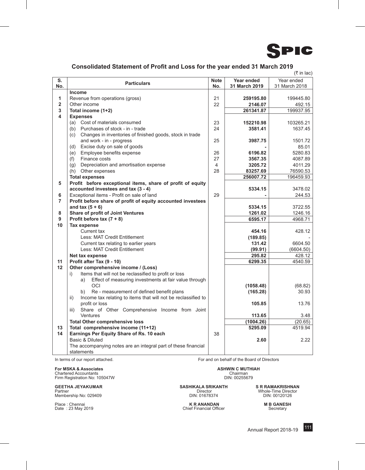

#### **Consolidated Statement of Profit and Loss for the year ended 31 March 2019**

|                |                                                                      |             |               | $($ ₹ in lac) |
|----------------|----------------------------------------------------------------------|-------------|---------------|---------------|
| S.             |                                                                      | <b>Note</b> | Year ended    | Year ended    |
| No.            | <b>Particulars</b>                                                   | No.         | 31 March 2019 | 31 March 2018 |
|                | Income                                                               |             |               |               |
| 1              | Revenue from operations (gross)                                      | 21          | 259195.80     | 199445.80     |
| $\overline{2}$ | Other income                                                         | 22          | 2146.07       | 492.15        |
| 3              | Total income (1+2)                                                   |             | 261341.87     | 199937.95     |
| 4              | <b>Expenses</b>                                                      |             |               |               |
|                | (a) Cost of materials consumed                                       | 23          | 152210.98     | 103265.21     |
|                | Purchases of stock - in - trade<br>(b)                               | 24          | 3581.41       | 1637.45       |
|                | Changes in inventories of finished goods, stock in trade<br>(c)      |             |               |               |
|                | and work - in - progress                                             | 25          | 3987.75       | 1501.72       |
|                | Excise duty on sale of goods<br>(d)                                  |             |               | 85.01         |
|                | (e) Employee benefits expense                                        | 26          | 6196.82       | 5280.83       |
|                | Finance costs<br>(f)                                                 | 27          | 3567.35       | 4087.89       |
|                | Depreciation and amortisation expense<br>(g)                         | 4           | 3205.72       | 4011.29       |
|                | (h) Other expenses                                                   | 28          | 83257.69      | 76590.53      |
|                | <b>Total expenses</b>                                                |             | 256007.72     | 196459.93     |
| 5              | Profit before exceptional items, share of profit of equity           |             |               |               |
|                | accounted investees and tax (3 - 4)                                  |             | 5334.15       | 3478.02       |
| 6              | Exceptional items - Profit on sale of land                           | 29          |               | 244.53        |
| 7              | Profit before share of profit of equity accounted investees          |             |               |               |
|                | and tax $(5 + 6)$                                                    |             | 5334.15       | 3722.55       |
| 8              | Share of profit of Joint Ventures                                    |             | 1261.02       | 1246.16       |
| 9              | Profit before tax $(7 + 8)$                                          |             | 6595.17       | 4968.71       |
| 10             | <b>Tax expense</b>                                                   |             |               |               |
|                | Current tax                                                          |             | 454.16        | 428.12        |
|                | Less: MAT Credit Entitlement                                         |             | (189.85)      |               |
|                | Current tax relating to earlier years                                |             | 131.42        | 6604.50       |
|                | Less: MAT Credit Entitlement                                         |             | (99.91)       | (6604.50)     |
|                | Net tax expense                                                      |             | 295.82        | 428.12        |
| 11             | Profit after Tax (9 - 10)                                            |             | 6299.35       | 4540.59       |
| 12             | Other comprehensive income / (Loss)                                  |             |               |               |
|                | Items that will not be reclassified to profit or loss<br>i)          |             |               |               |
|                | Effect of measuring investments at fair value through<br>a)          |             |               |               |
|                | OCI                                                                  |             | (1058.48)     | (68.82)       |
|                | Re - measurement of defined benefit plans<br>b)                      |             | (165.28)      | 30.93         |
|                | Income tax relating to items that will not be reclassified to<br>ii) |             |               |               |
|                | profit or loss                                                       |             | 105.85        | 13.76         |
|                | Share of Other Comprehensive Income from Joint<br>iii)               |             |               |               |
|                | Ventures                                                             |             | 113.65        | 3.48          |
|                | <b>Total Other comprehensive loss</b>                                |             | (1004.26)     | (20.65)       |
| 13             | Total comprehensive income (11+12)                                   |             | 5295.09       | 4519.94       |
| 14             | Earnings Per Equity Share of Rs. 10 each                             | 38          |               |               |
|                | Basic & Diluted                                                      |             | 2.60          | 2.22          |
|                | The accompanying notes are an integral part of these financial       |             |               |               |
|                | statements                                                           |             |               |               |

**For MSKA & Associates**<br>
Chartered Accountants<br>
Firm Registration No: 105047W **ASHWIN C MUTHIAH**<br>
Firm Registration No: 105047W **ASHWIN** Chartered Accountants<br>Firm Registration No: 105047W DIN: 00255679

**GEETHA JEYAKUMAR**<br>
Partner **SR RAMAKRISHNAN**<br>
Membership No: 029409 **SASHIKALA SRIKANTH** SR RAMAKRISHNAN<br>
DIN: 010120126 **SASHIKALA SRIKANTH** SR RAMAKRISHNAN<br>
DIN: 010120126

Place : Chennai **M B GANESH**<br>
Place : 23 May 2019 **M B GANESH**<br>
Chief Financial Officer **M B GANESH**<br>
Chief Financial Officer **M** Secretary

In terms of our report attached. For and on behalf of the Board of Directors

Partner Director Whole-Time Director Membership No: 029409 DIN: 01678374 DIN: 00120126

Chief Financial Officer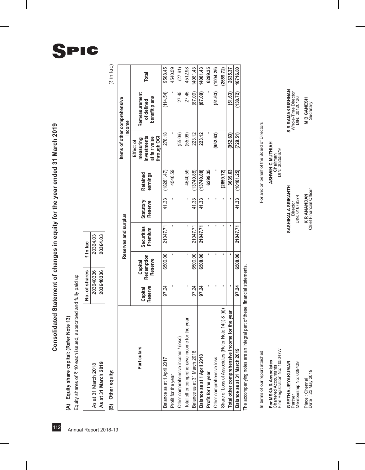# (A) Equity share capital: (Refer Note 13)

| Equity shares of ₹ 10 each issued, subscribed and fully paid up<br>(A) Equity share capital: (Refer Note 13) |               |          |
|--------------------------------------------------------------------------------------------------------------|---------------|----------|
|                                                                                                              | No. of shares | ₹ In lac |
| As at 31 March 2018                                                                                          | 203640336     | 20364.03 |
| As at 31 March 2019                                                                                          | 203640336     | 20364.03 |

# (B) Other equity:

| s.<br>ത |  |
|---------|--|
| г       |  |
| h<br>٠. |  |
|         |  |

|                                                       |                    |                                  | Reserves and surplus  |                      |                             |                                                                       | Items of other comprehensive<br>income       |           |
|-------------------------------------------------------|--------------------|----------------------------------|-----------------------|----------------------|-----------------------------|-----------------------------------------------------------------------|----------------------------------------------|-----------|
| <b>Particulars</b>                                    | Reserve<br>Capital | Redemption<br>Reserve<br>Capital | Securities<br>Premium | Statutory<br>Reserve | <b>Retained</b><br>earnings | investments<br>at fair value<br>through OCI<br>measuring<br>Effect of | Remeasurement<br>benefit plans<br>of defined | Total     |
| Balance as at 1 April 2017                            | 97.24              | 6500.00                          | 21047.71              | 41.33                | (18281.47)                  | 278.18                                                                | (114.54)                                     | 9568.45   |
| Profit for the year                                   |                    |                                  |                       |                      | 4540.59                     |                                                                       |                                              | 4540.59   |
| Other comprehensive income / (loss)                   |                    |                                  |                       |                      |                             | (55.06)                                                               | 27.45                                        | (27.61)   |
| the year<br>Total other comprehensive income for      |                    |                                  |                       |                      | 4540.59                     | (55.06)                                                               | 27.45                                        | 4512.98   |
| Balance as at 31 March 2018                           | 97.24              | 6500.00                          | 21047.71              | 41.33                | (13740.88)                  | 223.12                                                                | (87.09)                                      | 14081.43  |
| Balance as at 1 April 2018                            | 97.24              | 6500.00                          | 21047.71              | 41.33                | (13740.88)                  | 223.12                                                                | (87.09)                                      | 14081.43  |
| Profit for the year                                   |                    |                                  |                       |                      | 6299.35                     |                                                                       |                                              | 6299.35   |
| Other comprehensive loss                              |                    |                                  |                       |                      |                             | (952.63)                                                              | (51.63)                                      | (1004.26) |
| Share of Loss of Associates (Refer Note 14(i) & (ii)) |                    |                                  |                       |                      | (2659.72)                   |                                                                       |                                              | (2659.72) |
| Total other comprehensive income for the year         |                    |                                  |                       |                      | 3639.63                     | (952.63)                                                              | (51.63)                                      | 2635.37   |
| Balance as at 31 March 2019                           | 97.24              | 6500.00                          | 21047.71              | 41.33                | (10101.25)                  | (729.51)                                                              | (138.72)                                     | 16716.80  |

The accompanying notes are an integral part of these financial statements. The accompanying notes are an integral part of these financial statements.

In terms of our report attached

**F**or MSKA & ASSOCIATES ASSOCIATES ASSOCIATES ASSOCIATES AND MUSLATES ASSOCIATED **M** Chartered Accountants Chairman For MSKA & Associates<br>Chartered Accountants<br>Firm Registration No: 105047W

**Geetha Jeyakumar SASHIKALA SRIKANTH S R RAMAKRISHNAN** Partner Ninector Director Director **GEETHA JEYAKUMAR**<br>Partner

Membership No: 029409 DIN: 01678374 DIN: 01678374 DIN: 01678374 DIN: 01678374 DIN: 00120120126 Membership No: 029409

Date : 23 May 2019 Secretary Chief Financial Officer Secretary Secretary Place : Chennai<br>Date : 23 May 2019

For and on behalf of the Board of Directors In terms of our report attached For attached For and only and on behalf of the Board of Directors

ASHWIN C MUTHIAH

Chairman<br>DIN: 00255679 Firm Registration No: 105047W DIN: 00255679

**S R RAMAKRISHNAN**<br>Whole-Time Director<br>DIN: 00120126

**M B GANESH**<br>Secretary

Place : Chennai **K R ANANDAN M B GANESH** K R ANANDAN<br>Chief Financial Officer

SASHIKALA SRIKANTH

Director<br>DIN: 01678374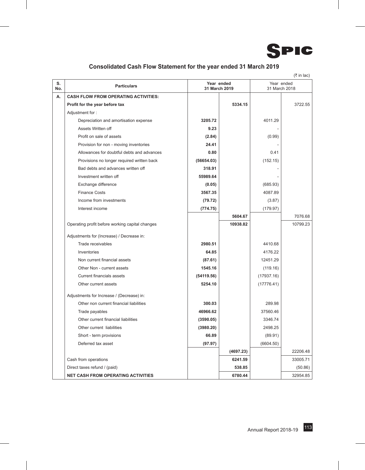

#### **Consolidated Cash Flow Statement for the year ended 31 March 2019**

|           |                                                 |               |            |                             | $($ ₹ in lac) |
|-----------|-------------------------------------------------|---------------|------------|-----------------------------|---------------|
| S.<br>No. | <b>Particulars</b>                              | 31 March 2019 | Year ended | Year ended<br>31 March 2018 |               |
| А.        | <b>CASH FLOW FROM OPERATING ACTIVITIES:</b>     |               |            |                             |               |
|           | Profit for the year before tax                  |               | 5334.15    |                             | 3722.55       |
|           | Adjustment for:                                 |               |            |                             |               |
|           | Depreciation and amortisation expense           | 3205.72       |            | 4011.29                     |               |
|           | Assets Written off                              | 9.23          |            |                             |               |
|           | Profit on sale of assets                        | (2.84)        |            | (0.99)                      |               |
|           | Provision for non - moving inventories          | 24.41         |            |                             |               |
|           | Allowances for doubtful debts and advances      | 0.80          |            | 0.41                        |               |
|           | Provisions no longer required written back      | (56654.03)    |            | (152.15)                    |               |
|           | Bad debts and advances written off              | 318.91        |            |                             |               |
|           | Investment written off                          | 55989.64      |            |                             |               |
|           | Exchange difference                             | (0.05)        |            | (685.93)                    |               |
|           | <b>Finance Costs</b>                            | 3567.35       |            | 4087.89                     |               |
|           | Income from investments                         | (79.72)       |            | (3.87)                      |               |
|           | Interest income                                 | (774.75)      |            | (179.97)                    |               |
|           |                                                 |               | 5604.67    |                             | 7076.68       |
|           | Operating profit before working capital changes |               | 10938.82   |                             | 10799.23      |
|           | Adjustments for (Increase) / Decrease in:       |               |            |                             |               |
|           | Trade receivables                               | 2980.51       |            | 4410.68                     |               |
|           | Inventories                                     | 64.85         |            | 4176.22                     |               |
|           | Non current financial assets                    | (87.61)       |            | 12451.29                    |               |
|           | Other Non - current assets                      | 1545.16       |            | (119.16)                    |               |
|           | <b>Current financials assets</b>                | (54119.56)    |            | (17937.16)                  |               |
|           | Other current assets                            | 5254.10       |            | (17776.41)                  |               |
|           | Adjustments for Increase / (Decrease) in:       |               |            |                             |               |
|           | Other non current financial liabilities         | 300.03        |            | 289.98                      |               |
|           | Trade payables                                  | 46966.62      |            | 37560.46                    |               |
|           | Other current financial liabilities             | (3590.05)     |            | 3346.74                     |               |
|           | Other current liabilities                       | (3980.20)     |            | 2498.25                     |               |
|           | Short - term provisions                         | 66.89         |            | (89.91)                     |               |
|           | Deferred tax asset                              | (97.97)       |            | (6604.50)                   |               |
|           |                                                 |               | (4697.23)  |                             | 22206.48      |
|           | Cash from operations                            |               | 6241.59    |                             | 33005.71      |
|           | Direct taxes refund / (paid)                    |               | 538.85     |                             | (50.86)       |
|           | <b>NET CASH FROM OPERATING ACTIVITIES</b>       |               | 6780.44    |                             | 32954.85      |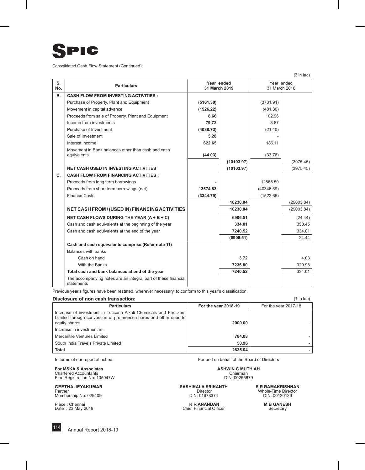

Consolidated Cash Flow Statement (Continued)

 $($ ₹ in lac)

| S.<br>No. | <b>Particulars</b>                                                           | Year ended<br>31 March 2019 |            | Year ended<br>31 March 2018 |            |
|-----------|------------------------------------------------------------------------------|-----------------------------|------------|-----------------------------|------------|
| <b>B.</b> | <b>CASH FLOW FROM INVESTING ACTIVITIES:</b>                                  |                             |            |                             |            |
|           | Purchase of Property, Plant and Equipment                                    | (5161.30)                   |            | (3731.91)                   |            |
|           | Movement in capital advance                                                  | (1526.22)                   |            | (481.30)                    |            |
|           | Proceeds from sale of Property, Plant and Equipment                          | 8.66                        |            | 102.96                      |            |
|           | Income from investments                                                      | 79.72                       |            | 3.87                        |            |
|           | Purchase of Investment                                                       | (4088.73)                   |            | (21.40)                     |            |
|           | Sale of Investment                                                           | 5.28                        |            |                             |            |
|           | Interest income                                                              | 622.65                      |            | 186.11                      |            |
|           | Movement in Bank balances other than cash and cash                           |                             |            |                             |            |
|           | equivalents                                                                  | (44.03)                     |            | (33.78)                     |            |
|           |                                                                              |                             | (10103.97) |                             | (3975.45)  |
|           | <b>NET CASH USED IN INVESTING ACTIVITIES</b>                                 |                             | (10103.97) |                             | (3975.45)  |
| C.        | <b>CASH FLOW FROM FINANCING ACTIVITIES:</b>                                  |                             |            |                             |            |
|           | Proceeds from long term borrowings                                           |                             |            | 12865.50                    |            |
|           | Proceeds from short term borrowings (net)                                    | 13574.83                    |            | (40346.69)                  |            |
|           | <b>Finance Costs</b>                                                         | (3344.79)                   |            | (1522.65)                   |            |
|           |                                                                              |                             | 10230.04   |                             | (29003.84) |
|           | NET CASH FROM / (USED IN) FINANCING ACTIVITIES                               |                             | 10230.04   |                             | (29003.84) |
|           | NET CASH FLOWS DURING THE YEAR (A + B + C)                                   |                             | 6906.51    |                             | (24.44)    |
|           | Cash and cash equivalents at the beginning of the year                       |                             | 334.01     |                             | 358.45     |
|           | Cash and cash equivalents at the end of the year                             |                             | 7240.52    |                             | 334.01     |
|           |                                                                              |                             | (6906.51)  |                             | 24.44      |
|           | Cash and cash equivalents comprise (Refer note 11)                           |                             |            |                             |            |
|           | Balances with banks                                                          |                             |            |                             |            |
|           | Cash on hand                                                                 |                             | 3.72       |                             | 4.03       |
|           | With the Banks                                                               |                             | 7236.80    |                             | 329.98     |
|           | Total cash and bank balances at end of the year                              |                             | 7240.52    |                             | 334.01     |
|           | The accompanying notes are an integral part of these financial<br>statements |                             |            |                             |            |

Previous year's figures have been restated, wherever necessary, to conform to this year's classification.

#### **Disclosure of non cash transaction:** (` in lac)

| <b>Particulars</b>                                                                                                                                        | For the year 2018-19 | For the year 2017-18 |
|-----------------------------------------------------------------------------------------------------------------------------------------------------------|----------------------|----------------------|
| Increase of investment in Tuticorin Alkali Chemicals and Fertlizers<br>Limited through conversion of preference shares and other dues to<br>equity shares | 2000.00              |                      |
| Increase in investment in :                                                                                                                               |                      |                      |
| Mercantile Ventures Limited                                                                                                                               | 784.08               |                      |
| South India Travels Private Limited                                                                                                                       | 50.96                |                      |
| Total                                                                                                                                                     | 2835.04              |                      |

**For MSKA & Associates And Community Community Community Community Community Community Community Community Chai<br>Chairman Chairman<br>Firm Registration No: 105047W DIN: 00255679** 

**GEETHA JEYAKUMAR**<br>
Partner **SR RAMAKRISHNAN**<br>
Membership No: 029409 **SASHIKALA SRIKANTH** SR RAMAKRISHNAN<br>
DIN: 010120126 **SASHIKALA SRIKANTH** SR RAMAKRISHNAN<br>
DIN: 010120126

In terms of our report attached. For and on behalf of the Board of Directors

Partner Director Whole-Time Director Membership No: 029409 DIN: 01678374 DIN: 00120126

Place : Chennai **M B GANESH**<br>
Place : 23 May 2019 **M B GANESH**<br>
Chief Financial Officer **M B GANESH**<br>
Chief Financial Officer **M** Secretary Chief Financial Officer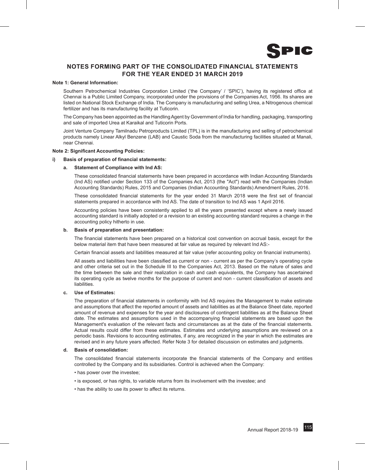

#### **NOTES FORMING PART OF THE Consolidated FINANCIAL STATEMENTS FOR THE YEAR ENDED 31 MARCH 2019**

#### **Note 1: General Information:**

Southern Petrochemical Industries Corporation Limited ('the Company' / 'SPIC'), having its registered office at Chennai is a Public Limited Company, incorporated under the provisions of the Companies Act, 1956. Its shares are listed on National Stock Exchange of India. The Company is manufacturing and selling Urea, a Nitrogenous chemical fertilizer and has its manufacturing facility at Tuticorin.

The Company has been appointed as the Handling Agent by Government of India for handling, packaging, transporting and sale of imported Urea at Karaikal and Tuticorin Ports.

Joint Venture Company Tamilnadu Petroproducts Limited (TPL) is in the manufacturing and selling of petrochemical products namely Linear Alkyl Benzene (LAB) and Caustic Soda from the manufacturing facilities situated at Manali, near Chennai.

#### **Note 2: Significant Accounting Policies:**

#### **i) Basis of preparation of financial statements:**

#### **a. Statement of Compliance with Ind AS:**

These consolidated financial statements have been prepared in accordance with Indian Accounting Standards (Ind AS) notified under Section 133 of the Companies Act, 2013 (the "Act") read with the Companies (Indian Accounting Standards) Rules, 2015 and Companies (Indian Accounting Standards) Amendment Rules, 2016.

These consolidated financial statements for the year ended 31 March 2018 were the first set of financial statements prepared in accordance with Ind AS. The date of transition to Ind AS was 1 April 2016.

Accounting policies have been consistently applied to all the years presented except where a newly issued accounting standard is initially adopted or a revision to an existing accounting standard requires a change in the accounting policy hitherto in use.

#### **b. Basis of preparation and presentation:**

The financial statements have been prepared on a historical cost convention on accrual basis, except for the below material item that have been measured at fair value as required by relevant Ind AS:-

Certain financial assets and liabilities measured at fair value (refer accounting policy on financial instruments).

All assets and liabilities have been classified as current or non - current as per the Company's operating cycle and other criteria set out in the Schedule III to the Companies Act, 2013. Based on the nature of sales and the time between the sale and their realization in cash and cash equivalents, the Company has ascertained its operating cycle as twelve months for the purpose of current and non - current classification of assets and liabilities.

#### **c. Use of Estimates:**

The preparation of financial statements in conformity with Ind AS requires the Management to make estimate and assumptions that affect the reported amount of assets and liabilities as at the Balance Sheet date, reported amount of revenue and expenses for the year and disclosures of contingent liabilities as at the Balance Sheet date. The estimates and assumptions used in the accompanying financial statements are based upon the Management's evaluation of the relevant facts and circumstances as at the date of the financial statements. Actual results could differ from these estimates. Estimates and underlying assumptions are reviewed on a periodic basis. Revisions to accounting estimates, if any, are recognized in the year in which the estimates are revised and in any future years affected. Refer Note 3 for detailed discussion on estimates and judgments.

#### **d. Basis of consolidation:**

The consolidated financial statements incorporate the financial statements of the Company and entities controlled by the Company and its subsidiaries. Control is achieved when the Company:

- has power over the investee;
- is exposed, or has rights, to variable returns from its involvement with the investee; and
- has the ability to use its power to affect its returns.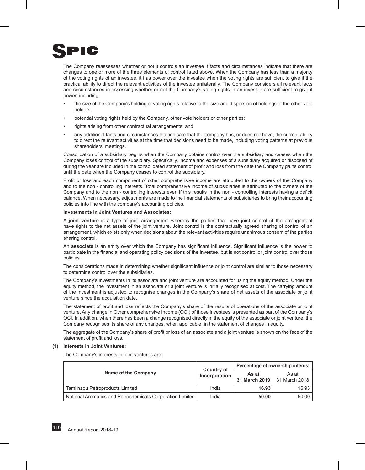

The Company reassesses whether or not it controls an investee if facts and circumstances indicate that there are changes to one or more of the three elements of control listed above. When the Company has less than a majority of the voting rights of an investee, it has power over the investee when the voting rights are sufficient to give it the practical ability to direct the relevant activities of the investee unilaterally. The Company considers all relevant facts and circumstances in assessing whether or not the Company's voting rights in an investee are sufficient to give it power, including:

- the size of the Company's holding of voting rights relative to the size and dispersion of holdings of the other vote holders;
- potential voting rights held by the Company, other vote holders or other parties;
- rights arising from other contractual arrangements; and
- any additional facts and circumstances that indicate that the company has, or does not have, the current ability to direct the relevant activities at the time that decisions need to be made, including voting patterns at previous shareholders' meetings.

Consolidation of a subsidiary begins when the Company obtains control over the subsidiary and ceases when the Company loses control of the subsidiary. Specifically, income and expenses of a subsidiary acquired or disposed of during the year are included in the consolidated statement of profit and loss from the date the Company gains control until the date when the Company ceases to control the subsidiary.

Profit or loss and each component of other comprehensive income are attributed to the owners of the Company and to the non - controlling interests. Total comprehensive income of subsidiaries is attributed to the owners of the Company and to the non - controlling interests even if this results in the non - controlling interests having a deficit balance. When necessary, adjustments are made to the financial statements of subsidiaries to bring their accounting policies into line with the company's accounting policies.

#### **Investments in Joint Ventures and Associates:**

A **joint venture** is a type of joint arrangement whereby the parties that have joint control of the arrangement have rights to the net assets of the joint venture. Joint control is the contractually agreed sharing of control of an arrangement, which exists only when decisions about the relevant activities require unanimous consent of the parties sharing control.

An **associate** is an entity over which the Company has significant influence. Significant influence is the power to participate in the financial and operating policy decisions of the investee, but is not control or joint control over those policies.

The considerations made in determining whether significant influence or joint control are similar to those necessary to determine control over the subsidiaries.

The Company's investments in its associate and joint venture are accounted for using the equity method. Under the equity method, the investment in an associate or a joint venture is initially recognised at cost. The carrying amount of the investment is adjusted to recognise changes in the Company's share of net assets of the associate or joint venture since the acquisition date.

The statement of profit and loss reflects the Company's share of the results of operations of the associate or joint venture. Any change in Other comprehensive Income (OCI) of those investees is presented as part of the Company's OCI. In addition, when there has been a change recognised directly in the equity of the associate or joint venture, the Company recognises its share of any changes, when applicable, in the statement of changes in equity.

The aggregate of the Company's share of profit or loss of an associate and a joint venture is shown on the face of the statement of profit and loss.

#### **(1) Interests in Joint Ventures:**

The Company's interests in joint ventures are:

|                                                           |                             |                        | Percentage of ownership interest |
|-----------------------------------------------------------|-----------------------------|------------------------|----------------------------------|
| Name of the Company                                       | Country of<br>Incorporation | As at<br>31 March 2019 | As at<br>31 March 2018           |
| Tamilnadu Petroproducts Limited                           | India                       | 16.93                  | 16.93                            |
| National Aromatics and Petrochemicals Corporation Limited | India                       | 50.00                  | 50.00                            |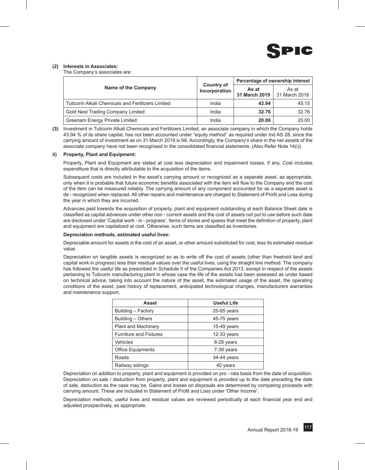

#### **(2) Interests in Associates:**

The Company's associates are:

|                                                    |                                    |                        | Percentage of ownership interest |
|----------------------------------------------------|------------------------------------|------------------------|----------------------------------|
| Name of the Company                                | <b>Country of</b><br>Incorporation | As at<br>31 March 2019 | As at<br>31 March 2018           |
| Tuticorin Alkali Chemicals and Fertilizers Limited | India                              | 43.94                  | 45.15                            |
| Gold Nest Trading Company Limited                  | India                              | 32.76                  | 32.76                            |
| Greenam Energy Private Limited                     | India                              | 20.00                  | 20.00                            |

**(3)** Investment in Tuticorin Alkali Chemicals and Fertilizers Limited, an associate company in which the Company holds 43.94 % of its share capital, has not been accounted under "equity method" as required under Ind AS 28, since the carrying amount of investment as on 31 March 2019 is Nil. Accordingly, the Company's share in the net assets of the associate company have not been recognised in the consolidated financial statements. (Also Refer Note 14(i)).

#### **ii) Property, Plant and Equipment:**

Property, Plant and Equipment are stated at cost less depreciation and impairment losses, if any. Cost includes expenditure that is directly attributable to the acquisition of the items.

Subsequent costs are included in the asset's carrying amount or recognized as a separate asset, as appropriate, only when it is probable that future economic benefits associated with the item will flow to the Company and the cost of the item can be measured reliably. The carrying amount of any component accounted for as a separate asset is de - recognized when replaced. All other repairs and maintenance are charged to Statement of Profit and Loss during the year in which they are incurred.

Advances paid towards the acquisition of property, plant and equipment outstanding at each Balance Sheet date is classified as capital advances under other non - current assets and the cost of assets not put to use before such date are disclosed under 'Capital work - in - progress'. Items of stores and spares that meet the definition of property, plant and equipment are capitalized at cost. Otherwise, such items are classified as inventories.

#### **Depreciation methods, estimated useful lives:**

Depreciable amount for assets is the cost of an asset, or other amount substituted for cost, less its estimated residual value.

Depreciation on tangible assets is recognized so as to write off the cost of assets (other than freehold land and capital work in progress) less their residual values over the useful lives, using the straight line method. The company has followed the useful life as prescribed in Schedule II of the Companies Act 2013, except in respect of the assets pertaining to Tuticorin manufacturing plant in whose case the life of the assets has been assessed as under based on technical advice, taking into account the nature of the asset, the estimated usage of the asset, the operating conditions of the asset, past history of replacement, anticipated technological changes, manufacturers warranties and maintenance support.

| <b>Asset</b>                  | <b>Useful Life</b> |
|-------------------------------|--------------------|
| Building - Factory            | $25-65$ years      |
| Building - Others             | 45-75 years        |
| <b>Plant and Machinery</b>    | $15-49$ years      |
| <b>Furniture and Fixtures</b> | $12-33$ years      |
| <b>Vehicles</b>               | 8-26 years         |
| <b>Office Equipments</b>      | 7-38 years         |
| Roads                         | 34-44 years        |
| Railway sidings               | 40 years           |

Depreciation on addition to property, plant and equipment is provided on pro - rata basis from the date of acquisition. Depreciation on sale / deduction from property, plant and equipment is provided up to the date preceding the date of sale, deduction as the case may be. Gains and losses on disposals are determined by comparing proceeds with carrying amount. These are included in Statement of Profit and Loss under 'Other Income'.

Depreciation methods, useful lives and residual values are reviewed periodically at each financial year end and adjusted prospectively, as appropriate.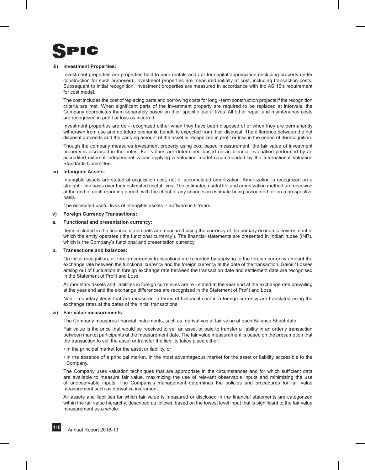

#### **iii) Investment Properties:**

Investment properties are properties held to earn rentals and / or for capital appreciation (including property under construction for such purposes). Investment properties are measured initially at cost, including transaction costs. Subsequent to initial recognition, investment properties are measured in accordance with Ind AS 16's requirement for cost model.

The cost includes the cost of replacing parts and borrowing costs for long - term construction projects if the recognition criteria are met. When significant parts of the investment property are required to be replaced at intervals, the Company depreciates them separately based on their specific useful lives. All other repair and maintenance costs are recognized in profit or loss as incurred.

Investment properties are de - recognized either when they have been disposed of or when they are permanently withdrawn from use and no future economic benefit is expected from their disposal. The difference between the net disposal proceeds and the carrying amount of the asset is recognized in profit or loss in the period of derecognition.

Though the company measures investment property using cost based measurement, the fair value of investment property is disclosed in the notes. Fair values are determined based on an biennial evaluation performed by an accredited external independent valuer applying a valuation model recommended by the International Valuation Standards Committee.

#### **iv) Intangible Assets:**

Intangible assets are stated at acquisition cost, net of accumulated amortization. Amortization is recognized on a straight - line basis over their estimated useful lives. The estimated useful life and amortization method are reviewed at the end of each reporting period, with the effect of any changes in estimate being accounted for on a prospective basis.

The estimated useful lives of intangible assets – Software is 5 Years.

#### **v) Foreign Currency Transactions:**

#### **a. Functional and presentation currency:**

Items included in the financial statements are measured using the currency of the primary economic environment in which the entity operates ('the functional currency'). The financial statements are presented in Indian rupee (INR), which is the Company's functional and presentation currency.

#### **b. Transactions and balances:**

On initial recognition, all foreign currency transactions are recorded by applying to the foreign currency amount the exchange rate between the functional currency and the foreign currency at the date of the transaction. Gains / Losses arising out of fluctuation in foreign exchange rate between the transaction date and settlement date are recognised in the Statement of Profit and Loss.

All monetary assets and liabilities in foreign currencies are re - stated at the year end at the exchange rate prevailing at the year end and the exchange differences are recognised in the Statement of Profit and Loss.

Non - monetary items that are measured in terms of historical cost in a foreign currency are translated using the exchange rates at the dates of the initial transactions.

#### **vi) Fair value measurements:**

The Company measures financial instruments, such as, derivatives at fair value at each Balance Sheet date.

Fair value is the price that would be received to sell an asset or paid to transfer a liability in an orderly transaction between market participants at the measurement date. The fair value measurement is based on the presumption that the transaction to sell the asset or transfer the liability takes place either:

- In the principal market for the asset or liability, or
- In the absence of a principal market, in the most advantageous market for the asset or liability accessible to the Company.

The Company uses valuation techniques that are appropriate in the circumstances and for which sufficient data are available to measure fair value, maximizing the use of relevant observable inputs and minimizing the use of unobservable inputs. The Company's management determines the policies and procedures for fair value measurement such as derivative instrument.

All assets and liabilities for which fair value is measured or disclosed in the financial statements are categorized within the fair value hierarchy, described as follows, based on the lowest level input that is significant to the fair value measurement as a whole: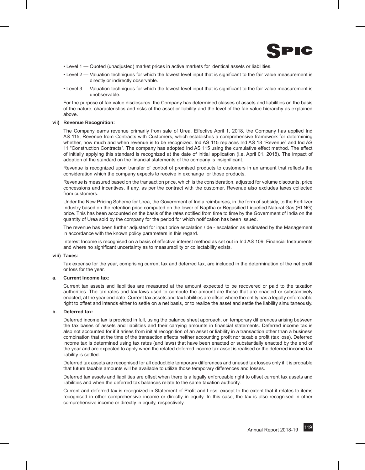

- Level 1 Quoted (unadjusted) market prices in active markets for identical assets or liabilities.
- Level 2 Valuation techniques for which the lowest level input that is significant to the fair value measurement is directly or indirectly observable.
- Level 3 Valuation techniques for which the lowest level input that is significant to the fair value measurement is unobservable.

For the purpose of fair value disclosures, the Company has determined classes of assets and liabilities on the basis of the nature, characteristics and risks of the asset or liability and the level of the fair value hierarchy as explained above.

#### **vii) Revenue Recognition:**

The Company earns revenue primarily from sale of Urea. Effective April 1, 2018, the Company has applied Ind AS 115, Revenue from Contracts with Customers, which establishes a comprehensive framework for determining whether, how much and when revenue is to be recognized. Ind AS 115 replaces Ind AS 18 "Revenue" and Ind AS 11 "Construction Contracts". The company has adopted Ind AS 115 using the cumulative effect method. The effect of initially applying this standard is recognized at the date of initial application (i.e. April 01, 2018). The impact of adoption of the standard on the financial statements of the company is insignificant.

Revenue is recognized upon transfer of control of promised products to customers in an amount that reflects the consideration which the company expects to receive in exchange for those products.

Revenue is measured based on the transaction price, which is the consideration, adjusted for volume discounts, price concessions and incentives, if any, as per the contract with the customer. Revenue also excludes taxes collected from customers.

Under the New Pricing Scheme for Urea, the Government of India reimburses, in the form of subsidy, to the Fertilizer Industry based on the retention price computed on the lower of Naptha or Regasified Liquefied Natural Gas (RLNG) price. This has been accounted on the basis of the rates notified from time to time by the Government of India on the quantity of Urea sold by the company for the period for which notification has been issued.

The revenue has been further adjusted for input price escalation / de - escalation as estimated by the Management in accordance with the known policy parameters in this regard.

Interest Income is recognised on a basis of effective interest method as set out in Ind AS 109, Financial Instruments and where no significant uncertainty as to measurability or collectability exists.

#### **viii) Taxes:**

Tax expense for the year, comprising current tax and deferred tax, are included in the determination of the net profit or loss for the year.

#### **a. Current Income tax:**

Current tax assets and liabilities are measured at the amount expected to be recovered or paid to the taxation authorities. The tax rates and tax laws used to compute the amount are those that are enacted or substantively enacted, at the year end date. Current tax assets and tax liabilities are offset where the entity has a legally enforceable right to offset and intends either to settle on a net basis, or to realize the asset and settle the liability simultaneously.

#### **b. Deferred tax:**

Deferred income tax is provided in full, using the balance sheet approach, on temporary differences arising between the tax bases of assets and liabilities and their carrying amounts in financial statements. Deferred income tax is also not accounted for if it arises from initial recognition of an asset or liability in a transaction other than a business combination that at the time of the transaction affects neither accounting profit nor taxable profit (tax loss). Deferred income tax is determined using tax rates (and laws) that have been enacted or substantially enacted by the end of the year and are expected to apply when the related deferred income tax asset is realised or the deferred income tax liability is settled.

Deferred tax assets are recognised for all deductible temporary differences and unused tax losses only if it is probable that future taxable amounts will be available to utilize those temporary differences and losses.

Deferred tax assets and liabilities are offset when there is a legally enforceable right to offset current tax assets and liabilities and when the deferred tax balances relate to the same taxation authority.

Current and deferred tax is recognized in Statement of Profit and Loss, except to the extent that it relates to items recognised in other comprehensive income or directly in equity. In this case, the tax is also recognised in other comprehensive income or directly in equity, respectively.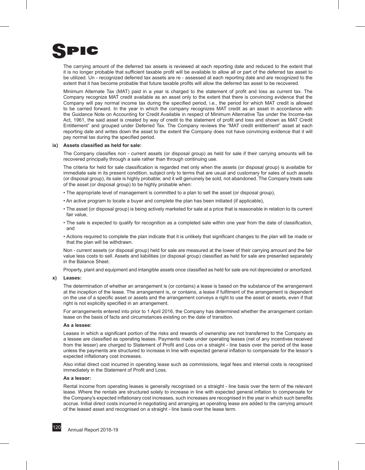

The carrying amount of the deferred tax assets is reviewed at each reporting date and reduced to the extent that it is no longer probable that sufficient taxable profit will be available to allow all or part of the deferred tax asset to be utilized. Un - recognized deferred tax assets are re - assessed at each reporting date and are recognized to the extent that it has become probable that future taxable profits will allow the deferred tax asset to be recovered.

Minimum Alternate Tax (MAT) paid in a year is charged to the statement of profit and loss as current tax. The Company recognize MAT credit available as an asset only to the extent that there is convincing evidence that the Company will pay normal income tax during the specified period, i.e., the period for which MAT credit is allowed to be carried forward. In the year in which the company recognizes MAT credit as an asset in accordance with the Guidance Note on Accounting for Credit Available in respect of Minimum Alternative Tax under the Income-tax Act, 1961, the said asset is created by way of credit to the statement of profit and loss and shown as MAT Credit Entitlement" and grouped under Deferred Tax. The Company reviews the "MAT credit entitlement" asset at each reporting date and writes down the asset to the extent the Company does not have convincing evidence that it will pay normal tax during the specified period.

#### **ix) Assets classified as held for sale:**

The Company classifies non - current assets (or disposal group) as held for sale if their carrying amounts will be recovered principally through a sale rather than through continuing use.

The criteria for held for sale classification is regarded met only when the assets (or disposal group) is available for immediate sale in its present condition, subject only to terms that are usual and customary for sales of such assets (or disposal group), its sale is highly probable; and it will genuinely be sold, not abandoned. The Company treats sale of the asset (or disposal group) to be highly probable when:

- The appropriate level of management is committed to a plan to sell the asset (or disposal group),
- An active program to locate a buyer and complete the plan has been initiated (if applicable),
- The asset (or disposal group) is being actively marketed for sale at a price that is reasonable in relation to its current fair value,
- The sale is expected to qualify for recognition as a completed sale within one year from the date of classification, and
- Actions required to complete the plan indicate that it is unlikely that significant changes to the plan will be made or that the plan will be withdrawn.

Non - current assets (or disposal group) held for sale are measured at the lower of their carrying amount and the fair value less costs to sell. Assets and liabilities (or disposal group) classified as held for sale are presented separately in the Balance Sheet.

Property, plant and equipment and intangible assets once classified as held for sale are not depreciated or amortized.

#### **x) Leases:**

The determination of whether an arrangement is (or contains) a lease is based on the substance of the arrangement at the inception of the lease. The arrangement is, or contains, a lease if fulfilment of the arrangement is dependent on the use of a specific asset or assets and the arrangement conveys a right to use the asset or assets, even if that right is not explicitly specified in an arrangement.

For arrangements entered into prior to 1 April 2016, the Company has determined whether the arrangement contain lease on the basis of facts and circumstances existing on the date of transition.

#### **As a lessee:**

Leases in which a significant portion of the risks and rewards of ownership are not transferred to the Company as a lessee are classified as operating leases. Payments made under operating leases (net of any incentives received from the lesser) are charged to Statement of Profit and Loss on a straight - line basis over the period of the lease unless the payments are structured to increase in line with expected general inflation to compensate for the lessor's expected inflationary cost increases.

Also initial direct cost incurred in operating lease such as commissions, legal fees and internal costs is recognised immediately in the Statement of Profit and Loss.

#### **As a lessor:**

Rental income from operating leases is generally recognised on a straight - line basis over the term of the relevant lease. Where the rentals are structured solely to increase in line with expected general inflation to compensate for the Company's expected inflationary cost increases, such increases are recognised in the year in which such benefits accrue. Initial direct costs incurred in negotiating and arranging an operating lease are added to the carrying amount of the leased asset and recognised on a straight - line basis over the lease term.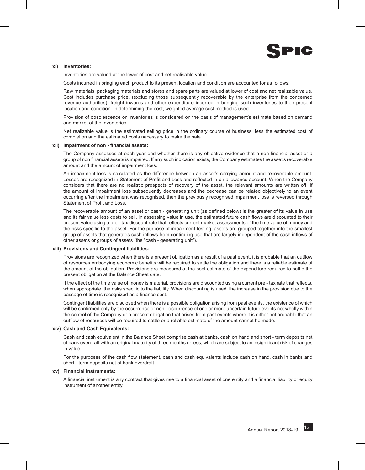

#### **xi) Inventories:**

Inventories are valued at the lower of cost and net realisable value.

Costs incurred in bringing each product to its present location and condition are accounted for as follows:

Raw materials, packaging materials and stores and spare parts are valued at lower of cost and net realizable value. Cost includes purchase price, (excluding those subsequently recoverable by the enterprise from the concerned revenue authorities), freight inwards and other expenditure incurred in bringing such inventories to their present location and condition. In determining the cost, weighted average cost method is used.

Provision of obsolescence on inventories is considered on the basis of management's estimate based on demand and market of the inventories.

Net realizable value is the estimated selling price in the ordinary course of business, less the estimated cost of completion and the estimated costs necessary to make the sale.

#### **xii) Impairment of non - financial assets:**

The Company assesses at each year end whether there is any objective evidence that a non financial asset or a group of non financial assets is impaired. If any such indication exists, the Company estimates the asset's recoverable amount and the amount of impairment loss.

An impairment loss is calculated as the difference between an asset's carrying amount and recoverable amount. Losses are recognized in Statement of Profit and Loss and reflected in an allowance account. When the Company considers that there are no realistic prospects of recovery of the asset, the relevant amounts are written off. If the amount of impairment loss subsequently decreases and the decrease can be related objectively to an event occurring after the impairment was recognised, then the previously recognised impairment loss is reversed through Statement of Profit and Loss.

The recoverable amount of an asset or cash - generating unit (as defined below) is the greater of its value in use and its fair value less costs to sell. In assessing value in use, the estimated future cash flows are discounted to their present value using a pre - tax discount rate that reflects current market assessments of the time value of money and the risks specific to the asset. For the purpose of impairment testing, assets are grouped together into the smallest group of assets that generates cash inflows from continuing use that are largely independent of the cash inflows of other assets or groups of assets (the "cash - generating unit").

#### **xiii) Provisions and Contingent liabilities:**

Provisions are recognized when there is a present obligation as a result of a past event, it is probable that an outflow of resources embodying economic benefits will be required to settle the obligation and there is a reliable estimate of the amount of the obligation. Provisions are measured at the best estimate of the expenditure required to settle the present obligation at the Balance Sheet date.

If the effect of the time value of money is material, provisions are discounted using a current pre - tax rate that reflects, when appropriate, the risks specific to the liability. When discounting is used, the increase in the provision due to the passage of time is recognized as a finance cost.

Contingent liabilities are disclosed when there is a possible obligation arising from past events, the existence of which will be confirmed only by the occurrence or non - occurrence of one or more uncertain future events not wholly within the control of the Company or a present obligation that arises from past events where it is either not probable that an outflow of resources will be required to settle or a reliable estimate of the amount cannot be made.

#### **xiv) Cash and Cash Equivalents:**

Cash and cash equivalent in the Balance Sheet comprise cash at banks, cash on hand and short - term deposits net of bank overdraft with an original maturity of three months or less, which are subject to an insignificant risk of changes in value.

For the purposes of the cash flow statement, cash and cash equivalents include cash on hand, cash in banks and short - term deposits net of bank overdraft.

#### **xv) Financial Instruments:**

A financial instrument is any contract that gives rise to a financial asset of one entity and a financial liability or equity instrument of another entity.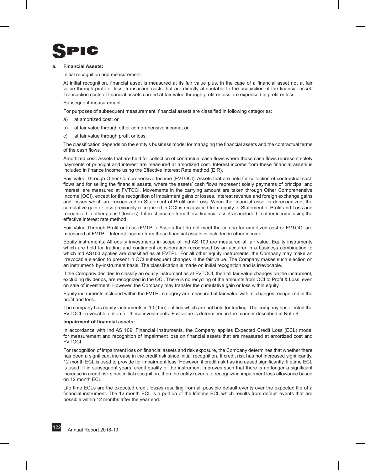

#### **a. Financial Assets:**

#### Initial recognition and measurement:

At initial recognition, financial asset is measured at its fair value plus, in the case of a financial asset not at fair value through profit or loss, transaction costs that are directly attributable to the acquisition of the financial asset. Transaction costs of financial assets carried at fair value through profit or loss are expensed in profit or loss.

#### Subsequent measurement:

For purposes of subsequent measurement, financial assets are classified in following categories:

- a) at amortized cost; or
- b) at fair value through other comprehensive income; or
- c) at fair value through profit or loss.

The classification depends on the entity's business model for managing the financial assets and the contractual terms of the cash flows.

Amortized cost: Assets that are held for collection of contractual cash flows where those cash flows represent solely payments of principal and interest are measured at amortized cost. Interest income from these financial assets is included in finance income using the Effective Interest Rate method (EIR).

Fair Value Through Other Comprehensive Income (FVTOCI): Assets that are held for collection of contractual cash flows and for selling the financial assets, where the assets' cash flows represent solely payments of principal and interest, are measured at FVTOCI. Movements in the carrying amount are taken through Other Comprehensive Income (OCI), except for the recognition of impairment gains or losses, interest revenue and foreign exchange gains and losses which are recognized in Statement of Profit and Loss. When the financial asset is derecognized, the cumulative gain or loss previously recognized in OCI is reclassified from equity to Statement of Profit and Loss and recognized in other gains / (losses). Interest income from these financial assets is included in other income using the effective interest rate method.

Fair Value Through Profit or Loss (FVTPL): Assets that do not meet the criteria for amortized cost or FVTOCI are measured at FVTPL. Interest income from these financial assets is included in other income.

Equity instruments: All equity investments in scope of Ind AS 109 are measured at fair value. Equity instruments which are held for trading and contingent consideration recognised by an acquirer in a business combination to which Ind AS103 applies are classified as at FVTPL. For all other equity instruments, the Company may make an irrevocable election to present in OCI subsequent changes in the fair value. The Company makes such election on an instrument- by-instrument basis. The classification is made on initial recognition and is irrevocable.

If the Company decides to classify an equity instrument as at FVTOCI, then all fair value changes on the instrument, excluding dividends, are recognized in the OCI. There is no recycling of the amounts from OCI to Profit & Loss, even on sale of investment. However, the Company may transfer the cumulative gain or loss within equity.

Equity instruments included within the FVTPL category are measured at fair value with all changes recognized in the profit and loss.

The company has equity instruments in 10 (Ten) entities which are not held for trading. The company has elected the FVTOCI irrevocable option for these investments. Fair value is determined in the manner described in Note 6.

#### **Impairment of financial assets:**

In accordance with Ind AS 109, Financial Instruments, the Company applies Expected Credit Loss (ECL) model for measurement and recognition of impairment loss on financial assets that are measured at amortized cost and FVTOCI.

For recognition of impairment loss on financial assets and risk exposure, the Company determines that whether there has been a significant increase in the credit risk since initial recognition. If credit risk has not increased significantly, 12 month ECL is used to provide for impairment loss. However, if credit risk has increased significantly, lifetime ECL is used. If in subsequent years, credit quality of the instrument improves such that there is no longer a significant increase in credit risk since initial recognition, then the entity reverts to recognizing impairment loss allowance based on 12 month ECL.

Life time ECLs are the expected credit losses resulting from all possible default events over the expected life of a financial instrument. The 12 month ECL is a portion of the lifetime ECL which results from default events that are possible within 12 months after the year end.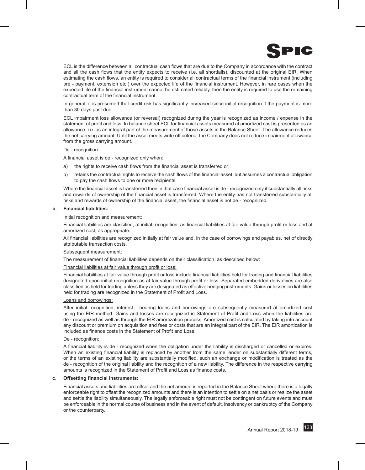

ECL is the difference between all contractual cash flows that are due to the Company in accordance with the contract and all the cash flows that the entity expects to receive (i.e. all shortfalls), discounted at the original EIR. When estimating the cash flows, an entity is required to consider all contractual terms of the financial instrument (including pre - payment, extension etc.) over the expected life of the financial instrument. However, in rare cases when the expected life of the financial instrument cannot be estimated reliably, then the entity is required to use the remaining contractual term of the financial instrument.

In general, it is presumed that credit risk has significantly increased since initial recognition if the payment is more than 30 days past due.

ECL impairment loss allowance (or reversal) recognized during the year is recognized as income / expense in the statement of profit and loss. In balance sheet ECL for financial assets measured at amortized cost is presented as an allowance, i.e. as an integral part of the measurement of those assets in the Balance Sheet. The allowance reduces the net carrying amount. Until the asset meets write off criteria, the Company does not reduce impairment allowance from the gross carrying amount.

#### De - recognition:

A financial asset is de - recognized only when:

- the rights to receive cash flows from the financial asset is transferred or;
- b) retains the contractual rights to receive the cash flows of the financial asset, but assumes a contractual obligation to pay the cash flows to one or more recipients.

Where the financial asset is transferred then in that case financial asset is de - recognized only if substantially all risks and rewards of ownership of the financial asset is transferred. Where the entity has not transferred substantially all risks and rewards of ownership of the financial asset, the financial asset is not de - recognized.

#### **b. Financial liabilities:**

#### Initial recognition and measurement:

Financial liabilities are classified, at initial recognition, as financial liabilities at fair value through profit or loss and at amortized cost, as appropriate.

All financial liabilities are recognized initially at fair value and, in the case of borrowings and payables, net of directly attributable transaction costs.

#### Subsequent measurement:

The measurement of financial liabilities depends on their classification, as described below:

#### Financial liabilities at fair value through profit or loss:

Financial liabilities at fair value through profit or loss include financial liabilities held for trading and financial liabilities designated upon initial recognition as at fair value through profit or loss. Separated embedded derivatives are also classified as held for trading unless they are designated as effective hedging instruments. Gains or losses on liabilities held for trading are recognized in the Statement of Profit and Loss.

#### Loans and borrowings:

After initial recognition, interest - bearing loans and borrowings are subsequently measured at amortized cost using the EIR method. Gains and losses are recognized in Statement of Profit and Loss when the liabilities are de - recognized as well as through the EIR amortization process. Amortized cost is calculated by taking into account any discount or premium on acquisition and fees or costs that are an integral part of the EIR. The EIR amortization is included as finance costs in the Statement of Profit and Loss.

#### De - recognition:

A financial liability is de - recognized when the obligation under the liability is discharged or cancelled or expires. When an existing financial liability is replaced by another from the same lender on substantially different terms, or the terms of an existing liability are substantially modified, such an exchange or modification is treated as the de - recognition of the original liability and the recognition of a new liability. The difference in the respective carrying amounts is recognized in the Statement of Profit and Loss as finance costs.

#### **c. Offsetting financial instruments:**

Financial assets and liabilities are offset and the net amount is reported in the Balance Sheet where there is a legally enforceable right to offset the recognized amounts and there is an intention to settle on a net basis or realize the asset and settle the liability simultaneously. The legally enforceable right must not be contingent on future events and must be enforceable in the normal course of business and in the event of default, insolvency or bankruptcy of the Company or the counterparty.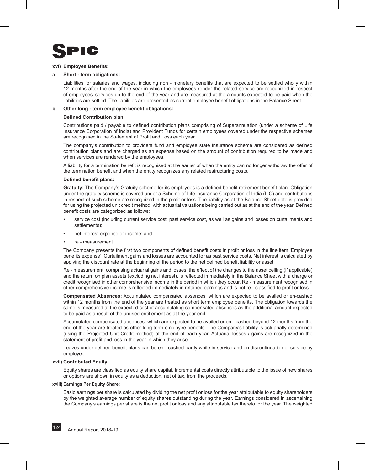

#### **xvi) Employee Benefits:**

#### **a. Short - term obligations:**

Liabilities for salaries and wages, including non - monetary benefits that are expected to be settled wholly within 12 months after the end of the year in which the employees render the related service are recognized in respect of employees' services up to the end of the year and are measured at the amounts expected to be paid when the liabilities are settled. The liabilities are presented as current employee benefit obligations in the Balance Sheet.

#### **b. Other long - term employee benefit obligations:**

#### **Defined Contribution plan:**

Contributions paid / payable to defined contribution plans comprising of Superannuation (under a scheme of Life Insurance Corporation of India) and Provident Funds for certain employees covered under the respective schemes are recognised in the Statement of Profit and Loss each year.

The company's contribution to provident fund and employee state insurance scheme are considered as defined contribution plans and are charged as an expense based on the amount of contribution required to be made and when services are rendered by the employees.

A liability for a termination benefit is recognised at the earlier of when the entity can no longer withdraw the offer of the termination benefit and when the entity recognizes any related restructuring costs.

#### **Defined benefit plans:**

**Gratuity:** The Company's Gratuity scheme for its employees is a defined benefit retirement benefit plan. Obligation under the gratuity scheme is covered under a Scheme of Life Insurance Corporation of India (LIC) and contributions in respect of such scheme are recognized in the profit or loss. The liability as at the Balance Sheet date is provided for using the projected unit credit method, with actuarial valuations being carried out as at the end of the year. Defined benefit costs are categorized as follows:

- service cost (including current service cost, past service cost, as well as gains and losses on curtailments and settlements);
- net interest expense or income; and
- re measurement.

The Company presents the first two components of defined benefit costs in profit or loss in the line item 'Employee benefits expense'. Curtailment gains and losses are accounted for as past service costs. Net interest is calculated by applying the discount rate at the beginning of the period to the net defined benefit liability or asset.

Re - measurement, comprising actuarial gains and losses, the effect of the changes to the asset ceiling (if applicable) and the return on plan assets (excluding net interest), is reflected immediately in the Balance Sheet with a charge or credit recognised in other comprehensive income in the period in which they occur. Re - measurement recognised in other comprehensive income is reflected immediately in retained earnings and is not re - classified to profit or loss.

**Compensated Absences:** Accumulated compensated absences, which are expected to be availed or en-cashed within 12 months from the end of the year are treated as short term employee benefits. The obligation towards the same is measured at the expected cost of accumulating compensated absences as the additional amount expected to be paid as a result of the unused entitlement as at the year end.

Accumulated compensated absences, which are expected to be availed or en - cashed beyond 12 months from the end of the year are treated as other long term employee benefits. The Company's liability is actuarially determined (using the Projected Unit Credit method) at the end of each year. Actuarial losses / gains are recognized in the statement of profit and loss in the year in which they arise.

Leaves under defined benefit plans can be en - cashed partly while in service and on discontinuation of service by employee.

#### **xvii) Contributed Equity:**

Equity shares are classified as equity share capital. Incremental costs directly attributable to the issue of new shares or options are shown in equity as a deduction, net of tax, from the proceeds.

#### **xviii) Earnings Per Equity Share:**

Basic earnings per share is calculated by dividing the net profit or loss for the year attributable to equity shareholders by the weighted average number of equity shares outstanding during the year. Earnings considered in ascertaining the Company's earnings per share is the net profit or loss and any attributable tax thereto for the year. The weighted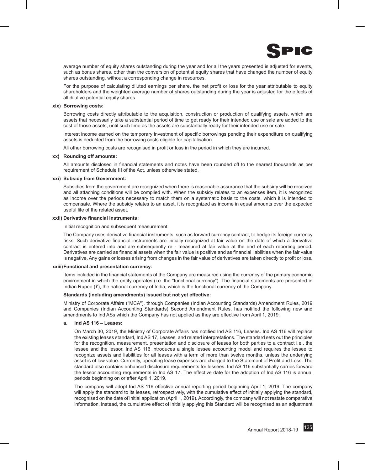

average number of equity shares outstanding during the year and for all the years presented is adjusted for events, such as bonus shares, other than the conversion of potential equity shares that have changed the number of equity shares outstanding, without a corresponding change in resources.

For the purpose of calculating diluted earnings per share, the net profit or loss for the year attributable to equity shareholders and the weighted average number of shares outstanding during the year is adjusted for the effects of all dilutive potential equity shares.

#### **xix) Borrowing costs:**

Borrowing costs directly attributable to the acquisition, construction or production of qualifying assets, which are assets that necessarily take a substantial period of time to get ready for their intended use or sale are added to the cost of those assets, until such time as the assets are substantially ready for their intended use or sale.

Interest income earned on the temporary investment of specific borrowings pending their expenditure on qualifying assets is deducted from the borrowing costs eligible for capitalisation.

All other borrowing costs are recognised in profit or loss in the period in which they are incurred.

#### **xx) Rounding off amounts:**

All amounts disclosed in financial statements and notes have been rounded off to the nearest thousands as per requirement of Schedule III of the Act, unless otherwise stated.

#### **xxi) Subsidy from Government:**

Subsidies from the government are recognized when there is reasonable assurance that the subsidy will be received and all attaching conditions will be complied with. When the subsidy relates to an expenses item, it is recognized as income over the periods necessary to match them on a systematic basis to the costs, which it is intended to compensate. Where the subsidy relates to an asset, it is recognized as income in equal amounts over the expected useful life of the related asset.

#### **xxii) Derivative financial instruments:**

Initial recognition and subsequent measurement:

The Company uses derivative financial instruments, such as forward currency contract, to hedge its foreign currency risks. Such derivative financial instruments are initially recognized at fair value on the date of which a derivative contract is entered into and are subsequently re - measured at fair value at the end of each reporting period. Derivatives are carried as financial assets when the fair value is positive and as financial liabilities when the fair value is negative. Any gains or losses arising from changes in the fair value of derivatives are taken directly to profit or loss.

#### **xxiii) Functional and presentation currency:**

Items included in the financial statements of the Company are measured using the currency of the primary economic environment in which the entity operates (i.e. the "functional currency"). The financial statements are presented in Indian Rupee (₹), the national currency of India, which is the functional currency of the Company.

#### **Standards (including amendments) issued but not yet effective:**

Ministry of Corporate Affairs ("MCA"), through Companies (Indian Accounting Standards) Amendment Rules, 2019 and Companies (Indian Accounting Standards) Second Amendment Rules, has notified the following new and amendments to Ind ASs which the Company has not applied as they are effective from April 1, 2019:

#### **a. Ind AS 116 – Leases:**

On March 30, 2019, the Ministry of Corporate Affairs has notified Ind AS 116, Leases. Ind AS 116 will replace the existing leases standard, Ind AS 17, Leases, and related interpretations. The standard sets out the principles for the recognition, measurement, presentation and disclosure of leases for both parties to a contract i.e., the lessee and the lessor. Ind AS 116 introduces a single lessee accounting model and requires the lessee to recognize assets and liabilities for all leases with a term of more than twelve months, unless the underlying asset is of low value. Currently, operating lease expenses are charged to the Statement of Profit and Loss. The standard also contains enhanced disclosure requirements for lessees. Ind AS 116 substantially carries forward the lessor accounting requirements in Ind AS 17. The effective date for the adoption of Ind AS 116 is annual periods beginning on or after April 1, 2019.

The company will adopt Ind AS 116 effective annual reporting period beginning April 1, 2019. The company will apply the standard to its leases, retrospectively, with the cumulative effect of initially applying the standard, recognised on the date of initial application (April 1, 2019). Accordingly, the company will not restate comparative information, instead, the cumulative effect of initially applying this Standard will be recognised as an adjustment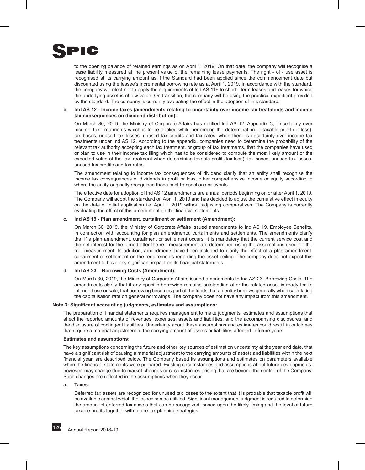

to the opening balance of retained earnings as on April 1, 2019. On that date, the company will recognise a lease liability measured at the present value of the remaining lease payments. The right - of - use asset is recognised at its carrying amount as if the Standard had been applied since the commencement date but discounted using the lessee's incremental borrowing rate as at April 1, 2019. In accordance with the standard, the company will elect not to apply the requirements of Ind AS 116 to short - term leases and leases for which the underlying asset is of low value. On transition, the company will be using the practical expedient provided by the standard. The company is currently evaluating the effect in the adoption of this standard.

#### **b. Ind AS 12 - Income taxes (amendments relating to uncertainty over income tax treatments and income tax consequences on dividend distribution):**

On March 30, 2019, the Ministry of Corporate Affairs has notified Ind AS 12, Appendix C, Uncertainty over Income Tax Treatments which is to be applied while performing the determination of taxable profit (or loss), tax bases, unused tax losses, unused tax credits and tax rates, when there is uncertainty over income tax treatments under Ind AS 12. According to the appendix, companies need to determine the probability of the relevant tax authority accepting each tax treatment, or group of tax treatments, that the companies have used or plan to use in their income tax filing which has to be considered to compute the most likely amount or the expected value of the tax treatment when determining taxable profit (tax loss), tax bases, unused tax losses, unused tax credits and tax rates.

The amendment relating to income tax consequences of dividend clarify that an entity shall recognise the income tax consequences of dividends in profit or loss, other comprehensive income or equity according to where the entity originally recognised those past transactions or events.

The effective date for adoption of Ind AS 12 amendments are annual periods beginning on or after April 1, 2019. The Company will adopt the standard on April 1, 2019 and has decided to adjust the cumulative effect in equity on the date of initial application i.e. April 1, 2019 without adjusting comparatives. The Company is currently evaluating the effect of this amendment on the financial statements.

#### **c. Ind AS 19 - Plan amendment, curtailment or settlement (Amendment):**

On March 30, 2019, the Ministry of Corporate Affairs issued amendments to Ind AS 19, Employee Benefits, in connection with accounting for plan amendments, curtailments and settlements. The amendments clarify that if a plan amendment, curtailment or settlement occurs, it is mandatory that the current service cost and the net interest for the period after the re - measurement are determined using the assumptions used for the re - measurement. In addition, amendments have been included to clarify the effect of a plan amendment, curtailment or settlement on the requirements regarding the asset ceiling. The company does not expect this amendment to have any significant impact on its financial statements.

#### **d. Ind AS 23 – Borrowing Costs (Amendment):**

On March 30, 2019, the Ministry of Corporate Affairs issued amendments to Ind AS 23, Borrowing Costs. The amendments clarify that if any specific borrowing remains outstanding after the related asset is ready for its intended use or sale, that borrowing becomes part of the funds that an entity borrows generally when calculating the capitalisation rate on general borrowings. The company does not have any impact from this amendment.

#### **Note 3: Significant accounting judgments, estimates and assumptions:**

The preparation of financial statements requires management to make judgments, estimates and assumptions that affect the reported amounts of revenues, expenses, assets and liabilities, and the accompanying disclosures, and the disclosure of contingent liabilities. Uncertainty about these assumptions and estimates could result in outcomes that require a material adjustment to the carrying amount of assets or liabilities affected in future years.

#### **Estimates and assumptions:**

The key assumptions concerning the future and other key sources of estimation uncertainty at the year end date, that have a significant risk of causing a material adjustment to the carrying amounts of assets and liabilities within the next financial year, are described below. The Company based its assumptions and estimates on parameters available when the financial statements were prepared. Existing circumstances and assumptions about future developments, however, may change due to market changes or circumstances arising that are beyond the control of the Company. Such changes are reflected in the assumptions when they occur.

#### **a. Taxes:**

Deferred tax assets are recognized for unused tax losses to the extent that it is probable that taxable profit will be available against which the losses can be utilized. Significant management judgment is required to determine the amount of deferred tax assets that can be recognized, based upon the likely timing and the level of future taxable profits together with future tax planning strategies.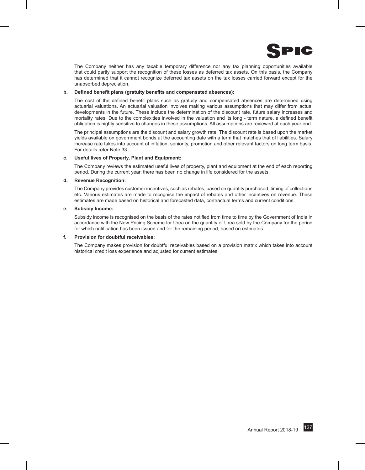

The Company neither has any taxable temporary difference nor any tax planning opportunities available that could partly support the recognition of these losses as deferred tax assets. On this basis, the Company has determined that it cannot recognize deferred tax assets on the tax losses carried forward except for the unabsorbed depreciation.

#### **b. Defined benefit plans (gratuity benefits and compensated absences):**

The cost of the defined benefit plans such as gratuity and compensated absences are determined using actuarial valuations. An actuarial valuation involves making various assumptions that may differ from actual developments in the future. These include the determination of the discount rate, future salary increases and mortality rates. Due to the complexities involved in the valuation and its long - term nature, a defined benefit obligation is highly sensitive to changes in these assumptions. All assumptions are reviewed at each year end.

The principal assumptions are the discount and salary growth rate. The discount rate is based upon the market yields available on government bonds at the accounting date with a term that matches that of liabilities. Salary increase rate takes into account of inflation, seniority, promotion and other relevant factors on long term basis. For details refer Note 33.

#### **c. Useful lives of Property, Plant and Equipment:**

The Company reviews the estimated useful lives of property, plant and equipment at the end of each reporting period. During the current year, there has been no change in life considered for the assets.

#### **d. Revenue Recognition:**

The Company provides customer incentives, such as rebates, based on quantity purchased, timing of collections etc. Various estimates are made to recognise the impact of rebates and other incentives on revenue. These estimates are made based on historical and forecasted data, contractual terms and current conditions.

#### **e. Subsidy Income:**

Subsidy income is recognised on the basis of the rates notified from time to time by the Government of India in accordance with the New Pricing Scheme for Urea on the quantity of Urea sold by the Company for the period for which notification has been issued and for the remaining period, based on estimates.

#### **f. Provision for doubtful receivables:**

The Company makes provision for doubtful receivables based on a provision matrix which takes into account historical credit loss experience and adjusted for current estimates.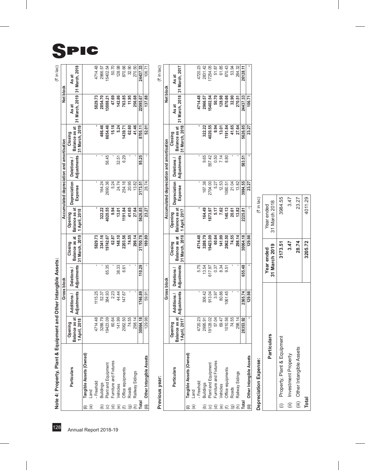$(3 \text{ in } \text{lac})$ 

SPIC

15402.54 4714.48 128.98 32.90 270.50 Note 4: Property, Plant & Equipment and Other Intangible Assets:<br>  $\frac{1}{2}$ <br>  $\frac{1}{2}$ <br>  $\frac{1}{2}$ <br>  $\frac{1}{2}$ <br>  $\frac{1}{2}$ <br>  $\frac{1}{2}$ <br>  $\frac{1}{2}$ <br>  $\frac{1}{2}$ <br>  $\frac{1}{2}$ <br>  $\frac{1}{2}$ <br>  $\frac{1}{2}$ <br>  $\frac{1}{2}$ <br>  $\frac{1}{2}$ <br>  $\frac{1}{2}$ <br> As at<br>31 March, 2018 2966.57 (f) Office equipments 2062.50 147.67 6.61 **2203.56 1191.84** 254.16 6.29 **1439.71 763.85** 870.66 (g) Roads 74.55 - - **74.55 41.65** 20.95 - **62.60 11.95** 32.90 (h) Railway Sidings 298.14 - - **298.14 27.64** 13.82 - **41.46 256.68** 270.50 24437.33 106.71 **(ii) Other Intangible Assets** 129.98 59.91 - **189.89 23.27** 28.74 - **52.01 137.88** 106.71 **Total 30064.18 1746.89 110.29 31700.78 5626.85 3173.51 95.25 8705.11 22995.67 24437.33** Net block As at<br>31 March, 2019 ; 2854.70<br>13088.21 47.69 142.86  $11.95$ 256.68 5829.73 22995.67 137.88 486.46  $15.18$ 41.46 Closing<br>Balance as at 6654.46 5.24  $1439.71$ 62.60 8705.11 52.01 31 March. 2019 Accumulated depreciation and amortisation Deletions /<br>Adjustments 56.45 32.51<br>6.29 95.25 164.24 24.74 5.24 20.95 13.82 3173.51 28.74 Depreciation Expense Opening<br>Balance as at 4020.55 1191.84 41.65 27.64 322.22  $9.94$  $13.01$ 23.27 5626.85 1 April. 2018 Closing<br>Balance as at E 3341.16 62.87 148.10 2203.56 74.55 298.14 31 March. 2019 5829.73 9742.67 31700.78 189.89 Note 4: Property, Plant & Equipment and Other Intangible Assets: Deletions /<br>Adjustments 65.35  $\frac{38.33}{6.61}$ 110.29 Gross block Additions /<br>Adjustments 44.44 1115.25<br>52.37 384.93<br>2.23 1746.89 59.91 Opening<br>Balance as at 3288.79 60.64  $141.99$ 2062.50 74.55  $298.14$  $\overline{129.98}$ 4714.48 9423.09 30064.18 1 April, 2018 Tangible Assets (Owned) Other Intangible Assets Furniture and Fixtures Plant and Equipment Office equipments Particulars Railway Sidings - Freehold **Buildings** Vehicles Roads Land n<br>A S ⊙ S © G G G G  $\widehat{\mathbf{e}}$ έ

Previous year:

| Previous year: |                                                            |                                           |             |                                        |                                            |                                           |                                           |                          |                                            |                                        |          |
|----------------|------------------------------------------------------------|-------------------------------------------|-------------|----------------------------------------|--------------------------------------------|-------------------------------------------|-------------------------------------------|--------------------------|--------------------------------------------|----------------------------------------|----------|
|                |                                                            |                                           |             | Gross block                            |                                            |                                           | Accumulated depreciation and amortisation |                          |                                            | Net block                              |          |
|                | Particulars                                                | Balance as at<br>1 April, 2017<br>Opening | Additions / | Adjustments   Adjustments<br>Deletions | 31 March, 2018<br>Balance as at<br>Closing | Balance as at<br>1 April. 2017<br>Opening | <b>Depreciation</b><br>Expense            | Adjustments<br>Deletions | 31 March. 2018<br>Balance as at<br>Closing | 31 March, 2018 31 March, 2017<br>As at | As at    |
|                | Tangible Assets (Owned)                                    |                                           |             |                                        |                                            |                                           |                                           |                          |                                            |                                        |          |
|                | Land                                                       |                                           |             |                                        |                                            |                                           |                                           |                          |                                            |                                        |          |
|                | Freehold                                                   | 4720.23                                   |             | 5.75                                   | 4714.48                                    |                                           |                                           |                          |                                            | 4714.48                                | 4720.23  |
|                |                                                            | 2995.91                                   | 306.42      | 13.54                                  | 3288.79                                    | 164.49                                    | 167.38                                    | 9.65                     | 322.22                                     | 2966.57                                | 2831.42  |
|                |                                                            | 9128.02                                   | 913.04      | 617.97                                 | 9423.09                                    | 873.97                                    | 2704.00                                   | 557.42                   | 1020.55                                    | 5402.54                                | 7254.05  |
|                | Buildings<br>Plant and Equipment<br>Furniture and Fixtures | 57.04                                     | 3.97        | 0.37                                   | 60.64                                      | 5.17                                      | 5.27                                      | 0.50                     | 9.94                                       | 50.70                                  | 51.87    |
| @              | Vehicles                                                   | 69.47                                     | 80.86       | 8.34                                   | 141.99                                     | 7.62                                      | 12.53                                     | 7.14                     | 13.01                                      | 128.98                                 | 61.85    |
|                | Office equipments                                          | 1010.56                                   | 061.45      | 5<br>9.5                               | 2062.50                                    | 140.13                                    | 060.51                                    | 8.80                     | 1191.84                                    | 870.66                                 | 870.43   |
| $\widehat{a}$  | Roads                                                      | 74.55                                     |             |                                        | 74.55                                      | 20.61                                     | 21.04                                     |                          | 41.65                                      | 32.90                                  | 53.94    |
| ์)<br>Total    | Railway Sidings                                            | 298.14                                    |             |                                        | 298.14                                     | 13.82                                     | 13.82                                     |                          | 27.64                                      | 270.51                                 | 284.32   |
|                |                                                            | 8353.92                                   | 2365.74     | 655.48                                 | 30064.18                                   | 2225.81                                   | 3984.55                                   | 583.51                   | 5626.85                                    | 24437.33                               | 26128.11 |
|                | (ii) Other Intangible Assets                               |                                           | 129.98      |                                        | 129.98                                     |                                           | 23.27                                     |                          | 23.27                                      | 106.71                                 |          |

| ֕ |
|---|
|   |
|   |
|   |
|   |
|   |
|   |
|   |
|   |
|   |
|   |
|   |
|   |
|   |
|   |
|   |
|   |
|   |
|   |
|   |
|   |
|   |
|   |
|   |
|   |
|   |
|   |
|   |
|   |
|   |
|   |
|   |
|   |
|   |
|   |
|   |
|   |
|   |
|   |
|   |
|   |
|   |
|   |
|   |
|   |
|   |
|   |
|   |
|   |
|   |
|   |
|   |
|   |
|   |
|   |
|   |
|   |
|   |
| ı |

|               | <b>Depreciation Expense:</b>  |                             | (₹ in lac)                  |
|---------------|-------------------------------|-----------------------------|-----------------------------|
|               | <b>Particulars</b>            | 31 March 2019<br>Year ended | 31 March 2018<br>Year ended |
| $\widehat{=}$ | Property, Plant & Equipment   | 3173.51                     | 3984.55                     |
| $\widehat{=}$ | Investment Property           | 3.47                        | 3.47                        |
|               | (iii) Other Intangible Assets | 28.74                       | 23.27                       |
| <b>Total</b>  |                               | 3205.72                     | 4011.29                     |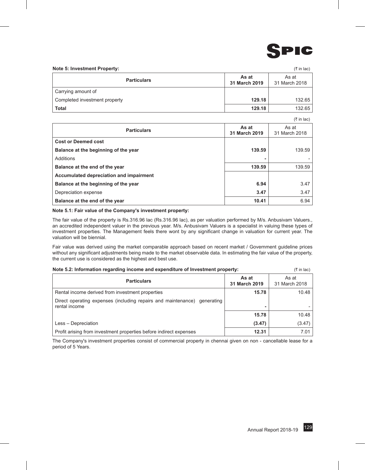

#### **Note 5: Investment Property:** (` in lac)

| <b>Particulars</b>            | As at<br>31 March 2019 | As at<br>31 March 2018 |
|-------------------------------|------------------------|------------------------|
| Carrying amount of            |                        |                        |
| Completed investment property | 129.18                 | 132.65                 |
| <b>Total</b>                  | 129.18                 | 132.65                 |

 $\sigma$  in lack

|                                         |                        | $(5 \text{ in } 120)$  |
|-----------------------------------------|------------------------|------------------------|
| <b>Particulars</b>                      | As at<br>31 March 2019 | As at<br>31 March 2018 |
| <b>Cost or Deemed cost</b>              |                        |                        |
| Balance at the beginning of the year    | 139.59                 | 139.59                 |
| Additions                               | ۰                      |                        |
| Balance at the end of the year          | 139.59                 | 139.59                 |
| Accumulated depreciation and impairment |                        |                        |
| Balance at the beginning of the year    | 6.94                   | 3.47                   |
| Depreciation expense                    | 3.47                   | 3.47                   |
| Balance at the end of the year          | 10.41                  | 6.94                   |

#### **Note 5.1: Fair value of the Company's investment property:**

The fair value of the property is Rs.316.96 lac (Rs.316.96 lac), as per valuation performed by M/s. Anbusivam Valuers., an accredited independent valuer in the previous year. M/s. Anbusivam Valuers is a specialist in valuing these types of investment properties. The Management feels there wont by any significant change in valuation for current year. The valuation will be biennial.

Fair value was derived using the market comparable approach based on recent market / Government guideline prices without any significant adjustments being made to the market observable data. In estimating the fair value of the property, the current use is considered as the highest and best use.

| Note 5.2: Information regarding income and expenditure of Investment property:            |                        | $(3\overline{5})$ in lac) |
|-------------------------------------------------------------------------------------------|------------------------|---------------------------|
| <b>Particulars</b>                                                                        | As at<br>31 March 2019 | As at<br>31 March 2018    |
| Rental income derived from investment properties                                          | 15.78                  | 10.48                     |
| Direct operating expenses (including repairs and maintenance) generating<br>rental income |                        |                           |
|                                                                                           | 15.78                  | 10.48                     |
| Less - Depreciation                                                                       | (3.47)                 | (3.47)                    |
| Profit arising from investment properties before indirect expenses                        | 12.31                  | 7.01                      |

The Company's investment properties consist of commercial property in chennai given on non - cancellable lease for a period of 5 Years.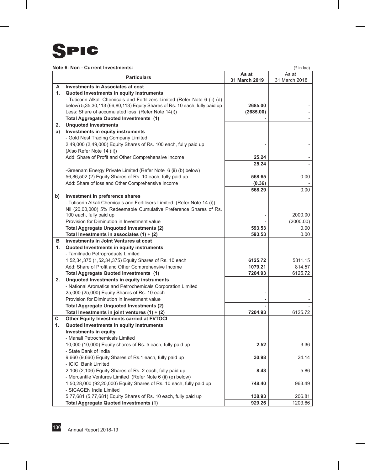### **SPIC**

#### **Note 6: Non - Current Investments:**  $(3 \text{ in } |a c)$

|    |                                                                                              | As at         | $($ $\cdot$ $\cdots$ $\cdots$ $\cdot$ $\cdot$<br>As at |
|----|----------------------------------------------------------------------------------------------|---------------|--------------------------------------------------------|
|    | <b>Particulars</b>                                                                           | 31 March 2019 | 31 March 2018                                          |
| А  | <b>Investments in Associates at cost</b>                                                     |               |                                                        |
| 1. | Quoted Investments in equity instruments                                                     |               |                                                        |
|    | - Tuticorin Alkali Chemicals and Fertilizers Limited (Refer Note 6 (ii) (d)                  |               |                                                        |
|    | below) 5,35,30,113 (66,80,113) Equity Shares of Rs. 10 each, fully paid up                   | 2685.00       |                                                        |
|    | Less: Share of accumulated loss (Refer Note 14(i))                                           | (2685.00)     |                                                        |
|    | <b>Total Aggregate Quoted Investments (1)</b>                                                |               |                                                        |
| 2. | <b>Unquoted investments</b>                                                                  |               |                                                        |
| a) | Investments in equity instruments                                                            |               |                                                        |
|    | - Gold Nest Trading Company Limited                                                          |               |                                                        |
|    | 2,49,000 (2,49,000) Equity Shares of Rs. 100 each, fully paid up                             |               |                                                        |
|    | (Also Refer Note 14 (ii))                                                                    |               |                                                        |
|    | Add: Share of Profit and Other Comprehensive Income                                          | 25.24         |                                                        |
|    |                                                                                              | 25.24         |                                                        |
|    | -Greenam Energy Private Limited (Refer Note 6 (ii) (b) below)                                |               |                                                        |
|    | 56,86,502 (2) Equity Shares of Rs. 10 each, fully paid up                                    | 568.65        | 0.00                                                   |
|    | Add: Share of loss and Other Comprehensive Income                                            | (0.36)        |                                                        |
|    |                                                                                              | 568.29        | 0.00                                                   |
| b) | Investment in preference shares                                                              |               |                                                        |
|    | - Tuticorin Alkali Chemicals and Fertilisers Limited (Refer Note 14 (i))                     |               |                                                        |
|    | Nil (20,00,000) 5% Redeemable Cumulative Preference Shares of Rs.<br>100 each, fully paid up |               | 2000.00                                                |
|    | Provision for Diminution in Investment value                                                 |               | (2000.00)                                              |
|    | <b>Total Aggregate Unquoted Investments (2)</b>                                              | 593.53        | 0.00                                                   |
|    | Total Investments in associates $(1) + (2)$                                                  | 593.53        | 0.00                                                   |
| в  | Investments in Joint Ventures at cost                                                        |               |                                                        |
| 1. | Quoted Investments in equity instruments                                                     |               |                                                        |
|    | - Tamilnadu Petroproducts Limited                                                            |               |                                                        |
|    | 1,52,34,375 (1,52,34,375) Equity Shares of Rs. 10 each                                       | 6125.72       | 5311.15                                                |
|    | Add: Share of Profit and Other Comprehensive Income                                          | 1079.21       | 814.57                                                 |
|    | Total Aggregate Quoted Investments (1)                                                       | 7204.93       | 6125.72                                                |
| 2. | Unquoted Investments in equity instruments                                                   |               |                                                        |
|    | - National Aromatics and Petrochemicals Corporation Limited                                  |               |                                                        |
|    | 25,000 (25,000) Equity Shares of Rs. 10 each                                                 |               |                                                        |
|    | Provision for Diminution in Investment value                                                 |               |                                                        |
|    | <b>Total Aggregate Unquoted Investments (2)</b>                                              |               |                                                        |
|    | Total Investments in joint ventures $(1) + (2)$                                              | 7204.93       | 6125.72                                                |
| С  | Other Equity Investments carried at FVTOCI                                                   |               |                                                        |
| 1. | Quoted Investments in equity instruments                                                     |               |                                                        |
|    | <b>Investments in equity</b>                                                                 |               |                                                        |
|    | - Manali Petrochemicals Limited                                                              |               |                                                        |
|    | 10,000 (10,000) Equity shares of Rs. 5 each, fully paid up                                   | 2.52          | 3.36                                                   |
|    | - State Bank of India<br>9,660 (9,660) Equity Shares of Rs.1 each, fully paid up             | 30.98         | 24.14                                                  |
|    | - ICICI Bank Limited                                                                         |               |                                                        |
|    | 2,106 (2,106) Equity Shares of Rs. 2 each, fully paid up                                     | 8.43          | 5.86                                                   |
|    | - Mercantile Ventures Limited (Refer Note 6 (ii) (e) below)                                  |               |                                                        |
|    | 1,50,28,000 (92,20,000) Equity Shares of Rs. 10 each, fully paid up                          | 748.40        | 963.49                                                 |
|    | - SICAGEN India Limited                                                                      |               |                                                        |
|    | 5,77,681 (5,77,681) Equity Shares of Rs. 10 each, fully paid up                              | 138.93        | 206.81                                                 |
|    | <b>Total Aggregate Quoted Investments (1)</b>                                                | 929.26        | 1203.66                                                |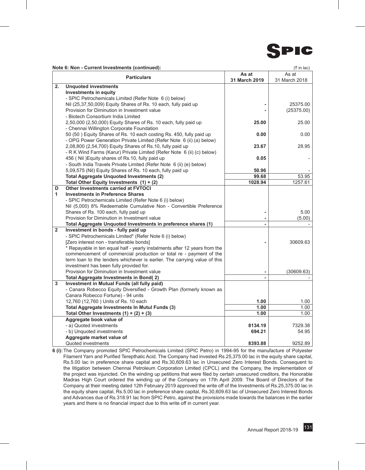

|    | <b>Particulars</b>                                                                                                                               | As at<br>31 March 2019 | As at<br>31 March 2018 |
|----|--------------------------------------------------------------------------------------------------------------------------------------------------|------------------------|------------------------|
| 2. | <b>Unquoted investments</b>                                                                                                                      |                        |                        |
|    | <b>Investments in equity</b>                                                                                                                     |                        |                        |
|    | - SPIC Petrochemicals Limited (Refer Note 6 (i) below)                                                                                           |                        |                        |
|    | Nil (25,37,50,009) Equity Shares of Rs. 10 each, fully paid up                                                                                   |                        | 25375.00               |
|    | Provision for Diminution in Investment value                                                                                                     |                        | (25375.00)             |
|    | - Biotech Consortium India Limited                                                                                                               |                        |                        |
|    | 2,50,000 (2,50,000) Equity Shares of Rs. 10 each, fully paid up                                                                                  | 25.00                  | 25.00                  |
|    | - Chennai Willington Corporate Foundation                                                                                                        |                        |                        |
|    | 50 (50) Equity Shares of Rs. 10 each costing Rs. 450, fully paid up                                                                              | 0.00                   | 0.00                   |
|    | - OPG Power Generation Private Limited (Refer Note 6 (ii) (a) below)                                                                             |                        |                        |
|    | 2,08,800 (2,54,700) Equity Shares of Rs.10, fully paid up                                                                                        | 23.67                  | 28.95                  |
|    | - R K Wind Farms (Karur) Private Limited (Refer Note 6 (ii) (c) below)                                                                           |                        |                        |
|    | 456 ( Nil ) Equity shares of Rs.10, fully paid up                                                                                                | 0.05                   |                        |
|    | - South India Travels Private Limited (Refer Note 6 (ii) (e) below)                                                                              |                        |                        |
|    | 5,09,575 (Nil) Equity Shares of Rs. 10 each, fully paid up                                                                                       | 50.96                  |                        |
|    | <b>Total Aggregate Unguoted Investments (2)</b>                                                                                                  | 99.68                  | 53.95                  |
|    | Total Other Equity Investments $(1) + (2)$                                                                                                       | 1028.94                | 1257.61                |
| D  | Other Investments carried at FVTOCI                                                                                                              |                        |                        |
| 1  | <b>Investments in Preference Shares</b>                                                                                                          |                        |                        |
|    | - SPIC Petrochemicals Limited (Refer Note 6 (i) below)                                                                                           |                        |                        |
|    | Nil (5,000) 8% Redeemable Cumulative Non - Convertible Preference                                                                                |                        |                        |
|    | Shares of Rs. 100 each, fully paid up                                                                                                            |                        | 5.00                   |
|    | Provision for Diminution in Investment value                                                                                                     |                        | (5.00)                 |
|    | Total Aggregate Unquoted Investments in preference shares (1)                                                                                    |                        |                        |
| 2  | Investment in bonds - fully paid up                                                                                                              |                        |                        |
|    | - SPIC Petrochemicals Limited* (Refer Note 6 (i) below)                                                                                          |                        |                        |
|    | [Zero interest non - transferable bonds]                                                                                                         |                        | 30609.63               |
|    | * Repayable in ten equal half - yearly instalments after 12 years from the<br>commencement of commercial production or total re - payment of the |                        |                        |
|    | term loan to the lenders whichever is earlier. The carrying value of this                                                                        |                        |                        |
|    | investment has been fully provided for.                                                                                                          |                        |                        |
|    | Provision for Diminution in Investment value                                                                                                     |                        | (30609.63)             |
|    | Total Aggregate Investments in Bond(2)                                                                                                           |                        |                        |
| 3  | Investment in Mutual Funds (all fully paid)                                                                                                      |                        |                        |
|    | - Canara Robecco Equity Diversified - Growth Plan (formerly known as                                                                             |                        |                        |
|    | Canara Robecco Fortune) - 94 units                                                                                                               |                        |                        |
|    | 12,760 (12,760) Units of Rs. 10 each                                                                                                             | 1.00                   | 1.00                   |
|    | <b>Total Aggregate Investments In Mutul Funds (3)</b>                                                                                            | 1.00                   | 1.00                   |
|    | Total Other Investments $(1) + (2) + (3)$                                                                                                        | 1.00                   | 1.00                   |
|    | Aggregate book value of                                                                                                                          |                        |                        |
|    | - a) Quoted investments                                                                                                                          | 8134.19                | 7329.38                |
|    | - b) Unquoted investments                                                                                                                        | 694.21                 | 54.95                  |

**Note 6: Non - Current Investments (continued):** (` in lac)

**6 (i):**The Company promoted SPIC Petrochemicals Limited (SPIC Petro) in 1994-95 for the manufacture of Polyester Filament Yarn and Purified Terepthalic Acid. The Company had invested Rs.25,375.00 lac in the equity share capital, Rs.5.00 lac in preference share capital and Rs.30,609.63 lac in Unsecured Zero Interest Bonds. Consequent to the litigation between Chennai Petroleum Corporation Limited (CPCL) and the Company, the implementation of the project was injuncted. On the winding up petitions that were filed by certain unsecured creditors, the Honorable Madras High Court ordered the winding up of the Company on 17th April 2009. The Board of Directors of the Company at their meeting dated 12th February 2019 approved the write off of the Investments of Rs.25,375.00 lac in the equity share capital, Rs.5.00 lac in preference share capital, Rs.30,609.63 lac of Unsecured Zero Interest Bonds and Advances due of Rs.318.91 lac from SPIC Petro, against the provisions made towards the balances in the earlier years and there is no financial impact due to this write off in current year.

Quoted investments **8393.88** 9252.89

**Aggregate market value of**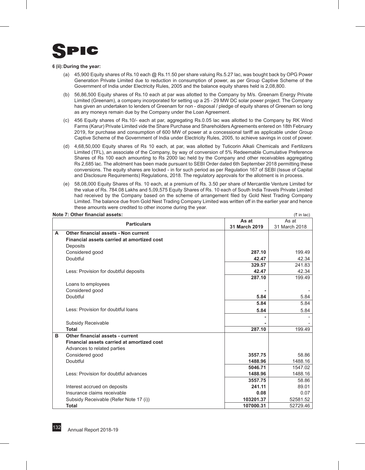

#### **6 (ii):During the year:**

- (a) 45,900 Equity shares of Rs.10 each @ Rs.11.50 per share valuing Rs.5.27 lac, was bought back by OPG Power Generation Private Limited due to reduction in consumption of power, as per Group Captive Scheme of the Government of India under Electricity Rules, 2005 and the balance equity shares held is 2,08,800.
- (b) 56,86,500 Equity shares of Rs.10 each at par was allotted to the Company by M/s. Greenam Energy Private Limited (Greenam), a company incorporated for setting up a 25 - 29 MW DC solar power project. The Company has given an undertaken to lenders of Greenam for non - disposal / pledge of equity shares of Greenam so long as any moneys remain due by the Company under the Loan Agreement.
- (c) 456 Equity shares of Rs.10/- each at par, aggregating Rs.0.05 lac was allotted to the Company by RK Wind Farms (Karur) Private Limited vide the Share Purchase and Shareholders Agreements entered on 18th February 2019, for purchase and consumption of 600 MW of power at a concessional tariff as applicable under Group Captive Scheme of the Government of India under Electricity Rules, 2005, to achieve savings in cost of power.
- (d) 4,68,50,000 Equity shares of Rs 10 each, at par, was allotted by Tuticorin Alkali Chemicals and Fertilizers Limited (TFL), an associate of the Company, by way of conversion of 5% Redeemable Cumulative Preference Shares of Rs 100 each amounting to Rs 2000 lac held by the Company and other receivables aggregating Rs 2,685 lac. The allotment has been made pursuant to SEBI Order dated 6th September 2018 permitting these conversions. The equity shares are locked - in for such period as per Regulation 167 of SEBI (Issue of Capital and Disclosure Requirements) Regulations, 2018. The regulatory approvals for the allotment is in process.
- (e) 58,08,000 Equity Shares of Rs. 10 each, at a premium of Rs. 3.50 per share of Mercantile Venture Limited for the value of Rs. 784.08 Lakhs and 5,09,575 Equity Shares of Rs. 10 each of South India Travels Private Limited had received by the Company based on the scheme of arrangement filed by Gold Nest Trading Company Limited. The balance due from Gold Nest Trading Company Limited was written off in the earlier year and hence these amounts were credited to other income during the year.

#### **Note 7: Other financial assets:** (` in lac)

|                                                   | As at         | 1.111<br>As at |
|---------------------------------------------------|---------------|----------------|
| <b>Particulars</b>                                | 31 March 2019 | 31 March 2018  |
|                                                   |               |                |
| Other financial assets - Non current<br>A         |               |                |
| <b>Financial assets carried at amortized cost</b> |               |                |
| Deposits                                          |               |                |
| Considered good                                   | 287.10        | 199.49         |
| Doubtful                                          | 42.47         | 42.34          |
|                                                   | 329.57        | 241.83         |
| Less: Provision for doubtful deposits             | 42.47         | 42.34          |
|                                                   | 287.10        | 199.49         |
| Loans to employees                                |               |                |
| Considered good                                   |               |                |
| Doubtful                                          | 5.84          | 5.84           |
|                                                   | 5.84          | 5.84           |
| Less: Provision for doubtful loans                | 5.84          | 5.84           |
|                                                   |               |                |
|                                                   |               |                |
| Subsidy Receivable                                |               |                |
| <b>Total</b>                                      | 287.10        | 199.49         |
| Other financial assets - current<br>в             |               |                |
| Financial assets carried at amortized cost        |               |                |
| Advances to related parties                       |               |                |
| Considered good                                   | 3557.75       | 58.86          |
| Doubtful                                          | 1488.96       | 1488.16        |
|                                                   | 5046.71       | 1547.02        |
| Less: Provision for doubtful advances             | 1488.96       | 1488.16        |
|                                                   | 3557.75       | 58.86          |
| Interest accrued on deposits                      | 241.11        | 89.01          |
| Insurance claims receivable                       | 0.08          | 0.07           |
| Subsidy Receivable (Refer Note 17 (i))            | 103201.37     | 52581.52       |
| <b>Total</b>                                      | 107000.31     | 52729.46       |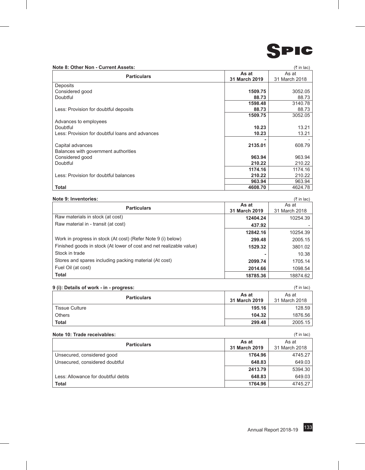

#### **Note 8: Other Non - Current Assets:** (` in lac)

| <b>Particulars</b>                              | As at         | As at         |
|-------------------------------------------------|---------------|---------------|
|                                                 | 31 March 2019 | 31 March 2018 |
| Deposits                                        |               |               |
| Considered good                                 | 1509.75       | 3052.05       |
| Doubtful                                        | 88.73         | 88.73         |
|                                                 | 1598.48       | 3140.78       |
| Less: Provision for doubtful deposits           | 88.73         | 88.73         |
|                                                 | 1509.75       | 3052.05       |
| Advances to employees                           |               |               |
| Doubtful                                        | 10.23         | 13.21         |
| Less: Provision for doubtful loans and advances | 10.23         | 13.21         |
|                                                 |               |               |
| Capital advances                                | 2135.01       | 608.79        |
| Balances with government authorities            |               |               |
| Considered good                                 | 963.94        | 963.94        |
| Doubtful                                        | 210.22        | 210.22        |
|                                                 | 1174.16       | 1174.16       |
| Less: Provision for doubtful balances           | 210.22        | 210.22        |
|                                                 | 963.94        | 963.94        |
| <b>Total</b>                                    | 4608.70       | 4624.78       |

#### **Note 9: Inventories:** (` in lac)

|                                                                     |               | . <i>.</i>    |
|---------------------------------------------------------------------|---------------|---------------|
| <b>Particulars</b>                                                  | As at         | As at         |
|                                                                     | 31 March 2019 | 31 March 2018 |
| Raw materials in stock (at cost)                                    | 12404.24      | 10254.39      |
| Raw material in - transit (at cost)                                 | 437.92        |               |
|                                                                     | 12842.16      | 10254.39      |
| Work in progress in stock (At cost) (Refer Note 9 (i) below)        | 299.48        | 2005.15       |
| Finished goods in stock (At lower of cost and net realizable value) | 1529.32       | 3801.02       |
| Stock in trade                                                      | -             | 10.38         |
| Stores and spares including packing material (At cost)              | 2099.74       | 1705.14       |
| Fuel Oil (at cost)                                                  | 2014.66       | 1098.54       |
| Total                                                               | 18785.36      | 18874.62      |

#### **9 (i): Details of work - in - progress:** (` in lac)

| . .                   |                        |                        |
|-----------------------|------------------------|------------------------|
| <b>Particulars</b>    | As at<br>31 March 2019 | As at<br>31 March 2018 |
| <b>Tissue Culture</b> | 195.16                 | 128.59                 |
| Others                | 104.32                 | 1876.56                |
| <b>Total</b>          | 299.48                 | 2005.15                |

#### **Note 10: Trade receivables:** (` in lac)

|                                    |               | $\cdots$      |
|------------------------------------|---------------|---------------|
| <b>Particulars</b>                 | As at         | As at         |
|                                    | 31 March 2019 | 31 March 2018 |
| Unsecured, considered good         | 1764.96       | 4745.27       |
| Unsecured, considered doubtful     | 648.83        | 649.03        |
|                                    | 2413.79       | 5394.30       |
| Less: Allowance for doubtful debts | 648.83        | 649.03        |
| <b>Total</b>                       | 1764.96       | 4745.27       |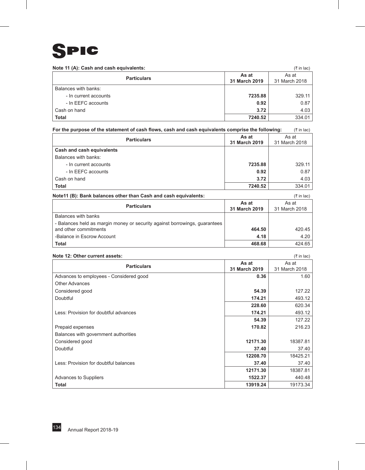

| Note 11 (A): Cash and cash equivalents: |                        | $(3\overline{5})$ in lac) |
|-----------------------------------------|------------------------|---------------------------|
| <b>Particulars</b>                      | As at<br>31 March 2019 | As at<br>31 March 2018    |
| Balances with banks:                    |                        |                           |
| - In current accounts                   | 7235.88                | 329.11                    |
| - In EEFC accounts                      | 0.92                   | 0.87                      |
| Cash on hand                            | 3.72                   | 4.03                      |
| <b>Total</b>                            | 7240.52                | 334.01                    |

#### For the purpose of the statement of cash flows, cash and cash equivalents comprise the following: ( $\bar{\tau}$  in lac)

| <b>Particulars</b>        | As at<br>31 March 2019 | As at<br>31 March 2018 |
|---------------------------|------------------------|------------------------|
| Cash and cash equivalents |                        |                        |
| Balances with banks:      |                        |                        |
| - In current accounts     | 7235.88                | 329.11                 |
| - In EEFC accounts        | 0.92                   | 0.87                   |
| Cash on hand              | 3.72                   | 4.03                   |
| <b>Total</b>              | 7240.52                | 334.01                 |

| Note11 (B): Bank balances other than Cash and cash equivalents:            |                        | (₹ in lac)             |
|----------------------------------------------------------------------------|------------------------|------------------------|
| <b>Particulars</b>                                                         | As at<br>31 March 2019 | As at<br>31 March 2018 |
| Balances with banks                                                        |                        |                        |
| - Balances held as margin money or security against borrowings, quarantees |                        |                        |
| and other commitments                                                      | 464.50                 | 420.45                 |
| -Balance in Escrow Account                                                 | 4.18                   | 4.20                   |
| <b>Total</b>                                                               | 468.68                 | 424.65                 |

#### **Note 12: Other current assets:** (` in lac)

| <b>Particulars</b>                      | As at<br>31 March 2019 | As at<br>31 March 2018 |
|-----------------------------------------|------------------------|------------------------|
| Advances to employees - Considered good | 0.36                   | 1.60                   |
| <b>Other Advances</b>                   |                        |                        |
| Considered good                         | 54.39                  | 127.22                 |
| Doubtful                                | 174.21                 | 493.12                 |
|                                         | 228.60                 | 620.34                 |
| Less: Provision for doubtful advances   | 174.21                 | 493.12                 |
|                                         | 54.39                  | 127.22                 |
| Prepaid expenses                        | 170.82                 | 216.23                 |
| Balances with government authorities    |                        |                        |
| Considered good                         | 12171.30               | 18387.81               |
| Doubtful                                | 37.40                  | 37.40                  |
|                                         | 12208.70               | 18425.21               |
| Less: Provision for doubtful balances   | 37.40                  | 37.40                  |
|                                         | 12171.30               | 18387.81               |
| Advances to Suppliers                   | 1522.37                | 440.48                 |
| <b>Total</b>                            | 13919.24               | 19173.34               |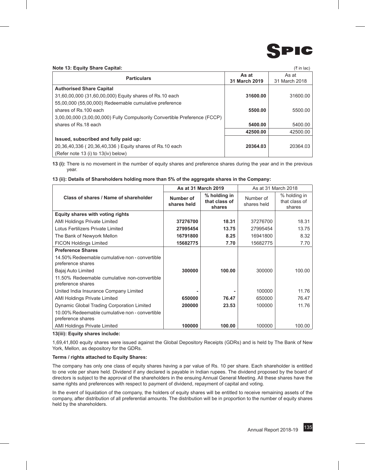

#### **Note 13: Equity Share Capital:** (` in lac)

| <b>Particulars</b>                                                         | As at<br>31 March 2019 | As at<br>31 March 2018 |
|----------------------------------------------------------------------------|------------------------|------------------------|
| <b>Authorised Share Capital</b>                                            |                        |                        |
| 31,60,00,000 (31,60,00,000) Equity shares of Rs.10 each                    | 31600.00               | 31600.00               |
| 55,00,000 (55,00,000) Redeemable cumulative preference                     |                        |                        |
| shares of Rs.100 each                                                      | 5500.00                | 5500.00                |
| 3,00,00,000 (3,00,00,000) Fully Compulsorily Convertible Preference (FCCP) |                        |                        |
| shares of Rs.18 each                                                       | 5400.00                | 5400.00                |
|                                                                            | 42500.00               | 42500.00               |
| Issued, subscribed and fully paid up:                                      |                        |                        |
| 20,36,40,336 (20,36,40,336) Equity shares of Rs.10 each                    | 20364.03               | 20364.03               |
| (Refer note 13 (i) to 13 (iv) below)                                       |                        |                        |

**13 (i):** There is no movement in the number of equity shares and preference shares during the year and in the previous year.

#### **13 (ii): Details of Shareholders holding more than 5% of the aggregate shares in the Company:**

|                                                                     | As at 31 March 2019      |                                         |                          |                                         | As at 31 March 2018 |  |
|---------------------------------------------------------------------|--------------------------|-----------------------------------------|--------------------------|-----------------------------------------|---------------------|--|
| Class of shares / Name of shareholder                               | Number of<br>shares held | % holding in<br>that class of<br>shares | Number of<br>shares held | % holding in<br>that class of<br>shares |                     |  |
| Equity shares with voting rights                                    |                          |                                         |                          |                                         |                     |  |
| <b>AMI Holdings Private Limited</b>                                 | 37276700                 | 18.31                                   | 37276700                 | 18.31                                   |                     |  |
| Lotus Fertilizers Private Limited                                   | 27995454                 | 13.75                                   | 27995454                 | 13.75                                   |                     |  |
| The Bank of Newyork Mellon                                          | 16791800                 | 8.25                                    | 16941800                 | 8.32                                    |                     |  |
| <b>FICON Holdings Limited</b>                                       | 15682775                 | 7.70                                    | 15682775                 | 7.70                                    |                     |  |
| <b>Preference Shares</b>                                            |                          |                                         |                          |                                         |                     |  |
| 14,50% Redeemable cumulative non - convertible<br>preference shares |                          |                                         |                          |                                         |                     |  |
| Bajaj Auto Limited                                                  | 300000                   | 100.00                                  | 300000                   | 100.00                                  |                     |  |
| 11.50% Redeemable cumulative non-convertible<br>preference shares   |                          |                                         |                          |                                         |                     |  |
| United India Insurance Company Limited                              |                          |                                         | 100000                   | 11.76                                   |                     |  |
| AMI Holdings Private Limited                                        | 650000                   | 76.47                                   | 650000                   | 76.47                                   |                     |  |
| Dynamic Global Trading Corporation Limited                          | 200000                   | 23.53                                   | 100000                   | 11.76                                   |                     |  |
| 10.00% Redeemable cumulative non - convertible<br>preference shares |                          |                                         |                          |                                         |                     |  |
| <b>AMI Holdings Private Limited</b>                                 | 100000                   | 100.00                                  | 100000                   | 100.00                                  |                     |  |

#### **13(iii): Equity shares include:**

1,69,41,800 equity shares were issued against the Global Depository Receipts (GDRs) and is held by The Bank of New York, Mellon, as depository for the GDRs.

#### **Terms / rights attached to Equity Shares:**

The company has only one class of equity shares having a par value of Rs. 10 per share. Each shareholder is entitled to one vote per share held. Dividend if any declared is payable in Indian rupees. The dividend proposed by the board of directors is subject to the approval of the shareholders in the ensuing Annual General Meeting. All these shares have the same rights and preferences with respect to payment of dividend, repayment of capital and voting.

In the event of liquidation of the company, the holders of equity shares will be entitled to receive remaining assets of the company, after distribution of all preferential amounts. The distribution will be in proportion to the number of equity shares held by the shareholders.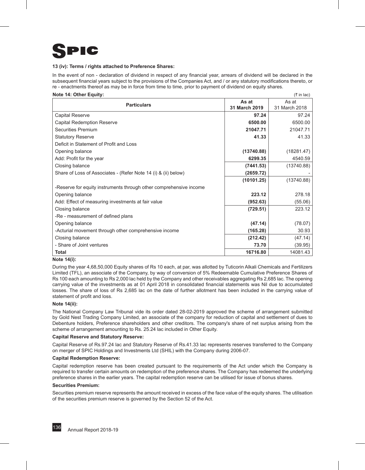## IC

#### **13 (iv): Terms / rights attached to Preference Shares:**

In the event of non - declaration of dividend in respect of any financial year, arrears of dividend will be declared in the subsequent financial years subject to the provisions of the Companies Act, and / or any statutory modifications thereto, or re - enactments thereof as may be in force from time to time, prior to payment of dividend on equity shares.

| Note 14: Other Equity:                                             |               | $(5 \in \mathsf{In} \mathsf{Iac})$ |
|--------------------------------------------------------------------|---------------|------------------------------------|
| <b>Particulars</b>                                                 | As at         | As at                              |
|                                                                    | 31 March 2019 | 31 March 2018                      |
| <b>Capital Reserve</b>                                             | 97.24         | 97.24                              |
| <b>Capital Redemption Reserve</b>                                  | 6500.00       | 6500.00                            |
| <b>Securities Premium</b>                                          | 21047.71      | 21047.71                           |
| <b>Statutory Reserve</b>                                           | 41.33         | 41.33                              |
| Deficit in Statement of Profit and Loss                            |               |                                    |
| Opening balance                                                    | (13740.88)    | (18281.47)                         |
| Add: Profit for the year                                           | 6299.35       | 4540.59                            |
| Closing balance                                                    | (7441.53)     | (13740.88)                         |
| Share of Loss of Associates - (Refer Note 14 (i) & (ii) below)     | (2659.72)     |                                    |
|                                                                    | (10101.25)    | (13740.88)                         |
| -Reserve for equity instruments through other comprehensive income |               |                                    |
| Opening balance                                                    | 223.12        | 278.18                             |
| Add: Effect of measuring investments at fair value                 | (952.63)      | (55.06)                            |
| Closing balance                                                    | (729.51)      | 223.12                             |
| -Re - measurement of defined plans                                 |               |                                    |
| Opening balance                                                    | (47.14)       | (78.07)                            |
| -Acturial movement through other comprehensive income              | (165.28)      | 30.93                              |
| Closing balance                                                    | (212.42)      | (47.14)                            |
| - Share of Joint ventures                                          | 73.70         | (39.95)                            |
| <b>Total</b>                                                       | 16716.80      | 14081.43                           |

#### **Note 14(i):**

During the year 4,68,50,000 Equity shares of Rs 10 each, at par, was allotted by Tuticorin Alkali Chemicals and Fertilizers Limited (TFL), an associate of the Company, by way of conversion of 5% Redeemable Cumulative Preference Shares of Rs 100 each amounting to Rs 2,000 lac held by the Company and other receivables aggregating Rs 2,685 lac. The opening carrying value of the investments as at 01 April 2018 in consolidated financial statements was Nil due to accumulated losses. The share of loss of Rs 2,685 lac on the date of further allotment has been included in the carrying value of statement of profit and loss.

#### **Note 14(ii):**

The National Company Law Tribunal vide its order dated 28-02-2019 approved the scheme of arrangement submitted by Gold Nest Trading Company Limited, an associate of the company for reduction of capital and settlement of dues to Debenture holders, Preference shareholders and other creditors. The company's share of net surplus arising from the scheme of arrangement amounting to Rs. 25.24 lac included in Other Equity.

#### **Capital Reserve and Statutory Reserve:**

Capital Reserve of Rs.97.24 lac and Statutory Reserve of Rs.41.33 lac represents reserves transferred to the Company on merger of SPIC Holdings and Investments Ltd (SHIL) with the Company during 2006-07.

#### **Capital Redemption Reserve:**

Capital redemption reserve has been created pursuant to the requirements of the Act under which the Company is required to transfer certain amounts on redemption of the preference shares. The Company has redeemed the underlying preference shares in the earlier years. The capital redemption reserve can be utilised for issue of bonus shares.

#### **Securities Premium:**

Securities premium reserve represents the amount received in excess of the face value of the equity shares. The utilisation of the securities premium reserve is governed by the Section 52 of the Act.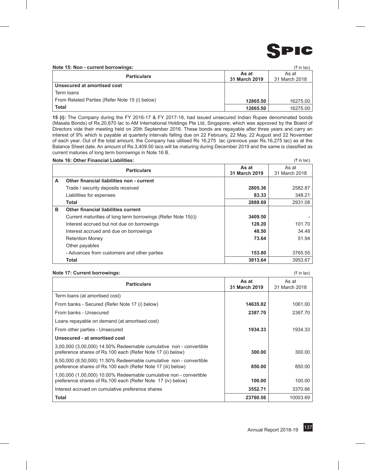

**Note 15: Non - current borrowings:** (` in lac)

|                                                |               | $\sim$ 111 1 20 21 |
|------------------------------------------------|---------------|--------------------|
| <b>Particulars</b>                             | As at         | As at              |
|                                                | 31 March 2019 | 31 March 2018      |
| Unsecured at amortised cost                    |               |                    |
| Term Ioans                                     |               |                    |
| From Related Parties (Refer Note 15 (i) below) | 12865.50      | 16275.00           |
| <b>Total</b>                                   | 12865.50      | 16275.00           |

**15 (i):** The Company during the FY 2016-17 & FY 2017-18, had issued unsecured Indian Rupee denominated bonds (Masala Bonds) of Rs.20,670 lac to AM International Holdings Pte Ltd, Singapore, which was approved by the Board of Directors vide their meeting held on 20th September 2016. These bonds are repayable after three years and carry an interest of 9% which is payable at quarterly intervals falling due on 22 February, 22 May, 22 August and 22 November of each year. Out of the total amount, the Company has utilised Rs 16,275 lac (previous year Rs.16,275 lac) as at the Balance Sheet date. An amount of Rs.3,409.50 lacs will be maturing during December 2019 and the same is classified as current maturies of long term borrowings in Note 16 B.

|   | <b>Note 16: Other Financial Liabilities:</b>                  |                        | $(3\overline{5})$ in lac) |
|---|---------------------------------------------------------------|------------------------|---------------------------|
|   | <b>Particulars</b>                                            | As at<br>31 March 2019 | As at<br>31 March 2018    |
| A | Other financial liabilities non - current                     |                        |                           |
|   | Trade / security deposits received                            | 2805.36                | 2582.87                   |
|   | Liabilities for expenses                                      | 83.33                  | 348.21                    |
|   | Total                                                         | 2888.69                | 2931.08                   |
| в | Other financial liabilities current                           |                        |                           |
|   | Current maturities of long term borrowings (Refer Note 15(i)) | 3409.50                |                           |
|   | Interest accrued but not due on borrowings                    | 128.20                 | 101.70                    |
|   | Interest accrued and due on borrowings                        | 48.50                  | 34.48                     |
|   | <b>Retention Money</b>                                        | 73.64                  | 51.94                     |
|   | Other payables                                                |                        |                           |
|   | - Advances from customers and other parties                   | 153.80                 | 3765.55                   |
|   | Total                                                         | 3813.64                | 3953.67                   |

#### **Note 17: Current borrowings:** (` in lac)

**Particulars As at As at As at As at As at As at As at As at As at As at As at As at As at As at As at As at As at As at As at As at As at As at As at 31 March 2019** As at 31 March 2018 Term loans (at amortised cost) From banks - Secured (Refer Note 17 (i) below) **14635.82** 1061.00 From banks - Unsecured **2387.70** 2387.70 Loans repayable on demand (at amortised cost) From other parties - Unsecured **1934.33 1934.33 1934.33 Unsecured - at amortised cost** 3,00,000 (3,00,000) 14.50% Redeemable cumulative non - convertible preference shares of Rs.100 each (Refer Note 17 (ii) below) **300.00** 300.00 300.00 8,50,000 (8,50,000) 11.50% Redeemable cumulative non - convertible preference shares of Rs.100 each (Refer Note 17 (iii) below) **850.00** 850.00 1,00,000 (1,00,000) 10.00% Redeemable cumulative non - convertible preference shares of Rs.100 each (Refer Note 17 (iv) below) **100.00** 100.00 100.00 Interest accrued on cumulative preference shares **3552.71** 3370.66 **Total 23760.56** 10003.69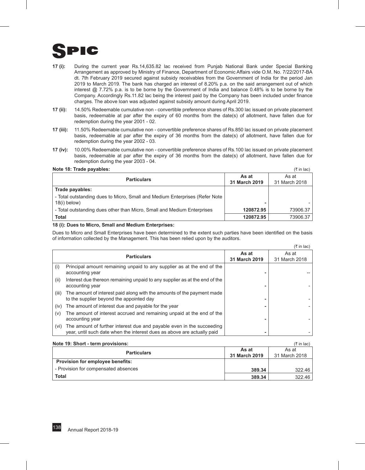

- **17 (i):** During the current year Rs.14,635.82 lac received from Punjab National Bank under Special Banking Arrangement as approved by Ministry of Finance, Department of Economic Affairs vide O.M. No. 7/22/2017-BA dt. 7th February 2019 secured against subsidy receivables from the Government of India for the period Jan 2019 to March 2019. The bank has charged an interest of 8.20% p.a. on the said arrangement out of which interest @ 7.72% p.a. is to be borne by the Government of India and balance 0.48% is to be borne by the Company. Accordingly Rs.11.82 lac being the interest paid by the Company has been included under finance charges. The above loan was adjusted against subsidy amount during April 2019.
- **17 (ii):** 14.50% Redeemable cumulative non convertible preference shares of Rs.300 lac issued on private placement basis, redeemable at par after the expiry of 60 months from the date(s) of allotment, have fallen due for redemption during the year 2001 - 02.
- **17 (iii):** 11.50% Redeemable cumulative non convertible preference shares of Rs.850 lac issued on private placement basis, redeemable at par after the expiry of 36 months from the date(s) of allotment, have fallen due for redemption during the year 2002 - 03.
- **17 (iv):** 10.00% Redeemable cumulative non convertible preference shares of Rs.100 lac issued on private placement basis, redeemable at par after the expiry of 36 months from the date(s) of allotment, have fallen due for redemption during the year 2003 - 04.

#### **Note 18: Trade payables:** (` in lac)

| NOW TO: HUGO DUYUDIOO:                                                                        |                        | .                      |
|-----------------------------------------------------------------------------------------------|------------------------|------------------------|
| <b>Particulars</b>                                                                            | As at<br>31 March 2019 | As at<br>31 March 2018 |
| Trade payables:                                                                               |                        |                        |
| - Total outstanding dues to Micro, Small and Medium Enterprises (Refer Note<br>$18(i)$ below) |                        |                        |
| - Total outstanding dues other than Micro, Small and Medium Enterprises                       | 120872.95              | 73906.37               |
| Total                                                                                         | 120872.95              | 73906.37               |

#### **18 (i): Dues to Micro, Small and Medium Enterprises:**

Dues to Micro and Small Enterprises have been determined to the extent such parties have been identified on the basis of information collected by the Management. This has been relied upon by the auditors.

|       |                                                                                                                                                  |                        | $(3\overline{5})$ in lac) |
|-------|--------------------------------------------------------------------------------------------------------------------------------------------------|------------------------|---------------------------|
|       | <b>Particulars</b>                                                                                                                               | As at<br>31 March 2019 | As at<br>31 March 2018    |
| (i)   | Principal amount remaining unpaid to any supplier as at the end of the<br>accounting year                                                        |                        |                           |
| (ii)  | Interest due thereon remaining unpaid to any supplier as at the end of the<br>accounting year                                                    |                        |                           |
| (iii) | The amount of interest paid along with the amounts of the payment made<br>to the supplier beyond the appointed day                               |                        |                           |
| (iv)  | The amount of interest due and payable for the year                                                                                              |                        |                           |
| (v)   | The amount of interest accrued and remaining unpaid at the end of the<br>accounting year                                                         |                        |                           |
| (vi)  | The amount of further interest due and payable even in the succeeding<br>year, until such date when the interest dues as above are actually paid |                        |                           |

| Note 19: Short - term provisions:    |               | $(3\overline{5})$ in lac) |
|--------------------------------------|---------------|---------------------------|
| <b>Particulars</b>                   | As at         | As at                     |
|                                      | 31 March 2019 | 31 March 2018             |
| Provision for employee benefits:     |               |                           |
| - Provision for compensated absences | 389.34        | 322.46                    |
| <b>Total</b>                         | 389.34        | 322.46                    |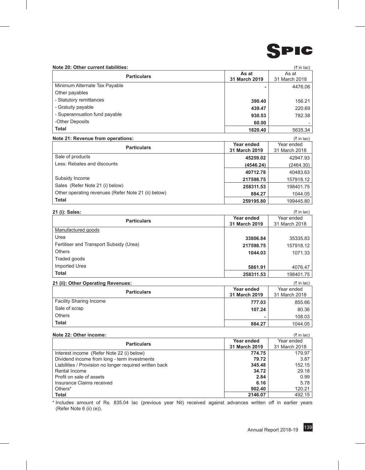

#### **Note 20: Other current liabilities:** (` in lac)

| $11016$ ZV. Other Current Habilities. |               | $\sim$ 111 1 $\alpha$ |
|---------------------------------------|---------------|-----------------------|
| <b>Particulars</b>                    | As at         | As at                 |
|                                       | 31 March 2019 | 31 March 2018         |
| Minimum Alternate Tax Payable         |               | 4476.06               |
| Other payables                        |               |                       |
| - Statutory remittances               | 390.40        | 156.21                |
| - Gratuity payable                    | 439.47        | 220.69                |
| - Superannuation fund payable         | 930.53        | 782.38                |
| -Other Deposits                       | 60.00         |                       |
| <b>Total</b>                          | 1820.40       | 5635.34               |

#### **Note 21: Revenue from operations:** (` in lac)

| <b>Particulars</b>                                  | Year ended    | Year ended    |  |
|-----------------------------------------------------|---------------|---------------|--|
|                                                     | 31 March 2019 | 31 March 2018 |  |
| Sale of products                                    | 45259.02      | 42947.93      |  |
| Less: Rebates and discounts                         | (4546.24)     | (2464.30)     |  |
|                                                     | 40712.78      | 40483.63      |  |
| Subsidy Income                                      | 217598.75     | 157918.12     |  |
| Sales (Refer Note 21 (i) below)                     | 258311.53     | 198401.75     |  |
| Other operating revenues (Refer Note 21 (ii) below) | 884.27        | 1044.05       |  |
| <b>Total</b>                                        | 259195.80     | 199445.80     |  |

| 21 (i): Sales:                          |               | (₹ in lac)    |
|-----------------------------------------|---------------|---------------|
| <b>Particulars</b>                      | Year ended    | Year ended    |
|                                         | 31 March 2019 | 31 March 2018 |
| Manufactured goods                      |               |               |
| Urea                                    | 33806.84      | 35335.83      |
| Fertiliser and Transport Subsidy (Urea) | 217598.75     | 157918.12     |
| <b>Others</b>                           | 1044.03       | 1071.33       |
| Traded goods                            |               |               |
| Imported Urea                           | 5861.91       | 4076.47       |
| <b>Total</b>                            | 258311.53     | 198401.75     |

#### **21 (ii): Other Operating Revenues:** (` in lac)

| $= 1 \, \text{m/s}$ well below the set of the set of $\sim$ |               | $\cdots$      |
|-------------------------------------------------------------|---------------|---------------|
| <b>Particulars</b>                                          | Year ended    | Year ended    |
|                                                             | 31 March 2019 | 31 March 2018 |
| <b>Facility Sharing Income</b>                              | 777.03        | 855.66        |
| Sale of scrap                                               | 107.24        | 80.36         |
| <b>Others</b>                                               |               | 108.03        |
| <b>Total</b>                                                | 884.27        | 1044.05       |

| Note 22: Other income:                                  |               | $(3\overline{5})$ in lac) |
|---------------------------------------------------------|---------------|---------------------------|
|                                                         | Year ended    | Year ended                |
| <b>Particulars</b>                                      | 31 March 2019 | 31 March 2018             |
| Interest income (Refer Note 22 (i) below)               | 774.75        | 179.97                    |
| Dividend income from long - term investments            | 79.72         | 3.87                      |
| Liabilities / Provision no longer required written back | 345.48        | 152.15                    |
| Rental Income                                           | 34.72         | 29.18                     |
| Profit on sale of assets                                | 2.84          | 0.99                      |
| Insurance Claims received                               | 6.16          | 5.78                      |
| Others*                                                 | 902.40        | 120.21                    |
| <b>Total</b>                                            | 2146.07       | 492.15                    |

\* Includes amount of Rs. 835.04 lac (previous year Nil) received against advances written off in earlier years (Refer Note 6 (ii) (e)).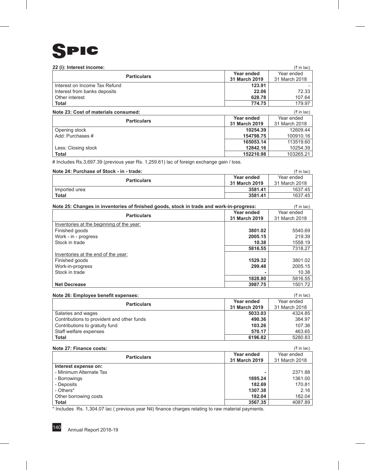

| 22 (i): Interest income:      |               | $($ ₹ in lac) |
|-------------------------------|---------------|---------------|
|                               | Year ended    | Year ended    |
| <b>Particulars</b>            | 31 March 2019 | 31 March 2018 |
| Interest on Income Tax Refund | 123.91        |               |
| Interest from banks deposits  | 22.06         | 72.33         |
| Other interest                | 628.78        | 107.64        |
| <b>Total</b>                  | 774.75        | 179.97        |

| Note 23: Cost of materials consumed: |               | $(3\overline{5})$ in lac) |
|--------------------------------------|---------------|---------------------------|
| <b>Particulars</b>                   | Year ended    | Year ended                |
|                                      | 31 March 2019 | 31 March 2018             |
| Opening stock                        | 10254.39      | 12609.44                  |
| Add: Purchases #                     | 154798.75     | 100910.16                 |
|                                      | 165053.14     | 113519.60                 |
| Less: Closing stock                  | 12842.16      | 10254.39                  |
| <b>Total</b>                         | 152210.98     | 103265.21                 |

# Includes Rs.3,697.39 (previous year Rs. 1,259.61) lac of foreign exchange gain / loss.

#### **Note 24: Purchase of Stock - in - trade:** (` in lac)

|                    |               | 1111 IUV      |
|--------------------|---------------|---------------|
| <b>Particulars</b> | Year ended    | Year ended    |
|                    | 31 March 2019 | 31 March 2018 |
| Imported urea      | 3581.41       | 1637.45       |
| <b>Total</b>       | 3581.41       | 1637.45       |

| Note 25: Changes in inventories of finished goods, stock in trade and work-in-progress: | $(3\overline{5})$ in lac) |               |
|-----------------------------------------------------------------------------------------|---------------------------|---------------|
|                                                                                         | Year ended                | Year ended    |
| <b>Particulars</b>                                                                      | 31 March 2019             | 31 March 2018 |
| Inventories at the beginning of the year:                                               |                           |               |
| Finished goods                                                                          | 3801.02                   | 5540.69       |
| Work - in - progress                                                                    | 2005.15                   | 219.39        |
| Stock in trade                                                                          | 10.38                     | 1558.19       |
|                                                                                         | 5816.55                   | 7318.27       |
| Inventories at the end of the year:                                                     |                           |               |
| Finished goods                                                                          | 1529.32                   | 3801.02       |
| Work-in-progress                                                                        | 299.48                    | 2005.15       |
| Stock in trade                                                                          |                           | 10.38         |
|                                                                                         | 1828.80                   | 5816.55       |
| <b>Net Decrease</b>                                                                     | 3987.75                   | 1501.72       |

#### **Note 26: Employee benefit expenses:** (` in lac)

|                                            |               | .             |
|--------------------------------------------|---------------|---------------|
| <b>Particulars</b>                         | Year ended    | Year ended    |
|                                            | 31 March 2019 | 31 March 2018 |
| Salaries and wages                         | 5033.03       | 4324.85       |
| Contributions to provident and other funds | 490.36        | 384.97        |
| Contributions to gratuity fund             | 103.26        | 107.36        |
| Staff welfare expenses                     | 570.17        | 463.65        |
| <b>Total</b>                               | 6196.82       | 5280.83       |

#### **Note 27: Finance costs:** (` in lac)

|                         |                             | .                           |
|-------------------------|-----------------------------|-----------------------------|
| <b>Particulars</b>      | Year ended<br>31 March 2019 | Year ended<br>31 March 2018 |
| Interest expense on:    |                             |                             |
| - Minimum Alternate Tax |                             | 2371.88                     |
| - Borrowings            | 1895.24                     | 1361.00                     |
| - Deposits              | 182.69                      | 170.81                      |
| - Others*               | 1307.38                     | 2.16                        |
| Other borrowing costs   | 182.04                      | 182.04                      |
| <b>Total</b>            | 3567.35                     | 4087.89                     |

\* Includes Rs. 1,304.07 lac ( previous year Nil) finance charges relating to raw material payments.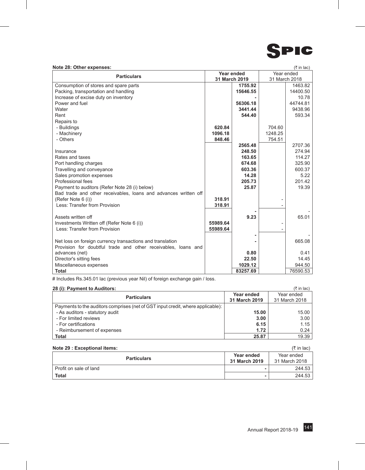

#### **Note 28: Other expenses:** (` in lac)

| Note Lo. Other experises                                        |               |          |            |               |
|-----------------------------------------------------------------|---------------|----------|------------|---------------|
| <b>Particulars</b>                                              | Year ended    |          | Year ended |               |
|                                                                 | 31 March 2019 |          |            | 31 March 2018 |
| Consumption of stores and spare parts                           |               | 1755.92  |            | 1463.82       |
| Packing, transportation and handling                            |               | 15646.55 |            | 14400.50      |
| Increase of excise duty on inventory                            |               |          |            | 10.78         |
| Power and fuel                                                  |               | 56306.18 |            | 44744.81      |
| Water                                                           |               | 3441.44  |            | 9438.96       |
| Rent                                                            |               | 544.40   |            | 593.34        |
| Repairs to                                                      |               |          |            |               |
| - Buildings                                                     | 620.84        |          | 704.60     |               |
| - Machinery                                                     | 1096.18       |          | 1248.25    |               |
| - Others                                                        | 848.46        |          | 754.51     |               |
|                                                                 |               | 2565.48  |            | 2707.36       |
| Insurance                                                       |               | 248.50   |            | 274.94        |
| Rates and taxes                                                 |               | 163.65   |            | 114.27        |
| Port handling charges                                           |               | 674.68   |            | 325.90        |
| Travelling and conveyance                                       |               | 603.36   |            | 600.37        |
| Sales promotion expenses                                        |               | 14.28    |            | 5.22          |
| Professional fees                                               |               | 205.73   |            | 201.42        |
| Payment to auditors (Refer Note 28 (i) below)                   |               | 25.87    |            | 19.39         |
| Bad trade and other receivables, loans and advances written off |               |          |            |               |
| (Refer Note 6 (i))                                              | 318.91        |          |            |               |
| Less: Transfer from Provision                                   | 318.91        |          |            |               |
|                                                                 |               |          |            |               |
| Assets written off                                              |               | 9.23     |            | 65.01         |
| Investments Written off (Refer Note 6 (i))                      | 55989.64      |          |            |               |
| Less: Transfer from Provision                                   | 55989.64      |          |            |               |
|                                                                 |               |          |            |               |
| Net loss on foreign currency transactions and translation       |               |          |            | 665.08        |
|                                                                 |               |          |            |               |
| Provision for doubtful trade and other receivables, loans and   |               | 0.80     |            |               |
| advances (net)                                                  |               |          |            | 0.41          |
| Director's sitting fees                                         |               | 22.50    |            | 14.45         |
| Miscellaneous expenses                                          |               | 1029.12  |            | 944.50        |
| <b>Total</b>                                                    |               | 83257.69 |            | 76590.53      |

# Includes Rs.345.01 lac (previous year Nil) of foreign exchange gain / loss.

| 28 (i): Payment to Auditors:                                                    |               | $(3\overline{5})$ in lac) |
|---------------------------------------------------------------------------------|---------------|---------------------------|
| <b>Particulars</b>                                                              | Year ended    | Year ended                |
|                                                                                 | 31 March 2019 | 31 March 2018             |
| Payments to the auditors comprises (net of GST input credit, where applicable): |               |                           |
| - As auditors - statutory audit                                                 | 15.00         | 15.00                     |
| - For limited reviews                                                           | 3.00          | 3.00                      |
| - For certifications                                                            | 6.15          | 1.15                      |
| - Reimbursement of expenses                                                     | 1.72          | 0.24                      |
| <b>Total</b>                                                                    | 25.87         | 19.39                     |

#### **Note 29 : Exceptional items:** (` in lac)

| <b>Particulars</b>     | Year ended<br>31 March 2019 | Year ended<br>31 March 2018 |
|------------------------|-----------------------------|-----------------------------|
| Profit on sale of land | -                           | 244.53                      |
| <b>Total</b>           |                             | 244.53                      |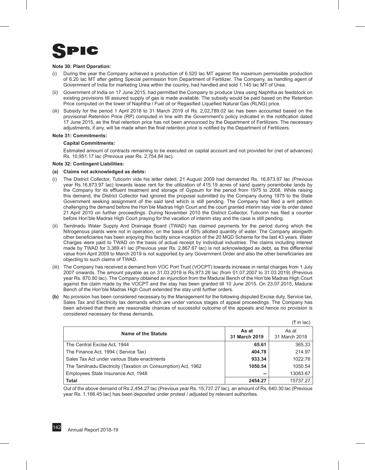

#### **Note 30: Plant Operation:**

- (i) During the year the Company achieved a production of 6.520 lac MT against the maximum permissible production of 6.20 lac MT after getting Special permission from Department of Fertilizer. The Company, as handling agent of Government of India for marketing Urea within the country, had handled and sold 1.145 lac MT of Urea.
- (ii) Government of India on 17 June 2015, had permitted the Company to produce Urea using Naphtha as feedstock on existing provisions till assured supply of gas is made available. The subsidy would be paid based on the Retention Price computed on the lower of Naphtha / Fuel oil or Regasified Liquefied Natural Gas (RLNG) price.
- (iii) Subsidy for the period 1 April 2018 to 31 March 2019 of Rs. 2,02,789.02 lac has been accounted based on the provisional Retention Price (RP) computed in line with the Government's policy indicated in the notification dated 17 June 2015, as the final retention price has not been announced by the Department of Fertilizers. The necessary adjustments, if any, will be made when the final retention price is notified by the Department of Fertilizers.

#### **Note 31: Commitments:**

#### **Capital Commitments:**

Estimated amount of contracts remaining to be executed on capital account and not provided for (net of advances) Rs. 10,951.17 lac (Previous year Rs. 2,754.84 lac).

#### **Note 32: Contingent Liabilities:**

#### **(a) Claims not acknowledged as debts:**

- (i) The District Collector, Tuticorin vide his letter dated, 21 August 2009 had demanded Rs. 16,873.97 lac (Previous year Rs.16,873.97 lac) towards lease rent for the utilization of 415.19 acres of sand quarry poramboke lands by the Company for its effluent treatment and storage of Gypsum for the period from 1975 to 2008. While raising this demand, the District Collector had ignored the proposal submitted by the Company during 1975 to the State Government seeking assignment of the said land which is still pending. The Company had filed a writ petition challenging the demand before the Hon'ble Madras High Court and the court granted interim stay vide its order dated 21 April 2010 on further proceedings. During November 2010 the District Collector, Tuticorin has filed a counter before Hon'ble Madras High Court praying for the vacation of interim stay and the case is still pending.
- (ii) Tamilnadu Water Supply And Drainage Board (TWAD) has claimed payments for the period during which the Nitrogenous plants were not in operation, on the basis of 50% allotted quantity of water. The Company alongwith other beneficiaries has been enjoying this facility since inception of the 20 MGD Scheme for the last 43 years. Water Charges were paid to TWAD on the basis of actual receipt by individual industries. The claims including interest made by TWAD for 3,389.41 lac (Previous year Rs. 2,867.67 lac) is not acknowledged as debt, as this differential value from April 2009 to March 2019 is not supported by any Government Order and also the other beneficiaries are objecting to such claims of TWAD.
- (iii) The Company has received a demand from VOC Port Trust (VOCPT) towards increase in rental charges from 1 July 2007 onwards. The amount payable as on 31.03.2019 is Rs.973.28 lac (from 01.07.2007 to 31.03.2019) (Previous year Rs. 870.80 lac). The Company obtained an injunction from the Madurai Bench of the Hon'ble Madras High Court against the claim made by the VOCPT and the stay has been granted till 10 June 2015. On 23.07.2015, Madurai Bench of the Hon'ble Madras High Court extended the stay until further orders.
- **(b)** No provision has been considered necessary by the Management for the following disputed Excise duty, Service tax, Sales Tax and Electricity tax demands which are under various stages of appeal proceedings. The Company has been advised that there are reasonable chances of successful outcome of the appeals and hence no provision is considered necessary for these demands.

|                                                               |                        | (K III lac)            |
|---------------------------------------------------------------|------------------------|------------------------|
| <b>Name of the Statute</b>                                    | As at<br>31 March 2019 | As at<br>31 March 2018 |
| The Central Excise Act, 1944                                  | 65.61                  | 365.33                 |
| The Finance Act, 1994 (Service Tax)                           | 404.78                 | 214.97                 |
| Sales Tax Act under various State enactments                  | 933.34                 | 1022.76                |
| The Tamilnadu Electricity (Taxation on Consumption) Act, 1962 | 1050.54                | 1050.54                |
| Employees State Insurance Act, 1948                           | --                     | 13083.67               |
| <b>Total</b>                                                  | 2454.27                | 15737.27               |

 $(\pm \infty)$ 

Out of the above demand of Rs.2,454.27 lac (Previous year Rs. 15,737.27 lac), an amount of Rs. 640.30 lac (Previous year Rs. 1,166.45 lac) has been deposited under protest / adjusted by relevant authorities.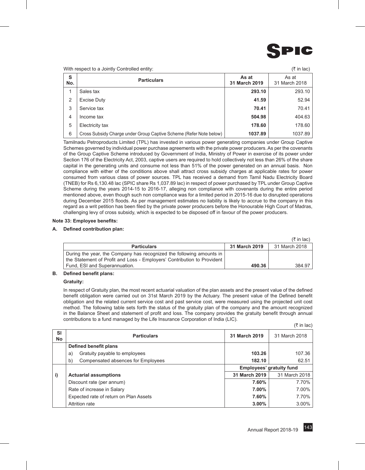

With respect to a Jointly Controlled entity:  $(\bar{\tau})$  in lac)

|                | THE PODD OUTLO & SOUTH SOUTHORS OF THE P.                          |                        | $\cdots$               |
|----------------|--------------------------------------------------------------------|------------------------|------------------------|
| S<br>No.       | <b>Particulars</b>                                                 | As at<br>31 March 2019 | As at<br>31 March 2018 |
|                | Sales tax                                                          | 293.10                 | 293.10                 |
| 2              | Excise Duty                                                        | 41.59                  | 52.94                  |
| 3              | Service tax                                                        | 70.41                  | 70.41                  |
| $\overline{4}$ | Income tax                                                         | 504.98                 | 404.63                 |
| 5              | Electricity tax                                                    | 178.60                 | 178.60                 |
| 6              | Cross Subsidy Charge under Group Captive Scheme (Refer Note below) | 1037.89                | 1037.89                |

Tamilnadu Petroproducts Limited (TPL) has invested in various power generating companies under Group Captive Schemes governed by individual power purchase agreements with the private power producers. As per the covenants of the Group Captive Scheme introduced by Government of India, Ministry of Power in exercise of its power under Section 176 of the Electricity Act, 2003, captive users are required to hold collectively not less than 26% of the share capital in the generating units and consume not less than 51% of the power generated on an annual basis. Non compliance with either of the conditions above shall attract cross subsidy charges at applicable rates for power consumed from various class of power sources. TPL has received a demand from Tamil Nadu Electricity Board (TNEB) for Rs 6,130.48 lac (SPIC share Rs 1,037.89 lac) in respect of power purchased by TPL under Group Captive Scheme during the years 2014-15 to 2016-17, alleging non compliance with covenants during the entire period mentioned above, even though such non compliance was for a limited period in 2015-16 due to disrupted operations during December 2015 floods. As per management estimates no liability is likely to accrue to the company in this regard as a writ petition has been filed by the private power producers before the Honourable High Court of Madras, challenging levy of cross subsidy, which is expected to be disposed off in favour of the power producers.

#### **Note 33: Employee benefits:**

#### **A. Defined contribution plan:**

|                                                                         |               | $(3\overline{5})$ in lac) |
|-------------------------------------------------------------------------|---------------|---------------------------|
| <b>Particulars</b>                                                      | 31 March 2019 | 31 March 2018             |
| During the year, the Company has recognized the following amounts in    |               |                           |
| the Statement of Profit and Loss - Employers' Contribution to Provident |               |                           |
| Fund, ESI and Superannuation.                                           | 490.36        | 384.97                    |

#### **B. Defined benefit plans:**

#### **Gratuity:**

In respect of Gratuity plan, the most recent actuarial valuation of the plan assets and the present value of the defined benefit obligation were carried out on 31st March 2019 by the Actuary. The present value of the Defined benefit obligation and the related current service cost and past service cost, were measured using the projected unit cost method. The following table sets forth the status of the gratuity plan of the company and the amount recognized in the Balance Sheet and statement of profit and loss. The company provides the gratuity benefit through annual contributions to a fund managed by the Life Insurance Corporation of India (LIC).

| <b>SI</b><br>No | <b>Particulars</b>                       | 31 March 2019 | 31 March 2018                   |
|-----------------|------------------------------------------|---------------|---------------------------------|
|                 | Defined benefit plans                    |               |                                 |
|                 | Gratuity payable to employees<br>a)      | 103.26        | 107.36                          |
|                 | Compensated absences for Employees<br>b) | 182.10        | 62.51                           |
|                 |                                          |               | <b>Employees' gratuity fund</b> |
| i)              | <b>Actuarial assumptions</b>             | 31 March 2019 | 31 March 2018                   |
|                 | Discount rate (per annum)                | 7.60%         | 7.70%                           |
|                 | Rate of increase in Salary               | 7.00%         | 7.00%                           |
|                 | Expected rate of return on Plan Assets   | 7.60%         | 7.70%                           |
|                 | <b>Attrition rate</b>                    | $3.00\%$      | $3.00\%$                        |

 $(\bar{\tau}$  in lac)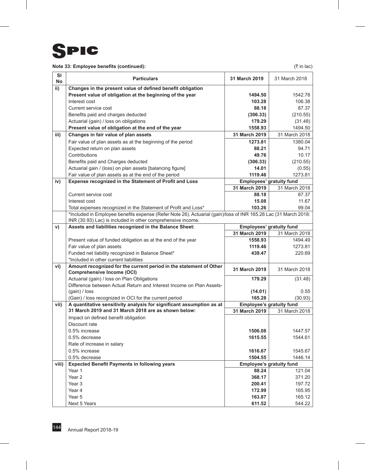

# **Note 33: Employee benefits (continued):**  $(3)$  and  $(3)$  and  $(4)$  and  $(5)$  in lac)

| SI<br>No | <b>Particulars</b>                                                                                                                                                                                                | 31 March 2019                                                                            | 31 March 2018                                                                                                                |
|----------|-------------------------------------------------------------------------------------------------------------------------------------------------------------------------------------------------------------------|------------------------------------------------------------------------------------------|------------------------------------------------------------------------------------------------------------------------------|
| ii)      | Changes in the present value of defined benefit obligation                                                                                                                                                        |                                                                                          |                                                                                                                              |
|          | Present value of obligation at the beginning of the year                                                                                                                                                          | 1494.50                                                                                  | 1542.78                                                                                                                      |
|          | Interest cost                                                                                                                                                                                                     | 103.28                                                                                   | 106.38                                                                                                                       |
|          | Current service cost                                                                                                                                                                                              | 88.18                                                                                    | 87.37                                                                                                                        |
|          | Benefits paid and charges deducted                                                                                                                                                                                | (306.33)                                                                                 | (210.55)                                                                                                                     |
|          | Actuarial (gain) / loss on obligations                                                                                                                                                                            | 179.29                                                                                   | (31.48)                                                                                                                      |
|          | Present value of obligation at the end of the year                                                                                                                                                                | 1558.93                                                                                  | 1494.50                                                                                                                      |
| iii)     | Changes in fair value of plan assets                                                                                                                                                                              | 31 March 2019                                                                            | 31 March 2018                                                                                                                |
|          | Fair value of plan assets as at the beginning of the period                                                                                                                                                       | 1273.81                                                                                  | 1380.04                                                                                                                      |
|          | Expected return on plan assets                                                                                                                                                                                    | 88.21                                                                                    | 94.71                                                                                                                        |
|          | Contributions                                                                                                                                                                                                     | 49.76                                                                                    | 10.17                                                                                                                        |
|          | Benefits paid and Charges deducted                                                                                                                                                                                | (306.33)                                                                                 | (210.55)                                                                                                                     |
|          | Actuarial gain / (loss) on plan assets [balancing figure]                                                                                                                                                         | 14.01                                                                                    | (0.55)                                                                                                                       |
|          | Fair value of plan assets as at the end of the period                                                                                                                                                             | 1119.46                                                                                  | 1273.81                                                                                                                      |
| iv)      | Expense recognized in the Statement of Profit and Loss                                                                                                                                                            |                                                                                          | Employees' gratuity fund                                                                                                     |
|          |                                                                                                                                                                                                                   | 31 March 2019                                                                            | 31 March 2018                                                                                                                |
|          | Current service cost                                                                                                                                                                                              | 88.18                                                                                    | 87.37                                                                                                                        |
|          | Interest cost                                                                                                                                                                                                     | 15.08                                                                                    | 11.67                                                                                                                        |
|          | Total expenses recognized in the Statement of Profit and Loss*                                                                                                                                                    | 103.26                                                                                   | 99.04                                                                                                                        |
|          | *Included in Employee benefits expense (Refer Note 26). Actuarial (gain)/loss of INR 165.28 Lac (31 March 2018:<br>INR (30.93) Lac) is included in other comprehensive income.                                    |                                                                                          |                                                                                                                              |
| V)       | Assets and liabilities recognized in the Balance Sheet:                                                                                                                                                           |                                                                                          | Employees' gratuity fund                                                                                                     |
|          |                                                                                                                                                                                                                   | 31 March 2019                                                                            | 31 March 2018                                                                                                                |
|          | Present value of funded obligation as at the end of the year                                                                                                                                                      | 1558.93                                                                                  | 1494.49                                                                                                                      |
|          | Fair value of plan assets                                                                                                                                                                                         | 1119.46                                                                                  | 1273.81                                                                                                                      |
|          | Funded net liability recognized in Balance Sheet*                                                                                                                                                                 | 439.47                                                                                   | 220.69                                                                                                                       |
|          | *Included in other current liabilities                                                                                                                                                                            |                                                                                          |                                                                                                                              |
| vi)      | Amount recognized for the current period in the statement of Other<br><b>Comprehensive Income (OCI)</b>                                                                                                           | 31 March 2019                                                                            | 31 March 2018                                                                                                                |
|          | Actuarial (gain) / loss on Plan Obligations                                                                                                                                                                       | 179.29                                                                                   | (31.48)                                                                                                                      |
|          | Difference between Actual Return and Interest Income on Plan Assets-                                                                                                                                              |                                                                                          |                                                                                                                              |
|          | (gain) / loss                                                                                                                                                                                                     | (14.01)                                                                                  | 0.55                                                                                                                         |
|          | (Gain) / loss recognized in OCI for the current period                                                                                                                                                            | 165.28                                                                                   | (30.93)                                                                                                                      |
| vii)     | A quantitative sensitivity analysis for significant assumption as at                                                                                                                                              |                                                                                          | Employee's gratuity fund                                                                                                     |
|          | 31 March 2019 and 31 March 2018 are as shown below:                                                                                                                                                               | 31 March 2019                                                                            | 31 March 2018                                                                                                                |
|          | Impact on defined benefit obligation                                                                                                                                                                              |                                                                                          |                                                                                                                              |
|          | Discount rate                                                                                                                                                                                                     |                                                                                          |                                                                                                                              |
|          | 0.5% increase                                                                                                                                                                                                     | 1506.08                                                                                  | 1447.57                                                                                                                      |
|          |                                                                                                                                                                                                                   |                                                                                          |                                                                                                                              |
|          |                                                                                                                                                                                                                   |                                                                                          |                                                                                                                              |
|          |                                                                                                                                                                                                                   |                                                                                          |                                                                                                                              |
|          |                                                                                                                                                                                                                   |                                                                                          |                                                                                                                              |
|          |                                                                                                                                                                                                                   |                                                                                          |                                                                                                                              |
|          |                                                                                                                                                                                                                   |                                                                                          |                                                                                                                              |
|          |                                                                                                                                                                                                                   |                                                                                          |                                                                                                                              |
|          |                                                                                                                                                                                                                   |                                                                                          |                                                                                                                              |
|          |                                                                                                                                                                                                                   |                                                                                          |                                                                                                                              |
|          |                                                                                                                                                                                                                   |                                                                                          |                                                                                                                              |
| viii)    | 0.5% decrease<br>Rate of increase in salary<br>0.5% increase<br>0.5% decrease<br><b>Expected Benefit Payments in following years</b><br>Year 1<br>Year 2<br>Year <sub>3</sub><br>Year 4<br>Year 5<br>Next 5 Years | 1615.55<br>1616.67<br>1504.55<br>88.24<br>368.17<br>200.41<br>172.99<br>163.87<br>611.52 | 1544.61<br>1545.67<br>1446.14<br><b>Employee's gratuity fund</b><br>121.04<br>371.20<br>197.72<br>165.95<br>165.12<br>544.22 |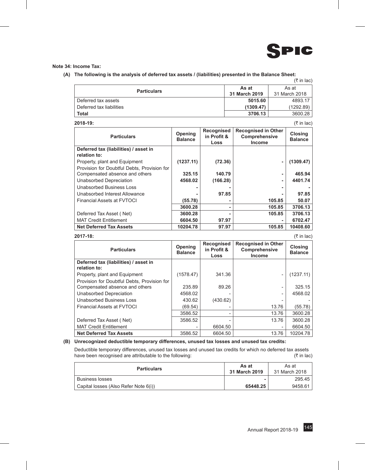

### **Note 34: Income Tax:**

**(A) The following is the analysis of deferred tax assets / (liabilities) presented in the Balance Sheet:**

|                          |               | (₹ in lac)    |
|--------------------------|---------------|---------------|
| <b>Particulars</b>       | As at         | As at         |
|                          | 31 March 2019 | 31 March 2018 |
| Deferred tax assets      | 5015.60       | 4893.17       |
| Deferred tax liabilities | (1309.47)     | (1292.89)     |
| <b>Total</b>             | 3706.13       | 3600.28       |

| <b>Particulars</b>                          | <b>Opening</b><br><b>Balance</b> | <b>Recognised</b><br>in Profit &<br>Loss | <b>Recognised in Other</b><br>Comprehensive<br><b>Income</b> | <b>Closing</b><br><b>Balance</b> |
|---------------------------------------------|----------------------------------|------------------------------------------|--------------------------------------------------------------|----------------------------------|
| Deferred tax (liabilities) / asset in       |                                  |                                          |                                                              |                                  |
| relation to:                                |                                  |                                          |                                                              |                                  |
| Property, plant and Equipment               | (1237.11)                        | (72.36)                                  |                                                              | (1309.47)                        |
| Provision for Doubtful Debts, Provision for |                                  |                                          |                                                              |                                  |
| Compensated absence and others              | 325.15                           | 140.79                                   | ٠                                                            | 465.94                           |
| Unabsorbed Depreciation                     | 4568.02                          | (166.28)                                 | ٠                                                            | 4401.74                          |
| Unabsorbed Business Loss                    |                                  |                                          | ۰                                                            |                                  |
| Unabsorbed Interest Allowance               |                                  | 97.85                                    |                                                              | 97.85                            |
| <b>Financial Assets at FVTOCI</b>           | (55.78)                          |                                          | 105.85                                                       | 50.07                            |
|                                             | 3600.28                          | ۰                                        | 105.85                                                       | 3706.13                          |
| Deferred Tax Asset (Net)                    | 3600.28                          |                                          | 105.85                                                       | 3706.13                          |
| <b>MAT Credit Entitlement</b>               | 6604.50                          | 97.97                                    |                                                              | 6702.47                          |
| <b>Net Deferred Tax Assets</b>              | 10204.78                         | 97.97                                    | 105.85                                                       | 10408.60                         |

### **2017-18:** (` in lac)

| <b>Particulars</b>                                    | Opening<br><b>Balance</b> | Recognised<br>in Profit &<br>Loss | <b>Recognised in Other</b><br>Comprehensive<br><b>Income</b> | Closing<br><b>Balance</b> |
|-------------------------------------------------------|---------------------------|-----------------------------------|--------------------------------------------------------------|---------------------------|
| Deferred tax (liabilities) / asset in<br>relation to: |                           |                                   |                                                              |                           |
| Property, plant and Equipment                         | (1578.47)                 | 341.36                            |                                                              | (1237.11)                 |
| Provision for Doubtful Debts. Provision for           |                           |                                   |                                                              |                           |
| Compensated absence and others                        | 235.89                    | 89.26                             |                                                              | 325.15                    |
| Unabsorbed Depreciation                               | 4568.02                   |                                   |                                                              | 4568.02                   |
| <b>Unabsorbed Business Loss</b>                       | 430.62                    | (430.62)                          |                                                              |                           |
| Financial Assets at FVTOCI                            | (69.54)                   |                                   | 13.76                                                        | (55.78)                   |
|                                                       | 3586.52                   |                                   | 13.76                                                        | 3600.28                   |
| Deferred Tax Asset (Net)                              | 3586.52                   |                                   | 13.76                                                        | 3600.28                   |
| <b>MAT Credit Entitlement</b>                         |                           | 6604.50                           |                                                              | 6604.50                   |
| <b>Net Deferred Tax Assets</b>                        | 3586.52                   | 6604.50                           | 13.76                                                        | 10204.78                  |

### **(B) Unrecognized deductible temporary differences, unused tax losses and unused tax credits:**

Deductible temporary differences, unused tax losses and unused tax credits for which no deferred tax assets have been recognised are attributable to the following:

| <b>Particulars</b>                    | As at<br>31 March 2019 | As at<br>31 March 2018 |
|---------------------------------------|------------------------|------------------------|
| <b>Business losses</b>                |                        | 295.45                 |
| Capital losses (Also Refer Note 6(i)) | 65448.25               | 9458.61                |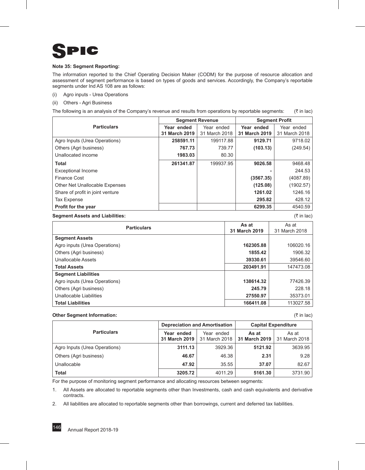

#### **Note 35: Segment Reporting:**

The information reported to the Chief Operating Decision Maker (CODM) for the purpose of resource allocation and assessment of segment performance is based on types of goods and services. Accordingly, the Company's reportable segments under Ind AS 108 are as follows:

- (i) Agro inputs Urea Operations
- (ii) Others Agri Business

The following is an analysis of the Company's revenue and results from operations by reportable segments:  $(\bar{z}$  in lac)

|                                  | <b>Segment Revenue</b>      |                             | <b>Segment Profit</b>       |                             |  |
|----------------------------------|-----------------------------|-----------------------------|-----------------------------|-----------------------------|--|
| <b>Particulars</b>               | Year ended<br>31 March 2019 | Year ended<br>31 March 2018 | Year ended<br>31 March 2019 | Year ended<br>31 March 2018 |  |
| Agro Inputs (Urea Operations)    | 258591.11                   | 199117.88                   | 9129.71                     | 9718.02                     |  |
| Others (Agri business)           | 767.73                      | 739.77                      | (103.13)                    | (249.54)                    |  |
| Unallocated income               | 1983.03                     | 80.30                       |                             |                             |  |
| <b>Total</b>                     | 261341.87                   | 199937.95                   | 9026.58                     | 9468.48                     |  |
| <b>Exceptional Income</b>        |                             |                             |                             | 244.53                      |  |
| Finance Cost                     |                             |                             | (3567.35)                   | (4087.89)                   |  |
| Other Net Unallocable Expenses   |                             |                             | (125.08)                    | (1902.57)                   |  |
| Share of profit in joint venture |                             |                             | 1261.02                     | 1246.16                     |  |
| Tax Expense                      |                             |                             | 295.82                      | 428.12                      |  |
| Profit for the year              |                             |                             | 6299.35                     | 4540.59                     |  |

#### **Segment Assets and Liabilities:** (` in lac)

| <b>Particulars</b>            | As at<br>31 March 2019 | As at<br>31 March 2018 |
|-------------------------------|------------------------|------------------------|
| <b>Segment Assets</b>         |                        |                        |
| Agro inputs (Urea Operations) | 162305.88              | 106020.16              |
| Others (Agri business)        | 1855.42                | 1906.32                |
| <b>Unallocable Assets</b>     | 39330.61               | 39546.60               |
| <b>Total Assets</b>           | 203491.91              | 147473.08              |
| <b>Segment Liabilities</b>    |                        |                        |
| Agro inputs (Urea Operations) | 138614.32              | 77426.39               |
| Others (Agri business)        | 245.79                 | 228.18                 |
| Unallocable Liabilities       | 27550.97               | 35373.01               |
| <b>Total Liabilities</b>      | 166411.08              | 113027.58              |

#### **Other Segment Information:** (` in lac)

|                               | <b>Depreciation and Amortisation</b> |                             | <b>Capital Expenditure</b> |                        |
|-------------------------------|--------------------------------------|-----------------------------|----------------------------|------------------------|
| <b>Particulars</b>            | Year ended<br>31 March 2019          | Year ended<br>31 March 2018 | As at<br>31 March 2019     | As at<br>31 March 2018 |
| Agro Inputs (Urea Operations) | 3111.13                              | 3929.36                     | 5121.92                    | 3639.95                |
| Others (Agri business)        | 46.67                                | 46.38                       | 2.31                       | 9.28                   |
| Unallocable                   | 47.92                                | 35.55                       | 37.07                      | 82.67                  |
| <b>Total</b>                  | 3205.72                              | 4011.29                     | 5161.30                    | 3731.90                |

For the purpose of monitoring segment performance and allocating resources between segments:

1. All Assets are allocated to reportable segments other than Investments, cash and cash equivalents and derivative contracts.

2. All liabilities are allocated to reportable segments other than borrowings, current and deferred tax liabilities.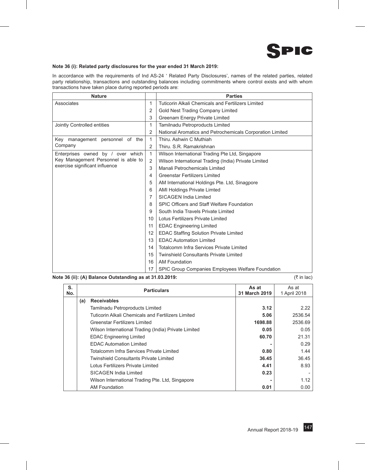

#### **Note 36 (i): Related party disclosures for the year ended 31 March 2019:**

In accordance with the requirements of Ind AS-24 ' Related Party Disclosures', names of the related parties, related party relationship, transactions and outstanding balances including commitments where control exists and with whom transactions have taken place during reported periods are:

| <b>Nature</b>                       |                | <b>Parties</b>                                            |
|-------------------------------------|----------------|-----------------------------------------------------------|
| Associates                          | $\mathbf{1}$   | Tuticorin Alkali Chemicals and Fertilizers Limited        |
|                                     | $\overline{2}$ | Gold Nest Trading Company Limited                         |
|                                     | 3              | Greenam Energy Private Limited                            |
| Jointly Controlled entities         | 1              | Tamilnadu Petroproducts Limited                           |
|                                     | $\overline{2}$ | National Aromatics and Petrochemicals Corporation Limited |
| Key management personnel of the     | 1              | Thiru, Ashwin C Muthiah                                   |
| Company                             | 2              | Thiru, S.R. Ramakrishnan                                  |
| Enterprises owned by / over which   | $\mathbf{1}$   | Wilson International Trading Pte Ltd, Singapore           |
| Key Management Personnel is able to | $\overline{2}$ | Wilson International Trading (India) Private Limited      |
| exercise significant influence      | 3              | Manali Petrochemicals Limited                             |
|                                     | $\overline{4}$ | <b>Greenstar Fertilizers Limited</b>                      |
|                                     | 5              | AM International Holdings Pte. Ltd, Sinagpore             |
|                                     | 6              | <b>AMI Holdings Private Limted</b>                        |
|                                     | 7              | SICAGEN India Limited                                     |
|                                     | 8              | SPIC Officers and Staff Welfare Foundation                |
|                                     | 9              | South India Travels Private Limited                       |
|                                     | 10             | Lotus Fertilizers Private Limited                         |
|                                     | 11             | <b>EDAC Engineering Limited</b>                           |
|                                     | 12             | <b>EDAC Staffing Solution Private Limited</b>             |
|                                     | 13             | <b>FDAC Automation Limited</b>                            |
|                                     | 14             | Totalcomm Infra Services Private Limited                  |
|                                     | 15             | <b>Twinshield Consultants Private Limited</b>             |
|                                     | 16             | AM Foundation                                             |
|                                     | 17             | SPIC Group Companies Employees Welfare Foundation         |

#### **Note 36 (ii): (A) Balance Outstanding as at 31.03.2019:** ( $\bar{x}$  in lac)  $(\bar{x}$  in lac)

| S.<br>No. |     | <b>Particulars</b>                                   | As at<br>31 March 2019 | As at<br>1 April 2018 |
|-----------|-----|------------------------------------------------------|------------------------|-----------------------|
|           | (a) | <b>Receivables</b>                                   |                        |                       |
|           |     | Tamilnadu Petroproducts Limited                      | 3.12                   | 2.22                  |
|           |     | Tuticorin Alkali Chemicals and Fertilizers Limited   | 5.06                   | 2536.54               |
|           |     | Greenstar Fertilizers Limited                        | 1698.88                | 2536.69               |
|           |     | Wilson International Trading (India) Private Limited | 0.05                   | 0.05                  |
|           |     | <b>EDAC Engineering Limited</b>                      | 60.70                  | 21.31                 |
|           |     | <b>EDAC Automation Limited</b>                       |                        | 0.29                  |
|           |     | Totalcomm Infra Services Private Limited             | 0.80                   | 1.44                  |
|           |     | Twinshield Consultants Private Limited               | 36.45                  | 36.45                 |
|           |     | Lotus Fertilizers Private Limited                    | 4.41                   | 8.93                  |
|           |     | SICAGEN India Limited                                | 0.23                   |                       |
|           |     | Wilson International Trading Pte. Ltd, Singapore     |                        | 1.12                  |
|           |     | <b>AM Foundation</b>                                 | 0.01                   | 0.00                  |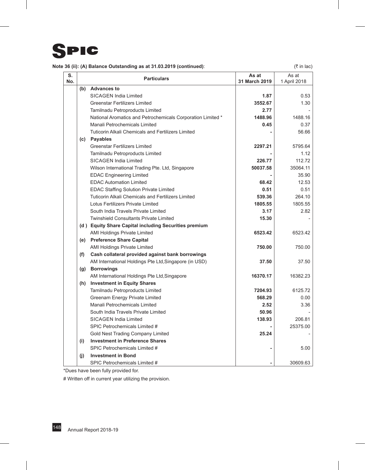# SPIC

| Note 36 (ii): (A) Balance Outstanding as at 31.03.2019 (continued): | (₹ in lac) |
|---------------------------------------------------------------------|------------|
|---------------------------------------------------------------------|------------|

| S.<br>No. |     | <b>Particulars</b>                                          | As at<br>31 March 2019 | As at<br>1 April 2018 |
|-----------|-----|-------------------------------------------------------------|------------------------|-----------------------|
|           |     | (b) Advances to                                             |                        |                       |
|           |     | <b>SICAGEN India Limited</b>                                | 1.87                   | 0.53                  |
|           |     | <b>Greenstar Fertilizers Limited</b>                        | 3552.67                | 1.30                  |
|           |     | Tamilnadu Petroproducts Limited                             | 2.77                   |                       |
|           |     | National Aromatics and Petrochemicals Corporation Limited * | 1488.96                | 1488.16               |
|           |     | Manali Petrochemicals Limited                               | 0.45                   | 0.37                  |
|           |     | <b>Tuticorin Alkali Chemicals and Fertilizers Limited</b>   |                        | 56.66                 |
|           |     | (c) Payables                                                |                        |                       |
|           |     | <b>Greenstar Fertilizers Limited</b>                        | 2297.21                | 5795.64               |
|           |     | Tamilnadu Petroproducts Limited                             |                        | 1.12                  |
|           |     | <b>SICAGEN India Limited</b>                                | 226.77                 | 112.72                |
|           |     | Wilson International Trading Pte. Ltd, Singapore            | 50037.58               | 35064.11              |
|           |     | <b>EDAC Engineering Limited</b>                             |                        | 35.90                 |
|           |     | <b>EDAC Automation Limited</b>                              | 68.42                  | 12.53                 |
|           |     | <b>EDAC Staffing Solution Private Limited</b>               | 0.51                   | 0.51                  |
|           |     | <b>Tuticorin Alkali Chemicals and Fertilizers Limited</b>   | 539.36                 | 264.10                |
|           |     | Lotus Fertilizers Private Limited                           | 1805.55                | 1805.55               |
|           |     | South India Travels Private Limited                         | 3.17                   | 2.82                  |
|           |     | <b>Twinshield Consultants Private Limited</b>               | 15.30                  |                       |
|           |     | (d) Equity Share Capital including Securities premium       |                        |                       |
|           |     | <b>AMI Holdings Private Limited</b>                         | 6523.42                | 6523.42               |
|           |     | (e) Preference Share Capital                                |                        |                       |
|           |     | <b>AMI Holdings Private Limited</b>                         | 750.00                 | 750.00                |
|           | (f) | Cash collateral provided against bank borrowings            |                        |                       |
|           |     | AM International Holdings Pte Ltd, Singapore (in USD)       | 37.50                  | 37.50                 |
|           |     | (g) Borrowings                                              |                        |                       |
|           |     | AM International Holdings Pte Ltd, Singapore                | 16370.17               | 16382.23              |
|           |     | (h) Investment in Equity Shares                             |                        |                       |
|           |     | Tamilnadu Petroproducts Limited                             | 7204.93                | 6125.72               |
|           |     | Greenam Energy Private Limited                              | 568.29                 | 0.00                  |
|           |     | Manali Petrochemicals Limited                               | 2.52                   | 3.36                  |
|           |     | South India Travels Private Limited                         | 50.96                  |                       |
|           |     | <b>SICAGEN India Limited</b>                                | 138.93                 | 206.81                |
|           |     | SPIC Petrochemicals Limited #                               |                        | 25375.00              |
|           |     | Gold Nest Trading Company Limited                           | 25.24                  |                       |
|           | (i) | <b>Investment in Preference Shares</b>                      |                        |                       |
|           |     | SPIC Petrochemicals Limited #                               |                        | 5.00                  |
|           | (i) | <b>Investment in Bond</b>                                   |                        |                       |
|           |     | SPIC Petrochemicals Limited #                               |                        | 30609.63              |

\*Dues have been fully provided for.

# Written off in current year utilizing the provision.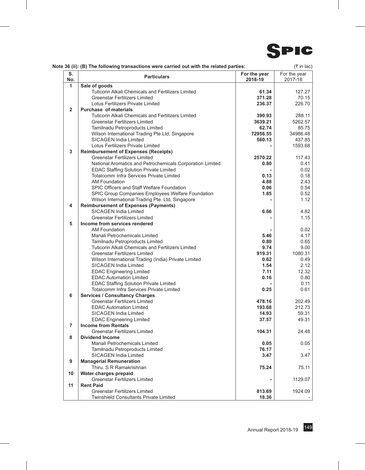

|  | Note 36 (ii): (B) The following transactions were carried out with the related parties: | (₹ in lac) |
|--|-----------------------------------------------------------------------------------------|------------|
|--|-----------------------------------------------------------------------------------------|------------|

| S.<br>No.      | <b>Particulars</b>                                        | For the year<br>2018-19 | For the year<br>2017-18 |
|----------------|-----------------------------------------------------------|-------------------------|-------------------------|
| 1              | Sale of goods                                             |                         |                         |
|                | Tuticorin Alkali Chemicals and Fertilizers Limited        | 61.34                   | 127.27                  |
|                | <b>Greenstar Fertilizers Limited</b>                      | 371.28                  | 70.15                   |
|                | Lotus Fertilizers Private Limited                         | 236.37                  | 226.70                  |
| $\overline{2}$ | <b>Purchase of materials</b>                              |                         |                         |
|                | <b>Tuticorin Alkali Chemicals and Fertilizers Limited</b> | 390.93                  | 288.11                  |
|                | <b>Greenstar Fertilizers Limited</b>                      | 3639.21                 | 5262.57                 |
|                | Tamilnadu Petroproducts Limited                           | 62.74                   | 85.75                   |
|                | Wilson International Trading Pte Ltd, Singapore           | 72956.55                | 34986.48                |
|                | <b>SICAGEN India Limited</b>                              | 560.13                  | 437.85                  |
|                | Lotus Fertilizers Private Limited                         |                         | 1593.68                 |
| 3              | <b>Reimbursement of Expenses (Receipts)</b>               |                         |                         |
|                | <b>Greenstar Fertilizers Limited</b>                      | 2570.22                 | 117.43                  |
|                | National Aromatics and Petrochemicals Corporation Limited | 0.80                    | 0.41                    |
|                | <b>EDAC Staffing Solution Private Limited</b>             |                         | 0.02                    |
|                | Totalcomm Infra Services Private Limited                  | 0.13                    | 0.18                    |
|                | AM Foundation                                             | 4.88                    | 2.43                    |
|                | SPIC Officers and Staff Welfare Foundation                | 0.06                    | 0.54                    |
|                | SPIC Group Companies Employees Welfare Foundation         | 1.85                    | 0.52                    |
|                | Wilson International Trading Pte. Ltd, Singapore          |                         | 1.12                    |
| 4              | <b>Reimbursement of Expenses (Payments)</b>               |                         |                         |
|                | <b>SICAGEN India Limited</b>                              | 6.66                    | 4.82                    |
|                | <b>Greenstar Fertilizers Limited</b>                      |                         | 1.15                    |
| 5              | Income from services rendered                             |                         |                         |
|                | <b>AM Foundation</b>                                      |                         | 0.02                    |
|                | Manali Petrochemicals Limited                             | 5.46                    | 4.17                    |
|                | Tamilnadu Petroproducts Limited                           | 0.80                    | 0.65                    |
|                | <b>Tuticorin Alkali Chemicals and Fertilizers Limited</b> | 9.74                    | 9.00                    |
|                | <b>Greenstar Fertilizers Limited</b>                      | 919.31                  | 1080.31                 |
|                | Wilson International Trading (India) Private Limited      | 0.62                    | 0.49                    |
|                | <b>SICAGEN India Limited</b>                              | 1.54                    | 2.12                    |
|                | <b>EDAC Engineering Limited</b>                           | 7.11                    | 12.32                   |
|                | <b>EDAC Automation Limited</b>                            | 0.16                    | 0.80                    |
|                | <b>EDAC Staffing Solution Private Limited</b>             |                         | 0.11                    |
|                | Totalcomm Infra Services Private Limited                  | 0.25                    | 0.61                    |
| 6              | <b>Services / Consultancy Charges</b>                     |                         |                         |
|                | <b>Greenstar Fertilizers Limited</b>                      | 478.16                  | 202.49                  |
|                | <b>EDAC Automation Limited</b>                            | 193.68                  | 212.73                  |
|                | <b>SICAGEN India Limited</b>                              | 14.93                   | 59.31                   |
|                | <b>EDAC Engineering Limited</b>                           | 37.57                   | 49.31                   |
| $\overline{7}$ | <b>Income from Rentals</b>                                |                         |                         |
|                | Greenstar Fertilizers Limited                             | 104.31                  | 24.48                   |
| 8              |                                                           |                         |                         |
|                | <b>Dividend Income</b>                                    |                         |                         |
|                | Manali Petrochemicals Limited                             | 0.05                    | 0.05                    |
|                | Tamilnadu Petroproducts Limited                           | 76.17                   | 3.47                    |
|                | SICAGEN India Limited                                     | 3.47                    |                         |
| 9              | <b>Managerial Remuneration</b>                            |                         |                         |
|                | Thiru. S R Ramakrishnan                                   | 75.24                   | 75.11                   |
| 10             | Water charges prepaid                                     |                         |                         |
|                | <b>Greenstar Fertilizers Limited</b>                      |                         | 1129.07                 |
| 11             | <b>Rent Paid</b>                                          |                         |                         |
|                | <b>Greenstar Fertilizers Limited</b>                      | 813.69                  | 1924.09                 |
|                | <b>Twinshield Consultants Private Limited</b>             | 18.36                   |                         |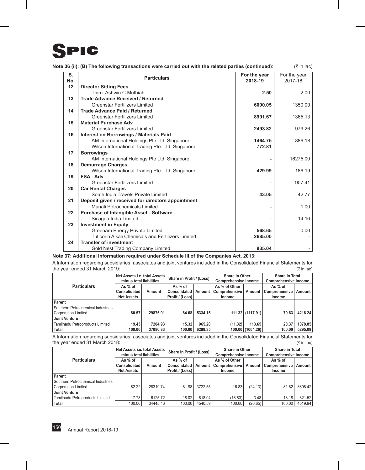

| S.<br>No. | <b>Particulars</b>                                 | For the year<br>2018-19 | For the year<br>2017-18 |
|-----------|----------------------------------------------------|-------------------------|-------------------------|
| 12        | <b>Director Sitting Fees</b>                       |                         |                         |
|           | Thiru, Ashwin C Muthiah                            | 2.50                    | 2.00                    |
| 13        | <b>Trade Advance Received / Returned</b>           |                         |                         |
|           | <b>Greenstar Fertilizers Limited</b>               | 6090.05                 | 1350.00                 |
| 14        | <b>Trade Advance Paid / Returned</b>               |                         |                         |
|           | <b>Greenstar Fertilizers Limited</b>               | 8991.67                 | 1365.13                 |
| 15        | <b>Material Purchase Adv</b>                       |                         |                         |
|           | <b>Greenstar Fertilizers Limited</b>               | 2493.82                 | 979.26                  |
| 16        | <b>Interest on Borrowings / Materials Paid</b>     |                         |                         |
|           | AM International Holdings Pte Ltd, Singapore       | 1464.75                 | 886.18                  |
|           | Wilson International Trading Pte. Ltd, Singapore   | 772.81                  |                         |
| 17        | <b>Borrowings</b>                                  |                         |                         |
|           | AM International Holdings Pte Ltd, Singapore       |                         | 16275.00                |
| 18        | <b>Demurrage Charges</b>                           |                         |                         |
|           | Wilson International Trading Pte. Ltd, Singapore   | 429.99                  | 186.19                  |
| 19        | <b>FSA-Adv</b>                                     |                         |                         |
|           | <b>Greenstar Fertilizers Limited</b>               |                         | 907.41                  |
| 20        | <b>Car Rental Charges</b>                          |                         |                         |
|           | South India Travels Private Limited                | 43.05                   | 42.77                   |
| 21        | Deposit given / received for directors appointment |                         |                         |
|           | Manali Petrochemicals Limited                      |                         | 1.00                    |
| 22        | <b>Purchase of Intangible Asset - Software</b>     |                         |                         |
|           | Sicagen India Limited                              |                         | 14.16                   |
| 23        | <b>Investment in Equity</b>                        |                         |                         |
|           | <b>Greenam Energy Private Limited</b>              | 568.65                  | 0.00                    |
|           | Tuticorin Alkali Chemicals and Fertilizers Limited | 2685.00                 |                         |
| 24        | <b>Transfer of investment</b>                      |                         |                         |
|           | Gold Nest Trading Company Limited                  | 835.04                  |                         |

**Note 36 (ii): (B) The following transactions were carried out with the related parties (continued)**: (` in lac)

## **Note 37: Additional information required under Schedule III of the Companies Act, 2013:**

A Information regarding subsidiaries, associates and joint ventures included in the Consolidated Financial Statements for the year ended 31 March 2019: ( $\overline{\phantom{a}}$  in lac)

|                                   | Net Assets i.e. total Assets<br>minus total liabilities |          | Share in Profit / (Loss) |         | <b>Share in Other</b><br><b>Comprehensive Income</b> |                         | <b>Share in Total</b><br><b>Comprehensive Income</b> |         |
|-----------------------------------|---------------------------------------------------------|----------|--------------------------|---------|------------------------------------------------------|-------------------------|------------------------------------------------------|---------|
| <b>Particulars</b>                | As % of                                                 |          | As % of                  |         | As % of Other                                        |                         | As % of                                              |         |
|                                   | <b>Consolidated</b><br>Amount<br><b>Net Assets</b>      |          | Consolidated             | Amount  |                                                      | Comprehensive<br>Amount |                                                      | Amount  |
|                                   |                                                         |          | Profit / (Loss)          |         | Income                                               |                         | Income                                               |         |
| Parent                            |                                                         |          |                          |         |                                                      |                         |                                                      |         |
| Southern Petrochemical Industries |                                                         |          |                          |         |                                                      |                         |                                                      |         |
| <b>Corporation Limited</b>        | 80.57                                                   | 29875.91 | 84.68                    | 5334.15 |                                                      | 111.32 (1117.91)        | 79.63                                                | 4216.24 |
| <b>Joint Venture</b>              |                                                         |          |                          |         |                                                      |                         |                                                      |         |
| Tamilnadu Petroproducts Limited   | 19.43                                                   | 7204.93  | 15.32                    | 965.20  | (11.32)                                              | 113.65                  | 20.37                                                | 1078.85 |
| Total                             | 100.00                                                  | 37080.83 | 100.00                   | 6299.35 |                                                      | 100.00 (1004.26)        | 100.00                                               | 5295.09 |

A Information regarding subsidiaries, associates and joint ventures included in the Consolidated Financial Statements for the year ended 31 March 2018:  $(3)$  March 2018:  $(3)$  March 2018:  $(5)$  in lac)

|                                                          | Net Assets i.e. total Assets<br>minus total liabilities |          | Share in Profit / (Loss) |         | <b>Share in Other</b><br><b>Comprehensive Income</b> |         | <b>Share in Total</b><br><b>Comprehensive Income</b> |         |
|----------------------------------------------------------|---------------------------------------------------------|----------|--------------------------|---------|------------------------------------------------------|---------|------------------------------------------------------|---------|
| <b>Particulars</b>                                       | As % of<br>Consolidated                                 | Amount   | As % of<br>Consolidated  | Amount  | As % of Other<br>Comprehensive                       | Amount  | As % of<br>Comprehensive                             | Amount  |
|                                                          | <b>Net Assets</b>                                       |          | Profit / (Loss)          |         | Income                                               |         | Income                                               |         |
| Parent                                                   |                                                         |          |                          |         |                                                      |         |                                                      |         |
| Southern Petrochemical Industries<br>Corporation Limited | 82.22                                                   | 28319.74 | 81.98                    | 3722.55 | 116.83                                               | (24.13) | 81.82                                                | 3698.42 |
| Joint Venture                                            |                                                         |          |                          |         |                                                      |         |                                                      |         |
| Tamilnadu Petroproducts Limited                          | 17.78                                                   | 6125.72  | 18.02                    | 818.04  | (16.83)                                              | 3.48    | 18.18                                                | 821.52  |
| Total                                                    | 100.00                                                  | 34445.46 | 100.00                   | 4540.59 | 100.00                                               | (20.65) | 100.00                                               | 4519.94 |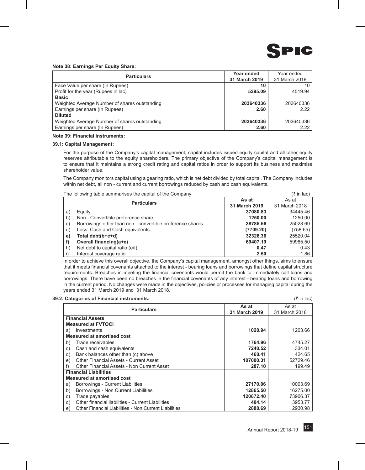

#### **Note 38: Earnings Per Equity Share:**

| <b>Particulars</b>                            | Year ended    | Year ended    |
|-----------------------------------------------|---------------|---------------|
|                                               | 31 March 2019 | 31 March 2018 |
| Face Value per share (In Rupees)              | 10            | 10            |
| Profit for the year (Rupees in lac)           | 5295.09       | 4519.94       |
| <b>Basic</b>                                  |               |               |
| Weighted Average Number of shares outstanding | 203640336     | 203640336     |
| Earnings per share (In Rupees)                | 2.60          | 2.22          |
| <b>Diluted</b>                                |               |               |
| Weighted Average Number of shares outstanding | 203640336     | 203640336     |
| Earnings per share (In Rupees)                | 2.60          | 2.22          |

#### **Note 39: Financial Instruments:**

#### **39.1: Capital Management:**

For the purpose of the Company's capital management, capital includes issued equity capital and all other equity reserves attributable to the equity shareholders. The primary objective of the Company's capital management is to ensure that it maintains a strong credit rating and capital ratios in order to support its business and maximise shareholder value.

The Company monitors capital using a gearing ratio, which is net debt divided by total capital. The Company includes within net debt, all non - current and current borrowings reduced by cash and cash equivalents.

The following table summarises the capital of the Company:  $(\bar{z} \text{ in } |a c)$ 

|    | THE TUILUMING LADIE SUMMING ISES THE CAPITAL OF THE COMPANY. |               |               |
|----|--------------------------------------------------------------|---------------|---------------|
|    | <b>Particulars</b>                                           | As at         | As at         |
|    |                                                              | 31 March 2019 | 31 March 2018 |
| a) | Equity                                                       | 37080.83      | 34445.46      |
| b) | Non - Convertible preference share                           | 1250.00       | 1250.00       |
| C) | Borrowings other than non - convertible preference shares    | 38785.56      | 25028.69      |
| d) | Less: Cash and Cash equivalents                              | (7709.20)     | (758.65)      |
| e) | Total debt(b+c+d)                                            | 32326.36      | 25520.04      |
| f) | Overall financing(a+e)                                       | 69407.19      | 59965.50      |
| h) | Net debt to capital ratio (e/f)                              | 0.47          | 0.43          |
|    | Interest coverage ratio                                      | 2.50          | 1.86          |

In order to achieve this overall objective, the Company's capital management, amongst other things, aims to ensure that it meets financial covenants attached to the interest - bearing loans and borrowings that define capital structure requirements. Breaches in meeting the financial covenants would permit the bank to immediately call loans and borrowings. There have been no breaches in the financial covenants of any interest - bearing loans and borrowing in the current period. No changes were made in the objectives, policies or processes for managing capital during the years ended 31 March 2019 and 31 March 2018.

#### **39.2: Categories of Financial instruments:** (` in lac)

**Particulars As at 31 March 2019** As at 31 March 2018 **Financial Assets Measured at FVTOCI** a) Investments **1028.94** 1203.66 **Measured at amortised cost** b) Trade receivables **1764.96** 4745.27 c) Cash and cash equivalents **7240.52** 334.01 d) Bank balances other than (c) above **468.41 424.65 468.41 424.65** e) Other Financial Assets - Current Asset **107000.31 107000.31** 52729.46<br>199.49 **107000.31 107000.31** 52729.46 f) Other Financial Assets - Non Current Asset **Financial Liabilities Measured at amortised cost** a) Borrowings - Current Liabilities **27170.06** 10003.69 b) Borrowings - Non Current Liabilities **12865.50** 16275.00 c) Trade payables **120872.40 120872.40 120872.40 73906.37**<br>d) Other financial liabilities - Current Liabilities **1208114 120872.40 404.14 13953.77** d) Other financial liabilities - Current Liabilities **404.14** 3953.77<br>
e) Other Financial Liabilities - Non Current Liabilities **1998 1898 1898 1898 1899 189**80.98 e) Other Financial Liabilities - Non Current Liabilities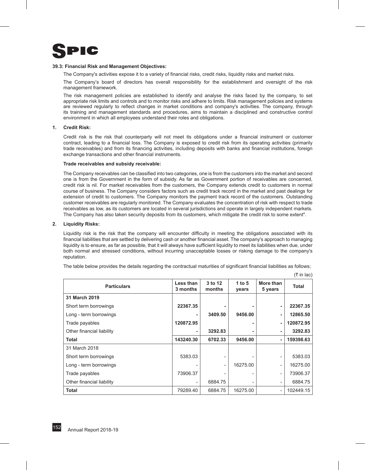

#### **39.3: Financial Risk and Management Objectives:**

The Company's activities expose it to a variety of financial risks, credit risks, liquidity risks and market risks.

The Company's board of directors has overall responsibility for the establishment and oversight of the risk management framework.

The risk management policies are established to identify and analyse the risks faced by the company, to set appropriate risk limits and controls and to monitor risks and adhere to limits. Risk management policies and systems are reviewed regularly to reflect changes in market conditions and company's activities. The company, through its training and management standards and procedures, aims to maintain a disciplined and constructive control environment in which all employees understand their roles and obligations.

#### **1. Credit Risk:**

Credit risk is the risk that counterparty will not meet its obligations under a financial instrument or customer contract, leading to a financial loss. The Company is exposed to credit risk from its operating activities (primarily trade receivables) and from its financing activities, including deposits with banks and financial institutions, foreign exchange transactions and other financial instruments.

#### **Trade receivables and subsidy receivable:**

The Company receivables can be classified into two categories, one is from the customers into the market and second one is from the Government in the form of subsidy. As far as Government portion of receivables are concerned, credit risk is nil. For market receivables from the customers, the Company extends credit to customers in normal course of business. The Company considers factors such as credit track record in the market and past dealings for extension of credit to customers. The Company monitors the payment track record of the customers. Outstanding customer receivables are regularly monitored. The Company evaluates the concentration of risk with respect to trade receivables as low, as its customers are located in several jurisdictions and operate in largely independent markets. The Company has also taken security deposits from its customers, which mitigate the credit risk to some extent".

#### **2. Liquidity Risks:**

Liquidity risk is the risk that the company will encounter difficulty in meeting the obligations associated with its financial liabilities that are settled by delivering cash or another financial asset. The company's approach to managing liquidity is to ensure, as far as possible, that it will always have sufficient liquidity to meet its liabilities when due, under both normal and stressed conditions, without incurring unacceptable losses or risking damage to the company's reputation.

The table below provides the details regarding the contractual maturities of significant financial liabilities as follows;

 $(\bar{\tau}$  in lac)

| <b>Particulars</b>        | Less than<br>3 months | 3 to 12<br>months        | 1 to $5$<br>years | More than<br>5 years     | <b>Total</b> |
|---------------------------|-----------------------|--------------------------|-------------------|--------------------------|--------------|
| 31 March 2019             |                       |                          |                   |                          |              |
| Short term borrowings     | 22367.35              |                          |                   | ۰                        | 22367.35     |
| Long - term borrowings    |                       | 3409.50                  | 9456.00           | ۰                        | 12865.50     |
| Trade payables            | 120872.95             |                          |                   | ٠                        | 120872.95    |
| Other financial liability |                       | 3292.83                  |                   |                          | 3292.83      |
| Total                     | 143240.30             | 6702.33                  | 9456.00           | ٠                        | 159398.63    |
| 31 March 2018             |                       |                          |                   |                          |              |
| Short term borrowings     | 5383.03               | $\overline{\phantom{a}}$ |                   |                          | 5383.03      |
| Long - term borrowings    |                       | $\qquad \qquad -$        | 16275.00          | $\overline{\phantom{a}}$ | 16275.00     |
| Trade payables            | 73906.37              |                          |                   |                          | 73906.37     |
| Other financial liability |                       | 6884.75                  |                   |                          | 6884.75      |
| <b>Total</b>              | 79289.40              | 6884.75                  | 16275.00          |                          | 102449.15    |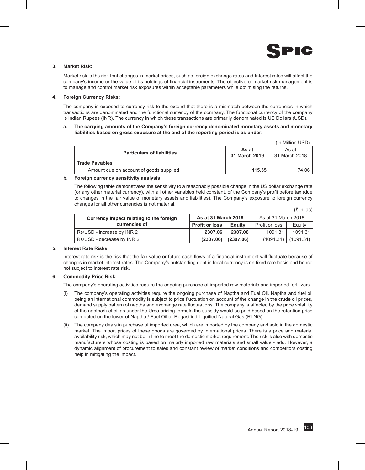

 $(1 - M)$   $(1 - M)$ 

#### **3. Market Risk:**

Market risk is ths risk that changes in market prices, such as foreign exchange rates and Interest rates will affect the company's income or the value of its holdings of financial instruments. The objective of market risk management is to manage and control market risk exposures within acceptable parameters while optimising the returns.

#### **4. Foreign Currency Risks:**

The company is exposed to currency risk to the extend that there is a mismatch between the currencies in which transactions are denominated and the functional currency of the company. The functional currency of the company is Indian Rupees (INR). The currency in which these transactions are primarily denominated is US Dollars (USD).

#### **a. The carrying amounts of the Company's foreign currency denominated monetary assets and monetary liabilities based on gross exposure at the end of the reporting period is as under:**

|                                         |                        | (In Million USD)       |
|-----------------------------------------|------------------------|------------------------|
| <b>Particulars of liabilities</b>       | As at<br>31 March 2019 | As at<br>31 March 2018 |
| <b>Trade Payables</b>                   |                        |                        |
| Amount due on account of goods supplied | 115.35                 | 74.06                  |

#### **b. Foreign currency sensitivity analysis:**

The following table demonstrates the sensitivity to a reasonably possible change in the US dollar exchange rate (or any other material currency), with all other variables held constant, of the Company's profit before tax (due to changes in the fair value of monetary assets and liabilities). The Company's exposure to foreign currency changes for all other currencies is not material.  $($ ₹ in lac)

| Currency impact relating to the foreign | As at 31 March 2019   |                | As at 31 March 2018 |           |
|-----------------------------------------|-----------------------|----------------|---------------------|-----------|
| currencies of                           | <b>Profit or loss</b> | <b>E</b> quity | Profit or loss      | Equity    |
| Rs/USD - increase by INR 2              | 2307.06               | 2307.06        | 1091.31             | 1091.31   |
| Rs/USD - decrease by INR 2              | (2307.06)             | (2307.06)      | (1091.31)           | (1091.31) |

#### **5. Interest Rate Risks:**

Interest rate risk is the risk that the fair value or future cash flows of a financial instrument will fluctuate because of changes in market interest rates. The Company's outstanding debt in local currency is on fixed rate basis and hence not subject to interest rate risk.

#### **6. Commodity Price Risk:**

The company's operating activities require the ongoing purchase of imported raw materials and imported fertilizers.

- (i) The company's operating activities require the ongoing purchase of Naptha and Fuel Oil. Naptha and fuel oil being an international commodity is subject to price fluctuation on account of the change in the crude oil prices, demand supply pattern of naptha and exchange rate fluctuations. The company is affected by the price volatility of the naptha/fuel oil as under the Urea pricing formula the subsidy would be paid based on the retention price computed on the lower of Naptha / Fuel Oil or Regasified Liquified Natural Gas (RLNG).
- (ii) The company deals in purchase of imported urea, which are imported by the company and sold in the domestic market. The import prices of these goods are governed by international prices. There is a price and material availability risk, which may not be in line to meet the domestic market requirement. The risk is also with domestic manufacturers whose costing is based on majorly imported raw materials and small value - add. However, a dynamic alignment of procurement to sales and constant review of market conditions and competitors costing help in mitigating the impact.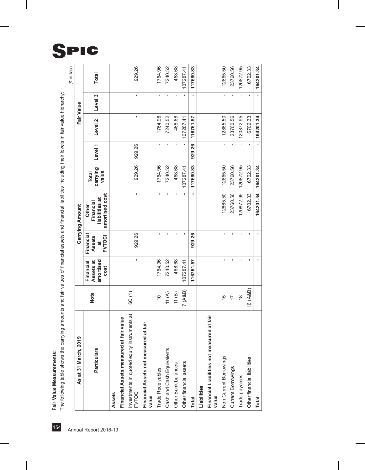Fair Value Measurements:

| As at 31 March, 2019                                         |               |                                             |                                           | Carrying Amount                                        |                                   |                    |           | Fair Value   |                |
|--------------------------------------------------------------|---------------|---------------------------------------------|-------------------------------------------|--------------------------------------------------------|-----------------------------------|--------------------|-----------|--------------|----------------|
| Particulars                                                  | <b>Note</b>   | amortised<br>Assets at<br>Financial<br>cost | Financial<br>Assets<br><b>FVTOCI</b><br>đ | amortised cost<br>liabilities at<br>Financial<br>Other | carrying<br>value<br><b>Total</b> | Level <sub>1</sub> | Level 2   | Level 3      |                |
| Assets                                                       |               |                                             |                                           |                                                        |                                   |                    |           |              |                |
| Financial Assets measured at fair value                      |               |                                             |                                           |                                                        |                                   |                    |           |              |                |
| Investments in quoted equity instruments at<br><b>FVTOCI</b> | 6C(1)         | ï                                           | 929.26                                    | ı                                                      | 929.26                            | 929.26             | ı         |              | ı              |
| Financial Assets not measured at fair<br>value               |               |                                             |                                           |                                                        |                                   |                    |           |              |                |
| Trade Receivables                                            | $\frac{1}{2}$ | 1764.96                                     | $\blacksquare$                            | $\mathbf{I}$                                           | 1764.96                           | f,                 | 1764.96   |              | $\blacksquare$ |
| Cash and Cash Equivalents                                    | 11(A)         | 7240.52                                     |                                           | J.                                                     | 7240.52                           |                    | 7240.52   | J.           |                |
| Other Bank balances                                          | 11(B)         | 468.68                                      | ı                                         | $\blacksquare$                                         | 468.68                            | ı                  | 468.68    |              |                |
| Other financial assets                                       | 7 (A&B)       | 107287.41                                   |                                           |                                                        | 107287.41                         |                    | 107287.41 |              |                |
| <b>Total</b>                                                 |               | 116761.57                                   | 929.26                                    |                                                        | 117690.83                         | 929.26             | 116761.57 |              |                |
| Liabilities                                                  |               |                                             |                                           |                                                        |                                   |                    |           |              |                |
| Financial Liabilities not measured at fair<br>value          |               |                                             |                                           |                                                        |                                   |                    |           |              |                |
| Non Current Borrowings                                       | 15            |                                             |                                           | 12865.50                                               | 12865.50                          | $\blacksquare$     | 12865.50  | $\mathbf{I}$ |                |
| Current Borrowings                                           | 17            |                                             |                                           | 23760.56                                               | 23760.56                          |                    | 23760.56  | ı            |                |
| Trade payables                                               | $\frac{8}{3}$ |                                             |                                           | 120872.95                                              | 120872.95                         |                    | 120872.95 |              |                |
| Other financial liabilities                                  | 16 (A&B)      |                                             |                                           | 6702.33                                                | 6702.33                           |                    | 6702.33   |              |                |
| <b>Total</b>                                                 |               |                                             |                                           | 164201.34                                              | 164201.34                         | $\blacksquare$     | 164201.34 |              |                |

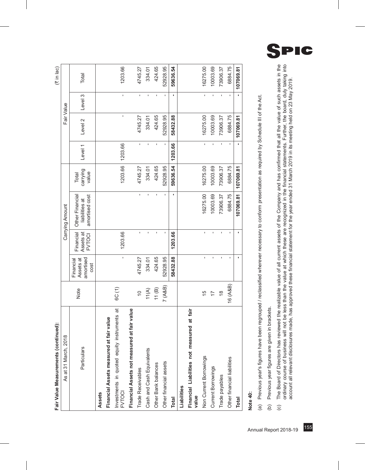| Fair Value Measurements (continued):                  |                |                                             |                                         |                                                     |                            |                    |            |                | $(3 \in \mathbb{N} \mid \mathsf{Jac})$ |
|-------------------------------------------------------|----------------|---------------------------------------------|-----------------------------------------|-----------------------------------------------------|----------------------------|--------------------|------------|----------------|----------------------------------------|
| As at 31 March, 2018                                  |                |                                             |                                         | Carrying Amount                                     |                            |                    | Fair Value |                |                                        |
| Particulars                                           | Note           | amortised<br>Assets at<br>Financial<br>cost | Financial<br>Assets at<br><b>FVTOCI</b> | Other Financial<br>amortised cost<br>liabilities at | carrying<br>value<br>Total | Level <sub>1</sub> | Level 2    | Level 3        | Total                                  |
| Assets                                                |                |                                             |                                         |                                                     |                            |                    |            |                |                                        |
| Financial Assets measured at fair value               |                |                                             |                                         |                                                     |                            |                    |            |                |                                        |
| Investments in quoted equity instruments at<br>FVTOCI | 6C(1)          | ï                                           | 1203.66                                 |                                                     | 1203.66                    | 1203.66            | ı          | ï              | 1203.66                                |
| at fair value<br>Financial Assets not measured        |                |                                             |                                         |                                                     |                            |                    |            |                |                                        |
| Trade Receivables                                     | $\tilde{=}$    | 4745.27                                     | $\mathbf{I}$                            | $\mathbf{I}$                                        | 4745.27                    |                    | 4745.27    | $\blacksquare$ | 4745.27                                |
| Cash and Cash Equivalents                             | $11(A)$        | 334.01                                      | ï                                       | f,                                                  | 334.01                     |                    | 334.01     | f.             | 334.01                                 |
| Other Bank balances                                   | 11(B)          | 424.65                                      | ï                                       | ı                                                   | 424.65                     |                    | 424.65     | Ţ              | 424.65                                 |
| Other financial assets                                | 7 (A&B)        | 52928.95                                    |                                         |                                                     | 52928.95                   |                    | 52928.95   |                | 52928.95                               |
| <b>Total</b>                                          |                | 58432.88                                    | 1203.66                                 |                                                     | 59636.54                   | 1203.66            | 58432.88   |                | 59636.54                               |
| Liabilities                                           |                |                                             |                                         |                                                     |                            |                    |            |                |                                        |
| Financial Liabilities not measured at fair<br>value   |                |                                             |                                         |                                                     |                            |                    |            |                |                                        |
| Non Current Borrowings                                | $\frac{5}{1}$  | ï                                           | $\mathbf{I}$                            | 16275.00                                            | 16275.00                   | Î.                 | 16275.00   | $\mathbf{r}$   | 16275.00                               |
| Current Borrowings                                    | $\overline{1}$ |                                             | Ĭ.                                      | 10003.69                                            | 10003.69                   |                    | 10003.69   | $\mathbf{I}$   | 10003.69                               |
| Trade payables                                        | $\frac{8}{1}$  |                                             |                                         | 73906.37                                            | 73906.37                   |                    | 73906.37   |                | 73906.37                               |
| Other financial liabilities                           | 16 (A&B)       |                                             |                                         | 6884.75                                             | 6884.75                    |                    | 6884.75    |                | 6884.75                                |
| <b>Total</b>                                          |                | f,                                          | f,                                      | 107069.81                                           | 107069.81                  |                    | 107069.81  |                | 107069.81                              |
|                                                       |                |                                             |                                         |                                                     |                            |                    |            |                |                                        |

ź

# **Note 40:**

Previous year's figures have been regrouped / reclassified wherever necessary to conform presentation as required by Schedule III of the Act. (a) Previous year's figures have been regrouped / reclassified wherever necessary to conform presentation as required by Schedule III of the Act.  $\widehat{a}$ 

Previous year figures are given in brackets. (b) Previous year figures are given in brackets.  $\widehat{e}$  The Board of Directors has reviewed the realizable value of all current assets of the Company and has confirmed that all the value of such assets in the orilinary course of business will not be less than the value af which (c) The Board of Directors has reviewed the realizable value of all current assets of the Company and has confirmed that all the value of such assets in the ordinary course of business will not be less than the value at which these are recognized in the financial statements. Further, the board, duly taking into account all relevant disclosures made, has approved these financial statement for the year ended 31 March 2019 in its meeting held on 23 May 2019. account all relevant disclosures made, has approved these financial statement for the year ended 31 March 2019 in its meeting held on 23 May 2019. $\odot$ 

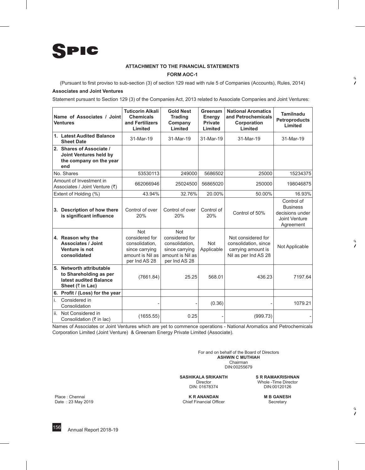

#### **ATTACHMENT TO THE FINANCIAL STATEMENTS**

#### **FORM AOC-1**

(Pursuant to first proviso to sub-section (3) of section 129 read with rule 5 of Companies (Accounts), Rules, 2014)

#### **Associates and Joint Ventures**

Statement pursuant to Section 129 (3) of the Companies Act, 2013 related to Associate Companies and Joint Ventures:

| Name of Associates / Joint<br><b>Ventures</b>                                                                            | <b>Tuticorin Alkali</b><br><b>Chemicals</b><br>and Fertilizers<br>Limited                             | <b>Gold Nest</b><br><b>Trading</b><br>Company<br>Limited                                       | Greenam<br>Energy<br><b>Private</b><br>Limited | <b>National Aromatics</b><br>and Petrochemicals<br>Corporation<br>Limited                | <b>Tamilnadu</b><br><b>Petroproducts</b><br>Limited                            |
|--------------------------------------------------------------------------------------------------------------------------|-------------------------------------------------------------------------------------------------------|------------------------------------------------------------------------------------------------|------------------------------------------------|------------------------------------------------------------------------------------------|--------------------------------------------------------------------------------|
| 1. Latest Audited Balance<br><b>Sheet Date</b>                                                                           | 31-Mar-19                                                                                             | 31-Mar-19                                                                                      | 31-Mar-19                                      | 31-Mar-19                                                                                | 31-Mar-19                                                                      |
| 2. Shares of Associate /<br>Joint Ventures held by<br>the company on the year<br>end                                     |                                                                                                       |                                                                                                |                                                |                                                                                          |                                                                                |
| No. Shares                                                                                                               | 53530113                                                                                              | 249000                                                                                         | 5686502                                        | 25000                                                                                    | 15234375                                                                       |
| Amount of Investment in<br>Associates / Joint Venture (₹)                                                                | 662066946                                                                                             | 25024500                                                                                       | 56865020                                       | 250000                                                                                   | 198046875                                                                      |
| Extent of Holding (%)                                                                                                    | 43.94%                                                                                                | 32.76%                                                                                         | 20.00%                                         | 50.00%                                                                                   | 16.93%                                                                         |
| 3. Description of how there<br>is significant influence                                                                  | Control of over<br>20%                                                                                | Control of over<br>20%                                                                         | Control of<br>20%                              | Control of 50%                                                                           | Control of<br><b>Business</b><br>decisions under<br>Joint Venture<br>Agreement |
| 4. Reason why the<br><b>Associates / Joint</b><br>Venture is not<br>consolidated                                         | <b>Not</b><br>considered for<br>consolidation,<br>since carrying<br>amount is Nil as<br>per Ind AS 28 | Not<br>considered for<br>consolidation.<br>since carrying<br>amount is Nil as<br>per Ind AS 28 | <b>Not</b><br>Applicable                       | Not considered for<br>consolidation, since<br>carrying amount is<br>Nil as per Ind AS 28 | Not Applicable                                                                 |
| 5. Networth attributable<br>to Shareholding as per<br>latest audited Balance<br>Sheet $(3 \nvert \cdot \mathsf{in}$ Lac) | (7661.84)                                                                                             | 25.25                                                                                          | 568.01                                         | 436.23                                                                                   | 7197.64                                                                        |
| 6. Profit / (Loss) for the year                                                                                          |                                                                                                       |                                                                                                |                                                |                                                                                          |                                                                                |
| Considered in<br>i.<br>Consolidation                                                                                     |                                                                                                       |                                                                                                | (0.36)                                         |                                                                                          | 1079.21                                                                        |
| ii.<br>Not Considered in<br>Consolidation (₹ in lac)                                                                     | (1655.55)                                                                                             | 0.25                                                                                           |                                                | (999.73)                                                                                 |                                                                                |

Names of Associates or Joint Ventures which are yet to commence operations - National Aromatics and Petrochemicals Corporation Limited (Joint Venture) & Greenam Energy Private Limited (Associate).

> For and on behalf of the Board of Directors **ASHWIN C MUTHIAH** Chairman DIN:00255679

**SASHIKALA SRIKANTH S R RAMAKRISHNAN**<br>Director **Minole** - Time Director

DIN: 01678374

Place : Chennai **K R ANANDAN M B GANESH**

Whole -Time Director<br>DIN:00120126

Date : 23 May 2019 Chief Financial Officer Secretary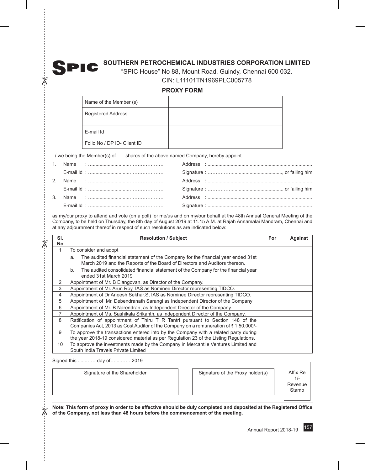# **SOUTHERN PETROCHEMICAL INDUSTRIES CORPORATION LIMITED**

"SPIC House" No 88, Mount Road, Guindy, Chennai 600 032. CIN: L11101TN1969PLC005778

# **PROXY FORM**

| Name of the Member (s)      |  |
|-----------------------------|--|
| <b>Registered Address</b>   |  |
| E-mail Id                   |  |
| Folio No / DP ID- Client ID |  |

I / we being the Member(s) of shares of the above named Company, hereby appoint

|  | E-mail Id : ……………………………………………… |  |
|--|--------------------------------|--|

as my/our proxy to attend and vote (on a poll) for me/us and on my/our behalf at the 48th Annual General Meeting of the Company, to be held on Thursday, the 8th day of August 2019 at 11.15 A.M. at Rajah Annamalai Mandram, Chennai and at any adjournment thereof in respect of such resolutions as are indicated below:

| SI.<br><b>No</b> | <b>Resolution / Subject</b>                                                                                                                                                  | For | Against |
|------------------|------------------------------------------------------------------------------------------------------------------------------------------------------------------------------|-----|---------|
| 1                | To consider and adopt                                                                                                                                                        |     |         |
|                  | The audited financial statement of the Company for the financial year ended 31st<br>a.<br>March 2019 and the Reports of the Board of Directors and Auditors thereon.         |     |         |
|                  | The audited consolidated financial statement of the Company for the financial year<br>b.<br>ended 31st March 2019                                                            |     |         |
| 2                | Appointment of Mr. B Elangovan, as Director of the Company.                                                                                                                  |     |         |
| 3                | Appointment of Mr. Arun Roy, IAS as Nominee Director representing TIDCO.                                                                                                     |     |         |
| 4                | Appointment of Dr Aneesh Sekhar. S, IAS as Nominee Director representing TIDCO.                                                                                              |     |         |
| 5                | Appointment of Mr. Debendranath Sarangi as Independent Director of the Company                                                                                               |     |         |
| 6                | Appointment of Mr. B Narendran, as Independent Director of the Company.                                                                                                      |     |         |
| 7                | Appointment of Ms. Sashikala Srikanth, as Independent Director of the Company.                                                                                               |     |         |
| 8                | Ratification of appointment of Thiru T R Tantri pursuant to Section 148 of the<br>Companies Act, 2013 as Cost Auditor of the Company on a remuneration of ₹1,50,000/-        |     |         |
| 9                | To approve the transactions entered into by the Company with a related party during<br>the year 2018-19 considered material as per Regulation 23 of the Listing Regulations. |     |         |
| 10 <sup>°</sup>  | To approve the investments made by the Company in Mercantile Ventures Limited and<br>South India Travels Private Limited                                                     |     |         |

Signed this ......…… day of…....…… 2019

 $\mathbb X$ 

 $\chi$ 

 $\frac{1}{\chi}$ 

SPIC

Signature of the Shareholder Signature of the Proxy holder(s) Affix Re

1/- Revenue Stamp

**Note: This form of proxy in order to be effective should be duly completed and deposited at the Registered Office of the Company, not less than 48 hours before the commencement of the meeting.**